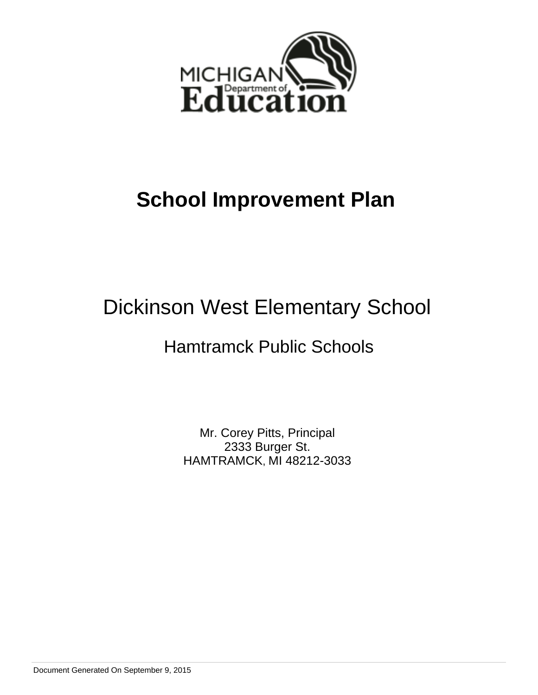

## **School Improvement Plan**

# Dickinson West Elementary School

## Hamtramck Public Schools

Mr. Corey Pitts, Principal 2333 Burger St. HAMTRAMCK, MI 48212-3033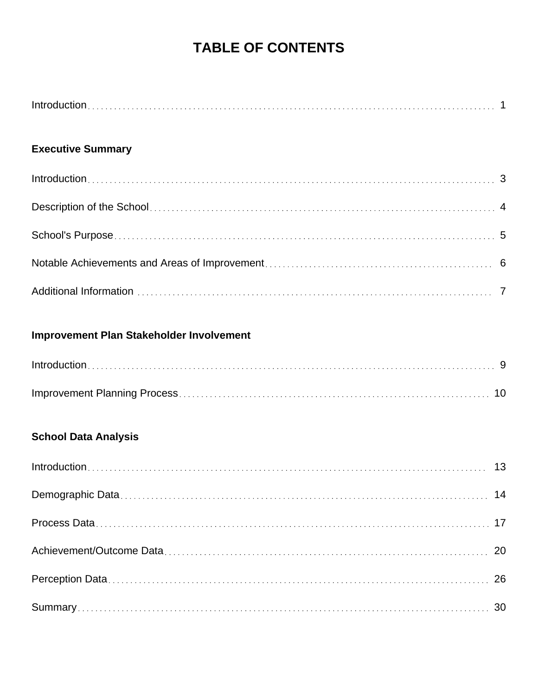## **TABLE OF CONTENTS**

## **Executive Summary**

## **Improvement Plan Stakeholder Involvement**

## **School Data Analysis**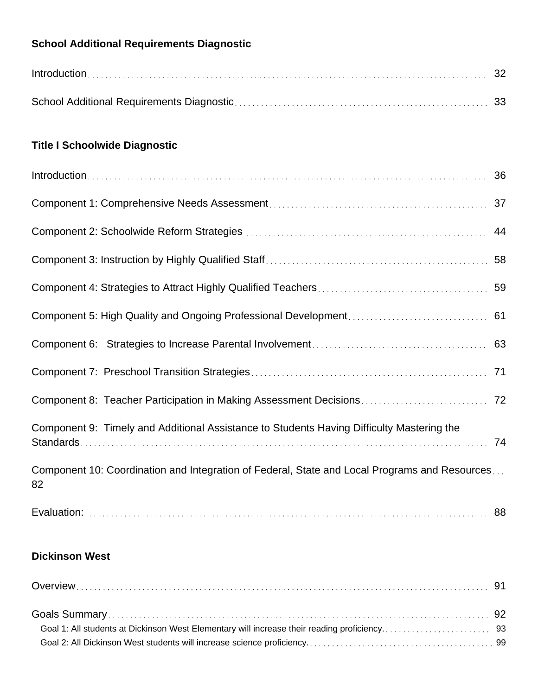## **School Additional Requirements Diagnostic**

| $Introduction \dots 32$ |  |
|-------------------------|--|
|                         |  |

## **Title I Schoolwide Diagnostic**

| Component 9: Timely and Additional Assistance to Students Having Difficulty Mastering the           |    |
|-----------------------------------------------------------------------------------------------------|----|
| Component 10: Coordination and Integration of Federal, State and Local Programs and Resources<br>82 |    |
|                                                                                                     | 88 |

## **Dickinson West**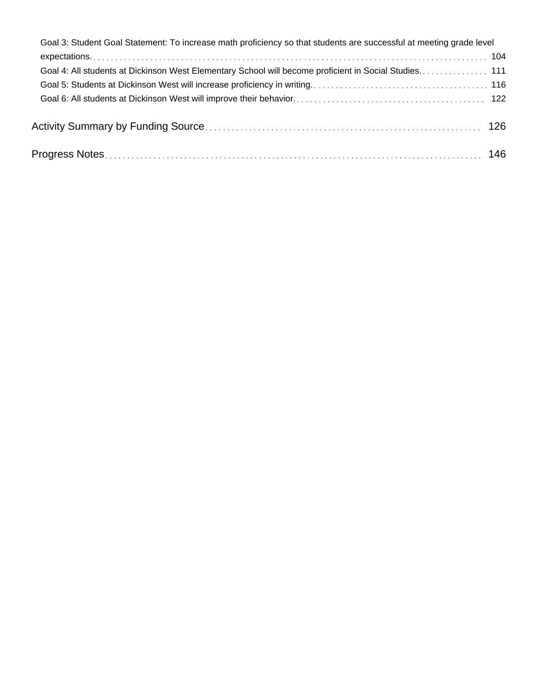| Goal 3: Student Goal Statement: To increase math proficiency so that students are successful at meeting grade level |  |
|---------------------------------------------------------------------------------------------------------------------|--|
|                                                                                                                     |  |
|                                                                                                                     |  |
|                                                                                                                     |  |
|                                                                                                                     |  |
|                                                                                                                     |  |
| Progress Notes…………………………………………………………………………………………… 146                                                               |  |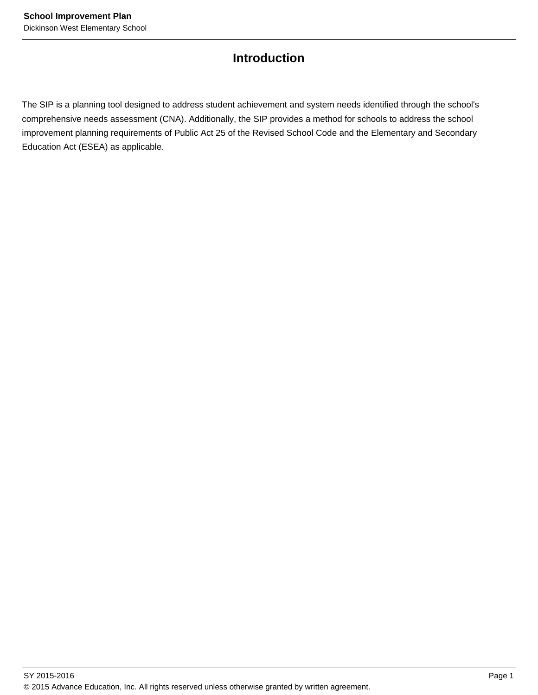## **Introduction**

The SIP is a planning tool designed to address student achievement and system needs identified through the school's comprehensive needs assessment (CNA). Additionally, the SIP provides a method for schools to address the school improvement planning requirements of Public Act 25 of the Revised School Code and the Elementary and Secondary Education Act (ESEA) as applicable.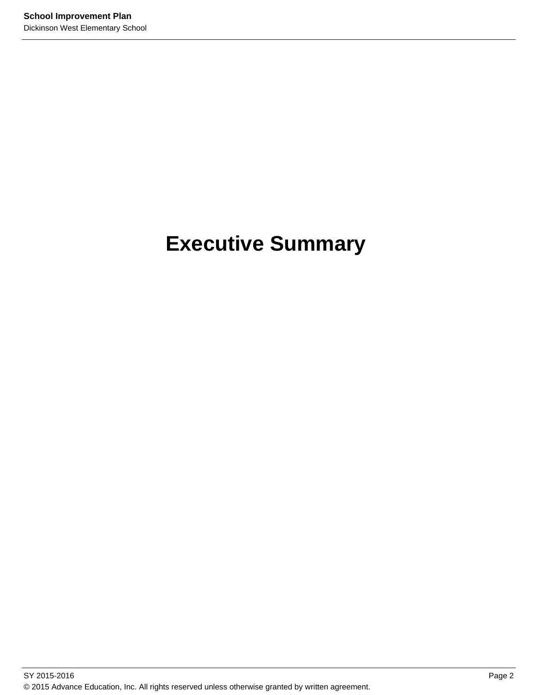# **Executive Summary**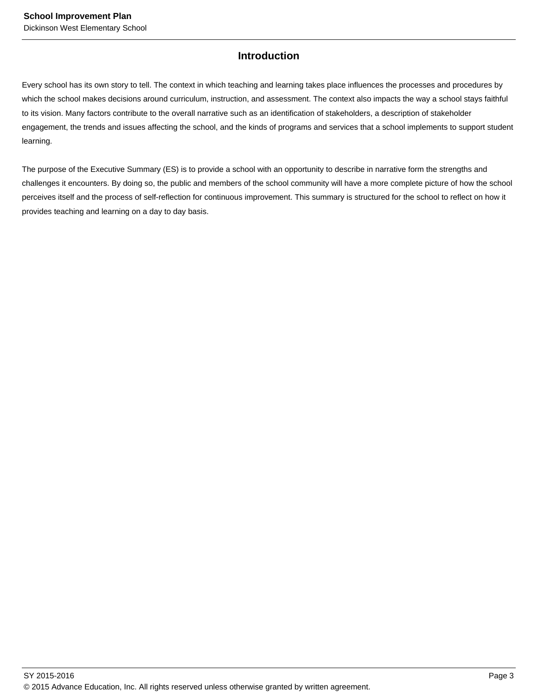## **Introduction**

Every school has its own story to tell. The context in which teaching and learning takes place influences the processes and procedures by which the school makes decisions around curriculum, instruction, and assessment. The context also impacts the way a school stays faithful to its vision. Many factors contribute to the overall narrative such as an identification of stakeholders, a description of stakeholder engagement, the trends and issues affecting the school, and the kinds of programs and services that a school implements to support student learning.

The purpose of the Executive Summary (ES) is to provide a school with an opportunity to describe in narrative form the strengths and challenges it encounters. By doing so, the public and members of the school community will have a more complete picture of how the school perceives itself and the process of self-reflection for continuous improvement. This summary is structured for the school to reflect on how it provides teaching and learning on a day to day basis.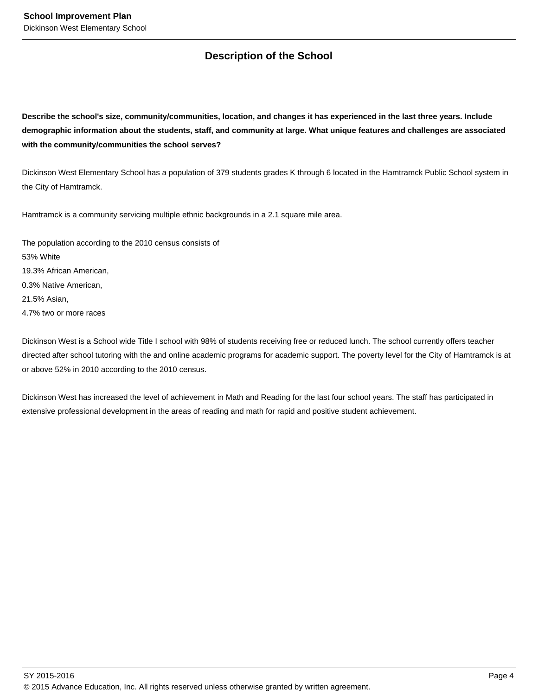## **Description of the School**

**Describe the school's size, community/communities, location, and changes it has experienced in the last three years. Include demographic information about the students, staff, and community at large. What unique features and challenges are associated with the community/communities the school serves?**

Dickinson West Elementary School has a population of 379 students grades K through 6 located in the Hamtramck Public School system in the City of Hamtramck.

Hamtramck is a community servicing multiple ethnic backgrounds in a 2.1 square mile area.

The population according to the 2010 census consists of 53% White 19.3% African American, 0.3% Native American, 21.5% Asian, 4.7% two or more races

Dickinson West is a School wide Title I school with 98% of students receiving free or reduced lunch. The school currently offers teacher directed after school tutoring with the and online academic programs for academic support. The poverty level for the City of Hamtramck is at or above 52% in 2010 according to the 2010 census.

Dickinson West has increased the level of achievement in Math and Reading for the last four school years. The staff has participated in extensive professional development in the areas of reading and math for rapid and positive student achievement.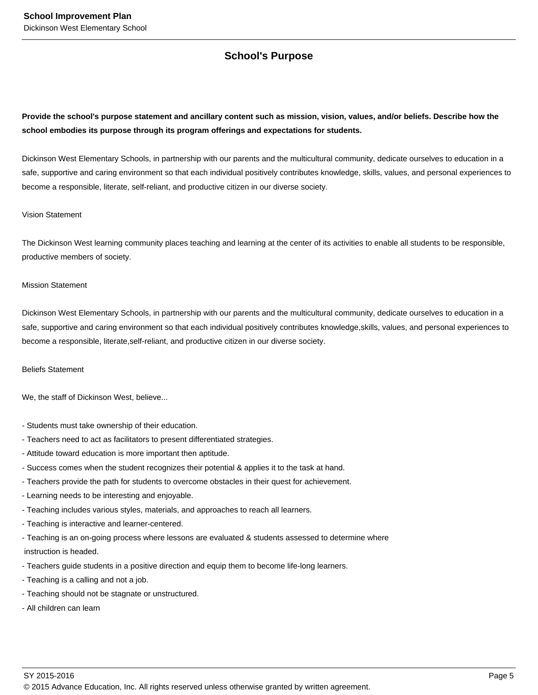## **School's Purpose**

## **Provide the school's purpose statement and ancillary content such as mission, vision, values, and/or beliefs. Describe how the school embodies its purpose through its program offerings and expectations for students.**

Dickinson West Elementary Schools, in partnership with our parents and the multicultural community, dedicate ourselves to education in a safe, supportive and caring environment so that each individual positively contributes knowledge, skills, values, and personal experiences to become a responsible, literate, self-reliant, and productive citizen in our diverse society.

#### Vision Statement

The Dickinson West learning community places teaching and learning at the center of its activities to enable all students to be responsible, productive members of society.

#### Mission Statement

Dickinson West Elementary Schools, in partnership with our parents and the multicultural community, dedicate ourselves to education in a safe, supportive and caring environment so that each individual positively contributes knowledge,skills, values, and personal experiences to become a responsible, literate,self-reliant, and productive citizen in our diverse society.

#### Beliefs Statement

We, the staff of Dickinson West, believe...

- Students must take ownership of their education.
- Teachers need to act as facilitators to present differentiated strategies.
- Attitude toward education is more important then aptitude.
- Success comes when the student recognizes their potential & applies it to the task at hand.
- Teachers provide the path for students to overcome obstacles in their quest for achievement.
- Learning needs to be interesting and enjoyable.
- Teaching includes various styles, materials, and approaches to reach all learners.
- Teaching is interactive and learner-centered.
- Teaching is an on-going process where lessons are evaluated & students assessed to determine where instruction is headed.
- Teachers guide students in a positive direction and equip them to become life-long learners.
- Teaching is a calling and not a job.
- Teaching should not be stagnate or unstructured.
- All children can learn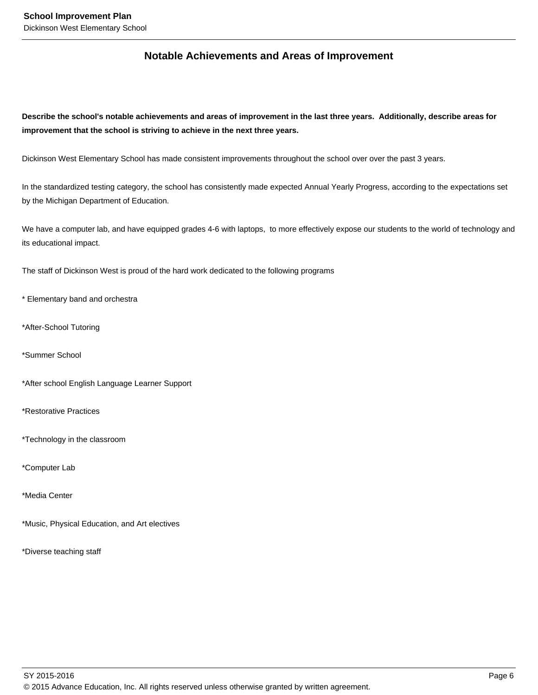## **Notable Achievements and Areas of Improvement**

**Describe the school's notable achievements and areas of improvement in the last three years. Additionally, describe areas for improvement that the school is striving to achieve in the next three years.**

Dickinson West Elementary School has made consistent improvements throughout the school over over the past 3 years.

In the standardized testing category, the school has consistently made expected Annual Yearly Progress, according to the expectations set by the Michigan Department of Education.

We have a computer lab, and have equipped grades 4-6 with laptops, to more effectively expose our students to the world of technology and its educational impact.

The staff of Dickinson West is proud of the hard work dedicated to the following programs

\* Elementary band and orchestra

- \*After-School Tutoring
- \*Summer School

\*After school English Language Learner Support

\*Restorative Practices

\*Technology in the classroom

\*Computer Lab

\*Media Center

\*Music, Physical Education, and Art electives

\*Diverse teaching staff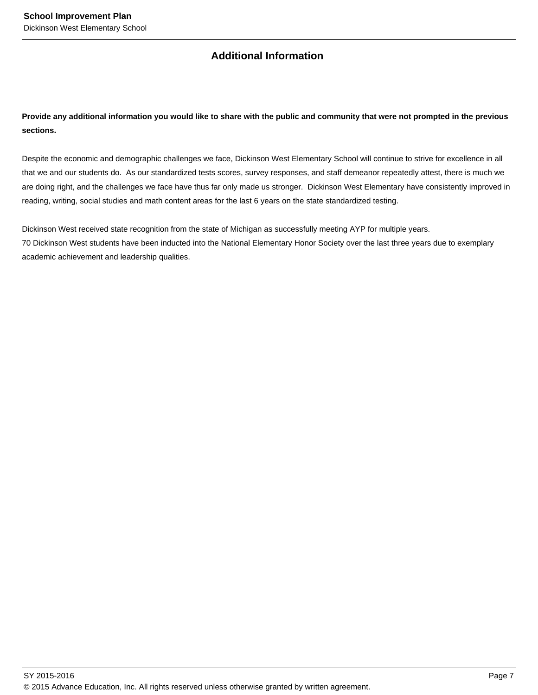## **Additional Information**

## **Provide any additional information you would like to share with the public and community that were not prompted in the previous sections.**

Despite the economic and demographic challenges we face, Dickinson West Elementary School will continue to strive for excellence in all that we and our students do. As our standardized tests scores, survey responses, and staff demeanor repeatedly attest, there is much we are doing right, and the challenges we face have thus far only made us stronger. Dickinson West Elementary have consistently improved in reading, writing, social studies and math content areas for the last 6 years on the state standardized testing.

Dickinson West received state recognition from the state of Michigan as successfully meeting AYP for multiple years. 70 Dickinson West students have been inducted into the National Elementary Honor Society over the last three years due to exemplary academic achievement and leadership qualities.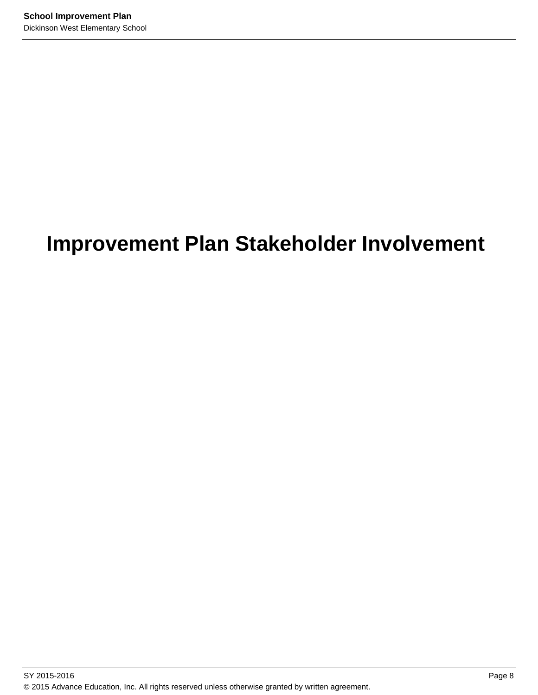## **Improvement Plan Stakeholder Involvement**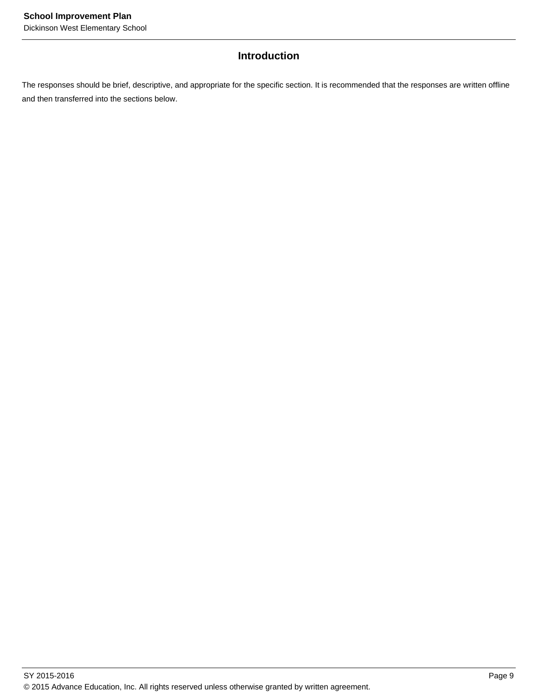## **Introduction**

The responses should be brief, descriptive, and appropriate for the specific section. It is recommended that the responses are written offline and then transferred into the sections below.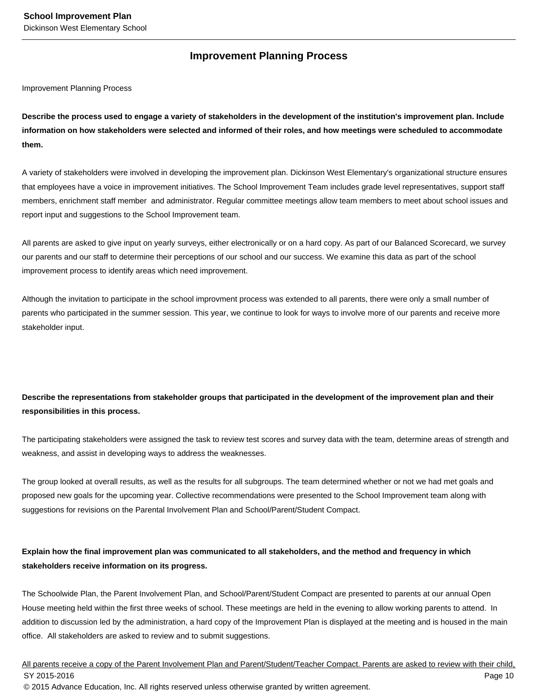## **Improvement Planning Process**

Improvement Planning Process

**Describe the process used to engage a variety of stakeholders in the development of the institution's improvement plan. Include information on how stakeholders were selected and informed of their roles, and how meetings were scheduled to accommodate them.** 

A variety of stakeholders were involved in developing the improvement plan. Dickinson West Elementary's organizational structure ensures that employees have a voice in improvement initiatives. The School Improvement Team includes grade level representatives, support staff members, enrichment staff member and administrator. Regular committee meetings allow team members to meet about school issues and report input and suggestions to the School Improvement team.

All parents are asked to give input on yearly surveys, either electronically or on a hard copy. As part of our Balanced Scorecard, we survey our parents and our staff to determine their perceptions of our school and our success. We examine this data as part of the school improvement process to identify areas which need improvement.

Although the invitation to participate in the school improvment process was extended to all parents, there were only a small number of parents who participated in the summer session. This year, we continue to look for ways to involve more of our parents and receive more stakeholder input.

## **Describe the representations from stakeholder groups that participated in the development of the improvement plan and their responsibilities in this process.**

The participating stakeholders were assigned the task to review test scores and survey data with the team, determine areas of strength and weakness, and assist in developing ways to address the weaknesses.

The group looked at overall results, as well as the results for all subgroups. The team determined whether or not we had met goals and proposed new goals for the upcoming year. Collective recommendations were presented to the School Improvement team along with suggestions for revisions on the Parental Involvement Plan and School/Parent/Student Compact.

### **Explain how the final improvement plan was communicated to all stakeholders, and the method and frequency in which stakeholders receive information on its progress.**

The Schoolwide Plan, the Parent Involvement Plan, and School/Parent/Student Compact are presented to parents at our annual Open House meeting held within the first three weeks of school. These meetings are held in the evening to allow working parents to attend. In addition to discussion led by the administration, a hard copy of the Improvement Plan is displayed at the meeting and is housed in the main office. All stakeholders are asked to review and to submit suggestions.

All parents receive a copy of the Parent Involvement Plan and Parent/Student/Teacher Compact. Parents are asked to review with their child, SY 2015-2016 Page 10 © 2015 Advance Education, Inc. All rights reserved unless otherwise granted by written agreement.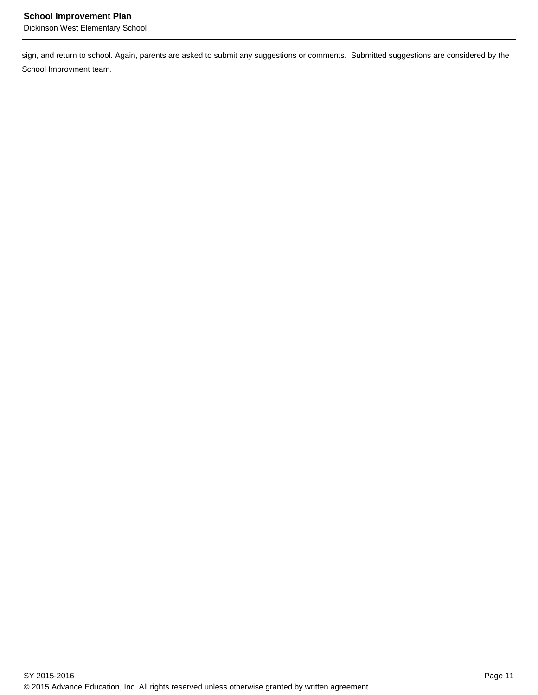sign, and return to school. Again, parents are asked to submit any suggestions or comments. Submitted suggestions are considered by the School Improvment team.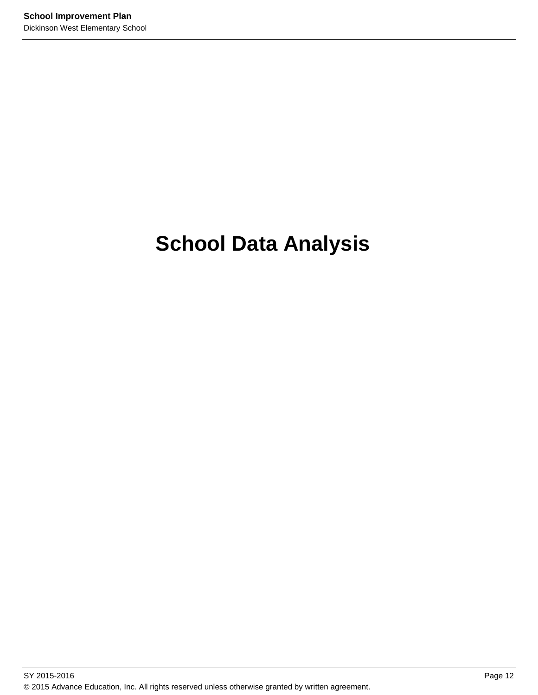# **School Data Analysis**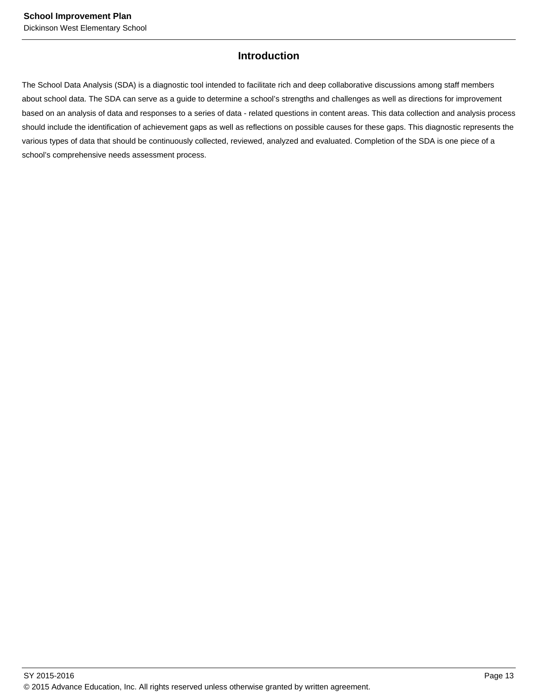## **Introduction**

The School Data Analysis (SDA) is a diagnostic tool intended to facilitate rich and deep collaborative discussions among staff members about school data. The SDA can serve as a guide to determine a school's strengths and challenges as well as directions for improvement based on an analysis of data and responses to a series of data - related questions in content areas. This data collection and analysis process should include the identification of achievement gaps as well as reflections on possible causes for these gaps. This diagnostic represents the various types of data that should be continuously collected, reviewed, analyzed and evaluated. Completion of the SDA is one piece of a school's comprehensive needs assessment process.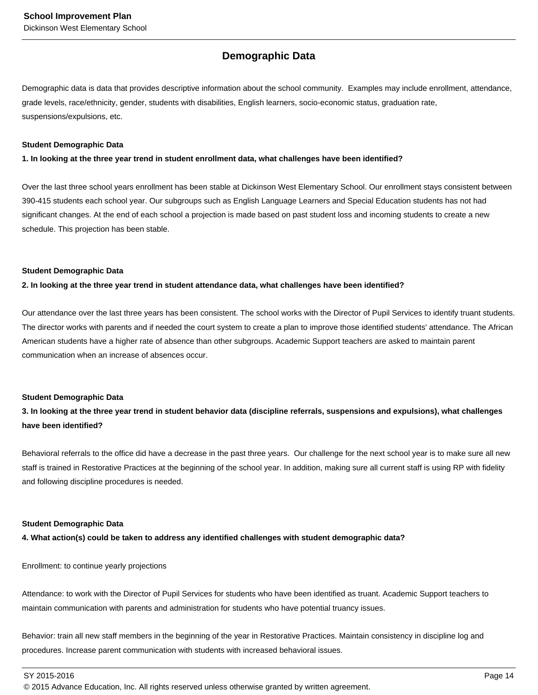## **Demographic Data**

Demographic data is data that provides descriptive information about the school community. Examples may include enrollment, attendance, grade levels, race/ethnicity, gender, students with disabilities, English learners, socio-economic status, graduation rate, suspensions/expulsions, etc.

#### **Student Demographic Data**

**1. In looking at the three year trend in student enrollment data, what challenges have been identified?**

Over the last three school years enrollment has been stable at Dickinson West Elementary School. Our enrollment stays consistent between 390-415 students each school year. Our subgroups such as English Language Learners and Special Education students has not had significant changes. At the end of each school a projection is made based on past student loss and incoming students to create a new schedule. This projection has been stable.

#### **Student Demographic Data**

**2. In looking at the three year trend in student attendance data, what challenges have been identified?**

Our attendance over the last three years has been consistent. The school works with the Director of Pupil Services to identify truant students. The director works with parents and if needed the court system to create a plan to improve those identified students' attendance. The African American students have a higher rate of absence than other subgroups. Academic Support teachers are asked to maintain parent communication when an increase of absences occur.

#### **Student Demographic Data**

**3. In looking at the three year trend in student behavior data (discipline referrals, suspensions and expulsions), what challenges have been identified?**

Behavioral referrals to the office did have a decrease in the past three years. Our challenge for the next school year is to make sure all new staff is trained in Restorative Practices at the beginning of the school year. In addition, making sure all current staff is using RP with fidelity and following discipline procedures is needed.

#### **Student Demographic Data**

**4. What action(s) could be taken to address any identified challenges with student demographic data?**

Enrollment: to continue yearly projections

Attendance: to work with the Director of Pupil Services for students who have been identified as truant. Academic Support teachers to maintain communication with parents and administration for students who have potential truancy issues.

Behavior: train all new staff members in the beginning of the year in Restorative Practices. Maintain consistency in discipline log and procedures. Increase parent communication with students with increased behavioral issues.

SY 2015-2016 Page 14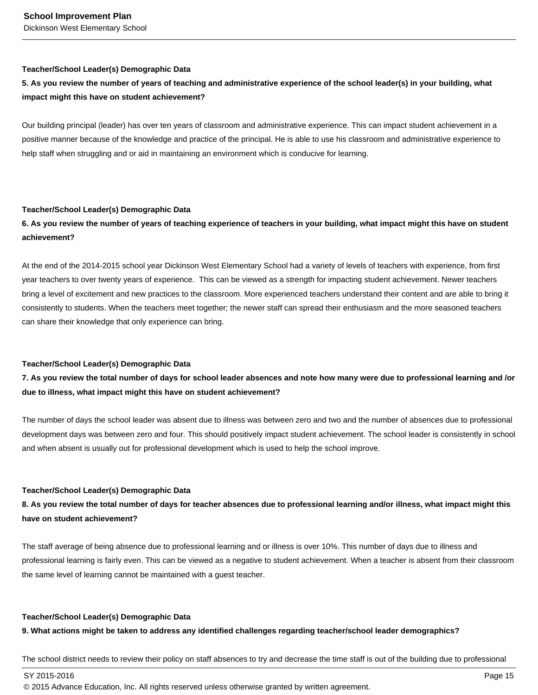#### **Teacher/School Leader(s) Demographic Data**

## **5. As you review the number of years of teaching and administrative experience of the school leader(s) in your building, what impact might this have on student achievement?**

Our building principal (leader) has over ten years of classroom and administrative experience. This can impact student achievement in a positive manner because of the knowledge and practice of the principal. He is able to use his classroom and administrative experience to help staff when struggling and or aid in maintaining an environment which is conducive for learning.

#### **Teacher/School Leader(s) Demographic Data**

## **6. As you review the number of years of teaching experience of teachers in your building, what impact might this have on student achievement?**

At the end of the 2014-2015 school year Dickinson West Elementary School had a variety of levels of teachers with experience, from first year teachers to over twenty years of experience. This can be viewed as a strength for impacting student achievement. Newer teachers bring a level of excitement and new practices to the classroom. More experienced teachers understand their content and are able to bring it consistently to students. When the teachers meet together; the newer staff can spread their enthusiasm and the more seasoned teachers can share their knowledge that only experience can bring.

#### **Teacher/School Leader(s) Demographic Data**

## **7. As you review the total number of days for school leader absences and note how many were due to professional learning and /or due to illness, what impact might this have on student achievement?**

The number of days the school leader was absent due to illness was between zero and two and the number of absences due to professional development days was between zero and four. This should positively impact student achievement. The school leader is consistently in school and when absent is usually out for professional development which is used to help the school improve.

#### **Teacher/School Leader(s) Demographic Data**

## **8. As you review the total number of days for teacher absences due to professional learning and/or illness, what impact might this have on student achievement?**

The staff average of being absence due to professional learning and or illness is over 10%. This number of days due to illness and professional learning is fairly even. This can be viewed as a negative to student achievement. When a teacher is absent from their classroom the same level of learning cannot be maintained with a guest teacher.

#### **Teacher/School Leader(s) Demographic Data**

#### **9. What actions might be taken to address any identified challenges regarding teacher/school leader demographics?**

The school district needs to review their policy on staff absences to try and decrease the time staff is out of the building due to professional

 $\,$  SY 2015-2016  $\,$  Page 15  $\,$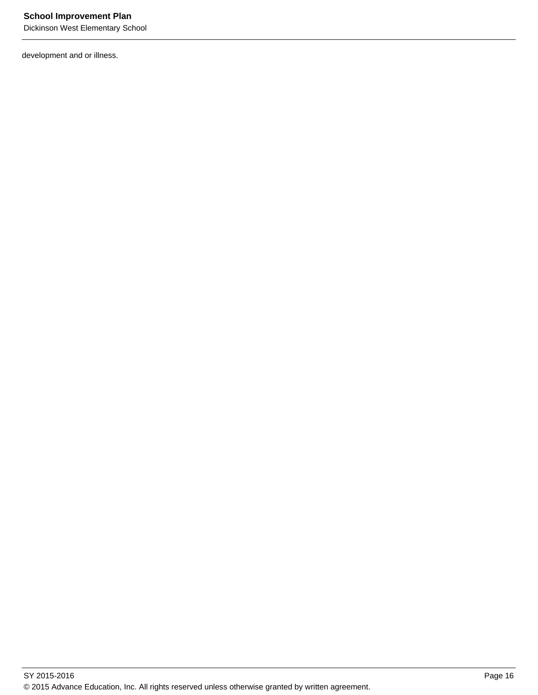development and or illness.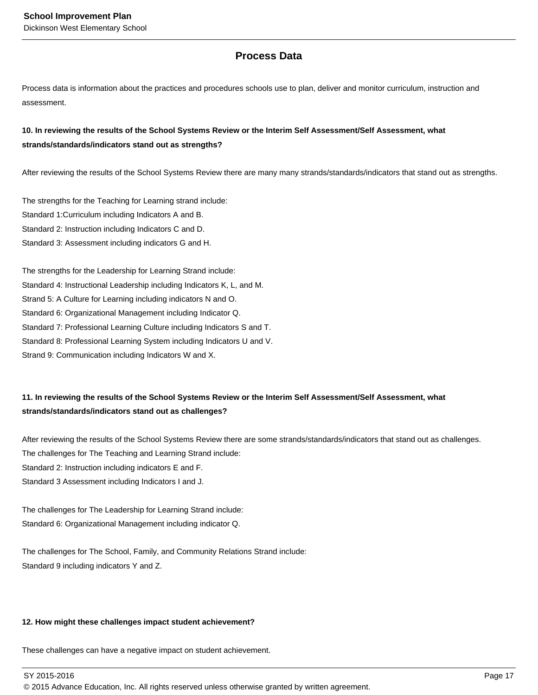## **Process Data**

Process data is information about the practices and procedures schools use to plan, deliver and monitor curriculum, instruction and assessment.

### **10. In reviewing the results of the School Systems Review or the Interim Self Assessment/Self Assessment, what strands/standards/indicators stand out as strengths?**

After reviewing the results of the School Systems Review there are many many strands/standards/indicators that stand out as strengths.

The strengths for the Teaching for Learning strand include: Standard 1:Curriculum including Indicators A and B. Standard 2: Instruction including Indicators C and D. Standard 3: Assessment including indicators G and H.

The strengths for the Leadership for Learning Strand include: Standard 4: Instructional Leadership including Indicators K, L, and M. Strand 5: A Culture for Learning including indicators N and O. Standard 6: Organizational Management including Indicator Q. Standard 7: Professional Learning Culture including Indicators S and T. Standard 8: Professional Learning System including Indicators U and V. Strand 9: Communication including Indicators W and X.

## **11. In reviewing the results of the School Systems Review or the Interim Self Assessment/Self Assessment, what strands/standards/indicators stand out as challenges?**

After reviewing the results of the School Systems Review there are some strands/standards/indicators that stand out as challenges. The challenges for The Teaching and Learning Strand include: Standard 2: Instruction including indicators E and F.

Standard 3 Assessment including Indicators I and J.

The challenges for The Leadership for Learning Strand include: Standard 6: Organizational Management including indicator Q.

The challenges for The School, Family, and Community Relations Strand include: Standard 9 including indicators Y and Z.

#### **12. How might these challenges impact student achievement?**

These challenges can have a negative impact on student achievement.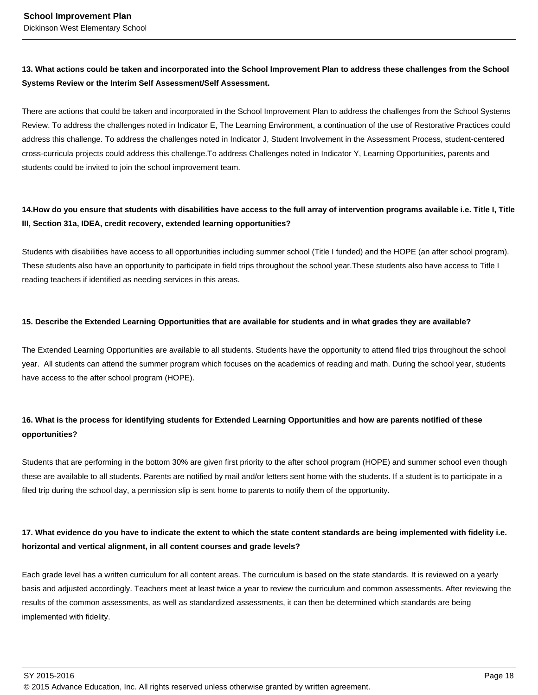## **13. What actions could be taken and incorporated into the School Improvement Plan to address these challenges from the School Systems Review or the Interim Self Assessment/Self Assessment.**

There are actions that could be taken and incorporated in the School Improvement Plan to address the challenges from the School Systems Review. To address the challenges noted in Indicator E, The Learning Environment, a continuation of the use of Restorative Practices could address this challenge. To address the challenges noted in Indicator J, Student Involvement in the Assessment Process, student-centered cross-curricula projects could address this challenge.To address Challenges noted in Indicator Y, Learning Opportunities, parents and students could be invited to join the school improvement team.

### 14. How do you ensure that students with disabilities have access to the full array of intervention programs available i.e. Title I, Title **III, Section 31a, IDEA, credit recovery, extended learning opportunities?**

Students with disabilities have access to all opportunities including summer school (Title I funded) and the HOPE (an after school program). These students also have an opportunity to participate in field trips throughout the school year.These students also have access to Title I reading teachers if identified as needing services in this areas.

#### **15. Describe the Extended Learning Opportunities that are available for students and in what grades they are available?**

The Extended Learning Opportunities are available to all students. Students have the opportunity to attend filed trips throughout the school year. All students can attend the summer program which focuses on the academics of reading and math. During the school year, students have access to the after school program (HOPE).

## **16. What is the process for identifying students for Extended Learning Opportunities and how are parents notified of these opportunities?**

Students that are performing in the bottom 30% are given first priority to the after school program (HOPE) and summer school even though these are available to all students. Parents are notified by mail and/or letters sent home with the students. If a student is to participate in a filed trip during the school day, a permission slip is sent home to parents to notify them of the opportunity.

## **17. What evidence do you have to indicate the extent to which the state content standards are being implemented with fidelity i.e. horizontal and vertical alignment, in all content courses and grade levels?**

Each grade level has a written curriculum for all content areas. The curriculum is based on the state standards. It is reviewed on a yearly basis and adjusted accordingly. Teachers meet at least twice a year to review the curriculum and common assessments. After reviewing the results of the common assessments, as well as standardized assessments, it can then be determined which standards are being implemented with fidelity.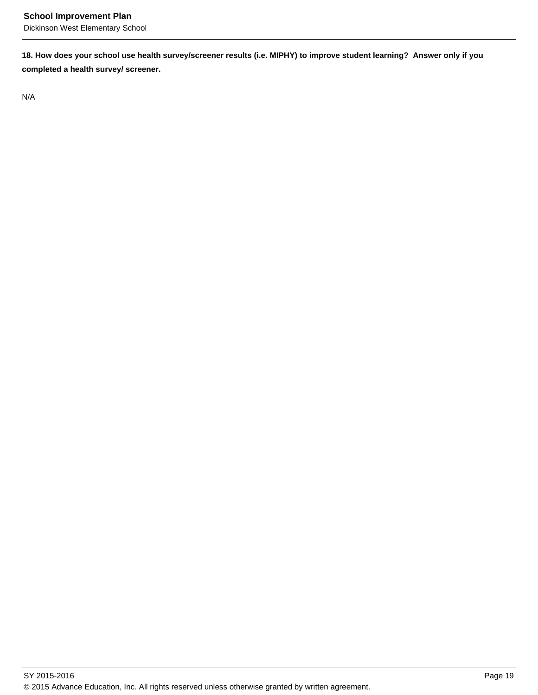**18. How does your school use health survey/screener results (i.e. MIPHY) to improve student learning? Answer only if you completed a health survey/ screener.**

N/A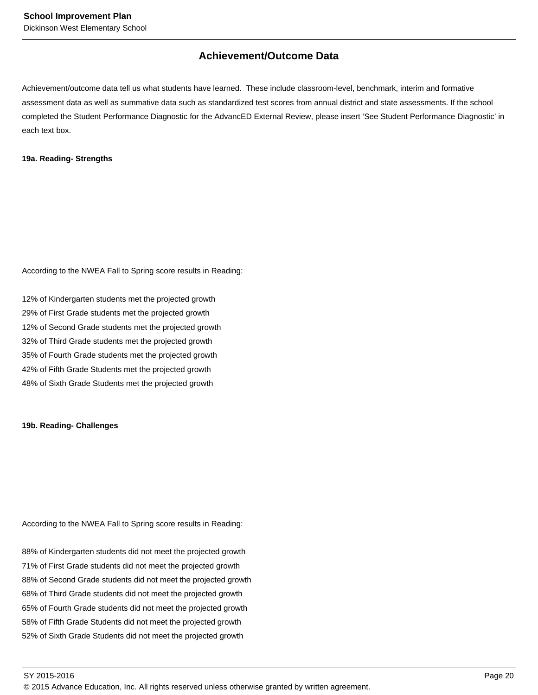## **Achievement/Outcome Data**

Achievement/outcome data tell us what students have learned. These include classroom-level, benchmark, interim and formative assessment data as well as summative data such as standardized test scores from annual district and state assessments. If the school completed the Student Performance Diagnostic for the AdvancED External Review, please insert 'See Student Performance Diagnostic' in each text box.

#### **19a. Reading- Strengths**

According to the NWEA Fall to Spring score results in Reading:

12% of Kindergarten students met the projected growth 29% of First Grade students met the projected growth 12% of Second Grade students met the projected growth 32% of Third Grade students met the projected growth 35% of Fourth Grade students met the projected growth 42% of Fifth Grade Students met the projected growth 48% of Sixth Grade Students met the projected growth

#### **19b. Reading- Challenges**

According to the NWEA Fall to Spring score results in Reading:

88% of Kindergarten students did not meet the projected growth 71% of First Grade students did not meet the projected growth 88% of Second Grade students did not meet the projected growth 68% of Third Grade students did not meet the projected growth 65% of Fourth Grade students did not meet the projected growth 58% of Fifth Grade Students did not meet the projected growth 52% of Sixth Grade Students did not meet the projected growth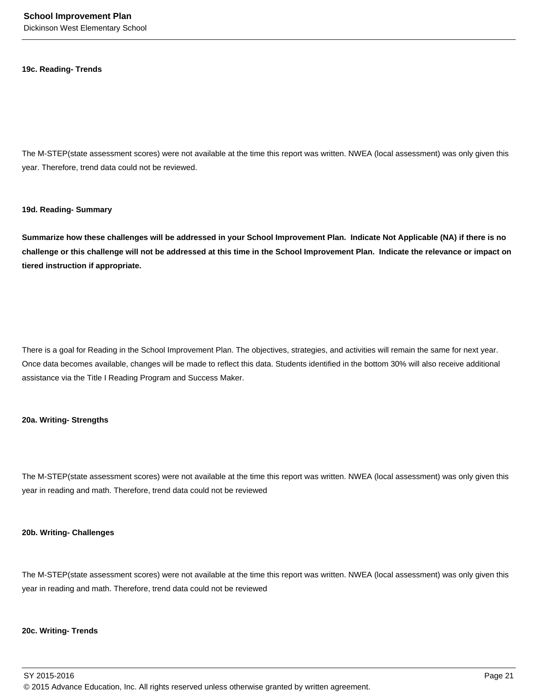#### **19c. Reading- Trends**

The M-STEP(state assessment scores) were not available at the time this report was written. NWEA (local assessment) was only given this year. Therefore, trend data could not be reviewed.

#### **19d. Reading- Summary**

**Summarize how these challenges will be addressed in your School Improvement Plan. Indicate Not Applicable (NA) if there is no challenge or this challenge will not be addressed at this time in the School Improvement Plan. Indicate the relevance or impact on tiered instruction if appropriate.**

There is a goal for Reading in the School Improvement Plan. The objectives, strategies, and activities will remain the same for next year. Once data becomes available, changes will be made to reflect this data. Students identified in the bottom 30% will also receive additional assistance via the Title I Reading Program and Success Maker.

#### **20a. Writing- Strengths**

The M-STEP(state assessment scores) were not available at the time this report was written. NWEA (local assessment) was only given this year in reading and math. Therefore, trend data could not be reviewed

#### **20b. Writing- Challenges**

The M-STEP(state assessment scores) were not available at the time this report was written. NWEA (local assessment) was only given this year in reading and math. Therefore, trend data could not be reviewed

#### **20c. Writing- Trends**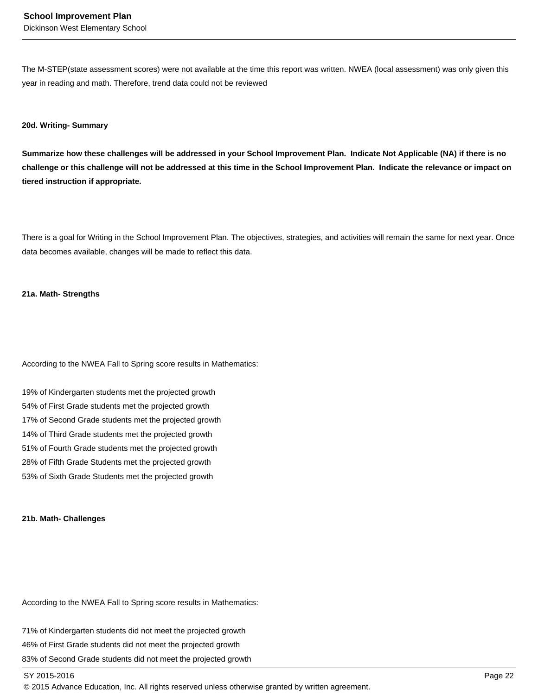The M-STEP(state assessment scores) were not available at the time this report was written. NWEA (local assessment) was only given this year in reading and math. Therefore, trend data could not be reviewed

#### **20d. Writing- Summary**

**Summarize how these challenges will be addressed in your School Improvement Plan. Indicate Not Applicable (NA) if there is no challenge or this challenge will not be addressed at this time in the School Improvement Plan. Indicate the relevance or impact on tiered instruction if appropriate.**

There is a goal for Writing in the School Improvement Plan. The objectives, strategies, and activities will remain the same for next year. Once data becomes available, changes will be made to reflect this data.

#### **21a. Math- Strengths**

According to the NWEA Fall to Spring score results in Mathematics:

19% of Kindergarten students met the projected growth 54% of First Grade students met the projected growth 17% of Second Grade students met the projected growth 14% of Third Grade students met the projected growth 51% of Fourth Grade students met the projected growth 28% of Fifth Grade Students met the projected growth 53% of Sixth Grade Students met the projected growth

#### **21b. Math- Challenges**

According to the NWEA Fall to Spring score results in Mathematics:

71% of Kindergarten students did not meet the projected growth 46% of First Grade students did not meet the projected growth 83% of Second Grade students did not meet the projected growth

#### SY 2015-2016 Page 22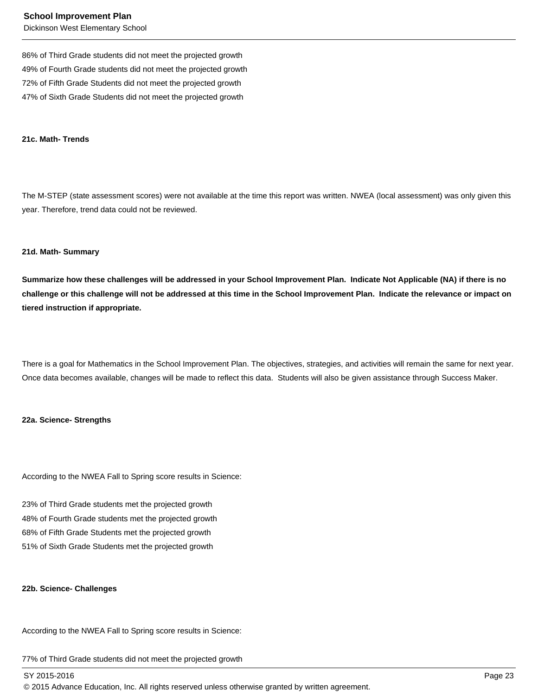86% of Third Grade students did not meet the projected growth 49% of Fourth Grade students did not meet the projected growth 72% of Fifth Grade Students did not meet the projected growth 47% of Sixth Grade Students did not meet the projected growth

#### **21c. Math- Trends**

The M-STEP (state assessment scores) were not available at the time this report was written. NWEA (local assessment) was only given this year. Therefore, trend data could not be reviewed.

#### **21d. Math- Summary**

**Summarize how these challenges will be addressed in your School Improvement Plan. Indicate Not Applicable (NA) if there is no challenge or this challenge will not be addressed at this time in the School Improvement Plan. Indicate the relevance or impact on tiered instruction if appropriate.**

There is a goal for Mathematics in the School Improvement Plan. The objectives, strategies, and activities will remain the same for next year. Once data becomes available, changes will be made to reflect this data. Students will also be given assistance through Success Maker.

#### **22a. Science- Strengths**

According to the NWEA Fall to Spring score results in Science:

23% of Third Grade students met the projected growth 48% of Fourth Grade students met the projected growth 68% of Fifth Grade Students met the projected growth 51% of Sixth Grade Students met the projected growth

#### **22b. Science- Challenges**

According to the NWEA Fall to Spring score results in Science:

77% of Third Grade students did not meet the projected growth

SY 2015-2016 Page 23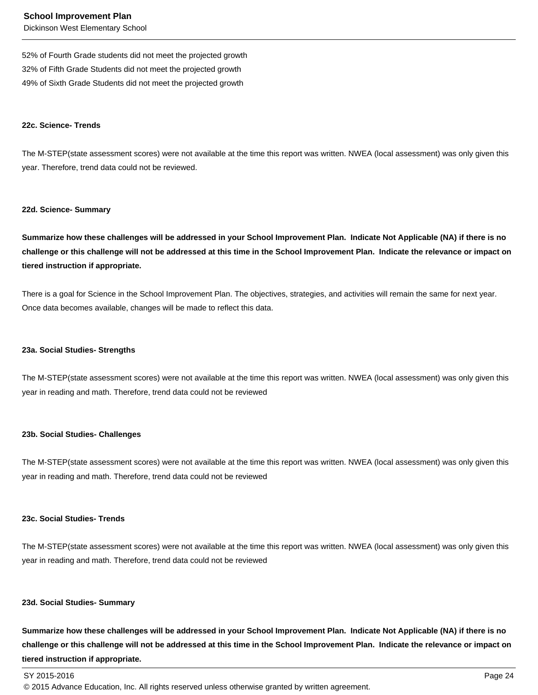52% of Fourth Grade students did not meet the projected growth 32% of Fifth Grade Students did not meet the projected growth 49% of Sixth Grade Students did not meet the projected growth

#### **22c. Science- Trends**

The M-STEP(state assessment scores) were not available at the time this report was written. NWEA (local assessment) was only given this year. Therefore, trend data could not be reviewed.

#### **22d. Science- Summary**

**Summarize how these challenges will be addressed in your School Improvement Plan. Indicate Not Applicable (NA) if there is no challenge or this challenge will not be addressed at this time in the School Improvement Plan. Indicate the relevance or impact on tiered instruction if appropriate.**

There is a goal for Science in the School Improvement Plan. The objectives, strategies, and activities will remain the same for next year. Once data becomes available, changes will be made to reflect this data.

#### **23a. Social Studies- Strengths**

The M-STEP(state assessment scores) were not available at the time this report was written. NWEA (local assessment) was only given this year in reading and math. Therefore, trend data could not be reviewed

#### **23b. Social Studies- Challenges**

The M-STEP(state assessment scores) were not available at the time this report was written. NWEA (local assessment) was only given this year in reading and math. Therefore, trend data could not be reviewed

#### **23c. Social Studies- Trends**

The M-STEP(state assessment scores) were not available at the time this report was written. NWEA (local assessment) was only given this year in reading and math. Therefore, trend data could not be reviewed

#### **23d. Social Studies- Summary**

**Summarize how these challenges will be addressed in your School Improvement Plan. Indicate Not Applicable (NA) if there is no challenge or this challenge will not be addressed at this time in the School Improvement Plan. Indicate the relevance or impact on tiered instruction if appropriate.**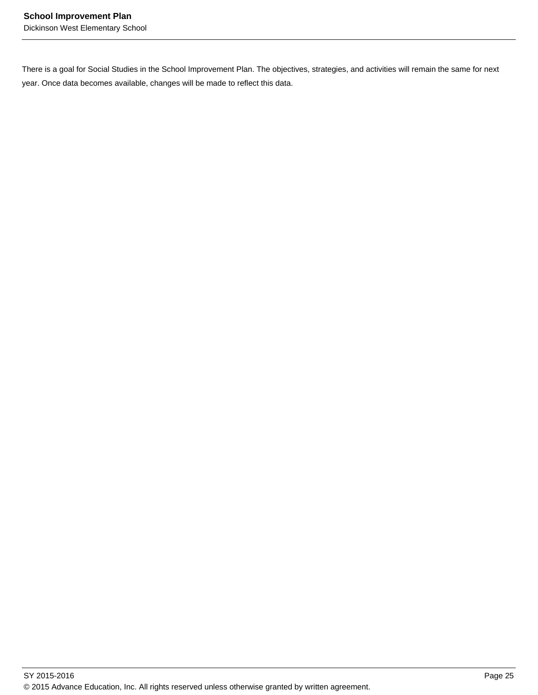There is a goal for Social Studies in the School Improvement Plan. The objectives, strategies, and activities will remain the same for next year. Once data becomes available, changes will be made to reflect this data.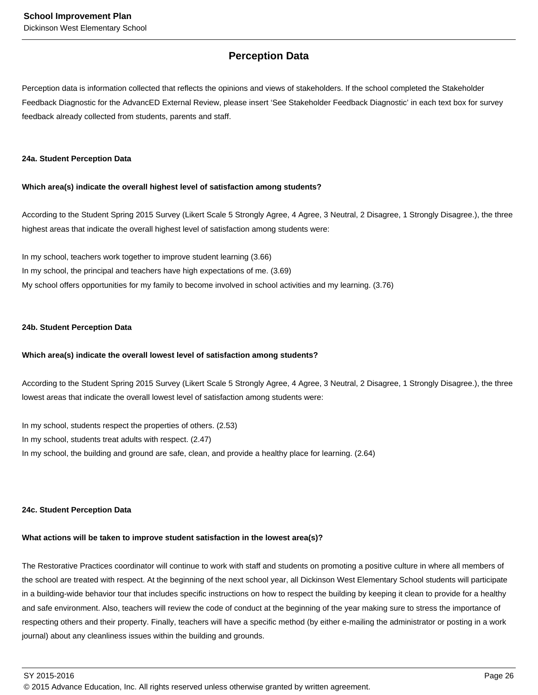## **Perception Data**

Perception data is information collected that reflects the opinions and views of stakeholders. If the school completed the Stakeholder Feedback Diagnostic for the AdvancED External Review, please insert 'See Stakeholder Feedback Diagnostic' in each text box for survey feedback already collected from students, parents and staff.

#### **24a. Student Perception Data**

#### **Which area(s) indicate the overall highest level of satisfaction among students?**

According to the Student Spring 2015 Survey (Likert Scale 5 Strongly Agree, 4 Agree, 3 Neutral, 2 Disagree, 1 Strongly Disagree.), the three highest areas that indicate the overall highest level of satisfaction among students were:

In my school, teachers work together to improve student learning (3.66) In my school, the principal and teachers have high expectations of me. (3.69) My school offers opportunities for my family to become involved in school activities and my learning. (3.76)

#### **24b. Student Perception Data**

#### **Which area(s) indicate the overall lowest level of satisfaction among students?**

According to the Student Spring 2015 Survey (Likert Scale 5 Strongly Agree, 4 Agree, 3 Neutral, 2 Disagree, 1 Strongly Disagree.), the three lowest areas that indicate the overall lowest level of satisfaction among students were:

In my school, students respect the properties of others. (2.53) In my school, students treat adults with respect. (2.47) In my school, the building and ground are safe, clean, and provide a healthy place for learning. (2.64)

#### **24c. Student Perception Data**

#### **What actions will be taken to improve student satisfaction in the lowest area(s)?**

The Restorative Practices coordinator will continue to work with staff and students on promoting a positive culture in where all members of the school are treated with respect. At the beginning of the next school year, all Dickinson West Elementary School students will participate in a building-wide behavior tour that includes specific instructions on how to respect the building by keeping it clean to provide for a healthy and safe environment. Also, teachers will review the code of conduct at the beginning of the year making sure to stress the importance of respecting others and their property. Finally, teachers will have a specific method (by either e-mailing the administrator or posting in a work journal) about any cleanliness issues within the building and grounds.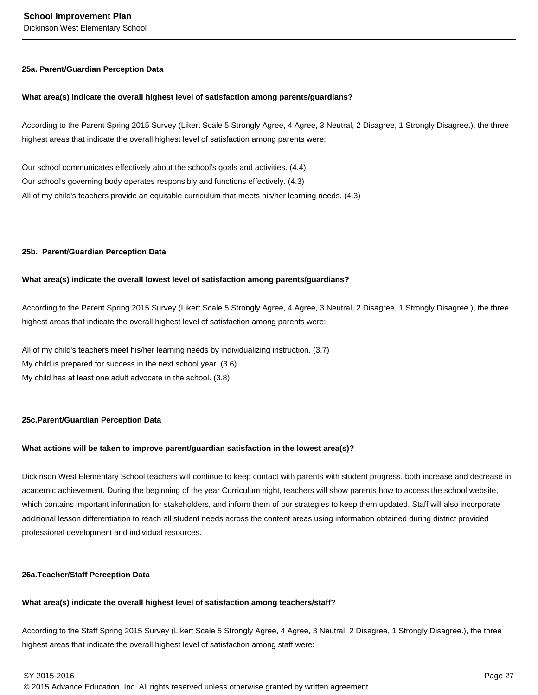#### **25a. Parent/Guardian Perception Data**

#### **What area(s) indicate the overall highest level of satisfaction among parents/guardians?**

According to the Parent Spring 2015 Survey (Likert Scale 5 Strongly Agree, 4 Agree, 3 Neutral, 2 Disagree, 1 Strongly Disagree.), the three highest areas that indicate the overall highest level of satisfaction among parents were:

Our school communicates effectively about the school's goals and activities. (4.4) Our school's governing body operates responsibly and functions effectively. (4.3) All of my child's teachers provide an equitable curriculum that meets his/her learning needs. (4.3)

#### **25b. Parent/Guardian Perception Data**

#### **What area(s) indicate the overall lowest level of satisfaction among parents/guardians?**

According to the Parent Spring 2015 Survey (Likert Scale 5 Strongly Agree, 4 Agree, 3 Neutral, 2 Disagree, 1 Strongly Disagree.), the three highest areas that indicate the overall highest level of satisfaction among parents were:

All of my child's teachers meet his/her learning needs by individualizing instruction. (3.7) My child is prepared for success in the next school year. (3.6) My child has at least one adult advocate in the school. (3.8)

#### **25c. Parent/Guardian Perception Data**

#### **What actions will be taken to improve parent/guardian satisfaction in the lowest area(s)?**

Dickinson West Elementary School teachers will continue to keep contact with parents with student progress, both increase and decrease in academic achievement. During the beginning of the year Curriculum night, teachers will show parents how to access the school website, which contains important information for stakeholders, and inform them of our strategies to keep them updated. Staff will also incorporate additional lesson differentiation to reach all student needs across the content areas using information obtained during district provided professional development and individual resources.

#### **26a. Teacher/Staff Perception Data**

#### **What area(s) indicate the overall highest level of satisfaction among teachers/staff?**

According to the Staff Spring 2015 Survey (Likert Scale 5 Strongly Agree, 4 Agree, 3 Neutral, 2 Disagree, 1 Strongly Disagree.), the three highest areas that indicate the overall highest level of satisfaction among staff were:

SY 2015-2016 Page 27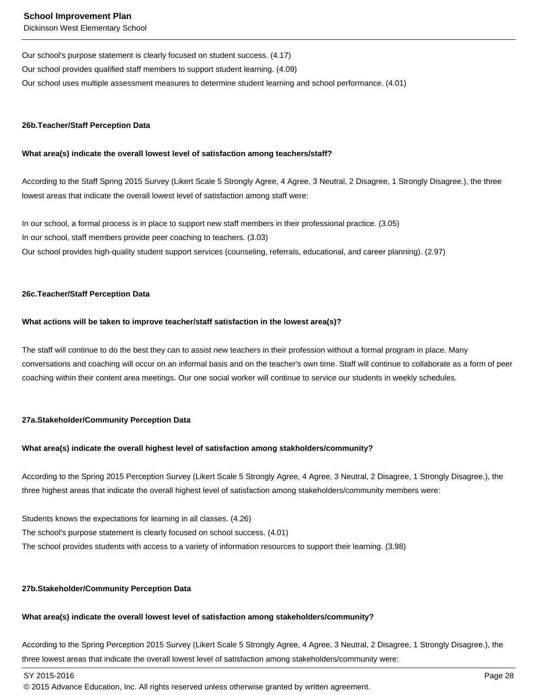Our school's purpose statement is clearly focused on student success. (4.17) Our school provides qualified staff members to support student learning. (4.09) Our school uses multiple assessment measures to determine student learning and school performance. (4.01)

#### **26b. Teacher/Staff Perception Data**

#### **What area(s) indicate the overall lowest level of satisfaction among teachers/staff?**

According to the Staff Spring 2015 Survey (Likert Scale 5 Strongly Agree, 4 Agree, 3 Neutral, 2 Disagree, 1 Strongly Disagree.), the three lowest areas that indicate the overall lowest level of satisfaction among staff were:

In our school, a formal process is in place to support new staff members in their professional practice. (3.05) In our school, staff members provide peer coaching to teachers. (3.03) Our school provides high-quality student support services (counseling, referrals, educational, and career planning). (2.97)

#### **26c. Teacher/Staff Perception Data**

#### **What actions will be taken to improve teacher/staff satisfaction in the lowest area(s)?**

The staff will continue to do the best they can to assist new teachers in their profession without a formal program in place. Many conversations and coaching will occur on an informal basis and on the teacher's own time. Staff will continue to collaborate as a form of peer coaching within their content area meetings. Our one social worker will continue to service our students in weekly schedules.

#### **27a. Stakeholder/Community Perception Data**

#### **What area(s) indicate the overall highest level of satisfaction among stakholders/community?**

According to the Spring 2015 Perception Survey (Likert Scale 5 Strongly Agree, 4 Agree, 3 Neutral, 2 Disagree, 1 Strongly Disagree.), the three highest areas that indicate the overall highest level of satisfaction among stakeholders/community members were:

Students knows the expectations for learning in all classes. (4.26) The school's purpose statement is clearly focused on school success. (4.01) The school provides students with access to a variety of information resources to support their learning. (3.98)

#### **27b. Stakeholder/Community Perception Data**

#### **What area(s) indicate the overall lowest level of satisfaction among stakeholders/community?**

According to the Spring Perception 2015 Survey (Likert Scale 5 Strongly Agree, 4 Agree, 3 Neutral, 2 Disagree, 1 Strongly Disagree.), the three lowest areas that indicate the overall lowest level of satisfaction among stakeholders/community were:

SY 2015-2016 Page 28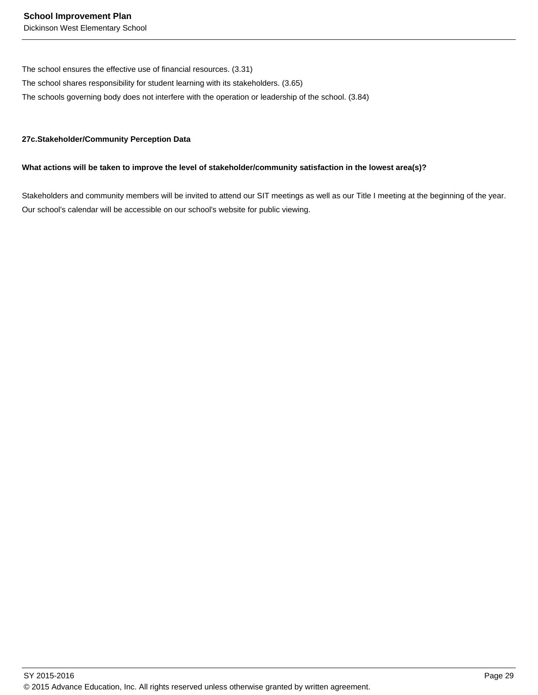The school ensures the effective use of financial resources. (3.31)

The school shares responsibility for student learning with its stakeholders. (3.65)

The schools governing body does not interfere with the operation or leadership of the school. (3.84)

#### **27c. Stakeholder/Community Perception Data**

#### **What actions will be taken to improve the level of stakeholder/community satisfaction in the lowest area(s)?**

Stakeholders and community members will be invited to attend our SIT meetings as well as our Title I meeting at the beginning of the year. Our school's calendar will be accessible on our school's website for public viewing.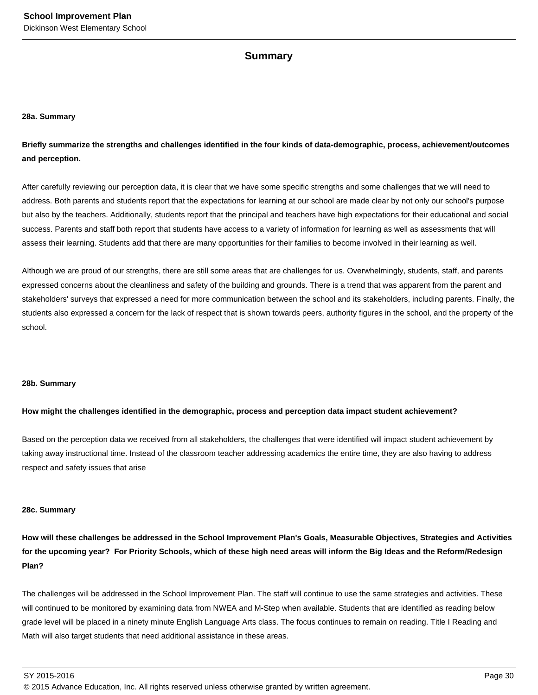### **Summary**

#### **28a. Summary**

**Briefly summarize the strengths and challenges identified in the four kinds of data-demographic, process, achievement/outcomes and perception.**

After carefully reviewing our perception data, it is clear that we have some specific strengths and some challenges that we will need to address. Both parents and students report that the expectations for learning at our school are made clear by not only our school's purpose but also by the teachers. Additionally, students report that the principal and teachers have high expectations for their educational and social success. Parents and staff both report that students have access to a variety of information for learning as well as assessments that will assess their learning. Students add that there are many opportunities for their families to become involved in their learning as well.

Although we are proud of our strengths, there are still some areas that are challenges for us. Overwhelmingly, students, staff, and parents expressed concerns about the cleanliness and safety of the building and grounds. There is a trend that was apparent from the parent and stakeholders' surveys that expressed a need for more communication between the school and its stakeholders, including parents. Finally, the students also expressed a concern for the lack of respect that is shown towards peers, authority figures in the school, and the property of the school.

#### **28b. Summary**

#### **How might the challenges identified in the demographic, process and perception data impact student achievement?**

Based on the perception data we received from all stakeholders, the challenges that were identified will impact student achievement by taking away instructional time. Instead of the classroom teacher addressing academics the entire time, they are also having to address respect and safety issues that arise

#### **28c. Summary**

**How will these challenges be addressed in the School Improvement Plan's Goals, Measurable Objectives, Strategies and Activities for the upcoming year? For Priority Schools, which of these high need areas will inform the Big Ideas and the Reform/Redesign Plan?**

The challenges will be addressed in the School Improvement Plan. The staff will continue to use the same strategies and activities. These will continued to be monitored by examining data from NWEA and M-Step when available. Students that are identified as reading below grade level will be placed in a ninety minute English Language Arts class. The focus continues to remain on reading. Title I Reading and Math will also target students that need additional assistance in these areas.

SY 2015-2016 Page 30

<sup>© 2015</sup> Advance Education, Inc. All rights reserved unless otherwise granted by written agreement.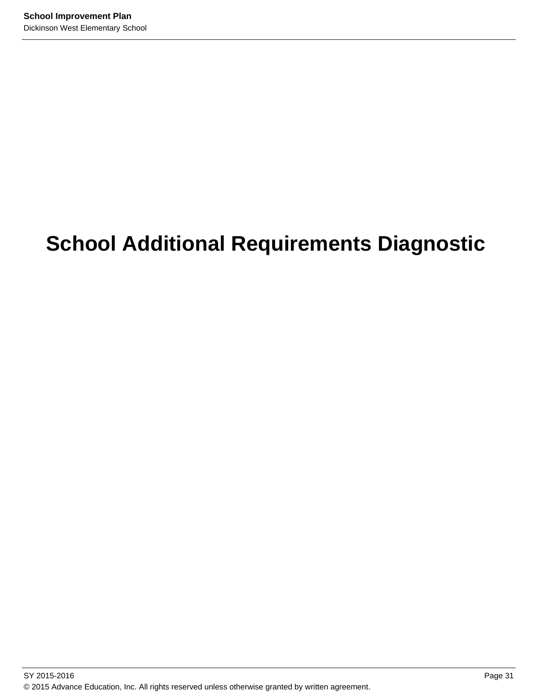# **School Additional Requirements Diagnostic**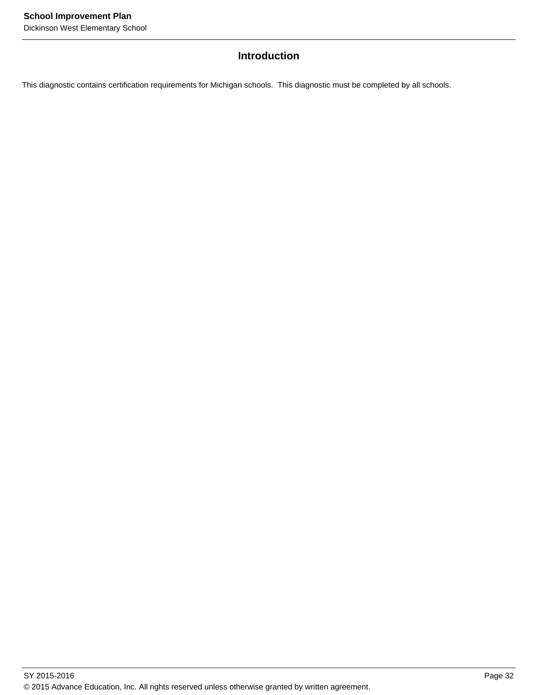## **Introduction**

This diagnostic contains certification requirements for Michigan schools. This diagnostic must be completed by all schools.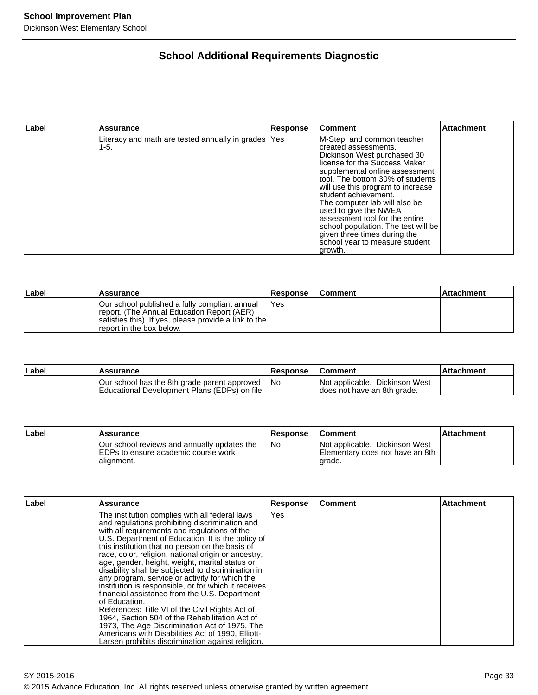# **School Additional Requirements Diagnostic**

| ∣Label | <b>Assurance</b>                                              | Response | Comment                                                                                                                                                                                                                                                                                                                                                                                                                                                                | <b>Attachment</b> |
|--------|---------------------------------------------------------------|----------|------------------------------------------------------------------------------------------------------------------------------------------------------------------------------------------------------------------------------------------------------------------------------------------------------------------------------------------------------------------------------------------------------------------------------------------------------------------------|-------------------|
|        | Literacy and math are tested annually in grades   Yes<br>1-5. |          | M-Step, and common teacher<br>created assessments.<br>Dickinson West purchased 30<br>license for the Success Maker<br>supplemental online assessment<br>tool. The bottom 30% of students<br>will use this program to increase<br>student achievement.<br>The computer lab will also be<br>used to give the NWEA<br>assessment tool for the entire<br>school population. The test will be<br>given three times during the<br>school year to measure student<br> growth. |                   |

| Label | Assurance                                                                                                                                                                         | <b>Response</b> | ∣Comment | ⊺Attachment |
|-------|-----------------------------------------------------------------------------------------------------------------------------------------------------------------------------------|-----------------|----------|-------------|
|       | lOur school published a fully compliant annual<br>report. (The Annual Education Report (AER)<br>satisfies this). If yes, please provide a link to the<br>report in the box below. | Yes             |          |             |

| ∣Label | Assurance                                                                                            | <b>Response</b> | <b>Comment</b>                                                | ∣Attachment |
|--------|------------------------------------------------------------------------------------------------------|-----------------|---------------------------------------------------------------|-------------|
|        | Our school has the 8th grade parent approved<br><b>Educational Development Plans (EDPs) on file.</b> | -INo            | Not applicable. Dickinson West<br>does not have an 8th grade. |             |

| Label | Assurance                                                                                          | <b>Response</b> | <b>Comment</b>                                                                | ⊺Attachment |
|-------|----------------------------------------------------------------------------------------------------|-----------------|-------------------------------------------------------------------------------|-------------|
|       | Our school reviews and annually updates the<br>IEDPs to ensure academic course work<br>Ialianment. | INo             | Not applicable. Dickinson West<br>Elementary does not have an 8th<br>l arade. |             |

| ∣Label | Assurance                                                                                                                                                                                                                                                                                                                                                                                                                                                                                                                                                                                                                                                                                                                                                                                                                                                            | <b>Response</b> | l Comment | <b>Attachment</b> |
|--------|----------------------------------------------------------------------------------------------------------------------------------------------------------------------------------------------------------------------------------------------------------------------------------------------------------------------------------------------------------------------------------------------------------------------------------------------------------------------------------------------------------------------------------------------------------------------------------------------------------------------------------------------------------------------------------------------------------------------------------------------------------------------------------------------------------------------------------------------------------------------|-----------------|-----------|-------------------|
|        | The institution complies with all federal laws<br>and regulations prohibiting discrimination and<br>with all requirements and regulations of the<br>U.S. Department of Education. It is the policy of<br>this institution that no person on the basis of<br>race, color, religion, national origin or ancestry,<br>age, gender, height, weight, marital status or<br>disability shall be subjected to discrimination in<br>any program, service or activity for which the<br>institution is responsible, or for which it receives<br>financial assistance from the U.S. Department<br>Iof Education.<br>References: Title VI of the Civil Rights Act of<br>1964, Section 504 of the Rehabilitation Act of<br>1973, The Age Discrimination Act of 1975, The<br>Americans with Disabilities Act of 1990, Elliott-<br>Larsen prohibits discrimination against religion. | Yes             |           |                   |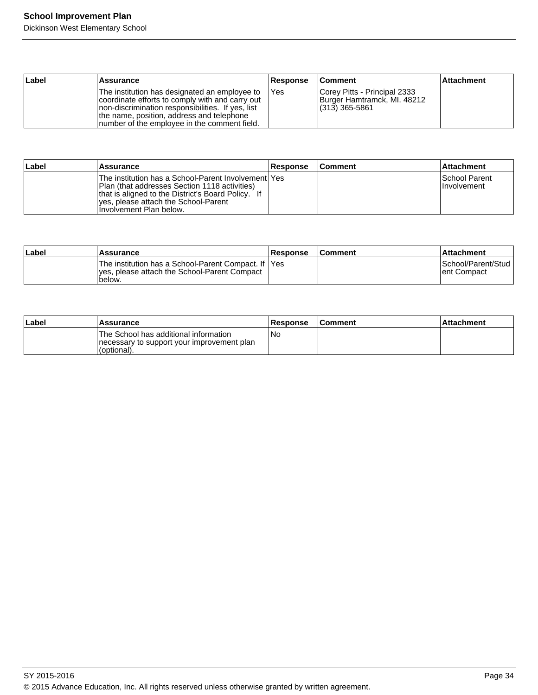Dickinson West Elementary School

| Label | Assurance                                                                                                                                                                                                                                            | <b>Response</b> | <b>Comment</b>                                                                | <b>Attachment</b> |
|-------|------------------------------------------------------------------------------------------------------------------------------------------------------------------------------------------------------------------------------------------------------|-----------------|-------------------------------------------------------------------------------|-------------------|
|       | The institution has designated an employee to<br>coordinate efforts to comply with and carry out<br>Inon-discrimination responsibilities. If yes, list<br>the name, position, address and telephone<br>Inumber of the employee in the comment field. | <b>IYes</b>     | Corey Pitts - Principal 2333<br>Burger Hamtramck, MI. 48212<br>(313) 365-5861 |                   |

| ∣Label | Assurance                                                                                                                                                                                                                        | Response | <b>Comment</b> | l Attachment                         |
|--------|----------------------------------------------------------------------------------------------------------------------------------------------------------------------------------------------------------------------------------|----------|----------------|--------------------------------------|
|        | The institution has a School-Parent Involvement   Yes<br> Plan (that addresses Section 1118 activities)<br>that is aligned to the District's Board Policy. If<br>yes, please attach the School-Parent<br>Hnvolvement Plan below. |          |                | ISchool Parent<br><b>Involvement</b> |

| ∣Label | Assurance                                                                                                       | <b>Response</b> | <b>Comment</b> | ⊺Attachment                        |
|--------|-----------------------------------------------------------------------------------------------------------------|-----------------|----------------|------------------------------------|
|        | The institution has a School-Parent Compact. If IYes<br>Ives, please attach the School-Parent Compact<br>below. |                 |                | School/Parent/Stud<br>lent Compact |

| Label | <b>Assurance</b>                                                                                   | <b>Response</b> | <b>Comment</b> | ∣Attachment |
|-------|----------------------------------------------------------------------------------------------------|-----------------|----------------|-------------|
|       | The School has additional information<br>necessary to support your improvement plan<br>(optional). | No              |                |             |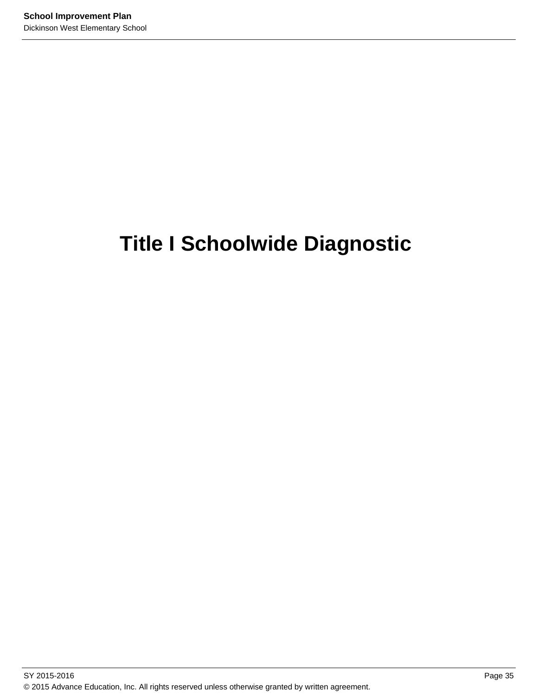# **Title I Schoolwide Diagnostic**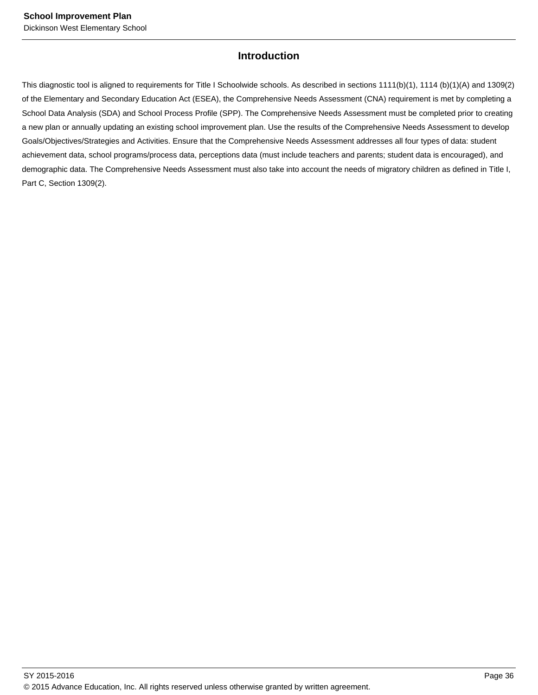# **Introduction**

This diagnostic tool is aligned to requirements for Title I Schoolwide schools. As described in sections 1111(b)(1), 1114 (b)(1)(A) and 1309(2) of the Elementary and Secondary Education Act (ESEA), the Comprehensive Needs Assessment (CNA) requirement is met by completing a School Data Analysis (SDA) and School Process Profile (SPP). The Comprehensive Needs Assessment must be completed prior to creating a new plan or annually updating an existing school improvement plan. Use the results of the Comprehensive Needs Assessment to develop Goals/Objectives/Strategies and Activities. Ensure that the Comprehensive Needs Assessment addresses all four types of data: student achievement data, school programs/process data, perceptions data (must include teachers and parents; student data is encouraged), and demographic data. The Comprehensive Needs Assessment must also take into account the needs of migratory children as defined in Title I, Part C, Section 1309(2).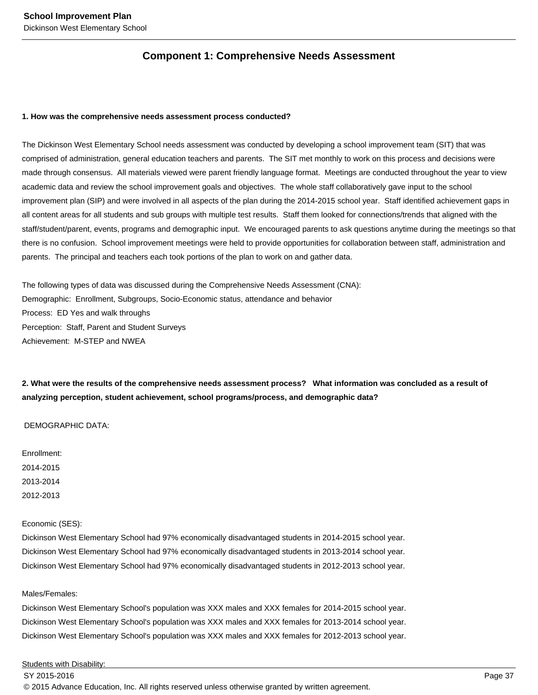# **Component 1: Comprehensive Needs Assessment**

#### **1. How was the comprehensive needs assessment process conducted?**

The Dickinson West Elementary School needs assessment was conducted by developing a school improvement team (SIT) that was comprised of administration, general education teachers and parents. The SIT met monthly to work on this process and decisions were made through consensus. All materials viewed were parent friendly language format. Meetings are conducted throughout the year to view academic data and review the school improvement goals and objectives. The whole staff collaboratively gave input to the school improvement plan (SIP) and were involved in all aspects of the plan during the 2014-2015 school year. Staff identified achievement gaps in all content areas for all students and sub groups with multiple test results. Staff them looked for connections/trends that aligned with the staff/student/parent, events, programs and demographic input. We encouraged parents to ask questions anytime during the meetings so that there is no confusion. School improvement meetings were held to provide opportunities for collaboration between staff, administration and parents. The principal and teachers each took portions of the plan to work on and gather data.

The following types of data was discussed during the Comprehensive Needs Assessment (CNA): Demographic: Enrollment, Subgroups, Socio-Economic status, attendance and behavior Process: ED Yes and walk throughs Perception: Staff, Parent and Student Surveys Achievement: M-STEP and NWEA

**2. What were the results of the comprehensive needs assessment process? What information was concluded as a result of analyzing perception, student achievement, school programs/process, and demographic data?** 

#### DEMOGRAPHIC DATA:

Enrollment: 2014-2015 2013-2014 2012-2013

Economic (SES):

Dickinson West Elementary School had 97% economically disadvantaged students in 2014-2015 school year. Dickinson West Elementary School had 97% economically disadvantaged students in 2013-2014 school year. Dickinson West Elementary School had 97% economically disadvantaged students in 2012-2013 school year.

# Males/Females:

Dickinson West Elementary School's population was XXX males and XXX females for 2014-2015 school year. Dickinson West Elementary School's population was XXX males and XXX females for 2013-2014 school year. Dickinson West Elementary School's population was XXX males and XXX females for 2012-2013 school year.

Students with Disability: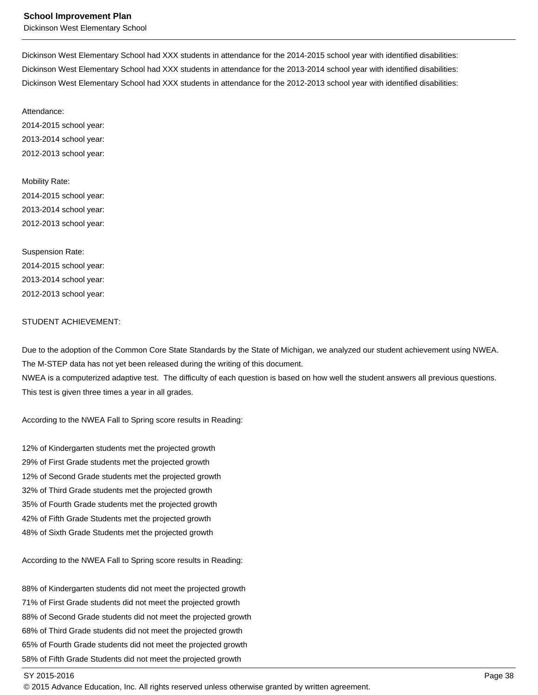Dickinson West Elementary School

Dickinson West Elementary School had XXX students in attendance for the 2014-2015 school year with identified disabilities: Dickinson West Elementary School had XXX students in attendance for the 2013-2014 school year with identified disabilities: Dickinson West Elementary School had XXX students in attendance for the 2012-2013 school year with identified disabilities:

Attendance:

2014-2015 school year: 2013-2014 school year: 2012-2013 school year:

Mobility Rate: 2014-2015 school year: 2013-2014 school year: 2012-2013 school year:

Suspension Rate: 2014-2015 school year: 2013-2014 school year: 2012-2013 school year:

#### STUDENT ACHIEVEMENT:

Due to the adoption of the Common Core State Standards by the State of Michigan, we analyzed our student achievement using NWEA. The M-STEP data has not yet been released during the writing of this document.

NWEA is a computerized adaptive test. The difficulty of each question is based on how well the student answers all previous questions. This test is given three times a year in all grades.

According to the NWEA Fall to Spring score results in Reading:

12% of Kindergarten students met the projected growth 29% of First Grade students met the projected growth 12% of Second Grade students met the projected growth 32% of Third Grade students met the projected growth 35% of Fourth Grade students met the projected growth 42% of Fifth Grade Students met the projected growth 48% of Sixth Grade Students met the projected growth

According to the NWEA Fall to Spring score results in Reading:

88% of Kindergarten students did not meet the projected growth 71% of First Grade students did not meet the projected growth 88% of Second Grade students did not meet the projected growth 68% of Third Grade students did not meet the projected growth 65% of Fourth Grade students did not meet the projected growth 58% of Fifth Grade Students did not meet the projected growth

#### SY 2015-2016 Page 38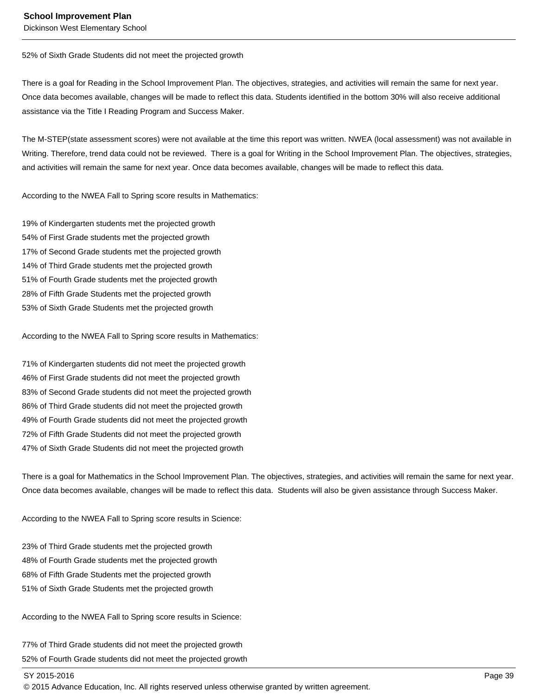52% of Sixth Grade Students did not meet the projected growth

There is a goal for Reading in the School Improvement Plan. The objectives, strategies, and activities will remain the same for next year. Once data becomes available, changes will be made to reflect this data. Students identified in the bottom 30% will also receive additional assistance via the Title I Reading Program and Success Maker.

The M-STEP(state assessment scores) were not available at the time this report was written. NWEA (local assessment) was not available in Writing. Therefore, trend data could not be reviewed. There is a goal for Writing in the School Improvement Plan. The objectives, strategies, and activities will remain the same for next year. Once data becomes available, changes will be made to reflect this data.

According to the NWEA Fall to Spring score results in Mathematics:

19% of Kindergarten students met the projected growth 54% of First Grade students met the projected growth 17% of Second Grade students met the projected growth 14% of Third Grade students met the projected growth 51% of Fourth Grade students met the projected growth 28% of Fifth Grade Students met the projected growth 53% of Sixth Grade Students met the projected growth

According to the NWEA Fall to Spring score results in Mathematics:

71% of Kindergarten students did not meet the projected growth 46% of First Grade students did not meet the projected growth 83% of Second Grade students did not meet the projected growth 86% of Third Grade students did not meet the projected growth 49% of Fourth Grade students did not meet the projected growth 72% of Fifth Grade Students did not meet the projected growth 47% of Sixth Grade Students did not meet the projected growth

There is a goal for Mathematics in the School Improvement Plan. The objectives, strategies, and activities will remain the same for next year. Once data becomes available, changes will be made to reflect this data. Students will also be given assistance through Success Maker.

According to the NWEA Fall to Spring score results in Science:

23% of Third Grade students met the projected growth 48% of Fourth Grade students met the projected growth 68% of Fifth Grade Students met the projected growth 51% of Sixth Grade Students met the projected growth

According to the NWEA Fall to Spring score results in Science:

77% of Third Grade students did not meet the projected growth 52% of Fourth Grade students did not meet the projected growth

SY 2015-2016 Page 39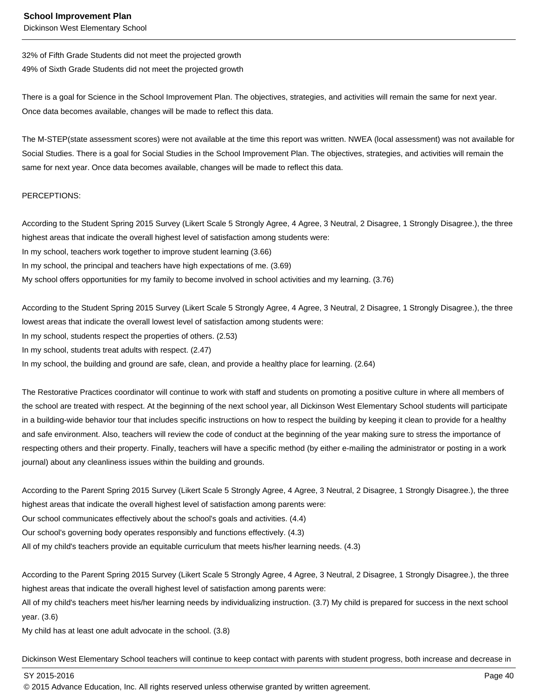32% of Fifth Grade Students did not meet the projected growth 49% of Sixth Grade Students did not meet the projected growth

There is a goal for Science in the School Improvement Plan. The objectives, strategies, and activities will remain the same for next year. Once data becomes available, changes will be made to reflect this data.

The M-STEP(state assessment scores) were not available at the time this report was written. NWEA (local assessment) was not available for Social Studies. There is a goal for Social Studies in the School Improvement Plan. The objectives, strategies, and activities will remain the same for next year. Once data becomes available, changes will be made to reflect this data.

#### PERCEPTIONS:

According to the Student Spring 2015 Survey (Likert Scale 5 Strongly Agree, 4 Agree, 3 Neutral, 2 Disagree, 1 Strongly Disagree.), the three highest areas that indicate the overall highest level of satisfaction among students were:

In my school, teachers work together to improve student learning (3.66)

In my school, the principal and teachers have high expectations of me. (3.69)

My school offers opportunities for my family to become involved in school activities and my learning. (3.76)

According to the Student Spring 2015 Survey (Likert Scale 5 Strongly Agree, 4 Agree, 3 Neutral, 2 Disagree, 1 Strongly Disagree.), the three lowest areas that indicate the overall lowest level of satisfaction among students were:

In my school, students respect the properties of others. (2.53)

In my school, students treat adults with respect. (2.47)

In my school, the building and ground are safe, clean, and provide a healthy place for learning. (2.64)

The Restorative Practices coordinator will continue to work with staff and students on promoting a positive culture in where all members of the school are treated with respect. At the beginning of the next school year, all Dickinson West Elementary School students will participate in a building-wide behavior tour that includes specific instructions on how to respect the building by keeping it clean to provide for a healthy and safe environment. Also, teachers will review the code of conduct at the beginning of the year making sure to stress the importance of respecting others and their property. Finally, teachers will have a specific method (by either e-mailing the administrator or posting in a work journal) about any cleanliness issues within the building and grounds.

According to the Parent Spring 2015 Survey (Likert Scale 5 Strongly Agree, 4 Agree, 3 Neutral, 2 Disagree, 1 Strongly Disagree.), the three highest areas that indicate the overall highest level of satisfaction among parents were:

Our school communicates effectively about the school's goals and activities. (4.4)

Our school's governing body operates responsibly and functions effectively. (4.3)

All of my child's teachers provide an equitable curriculum that meets his/her learning needs. (4.3)

According to the Parent Spring 2015 Survey (Likert Scale 5 Strongly Agree, 4 Agree, 3 Neutral, 2 Disagree, 1 Strongly Disagree.), the three highest areas that indicate the overall highest level of satisfaction among parents were:

All of my child's teachers meet his/her learning needs by individualizing instruction. (3.7) My child is prepared for success in the next school year. (3.6)

My child has at least one adult advocate in the school. (3.8)

Dickinson West Elementary School teachers will continue to keep contact with parents with student progress, both increase and decrease in

SY 2015-2016 Page 40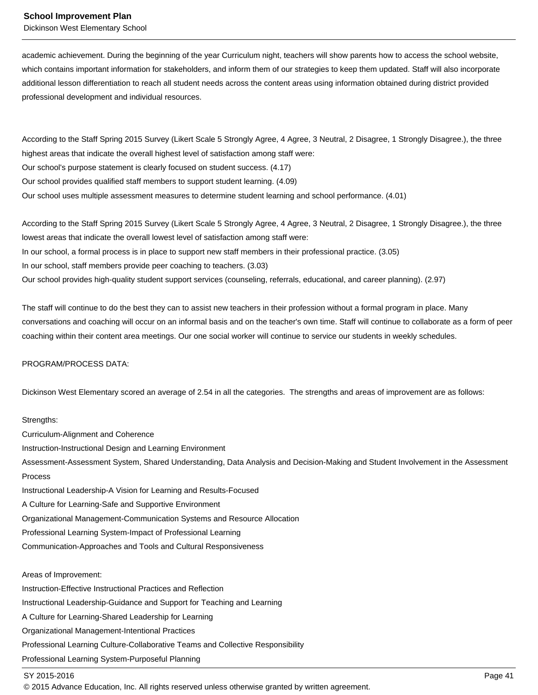Dickinson West Elementary School

academic achievement. During the beginning of the year Curriculum night, teachers will show parents how to access the school website, which contains important information for stakeholders, and inform them of our strategies to keep them updated. Staff will also incorporate additional lesson differentiation to reach all student needs across the content areas using information obtained during district provided professional development and individual resources.

According to the Staff Spring 2015 Survey (Likert Scale 5 Strongly Agree, 4 Agree, 3 Neutral, 2 Disagree, 1 Strongly Disagree.), the three highest areas that indicate the overall highest level of satisfaction among staff were: Our school's purpose statement is clearly focused on student success. (4.17) Our school provides qualified staff members to support student learning. (4.09) Our school uses multiple assessment measures to determine student learning and school performance. (4.01)

According to the Staff Spring 2015 Survey (Likert Scale 5 Strongly Agree, 4 Agree, 3 Neutral, 2 Disagree, 1 Strongly Disagree.), the three lowest areas that indicate the overall lowest level of satisfaction among staff were: In our school, a formal process is in place to support new staff members in their professional practice. (3.05) In our school, staff members provide peer coaching to teachers. (3.03)

Our school provides high-quality student support services (counseling, referrals, educational, and career planning). (2.97)

The staff will continue to do the best they can to assist new teachers in their profession without a formal program in place. Many conversations and coaching will occur on an informal basis and on the teacher's own time. Staff will continue to collaborate as a form of peer coaching within their content area meetings. Our one social worker will continue to service our students in weekly schedules.

#### PROGRAM/PROCESS DATA:

Dickinson West Elementary scored an average of 2.54 in all the categories. The strengths and areas of improvement are as follows:

Strengths: Curriculum-Alignment and Coherence Instruction-Instructional Design and Learning Environment Assessment-Assessment System, Shared Understanding, Data Analysis and Decision-Making and Student Involvement in the Assessment Process Instructional Leadership-A Vision for Learning and Results-Focused A Culture for Learning-Safe and Supportive Environment Organizational Management-Communication Systems and Resource Allocation Professional Learning System-Impact of Professional Learning Communication-Approaches and Tools and Cultural Responsiveness Areas of Improvement:

Instruction-Effective Instructional Practices and Reflection Instructional Leadership-Guidance and Support for Teaching and Learning A Culture for Learning-Shared Leadership for Learning Organizational Management-Intentional Practices Professional Learning Culture-Collaborative Teams and Collective Responsibility Professional Learning System-Purposeful Planning

## SY 2015-2016 Page 41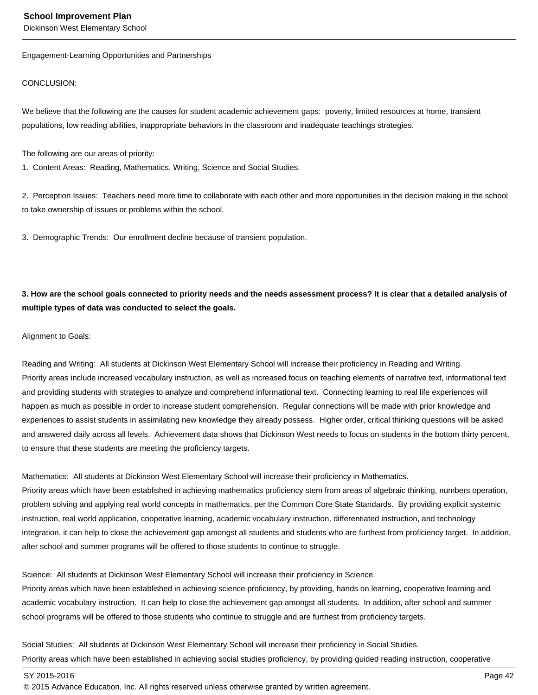Engagement-Learning Opportunities and Partnerships

#### CONCLUSION:

We believe that the following are the causes for student academic achievement gaps: poverty, limited resources at home, transient populations, low reading abilities, inappropriate behaviors in the classroom and inadequate teachings strategies.

The following are our areas of priority:

1. Content Areas: Reading, Mathematics, Writing, Science and Social Studies.

2. Perception Issues: Teachers need more time to collaborate with each other and more opportunities in the decision making in the school to take ownership of issues or problems within the school.

3. Demographic Trends: Our enrollment decline because of transient population.

**3. How are the school goals connected to priority needs and the needs assessment process? It is clear that a detailed analysis of multiple types of data was conducted to select the goals.**

#### Alignment to Goals:

Reading and Writing: All students at Dickinson West Elementary School will increase their proficiency in Reading and Writing. Priority areas include increased vocabulary instruction, as well as increased focus on teaching elements of narrative text, informational text and providing students with strategies to analyze and comprehend informational text. Connecting learning to real life experiences will happen as much as possible in order to increase student comprehension. Regular connections will be made with prior knowledge and experiences to assist students in assimilating new knowledge they already possess. Higher order, critical thinking questions will be asked and answered daily across all levels. Achievement data shows that Dickinson West needs to focus on students in the bottom thirty percent, to ensure that these students are meeting the proficiency targets.

Mathematics: All students at Dickinson West Elementary School will increase their proficiency in Mathematics. Priority areas which have been established in achieving mathematics proficiency stem from areas of algebraic thinking, numbers operation, problem solving and applying real world concepts in mathematics, per the Common Core State Standards. By providing explicit systemic instruction, real world application, cooperative learning, academic vocabulary instruction, differentiated instruction, and technology integration, it can help to close the achievement gap amongst all students and students who are furthest from proficiency target. In addition, after school and summer programs will be offered to those students to continue to struggle.

Science: All students at Dickinson West Elementary School will increase their proficiency in Science.

Priority areas which have been established in achieving science proficiency, by providing, hands on learning, cooperative learning and academic vocabulary instruction. It can help to close the achievement gap amongst all students. In addition, after school and summer school programs will be offered to those students who continue to struggle and are furthest from proficiency targets.

Social Studies: All students at Dickinson West Elementary School will increase their proficiency in Social Studies. Priority areas which have been established in achieving social studies proficiency, by providing guided reading instruction, cooperative

SY 2015-2016 Page 42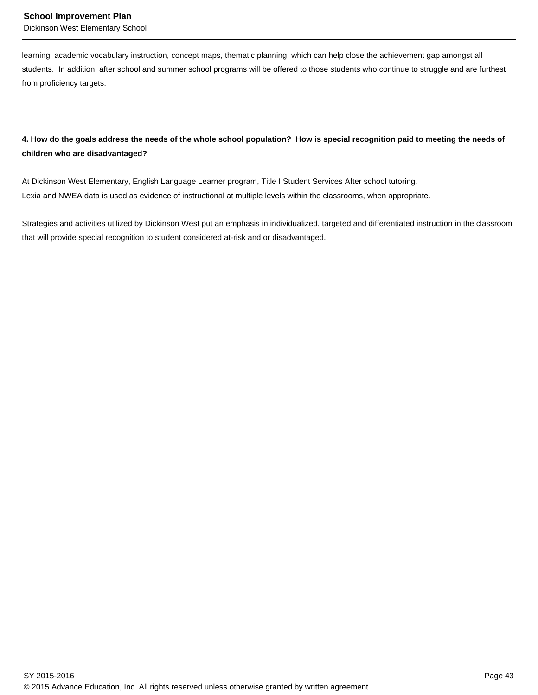learning, academic vocabulary instruction, concept maps, thematic planning, which can help close the achievement gap amongst all students. In addition, after school and summer school programs will be offered to those students who continue to struggle and are furthest from proficiency targets.

# **4. How do the goals address the needs of the whole school population? How is special recognition paid to meeting the needs of children who are disadvantaged?**

At Dickinson West Elementary, English Language Learner program, Title I Student Services After school tutoring, Lexia and NWEA data is used as evidence of instructional at multiple levels within the classrooms, when appropriate.

Strategies and activities utilized by Dickinson West put an emphasis in individualized, targeted and differentiated instruction in the classroom that will provide special recognition to student considered at-risk and or disadvantaged.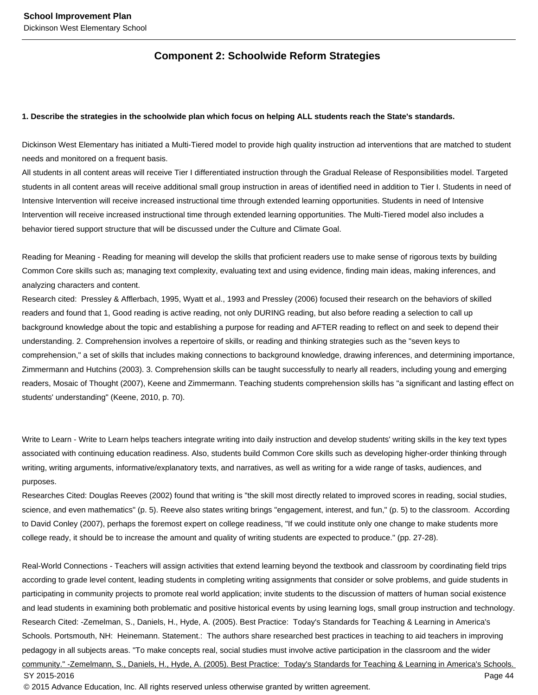# **Component 2: Schoolwide Reform Strategies**

#### **1. Describe the strategies in the schoolwide plan which focus on helping ALL students reach the State's standards.**

Dickinson West Elementary has initiated a Multi-Tiered model to provide high quality instruction ad interventions that are matched to student needs and monitored on a frequent basis.

All students in all content areas will receive Tier I differentiated instruction through the Gradual Release of Responsibilities model. Targeted students in all content areas will receive additional small group instruction in areas of identified need in addition to Tier I. Students in need of Intensive Intervention will receive increased instructional time through extended learning opportunities. Students in need of Intensive Intervention will receive increased instructional time through extended learning opportunities. The Multi-Tiered model also includes a behavior tiered support structure that will be discussed under the Culture and Climate Goal.

Reading for Meaning - Reading for meaning will develop the skills that proficient readers use to make sense of rigorous texts by building Common Core skills such as; managing text complexity, evaluating text and using evidence, finding main ideas, making inferences, and analyzing characters and content.

Research cited: Pressley & Afflerbach, 1995, Wyatt et al., 1993 and Pressley (2006) focused their research on the behaviors of skilled readers and found that 1, Good reading is active reading, not only DURING reading, but also before reading a selection to call up background knowledge about the topic and establishing a purpose for reading and AFTER reading to reflect on and seek to depend their understanding. 2. Comprehension involves a repertoire of skills, or reading and thinking strategies such as the "seven keys to comprehension," a set of skills that includes making connections to background knowledge, drawing inferences, and determining importance, Zimmermann and Hutchins (2003). 3. Comprehension skills can be taught successfully to nearly all readers, including young and emerging readers, Mosaic of Thought (2007), Keene and Zimmermann. Teaching students comprehension skills has "a significant and lasting effect on students' understanding" (Keene, 2010, p. 70).

Write to Learn - Write to Learn helps teachers integrate writing into daily instruction and develop students' writing skills in the key text types associated with continuing education readiness. Also, students build Common Core skills such as developing higher-order thinking through writing, writing arguments, informative/explanatory texts, and narratives, as well as writing for a wide range of tasks, audiences, and purposes.

Researches Cited: Douglas Reeves (2002) found that writing is "the skill most directly related to improved scores in reading, social studies, science, and even mathematics" (p. 5). Reeve also states writing brings "engagement, interest, and fun," (p. 5) to the classroom. According to David Conley (2007), perhaps the foremost expert on college readiness, "If we could institute only one change to make students more college ready, it should be to increase the amount and quality of writing students are expected to produce." (pp. 27-28).

Real-World Connections - Teachers will assign activities that extend learning beyond the textbook and classroom by coordinating field trips according to grade level content, leading students in completing writing assignments that consider or solve problems, and guide students in participating in community projects to promote real world application; invite students to the discussion of matters of human social existence and lead students in examining both problematic and positive historical events by using learning logs, small group instruction and technology. Research Cited: -Zemelman, S., Daniels, H., Hyde, A. (2005). Best Practice: Today's Standards for Teaching & Learning in America's Schools. Portsmouth, NH: Heinemann. Statement.: The authors share researched best practices in teaching to aid teachers in improving pedagogy in all subjects areas. "To make concepts real, social studies must involve active participation in the classroom and the wider community." -Zemelmann, S., Daniels, H., Hyde, A. (2005). Best Practice: Today's Standards for Teaching & Learning in America's Schools. SY 2015-2016 Page 44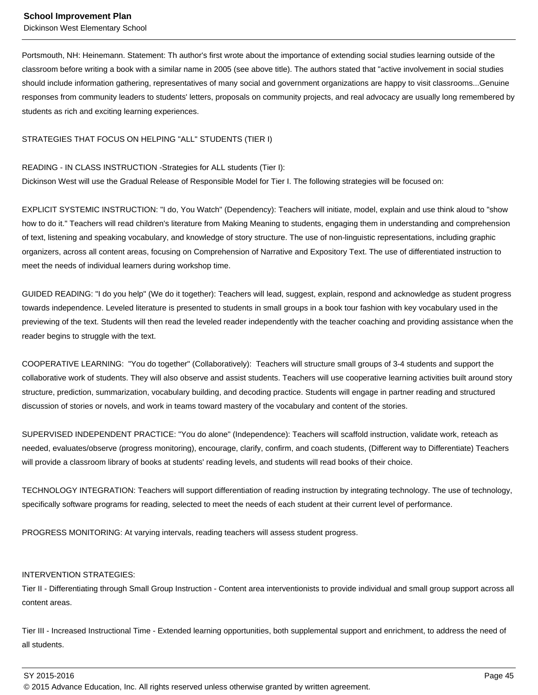Portsmouth, NH: Heinemann. Statement: Th author's first wrote about the importance of extending social studies learning outside of the classroom before writing a book with a similar name in 2005 (see above title). The authors stated that "active involvement in social studies should include information gathering, representatives of many social and government organizations are happy to visit classrooms...Genuine responses from community leaders to students' letters, proposals on community projects, and real advocacy are usually long remembered by students as rich and exciting learning experiences.

## STRATEGIES THAT FOCUS ON HELPING "ALL" STUDENTS (TIER I)

#### READING - IN CLASS INSTRUCTION -Strategies for ALL students (Tier I):

Dickinson West will use the Gradual Release of Responsible Model for Tier I. The following strategies will be focused on:

EXPLICIT SYSTEMIC INSTRUCTION: "I do, You Watch" (Dependency): Teachers will initiate, model, explain and use think aloud to "show how to do it." Teachers will read children's literature from Making Meaning to students, engaging them in understanding and comprehension of text, listening and speaking vocabulary, and knowledge of story structure. The use of non-linguistic representations, including graphic organizers, across all content areas, focusing on Comprehension of Narrative and Expository Text. The use of differentiated instruction to meet the needs of individual learners during workshop time.

GUIDED READING: "I do you help" (We do it together): Teachers will lead, suggest, explain, respond and acknowledge as student progress towards independence. Leveled literature is presented to students in small groups in a book tour fashion with key vocabulary used in the previewing of the text. Students will then read the leveled reader independently with the teacher coaching and providing assistance when the reader begins to struggle with the text.

COOPERATIVE LEARNING: "You do together" (Collaboratively): Teachers will structure small groups of 3-4 students and support the collaborative work of students. They will also observe and assist students. Teachers will use cooperative learning activities built around story structure, prediction, summarization, vocabulary building, and decoding practice. Students will engage in partner reading and structured discussion of stories or novels, and work in teams toward mastery of the vocabulary and content of the stories.

SUPERVISED INDEPENDENT PRACTICE: "You do alone" (Independence): Teachers will scaffold instruction, validate work, reteach as needed, evaluates/observe (progress monitoring), encourage, clarify, confirm, and coach students, (Different way to Differentiate) Teachers will provide a classroom library of books at students' reading levels, and students will read books of their choice.

TECHNOLOGY INTEGRATION: Teachers will support differentiation of reading instruction by integrating technology. The use of technology, specifically software programs for reading, selected to meet the needs of each student at their current level of performance.

PROGRESS MONITORING: At varying intervals, reading teachers will assess student progress.

#### INTERVENTION STRATEGIES:

Tier II - Differentiating through Small Group Instruction - Content area interventionists to provide individual and small group support across all content areas.

Tier III - Increased Instructional Time - Extended learning opportunities, both supplemental support and enrichment, to address the need of all students.

SY 2015-2016 Page 45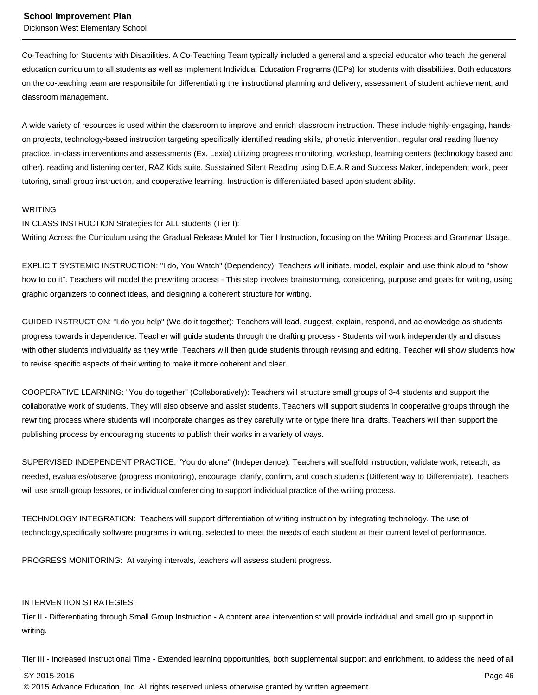Dickinson West Elementary School

Co-Teaching for Students with Disabilities. A Co-Teaching Team typically included a general and a special educator who teach the general education curriculum to all students as well as implement Individual Education Programs (IEPs) for students with disabilities. Both educators on the co-teaching team are responsibile for differentiating the instructional planning and delivery, assessment of student achievement, and classroom management.

A wide variety of resources is used within the classroom to improve and enrich classroom instruction. These include highly-engaging, handson projects, technology-based instruction targeting specifically identified reading skills, phonetic intervention, regular oral reading fluency practice, in-class interventions and assessments (Ex. Lexia) utilizing progress monitoring, workshop, learning centers (technology based and other), reading and listening center, RAZ Kids suite, Susstained Silent Reading using D.E.A.R and Success Maker, independent work, peer tutoring, small group instruction, and cooperative learning. Instruction is differentiated based upon student ability.

#### WRITING

IN CLASS INSTRUCTION Strategies for ALL students (Tier I):

Writing Across the Curriculum using the Gradual Release Model for Tier I Instruction, focusing on the Writing Process and Grammar Usage.

EXPLICIT SYSTEMIC INSTRUCTION: "I do, You Watch" (Dependency): Teachers will initiate, model, explain and use think aloud to "show how to do it". Teachers will model the prewriting process - This step involves brainstorming, considering, purpose and goals for writing, using graphic organizers to connect ideas, and designing a coherent structure for writing.

GUIDED INSTRUCTION: "I do you help" (We do it together): Teachers will lead, suggest, explain, respond, and acknowledge as students progress towards independence. Teacher will guide students through the drafting process - Students will work independently and discuss with other students individuality as they write. Teachers will then guide students through revising and editing. Teacher will show students how to revise specific aspects of their writing to make it more coherent and clear.

COOPERATIVE LEARNING: "You do together" (Collaboratively): Teachers will structure small groups of 3-4 students and support the collaborative work of students. They will also observe and assist students. Teachers will support students in cooperative groups through the rewriting process where students will incorporate changes as they carefully write or type there final drafts. Teachers will then support the publishing process by encouraging students to publish their works in a variety of ways.

SUPERVISED INDEPENDENT PRACTICE: "You do alone" (Independence): Teachers will scaffold instruction, validate work, reteach, as needed, evaluates/observe (progress monitoring), encourage, clarify, confirm, and coach students (Different way to Differentiate). Teachers will use small-group lessons, or individual conferencing to support individual practice of the writing process.

TECHNOLOGY INTEGRATION: Teachers will support differentiation of writing instruction by integrating technology. The use of technology,specifically software programs in writing, selected to meet the needs of each student at their current level of performance.

PROGRESS MONITORING: At varying intervals, teachers will assess student progress.

# INTERVENTION STRATEGIES:

Tier II - Differentiating through Small Group Instruction - A content area interventionist will provide individual and small group support in writing.

Tier III - Increased Instructional Time - Extended learning opportunities, both supplemental support and enrichment, to addess the need of all

SY 2015-2016 Page 46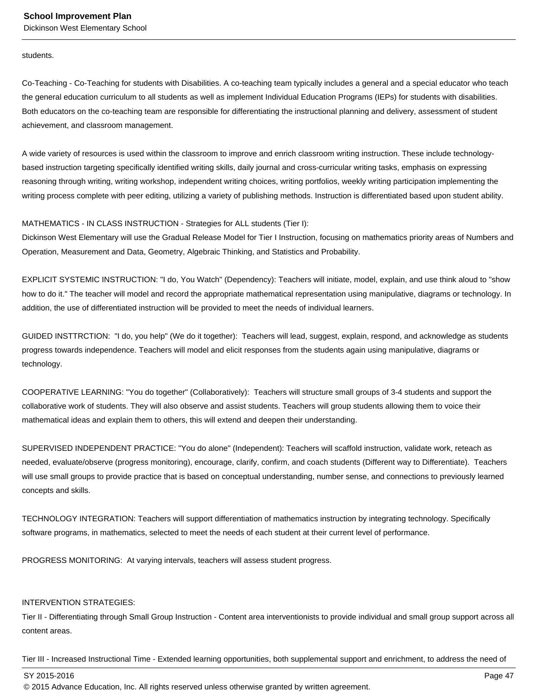#### students.

Co-Teaching - Co-Teaching for students with Disabilities. A co-teaching team typically includes a general and a special educator who teach the general education curriculum to all students as well as implement Individual Education Programs (IEPs) for students with disabilities. Both educators on the co-teaching team are responsible for differentiating the instructional planning and delivery, assessment of student achievement, and classroom management.

A wide variety of resources is used within the classroom to improve and enrich classroom writing instruction. These include technologybased instruction targeting specifically identified writing skills, daily journal and cross-curricular writing tasks, emphasis on expressing reasoning through writing, writing workshop, independent writing choices, writing portfolios, weekly writing participation implementing the writing process complete with peer editing, utilizing a variety of publishing methods. Instruction is differentiated based upon student ability.

#### MATHEMATICS - IN CLASS INSTRUCTION - Strategies for ALL students (Tier I):

Dickinson West Elementary will use the Gradual Release Model for Tier I Instruction, focusing on mathematics priority areas of Numbers and Operation, Measurement and Data, Geometry, Algebraic Thinking, and Statistics and Probability.

EXPLICIT SYSTEMIC INSTRUCTION: "I do, You Watch" (Dependency): Teachers will initiate, model, explain, and use think aloud to "show how to do it." The teacher will model and record the appropriate mathematical representation using manipulative, diagrams or technology. In addition, the use of differentiated instruction will be provided to meet the needs of individual learners.

GUIDED INSTTRCTION: "I do, you help" (We do it together): Teachers will lead, suggest, explain, respond, and acknowledge as students progress towards independence. Teachers will model and elicit responses from the students again using manipulative, diagrams or technology.

COOPERATIVE LEARNING: "You do together" (Collaboratively): Teachers will structure small groups of 3-4 students and support the collaborative work of students. They will also observe and assist students. Teachers will group students allowing them to voice their mathematical ideas and explain them to others, this will extend and deepen their understanding.

SUPERVISED INDEPENDENT PRACTICE: "You do alone" (Independent): Teachers will scaffold instruction, validate work, reteach as needed, evaluate/observe (progress monitoring), encourage, clarify, confirm, and coach students (Different way to Differentiate). Teachers will use small groups to provide practice that is based on conceptual understanding, number sense, and connections to previously learned concepts and skills.

TECHNOLOGY INTEGRATION: Teachers will support differentiation of mathematics instruction by integrating technology. Specifically software programs, in mathematics, selected to meet the needs of each student at their current level of performance.

PROGRESS MONITORING: At varying intervals, teachers will assess student progress.

# INTERVENTION STRATEGIES:

Tier II - Differentiating through Small Group Instruction - Content area interventionists to provide individual and small group support across all content areas.

Tier III - Increased Instructional Time - Extended learning opportunities, both supplemental support and enrichment, to address the need of

SY 2015-2016 Page 47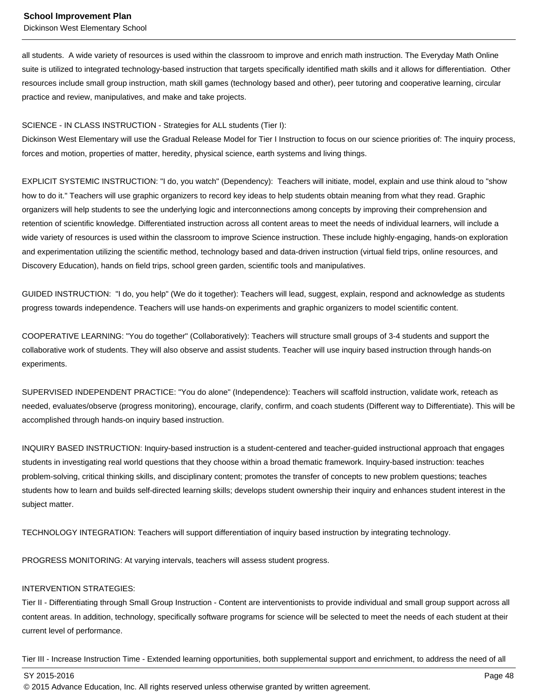Dickinson West Elementary School

all students. A wide variety of resources is used within the classroom to improve and enrich math instruction. The Everyday Math Online suite is utilized to integrated technology-based instruction that targets specifically identified math skills and it allows for differentiation. Other resources include small group instruction, math skill games (technology based and other), peer tutoring and cooperative learning, circular practice and review, manipulatives, and make and take projects.

#### SCIENCE - IN CLASS INSTRUCTION - Strategies for ALL students (Tier I):

Dickinson West Elementary will use the Gradual Release Model for Tier I Instruction to focus on our science priorities of: The inquiry process, forces and motion, properties of matter, heredity, physical science, earth systems and living things.

EXPLICIT SYSTEMIC INSTRUCTION: "I do, you watch" (Dependency): Teachers will initiate, model, explain and use think aloud to "show how to do it." Teachers will use graphic organizers to record key ideas to help students obtain meaning from what they read. Graphic organizers will help students to see the underlying logic and interconnections among concepts by improving their comprehension and retention of scientific knowledge. Differentiated instruction across all content areas to meet the needs of individual learners, will include a wide variety of resources is used within the classroom to improve Science instruction. These include highly-engaging, hands-on exploration and experimentation utilizing the scientific method, technology based and data-driven instruction (virtual field trips, online resources, and Discovery Education), hands on field trips, school green garden, scientific tools and manipulatives.

GUIDED INSTRUCTION: "I do, you help" (We do it together): Teachers will lead, suggest, explain, respond and acknowledge as students progress towards independence. Teachers will use hands-on experiments and graphic organizers to model scientific content.

COOPERATIVE LEARNING: "You do together" (Collaboratively): Teachers will structure small groups of 3-4 students and support the collaborative work of students. They will also observe and assist students. Teacher will use inquiry based instruction through hands-on experiments.

SUPERVISED INDEPENDENT PRACTICE: "You do alone" (Independence): Teachers will scaffold instruction, validate work, reteach as needed, evaluates/observe (progress monitoring), encourage, clarify, confirm, and coach students (Different way to Differentiate). This will be accomplished through hands-on inquiry based instruction.

INQUIRY BASED INSTRUCTION: Inquiry-based instruction is a student-centered and teacher-guided instructional approach that engages students in investigating real world questions that they choose within a broad thematic framework. Inquiry-based instruction: teaches problem-solving, critical thinking skills, and disciplinary content; promotes the transfer of concepts to new problem questions; teaches students how to learn and builds self-directed learning skills; develops student ownership their inquiry and enhances student interest in the subject matter.

TECHNOLOGY INTEGRATION: Teachers will support differentiation of inquiry based instruction by integrating technology.

PROGRESS MONITORING: At varying intervals, teachers will assess student progress.

# INTERVENTION STRATEGIES:

Tier II - Differentiating through Small Group Instruction - Content are interventionists to provide individual and small group support across all content areas. In addition, technology, specifically software programs for science will be selected to meet the needs of each student at their current level of performance.

Tier III - Increase Instruction Time - Extended learning opportunities, both supplemental support and enrichment, to address the need of all

SY 2015-2016 Page 48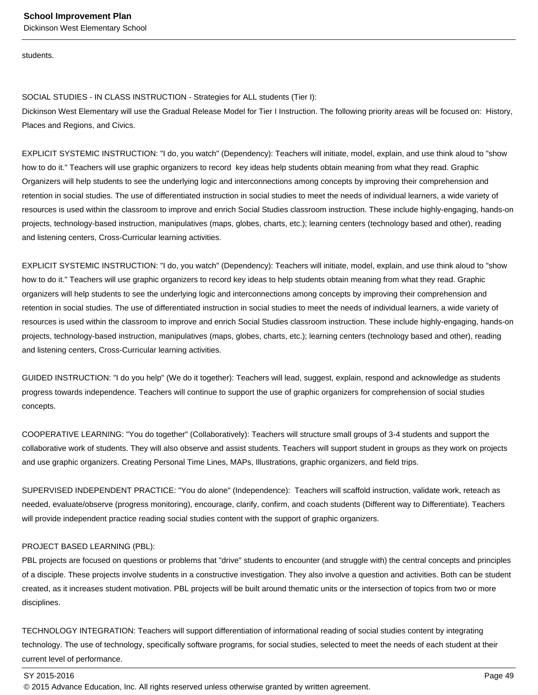students.

SOCIAL STUDIES - IN CLASS INSTRUCTION - Strategies for ALL students (Tier I): Dickinson West Elementary will use the Gradual Release Model for Tier I Instruction. The following priority areas will be focused on: History, Places and Regions, and Civics.

EXPLICIT SYSTEMIC INSTRUCTION: "I do, you watch" (Dependency): Teachers will initiate, model, explain, and use think aloud to "show how to do it." Teachers will use graphic organizers to record key ideas help students obtain meaning from what they read. Graphic Organizers will help students to see the underlying logic and interconnections among concepts by improving their comprehension and retention in social studies. The use of differentiated instruction in social studies to meet the needs of individual learners, a wide variety of resources is used within the classroom to improve and enrich Social Studies classroom instruction. These include highly-engaging, hands-on projects, technology-based instruction, manipulatives (maps, globes, charts, etc.); learning centers (technology based and other), reading and listening centers, Cross-Curricular learning activities.

EXPLICIT SYSTEMIC INSTRUCTION: "I do, you watch" (Dependency): Teachers will initiate, model, explain, and use think aloud to "show how to do it." Teachers will use graphic organizers to record key ideas to help students obtain meaning from what they read. Graphic organizers will help students to see the underlying logic and interconnections among concepts by improving their comprehension and retention in social studies. The use of differentiated instruction in social studies to meet the needs of individual learners, a wide variety of resources is used within the classroom to improve and enrich Social Studies classroom instruction. These include highly-engaging, hands-on projects, technology-based instruction, manipulatives (maps, globes, charts, etc.); learning centers (technology based and other), reading and listening centers, Cross-Curricular learning activities.

GUIDED INSTRUCTION: "I do you help" (We do it together): Teachers will lead, suggest, explain, respond and acknowledge as students progress towards independence. Teachers will continue to support the use of graphic organizers for comprehension of social studies concepts.

COOPERATIVE LEARNING: "You do together" (Collaboratively): Teachers will structure small groups of 3-4 students and support the collaborative work of students. They will also observe and assist students. Teachers will support student in groups as they work on projects and use graphic organizers. Creating Personal Time Lines, MAPs, Illustrations, graphic organizers, and field trips.

SUPERVISED INDEPENDENT PRACTICE: "You do alone" (Independence): Teachers will scaffold instruction, validate work, reteach as needed, evaluate/observe (progress monitoring), encourage, clarify, confirm, and coach students (Different way to Differentiate). Teachers will provide independent practice reading social studies content with the support of graphic organizers.

# PROJECT BASED LEARNING (PBL):

PBL projects are focused on questions or problems that "drive" students to encounter (and struggle with) the central concepts and principles of a disciple. These projects involve students in a constructive investigation. They also involve a question and activities. Both can be student created, as it increases student motivation. PBL projects will be built around thematic units or the intersection of topics from two or more disciplines.

TECHNOLOGY INTEGRATION: Teachers will support differentiation of informational reading of social studies content by integrating technology. The use of technology, specifically software programs, for social studies, selected to meet the needs of each student at their current level of performance.

#### SY 2015-2016 Page 49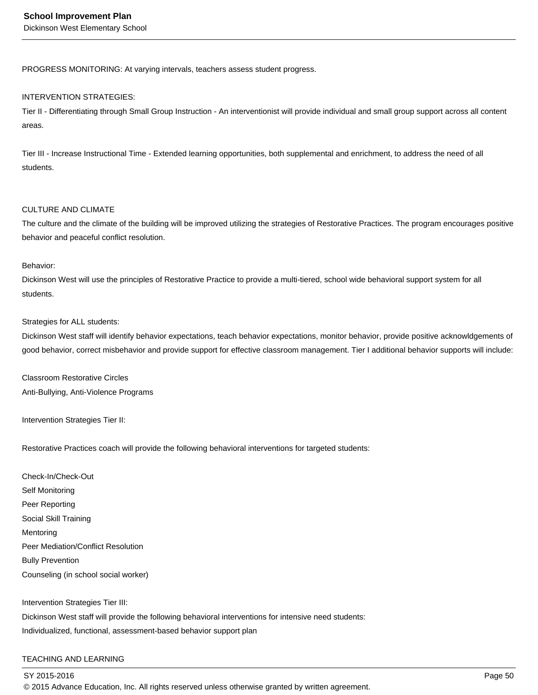PROGRESS MONITORING: At varying intervals, teachers assess student progress.

## INTERVENTION STRATEGIES:

Tier II - Differentiating through Small Group Instruction - An interventionist will provide individual and small group support across all content areas.

Tier III - Increase Instructional Time - Extended learning opportunities, both supplemental and enrichment, to address the need of all students.

## CULTURE AND CLIMATE

The culture and the climate of the building will be improved utilizing the strategies of Restorative Practices. The program encourages positive behavior and peaceful conflict resolution.

# Behavior:

Dickinson West will use the principles of Restorative Practice to provide a multi-tiered, school wide behavioral support system for all students.

# Strategies for ALL students:

Dickinson West staff will identify behavior expectations, teach behavior expectations, monitor behavior, provide positive acknowldgements of good behavior, correct misbehavior and provide support for effective classroom management. Tier I additional behavior supports will include:

Classroom Restorative Circles Anti-Bullying, Anti-Violence Programs

Intervention Strategies Tier II:

Restorative Practices coach will provide the following behavioral interventions for targeted students:

Check-In/Check-Out Self Monitoring Peer Reporting Social Skill Training **Mentoring** Peer Mediation/Conflict Resolution Bully Prevention Counseling (in school social worker)

Intervention Strategies Tier III: Dickinson West staff will provide the following behavioral interventions for intensive need students: Individualized, functional, assessment-based behavior support plan

# TEACHING AND LEARNING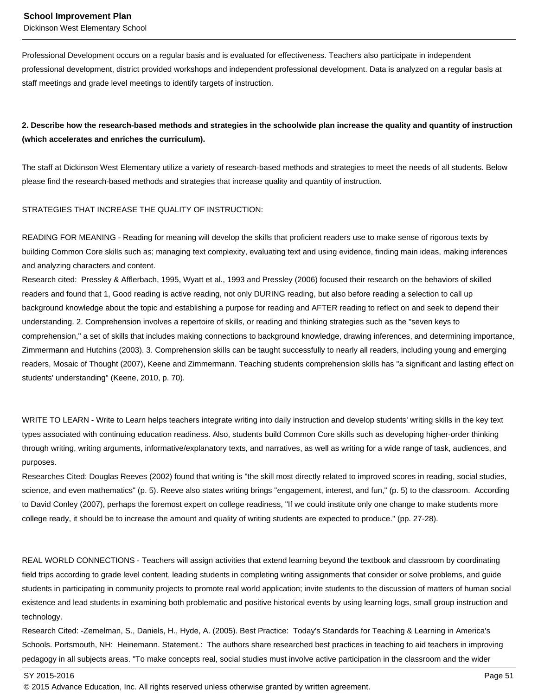Professional Development occurs on a regular basis and is evaluated for effectiveness. Teachers also participate in independent professional development, district provided workshops and independent professional development. Data is analyzed on a regular basis at staff meetings and grade level meetings to identify targets of instruction.

# **2. Describe how the research-based methods and strategies in the schoolwide plan increase the quality and quantity of instruction (which accelerates and enriches the curriculum).**

The staff at Dickinson West Elementary utilize a variety of research-based methods and strategies to meet the needs of all students. Below please find the research-based methods and strategies that increase quality and quantity of instruction.

STRATEGIES THAT INCREASE THE QUALITY OF INSTRUCTION:

READING FOR MEANING - Reading for meaning will develop the skills that proficient readers use to make sense of rigorous texts by building Common Core skills such as; managing text complexity, evaluating text and using evidence, finding main ideas, making inferences and analyzing characters and content.

Research cited: Pressley & Afflerbach, 1995, Wyatt et al., 1993 and Pressley (2006) focused their research on the behaviors of skilled readers and found that 1, Good reading is active reading, not only DURING reading, but also before reading a selection to call up background knowledge about the topic and establishing a purpose for reading and AFTER reading to reflect on and seek to depend their understanding. 2. Comprehension involves a repertoire of skills, or reading and thinking strategies such as the "seven keys to comprehension," a set of skills that includes making connections to background knowledge, drawing inferences, and determining importance, Zimmermann and Hutchins (2003). 3. Comprehension skills can be taught successfully to nearly all readers, including young and emerging readers, Mosaic of Thought (2007), Keene and Zimmermann. Teaching students comprehension skills has "a significant and lasting effect on students' understanding" (Keene, 2010, p. 70).

WRITE TO LEARN - Write to Learn helps teachers integrate writing into daily instruction and develop students' writing skills in the key text types associated with continuing education readiness. Also, students build Common Core skills such as developing higher-order thinking through writing, writing arguments, informative/explanatory texts, and narratives, as well as writing for a wide range of task, audiences, and purposes.

Researches Cited: Douglas Reeves (2002) found that writing is "the skill most directly related to improved scores in reading, social studies, science, and even mathematics" (p. 5). Reeve also states writing brings "engagement, interest, and fun," (p. 5) to the classroom. According to David Conley (2007), perhaps the foremost expert on college readiness, "If we could institute only one change to make students more college ready, it should be to increase the amount and quality of writing students are expected to produce." (pp. 27-28).

REAL WORLD CONNECTIONS - Teachers will assign activities that extend learning beyond the textbook and classroom by coordinating field trips according to grade level content, leading students in completing writing assignments that consider or solve problems, and guide students in participating in community projects to promote real world application; invite students to the discussion of matters of human social existence and lead students in examining both problematic and positive historical events by using learning logs, small group instruction and technology.

Research Cited: -Zemelman, S., Daniels, H., Hyde, A. (2005). Best Practice: Today's Standards for Teaching & Learning in America's Schools. Portsmouth, NH: Heinemann. Statement.: The authors share researched best practices in teaching to aid teachers in improving pedagogy in all subjects areas. "To make concepts real, social studies must involve active participation in the classroom and the wider

SY 2015-2016 Page 51

<sup>© 2015</sup> Advance Education, Inc. All rights reserved unless otherwise granted by written agreement.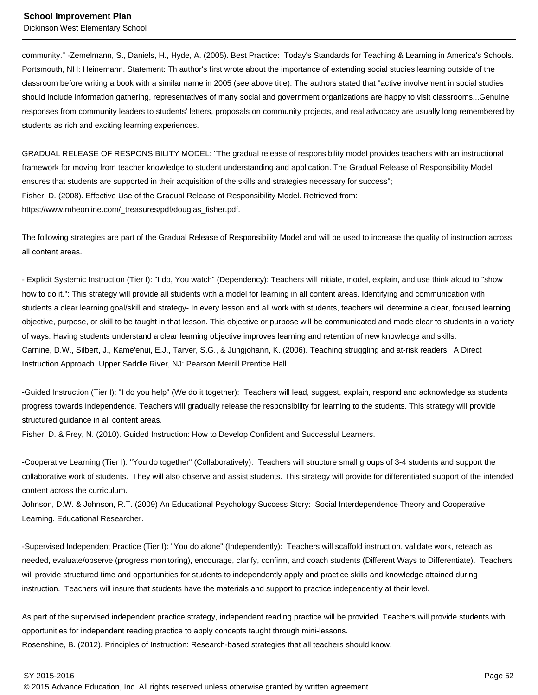Dickinson West Elementary School

community." -Zemelmann, S., Daniels, H., Hyde, A. (2005). Best Practice: Today's Standards for Teaching & Learning in America's Schools. Portsmouth, NH: Heinemann. Statement: Th author's first wrote about the importance of extending social studies learning outside of the classroom before writing a book with a similar name in 2005 (see above title). The authors stated that "active involvement in social studies should include information gathering, representatives of many social and government organizations are happy to visit classrooms...Genuine responses from community leaders to students' letters, proposals on community projects, and real advocacy are usually long remembered by students as rich and exciting learning experiences.

GRADUAL RELEASE OF RESPONSIBILITY MODEL: "The gradual release of responsibility model provides teachers with an instructional framework for moving from teacher knowledge to student understanding and application. The Gradual Release of Responsibility Model ensures that students are supported in their acquisition of the skills and strategies necessary for success"; Fisher, D. (2008). Effective Use of the Gradual Release of Responsibility Model. Retrieved from: https://www.mheonline.com/\_treasures/pdf/douglas\_fisher.pdf.

The following strategies are part of the Gradual Release of Responsibility Model and will be used to increase the quality of instruction across all content areas.

- Explicit Systemic Instruction (Tier I): "I do, You watch" (Dependency): Teachers will initiate, model, explain, and use think aloud to "show how to do it.": This strategy will provide all students with a model for learning in all content areas. Identifying and communication with students a clear learning goal/skill and strategy- In every lesson and all work with students, teachers will determine a clear, focused learning objective, purpose, or skill to be taught in that lesson. This objective or purpose will be communicated and made clear to students in a variety of ways. Having students understand a clear learning objective improves learning and retention of new knowledge and skills. Carnine, D.W., Silbert, J., Kame'enui, E.J., Tarver, S.G., & Jungjohann, K. (2006). Teaching struggling and at-risk readers: A Direct Instruction Approach. Upper Saddle River, NJ: Pearson Merrill Prentice Hall.

-Guided Instruction (Tier I): "I do you help" (We do it together): Teachers will lead, suggest, explain, respond and acknowledge as students progress towards Independence. Teachers will gradually release the responsibility for learning to the students. This strategy will provide structured guidance in all content areas.

Fisher, D. & Frey, N. (2010). Guided Instruction: How to Develop Confident and Successful Learners.

-Cooperative Learning (Tier I): "You do together" (Collaboratively): Teachers will structure small groups of 3-4 students and support the collaborative work of students. They will also observe and assist students. This strategy will provide for differentiated support of the intended content across the curriculum.

Johnson, D.W. & Johnson, R.T. (2009) An Educational Psychology Success Story: Social Interdependence Theory and Cooperative Learning. Educational Researcher.

-Supervised Independent Practice (Tier I): "You do alone" (Independently): Teachers will scaffold instruction, validate work, reteach as needed, evaluate/observe (progress monitoring), encourage, clarify, confirm, and coach students (Different Ways to Differentiate). Teachers will provide structured time and opportunities for students to independently apply and practice skills and knowledge attained during instruction. Teachers will insure that students have the materials and support to practice independently at their level.

As part of the supervised independent practice strategy, independent reading practice will be provided. Teachers will provide students with opportunities for independent reading practice to apply concepts taught through mini-lessons. Rosenshine, B. (2012). Principles of Instruction: Research-based strategies that all teachers should know.

SY 2015-2016 Page 52

<sup>© 2015</sup> Advance Education, Inc. All rights reserved unless otherwise granted by written agreement.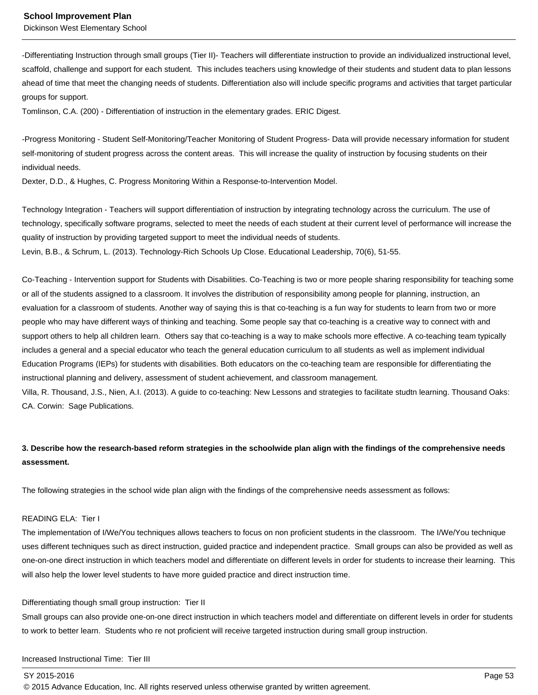-Differentiating Instruction through small groups (Tier II)- Teachers will differentiate instruction to provide an individualized instructional level, scaffold, challenge and support for each student. This includes teachers using knowledge of their students and student data to plan lessons ahead of time that meet the changing needs of students. Differentiation also will include specific programs and activities that target particular groups for support.

Tomlinson, C.A. (200) - Differentiation of instruction in the elementary grades. ERIC Digest.

-Progress Monitoring - Student Self-Monitoring/Teacher Monitoring of Student Progress- Data will provide necessary information for student self-monitoring of student progress across the content areas. This will increase the quality of instruction by focusing students on their individual needs.

Dexter, D.D., & Hughes, C. Progress Monitoring Within a Response-to-Intervention Model.

Technology Integration - Teachers will support differentiation of instruction by integrating technology across the curriculum. The use of technology, specifically software programs, selected to meet the needs of each student at their current level of performance will increase the quality of instruction by providing targeted support to meet the individual needs of students.

Levin, B.B., & Schrum, L. (2013). Technology-Rich Schools Up Close. Educational Leadership, 70(6), 51-55.

Co-Teaching - Intervention support for Students with Disabilities. Co-Teaching is two or more people sharing responsibility for teaching some or all of the students assigned to a classroom. It involves the distribution of responsibility among people for planning, instruction, an evaluation for a classroom of students. Another way of saying this is that co-teaching is a fun way for students to learn from two or more people who may have different ways of thinking and teaching. Some people say that co-teaching is a creative way to connect with and support others to help all children learn. Others say that co-teaching is a way to make schools more effective. A co-teaching team typically includes a general and a special educator who teach the general education curriculum to all students as well as implement individual Education Programs (IEPs) for students with disabilities. Both educators on the co-teaching team are responsible for differentiating the instructional planning and delivery, assessment of student achievement, and classroom management.

Villa, R. Thousand, J.S., Nien, A.I. (2013). A guide to co-teaching: New Lessons and strategies to facilitate studtn learning. Thousand Oaks: CA. Corwin: Sage Publications.

# **3. Describe how the research-based reform strategies in the schoolwide plan align with the findings of the comprehensive needs assessment.**

The following strategies in the school wide plan align with the findings of the comprehensive needs assessment as follows:

#### READING ELA: Tier I

The implementation of I/We/You techniques allows teachers to focus on non proficient students in the classroom. The I/We/You technique uses different techniques such as direct instruction, guided practice and independent practice. Small groups can also be provided as well as one-on-one direct instruction in which teachers model and differentiate on different levels in order for students to increase their learning. This will also help the lower level students to have more guided practice and direct instruction time.

#### Differentiating though small group instruction: Tier II

Small groups can also provide one-on-one direct instruction in which teachers model and differentiate on different levels in order for students to work to better learn. Students who re not proficient will receive targeted instruction during small group instruction.

Increased Instructional Time: Tier III

#### SY 2015-2016 Page 53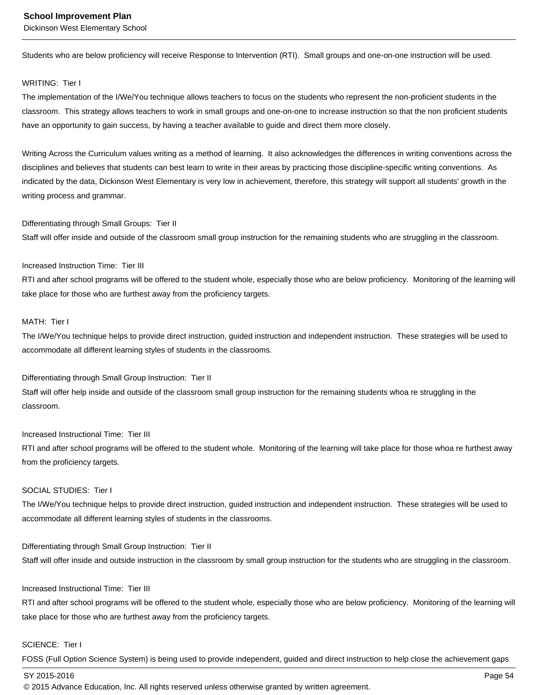Dickinson West Elementary School

Students who are below proficiency will receive Response to Intervention (RTI). Small groups and one-on-one instruction will be used.

# WRITING: Tier I

The implementation of the I/We/You technique allows teachers to focus on the students who represent the non-proficient students in the classroom. This strategy allows teachers to work in small groups and one-on-one to increase instruction so that the non proficient students have an opportunity to gain success, by having a teacher available to guide and direct them more closely.

Writing Across the Curriculum values writing as a method of learning. It also acknowledges the differences in writing conventions across the disciplines and believes that students can best learn to write in their areas by practicing those discipline-specific writing conventions. As indicated by the data, Dickinson West Elementary is very low in achievement, therefore, this strategy will support all students' growth in the writing process and grammar.

# Differentiating through Small Groups: Tier II

Staff will offer inside and outside of the classroom small group instruction for the remaining students who are struggling in the classroom.

# Increased Instruction Time: Tier III

RTI and after school programs will be offered to the student whole, especially those who are below proficiency. Monitoring of the learning will take place for those who are furthest away from the proficiency targets.

#### MATH: Tier I

The I/We/You technique helps to provide direct instruction, guided instruction and independent instruction. These strategies will be used to accommodate all different learning styles of students in the classrooms.

Differentiating through Small Group Instruction: Tier II Staff will offer help inside and outside of the classroom small group instruction for the remaining students whoa re struggling in the classroom.

# Increased Instructional Time: Tier III

RTI and after school programs will be offered to the student whole. Monitoring of the learning will take place for those whoa re furthest away from the proficiency targets.

## SOCIAL STUDIES: Tier I

The I/We/You technique helps to provide direct instruction, guided instruction and independent instruction. These strategies will be used to accommodate all different learning styles of students in the classrooms.

Differentiating through Small Group Instruction: Tier II Staff will offer inside and outside instruction in the classroom by small group instruction for the students who are struggling in the classroom.

#### Increased Instructional Time: Tier III

RTI and after school programs will be offered to the student whole, especially those who are below proficiency. Monitoring of the learning will take place for those who are furthest away from the proficiency targets.

#### SCIENCE: Tier I

FOSS (Full Option Science System) is being used to provide independent, guided and direct instruction to help close the achievement gaps

SY 2015-2016 Page 54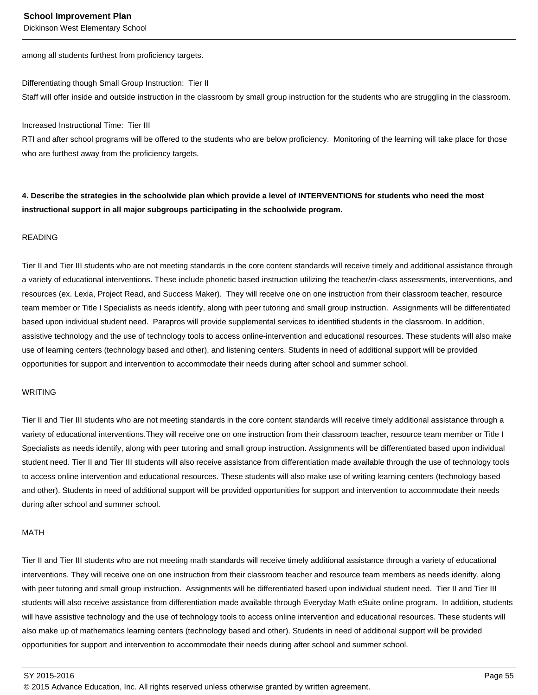Dickinson West Elementary School

among all students furthest from proficiency targets.

Differentiating though Small Group Instruction: Tier II Staff will offer inside and outside instruction in the classroom by small group instruction for the students who are struggling in the classroom.

Increased Instructional Time: Tier III

RTI and after school programs will be offered to the students who are below proficiency. Monitoring of the learning will take place for those who are furthest away from the proficiency targets.

**4. Describe the strategies in the schoolwide plan which provide a level of INTERVENTIONS for students who need the most instructional support in all major subgroups participating in the schoolwide program.**

## READING

Tier II and Tier III students who are not meeting standards in the core content standards will receive timely and additional assistance through a variety of educational interventions. These include phonetic based instruction utilizing the teacher/in-class assessments, interventions, and resources (ex. Lexia, Project Read, and Success Maker). They will receive one on one instruction from their classroom teacher, resource team member or Title I Specialists as needs identify, along with peer tutoring and small group instruction. Assignments will be differentiated based upon individual student need. Parapros will provide supplemental services to identified students in the classroom. In addition, assistive technology and the use of technology tools to access online-intervention and educational resources. These students will also make use of learning centers (technology based and other), and listening centers. Students in need of additional support will be provided opportunities for support and intervention to accommodate their needs during after school and summer school.

#### WRITING

Tier II and Tier III students who are not meeting standards in the core content standards will receive timely additional assistance through a variety of educational interventions.They will receive one on one instruction from their classroom teacher, resource team member or Title I Specialists as needs identify, along with peer tutoring and small group instruction. Assignments will be differentiated based upon individual student need. Tier II and Tier III students will also receive assistance from differentiation made available through the use of technology tools to access online intervention and educational resources. These students will also make use of writing learning centers (technology based and other). Students in need of additional support will be provided opportunities for support and intervention to accommodate their needs during after school and summer school.

#### MATH

Tier II and Tier III students who are not meeting math standards will receive timely additional assistance through a variety of educational interventions. They will receive one on one instruction from their classroom teacher and resource team members as needs idenifty, along with peer tutoring and small group instruction. Assignments will be differentiated based upon individual student need. Tier II and Tier III students will also receive assistance from differentiation made available through Everyday Math eSuite online program. In addition, students will have assistive technology and the use of technology tools to access online intervention and educational resources. These students will also make up of mathematics learning centers (technology based and other). Students in need of additional support will be provided opportunities for support and intervention to accommodate their needs during after school and summer school.

SY 2015-2016 Page 55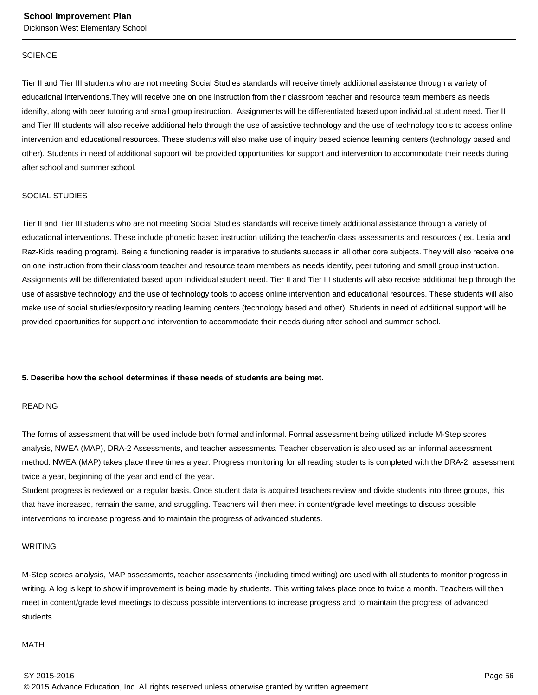#### **SCIENCE**

Tier II and Tier III students who are not meeting Social Studies standards will receive timely additional assistance through a variety of educational interventions.They will receive one on one instruction from their classroom teacher and resource team members as needs idenifty, along with peer tutoring and small group instruction. Assignments will be differentiated based upon individual student need. Tier II and Tier III students will also receive additional help through the use of assistive technology and the use of technology tools to access online intervention and educational resources. These students will also make use of inquiry based science learning centers (technology based and other). Students in need of additional support will be provided opportunities for support and intervention to accommodate their needs during after school and summer school.

#### SOCIAL STUDIES

Tier II and Tier III students who are not meeting Social Studies standards will receive timely additional assistance through a variety of educational interventions. These include phonetic based instruction utilizing the teacher/in class assessments and resources ( ex. Lexia and Raz-Kids reading program). Being a functioning reader is imperative to students success in all other core subjects. They will also receive one on one instruction from their classroom teacher and resource team members as needs identify, peer tutoring and small group instruction. Assignments will be differentiated based upon individual student need. Tier II and Tier III students will also receive additional help through the use of assistive technology and the use of technology tools to access online intervention and educational resources. These students will also make use of social studies/expository reading learning centers (technology based and other). Students in need of additional support will be provided opportunities for support and intervention to accommodate their needs during after school and summer school.

#### **5. Describe how the school determines if these needs of students are being met.**

#### READING

The forms of assessment that will be used include both formal and informal. Formal assessment being utilized include M-Step scores analysis, NWEA (MAP), DRA-2 Assessments, and teacher assessments. Teacher observation is also used as an informal assessment method. NWEA (MAP) takes place three times a year. Progress monitoring for all reading students is completed with the DRA-2 assessment twice a year, beginning of the year and end of the year.

Student progress is reviewed on a regular basis. Once student data is acquired teachers review and divide students into three groups, this that have increased, remain the same, and struggling. Teachers will then meet in content/grade level meetings to discuss possible interventions to increase progress and to maintain the progress of advanced students.

#### WRITING

M-Step scores analysis, MAP assessments, teacher assessments (including timed writing) are used with all students to monitor progress in writing. A log is kept to show if improvement is being made by students. This writing takes place once to twice a month. Teachers will then meet in content/grade level meetings to discuss possible interventions to increase progress and to maintain the progress of advanced students.

#### MATH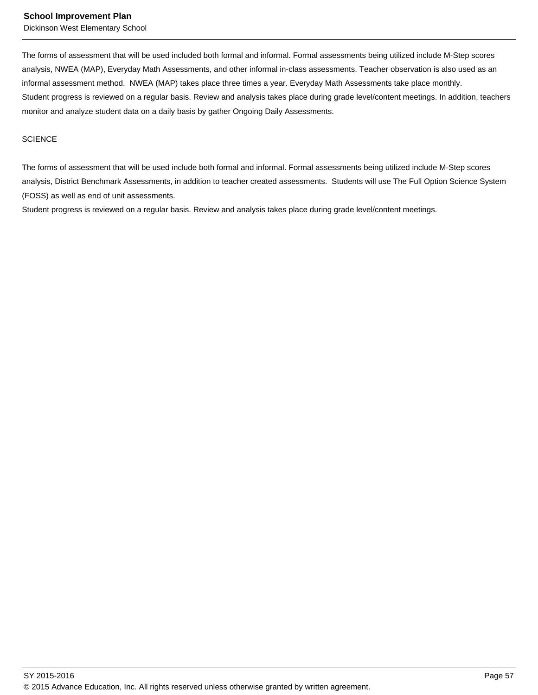The forms of assessment that will be used included both formal and informal. Formal assessments being utilized include M-Step scores analysis, NWEA (MAP), Everyday Math Assessments, and other informal in-class assessments. Teacher observation is also used as an informal assessment method. NWEA (MAP) takes place three times a year. Everyday Math Assessments take place monthly. Student progress is reviewed on a regular basis. Review and analysis takes place during grade level/content meetings. In addition, teachers monitor and analyze student data on a daily basis by gather Ongoing Daily Assessments.

## **SCIENCE**

The forms of assessment that will be used include both formal and informal. Formal assessments being utilized include M-Step scores analysis, District Benchmark Assessments, in addition to teacher created assessments. Students will use The Full Option Science System (FOSS) as well as end of unit assessments.

Student progress is reviewed on a regular basis. Review and analysis takes place during grade level/content meetings.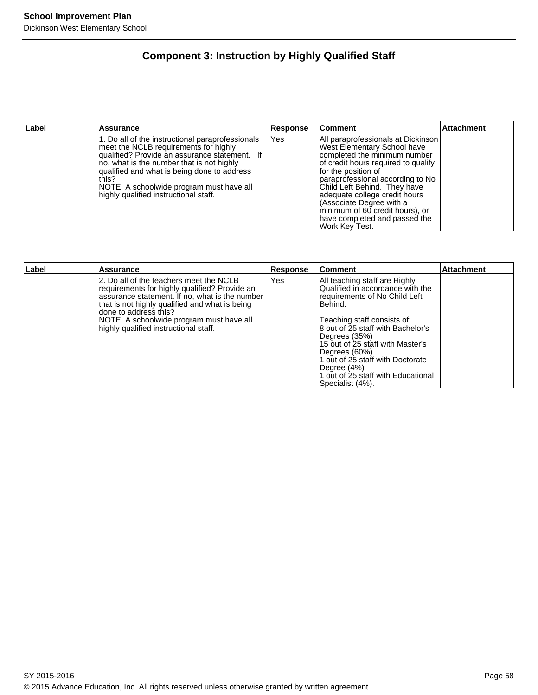# **Component 3: Instruction by Highly Qualified Staff**

| Label | Assurance                                                                                                                                                                                                                                                                                                                            | <b>Response</b> | Comment                                                                                                                                                                                                                                                                                                                                                                                | <b>Attachment</b> |
|-------|--------------------------------------------------------------------------------------------------------------------------------------------------------------------------------------------------------------------------------------------------------------------------------------------------------------------------------------|-----------------|----------------------------------------------------------------------------------------------------------------------------------------------------------------------------------------------------------------------------------------------------------------------------------------------------------------------------------------------------------------------------------------|-------------------|
|       | 1. Do all of the instructional paraprofessionals<br>meet the NCLB requirements for highly<br>qualified? Provide an assurance statement. If<br>no, what is the number that is not highly<br>qualified and what is being done to address<br>this?<br>NOTE: A schoolwide program must have all<br>highly qualified instructional staff. | <b>Yes</b>      | All paraprofessionals at Dickinson<br>West Elementary School have<br>completed the minimum number<br>of credit hours required to qualify<br>for the position of<br>paraprofessional according to No<br>Child Left Behind. They have<br>adequate college credit hours<br>(Associate Degree with a<br>minimum of 60 credit hours), or<br>have completed and passed the<br>Work Key Test. |                   |

| ∣Label | <b>Assurance</b>                                                                                                                                                                                                                                                                                           | <b>Response</b> | <b>Comment</b>                                                                                                                                                                                                                                                                                                                                                       | <b>Attachment</b> |
|--------|------------------------------------------------------------------------------------------------------------------------------------------------------------------------------------------------------------------------------------------------------------------------------------------------------------|-----------------|----------------------------------------------------------------------------------------------------------------------------------------------------------------------------------------------------------------------------------------------------------------------------------------------------------------------------------------------------------------------|-------------------|
|        | 2. Do all of the teachers meet the NCLB<br>requirements for highly qualified? Provide an<br>assurance statement. If no, what is the number<br>that is not highly qualified and what is being<br>done to address this?<br>NOTE: A schoolwide program must have all<br>highly qualified instructional staff. | Yes             | All teaching staff are Highly<br>Qualified in accordance with the<br>requirements of No Child Left<br>Behind.<br>Teaching staff consists of:<br>8 out of 25 staff with Bachelor's<br>Degrees (35%)<br>15 out of 25 staff with Master's<br>Degrees (60%)<br>1 out of 25 staff with Doctorate<br>Degree (4%)<br>1 out of 25 staff with Educational<br>Specialist (4%). |                   |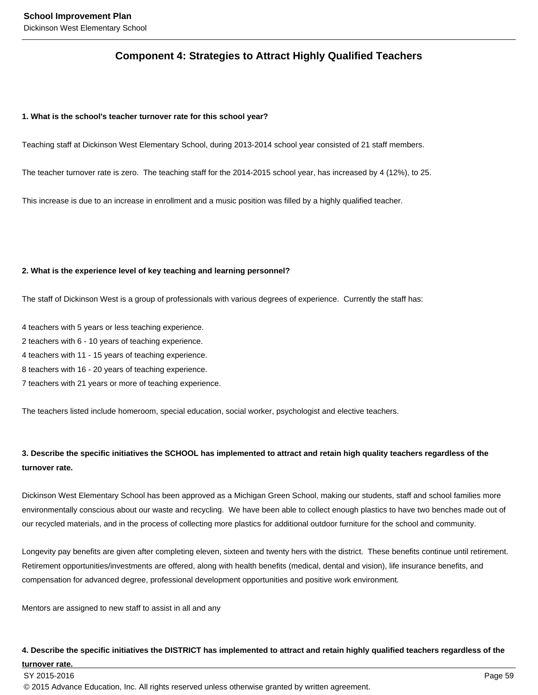# **Component 4: Strategies to Attract Highly Qualified Teachers**

#### **1. What is the school's teacher turnover rate for this school year?**

Teaching staff at Dickinson West Elementary School, during 2013-2014 school year consisted of 21 staff members.

The teacher turnover rate is zero. The teaching staff for the 2014-2015 school year, has increased by 4 (12%), to 25.

This increase is due to an increase in enrollment and a music position was filled by a highly qualified teacher.

#### **2. What is the experience level of key teaching and learning personnel?**

The staff of Dickinson West is a group of professionals with various degrees of experience. Currently the staff has:

- 4 teachers with 5 years or less teaching experience.
- 2 teachers with 6 10 years of teaching experience.
- 4 teachers with 11 15 years of teaching experience.
- 8 teachers with 16 20 years of teaching experience.
- 7 teachers with 21 years or more of teaching experience.

The teachers listed include homeroom, special education, social worker, psychologist and elective teachers.

# **3. Describe the specific initiatives the SCHOOL has implemented to attract and retain high quality teachers regardless of the turnover rate.**

Dickinson West Elementary School has been approved as a Michigan Green School, making our students, staff and school families more environmentally conscious about our waste and recycling. We have been able to collect enough plastics to have two benches made out of our recycled materials, and in the process of collecting more plastics for additional outdoor furniture for the school and community.

Longevity pay benefits are given after completing eleven, sixteen and twenty hers with the district. These benefits continue until retirement. Retirement opportunities/investments are offered, along with health benefits (medical, dental and vision), life insurance benefits, and compensation for advanced degree, professional development opportunities and positive work environment.

Mentors are assigned to new staff to assist in all and any

#### **4. Describe the specific initiatives the DISTRICT has implemented to attract and retain highly qualified teachers regardless of the**

#### **turnover rate.**

#### SY 2015-2016 Page 59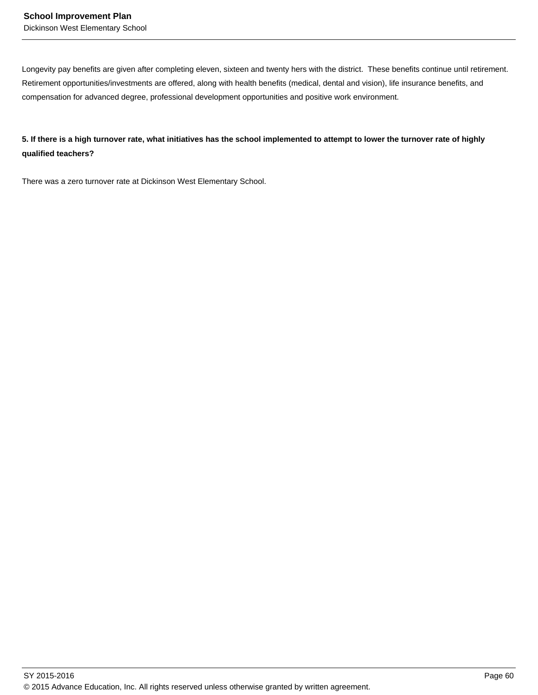Longevity pay benefits are given after completing eleven, sixteen and twenty hers with the district. These benefits continue until retirement. Retirement opportunities/investments are offered, along with health benefits (medical, dental and vision), life insurance benefits, and compensation for advanced degree, professional development opportunities and positive work environment.

**5. If there is a high turnover rate, what initiatives has the school implemented to attempt to lower the turnover rate of highly qualified teachers?**

There was a zero turnover rate at Dickinson West Elementary School.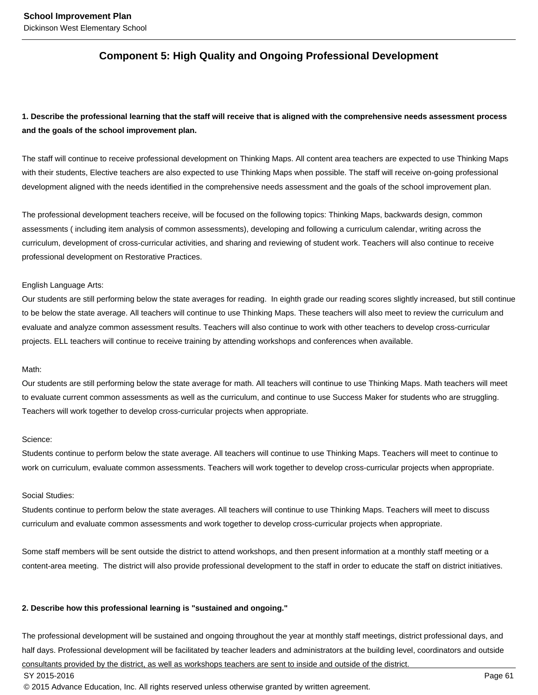# **Component 5: High Quality and Ongoing Professional Development**

# **1. Describe the professional learning that the staff will receive that is aligned with the comprehensive needs assessment process and the goals of the school improvement plan.**

The staff will continue to receive professional development on Thinking Maps. All content area teachers are expected to use Thinking Maps with their students, Elective teachers are also expected to use Thinking Maps when possible. The staff will receive on-going professional development aligned with the needs identified in the comprehensive needs assessment and the goals of the school improvement plan.

The professional development teachers receive, will be focused on the following topics: Thinking Maps, backwards design, common assessments ( including item analysis of common assessments), developing and following a curriculum calendar, writing across the curriculum, development of cross-curricular activities, and sharing and reviewing of student work. Teachers will also continue to receive professional development on Restorative Practices.

#### English Language Arts:

Our students are still performing below the state averages for reading. In eighth grade our reading scores slightly increased, but still continue to be below the state average. All teachers will continue to use Thinking Maps. These teachers will also meet to review the curriculum and evaluate and analyze common assessment results. Teachers will also continue to work with other teachers to develop cross-curricular projects. ELL teachers will continue to receive training by attending workshops and conferences when available.

#### Math:

Our students are still performing below the state average for math. All teachers will continue to use Thinking Maps. Math teachers will meet to evaluate current common assessments as well as the curriculum, and continue to use Success Maker for students who are struggling. Teachers will work together to develop cross-curricular projects when appropriate.

#### Science:

Students continue to perform below the state average. All teachers will continue to use Thinking Maps. Teachers will meet to continue to work on curriculum, evaluate common assessments. Teachers will work together to develop cross-curricular projects when appropriate.

#### Social Studies:

Students continue to perform below the state averages. All teachers will continue to use Thinking Maps. Teachers will meet to discuss curriculum and evaluate common assessments and work together to develop cross-curricular projects when appropriate.

Some staff members will be sent outside the district to attend workshops, and then present information at a monthly staff meeting or a content-area meeting. The district will also provide professional development to the staff in order to educate the staff on district initiatives.

#### **2. Describe how this professional learning is "sustained and ongoing."**

The professional development will be sustained and ongoing throughout the year at monthly staff meetings, district professional days, and half days. Professional development will be facilitated by teacher leaders and administrators at the building level, coordinators and outside consultants provided by the district, as well as workshops teachers are sent to inside and outside of the district.

#### SY 2015-2016 Page 61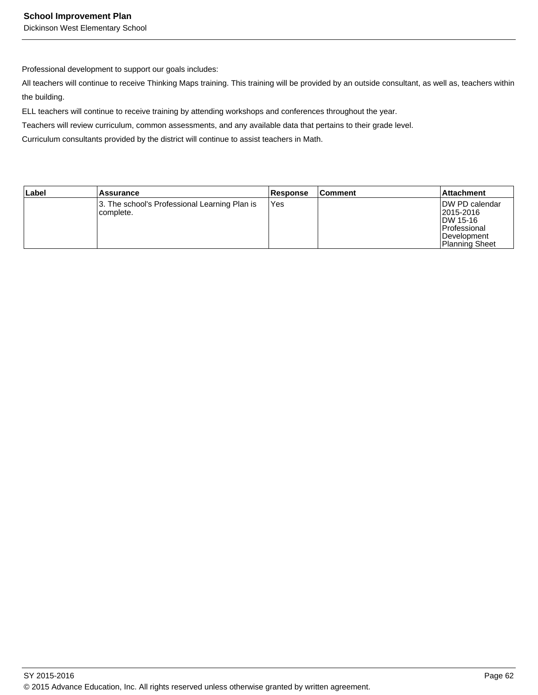Professional development to support our goals includes:

All teachers will continue to receive Thinking Maps training. This training will be provided by an outside consultant, as well as, teachers within the building.

ELL teachers will continue to receive training by attending workshops and conferences throughout the year.

Teachers will review curriculum, common assessments, and any available data that pertains to their grade level.

Curriculum consultants provided by the district will continue to assist teachers in Math.

| Label | Assurance                                                  | <b>Response</b> | ∣Comment | Attachment                                                                                      |
|-------|------------------------------------------------------------|-----------------|----------|-------------------------------------------------------------------------------------------------|
|       | 3. The school's Professional Learning Plan is<br>complete. | <b>Yes</b>      |          | IDW PD calendar<br>l2015-2016<br>IDW 15-16<br>l Professional<br>Development<br>l Planning Sheet |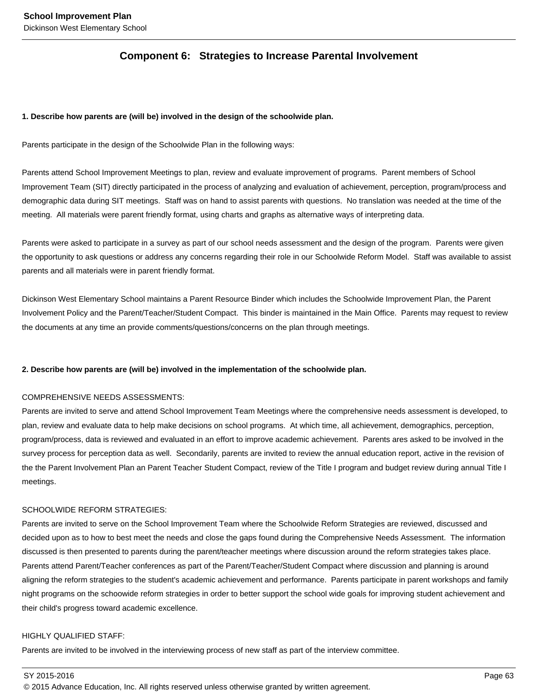# **Component 6: Strategies to Increase Parental Involvement**

## **1. Describe how parents are (will be) involved in the design of the schoolwide plan.**

Parents participate in the design of the Schoolwide Plan in the following ways:

Parents attend School Improvement Meetings to plan, review and evaluate improvement of programs. Parent members of School Improvement Team (SIT) directly participated in the process of analyzing and evaluation of achievement, perception, program/process and demographic data during SIT meetings. Staff was on hand to assist parents with questions. No translation was needed at the time of the meeting. All materials were parent friendly format, using charts and graphs as alternative ways of interpreting data.

Parents were asked to participate in a survey as part of our school needs assessment and the design of the program. Parents were given the opportunity to ask questions or address any concerns regarding their role in our Schoolwide Reform Model. Staff was available to assist parents and all materials were in parent friendly format.

Dickinson West Elementary School maintains a Parent Resource Binder which includes the Schoolwide Improvement Plan, the Parent Involvement Policy and the Parent/Teacher/Student Compact. This binder is maintained in the Main Office. Parents may request to review the documents at any time an provide comments/questions/concerns on the plan through meetings.

#### **2. Describe how parents are (will be) involved in the implementation of the schoolwide plan.**

### COMPREHENSIVE NEEDS ASSESSMENTS:

Parents are invited to serve and attend School Improvement Team Meetings where the comprehensive needs assessment is developed, to plan, review and evaluate data to help make decisions on school programs. At which time, all achievement, demographics, perception, program/process, data is reviewed and evaluated in an effort to improve academic achievement. Parents ares asked to be involved in the survey process for perception data as well. Secondarily, parents are invited to review the annual education report, active in the revision of the the Parent Involvement Plan an Parent Teacher Student Compact, review of the Title I program and budget review during annual Title I meetings.

#### SCHOOLWIDE REFORM STRATEGIES:

Parents are invited to serve on the School Improvement Team where the Schoolwide Reform Strategies are reviewed, discussed and decided upon as to how to best meet the needs and close the gaps found during the Comprehensive Needs Assessment. The information discussed is then presented to parents during the parent/teacher meetings where discussion around the reform strategies takes place. Parents attend Parent/Teacher conferences as part of the Parent/Teacher/Student Compact where discussion and planning is around aligning the reform strategies to the student's academic achievement and performance. Parents participate in parent workshops and family night programs on the schoowide reform strategies in order to better support the school wide goals for improving student achievement and their child's progress toward academic excellence.

#### HIGHLY QUALIFIED STAFF:

Parents are invited to be involved in the interviewing process of new staff as part of the interview committee.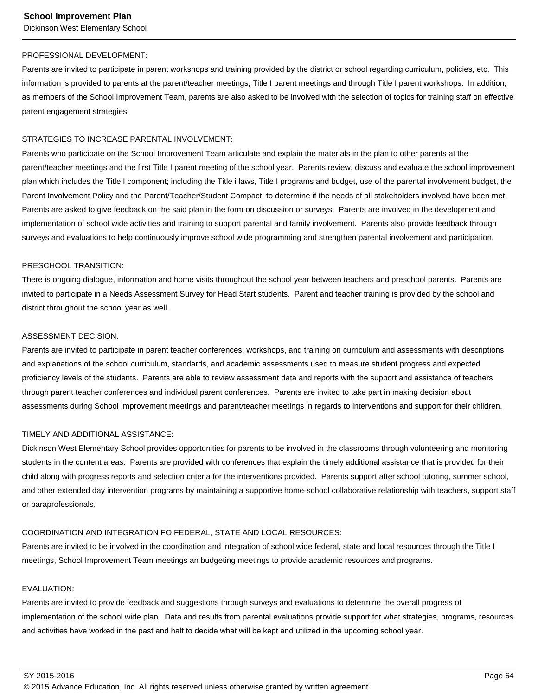#### PROFESSIONAL DEVELOPMENT:

Parents are invited to participate in parent workshops and training provided by the district or school regarding curriculum, policies, etc. This information is provided to parents at the parent/teacher meetings, Title I parent meetings and through Title I parent workshops. In addition, as members of the School Improvement Team, parents are also asked to be involved with the selection of topics for training staff on effective parent engagement strategies.

#### STRATEGIES TO INCREASE PARENTAL INVOLVEMENT:

Parents who participate on the School Improvement Team articulate and explain the materials in the plan to other parents at the parent/teacher meetings and the first Title I parent meeting of the school year. Parents review, discuss and evaluate the school improvement plan which includes the Title I component; including the Title i laws, Title I programs and budget, use of the parental involvement budget, the Parent Involvement Policy and the Parent/Teacher/Student Compact, to determine if the needs of all stakeholders involved have been met. Parents are asked to give feedback on the said plan in the form on discussion or surveys. Parents are involved in the development and implementation of school wide activities and training to support parental and family involvement. Parents also provide feedback through surveys and evaluations to help continuously improve school wide programming and strengthen parental involvement and participation.

#### PRESCHOOL TRANSITION:

There is ongoing dialogue, information and home visits throughout the school year between teachers and preschool parents. Parents are invited to participate in a Needs Assessment Survey for Head Start students. Parent and teacher training is provided by the school and district throughout the school year as well.

#### ASSESSMENT DECISION:

Parents are invited to participate in parent teacher conferences, workshops, and training on curriculum and assessments with descriptions and explanations of the school curriculum, standards, and academic assessments used to measure student progress and expected proficiency levels of the students. Parents are able to review assessment data and reports with the support and assistance of teachers through parent teacher conferences and individual parent conferences. Parents are invited to take part in making decision about assessments during School Improvement meetings and parent/teacher meetings in regards to interventions and support for their children.

# TIMELY AND ADDITIONAL ASSISTANCE:

Dickinson West Elementary School provides opportunities for parents to be involved in the classrooms through volunteering and monitoring students in the content areas. Parents are provided with conferences that explain the timely additional assistance that is provided for their child along with progress reports and selection criteria for the interventions provided. Parents support after school tutoring, summer school, and other extended day intervention programs by maintaining a supportive home-school collaborative relationship with teachers, support staff or paraprofessionals.

#### COORDINATION AND INTEGRATION FO FEDERAL, STATE AND LOCAL RESOURCES:

Parents are invited to be involved in the coordination and integration of school wide federal, state and local resources through the Title I meetings, School Improvement Team meetings an budgeting meetings to provide academic resources and programs.

# EVALUATION:

Parents are invited to provide feedback and suggestions through surveys and evaluations to determine the overall progress of implementation of the school wide plan. Data and results from parental evaluations provide support for what strategies, programs, resources and activities have worked in the past and halt to decide what will be kept and utilized in the upcoming school year.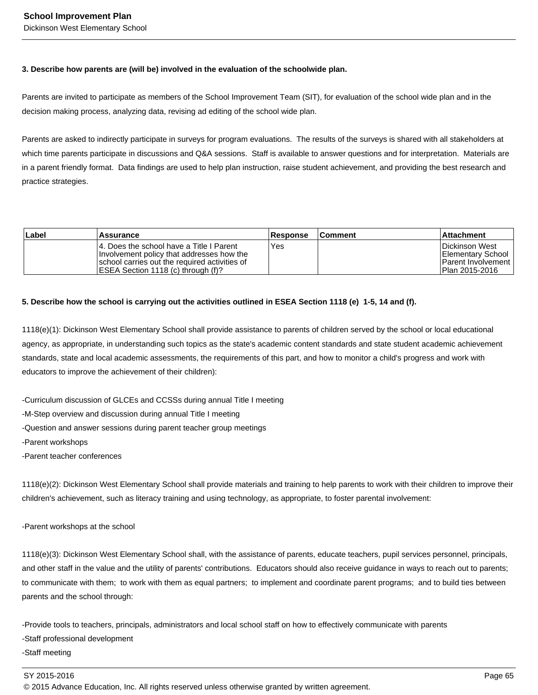## **3. Describe how parents are (will be) involved in the evaluation of the schoolwide plan.**

Parents are invited to participate as members of the School Improvement Team (SIT), for evaluation of the school wide plan and in the decision making process, analyzing data, revising ad editing of the school wide plan.

Parents are asked to indirectly participate in surveys for program evaluations. The results of the surveys is shared with all stakeholders at which time parents participate in discussions and Q&A sessions. Staff is available to answer questions and for interpretation. Materials are in a parent friendly format. Data findings are used to help plan instruction, raise student achievement, and providing the best research and practice strategies.

| Label | Assurance                                                                                                                                                                      | <b>Response</b> | <b>Comment</b> | ∣Attachment                                                                        |
|-------|--------------------------------------------------------------------------------------------------------------------------------------------------------------------------------|-----------------|----------------|------------------------------------------------------------------------------------|
|       | 14. Does the school have a Title I Parent<br>Involvement policy that addresses how the<br>school carries out the required activities of<br>IESEA Section 1118 (c) through (f)? | Yes             |                | lDickinson West<br>Elementary School<br>l Parent Involvement I<br>l Plan 2015-2016 |

# **5. Describe how the school is carrying out the activities outlined in ESEA Section 1118 (e) 1-5, 14 and (f).**

1118(e)(1): Dickinson West Elementary School shall provide assistance to parents of children served by the school or local educational agency, as appropriate, in understanding such topics as the state's academic content standards and state student academic achievement standards, state and local academic assessments, the requirements of this part, and how to monitor a child's progress and work with educators to improve the achievement of their children):

- Curriculum discussion of GLCEs and CCSSs during annual Title I meeting
- M-Step overview and discussion during annual Title I meeting
- Question and answer sessions during parent teacher group meetings
- Parent workshops
- Parent teacher conferences

1118(e)(2): Dickinson West Elementary School shall provide materials and training to help parents to work with their children to improve their children's achievement, such as literacy training and using technology, as appropriate, to foster parental involvement:

- Parent workshops at the school

1118(e)(3): Dickinson West Elementary School shall, with the assistance of parents, educate teachers, pupil services personnel, principals, and other staff in the value and the utility of parents' contributions. Educators should also receive guidance in ways to reach out to parents; to communicate with them; to work with them as equal partners; to implement and coordinate parent programs; and to build ties between parents and the school through:

- Provide tools to teachers, principals, administrators and local school staff on how to effectively communicate with parents

- Staff professional development
- Staff meeting

SY 2015-2016 Page 65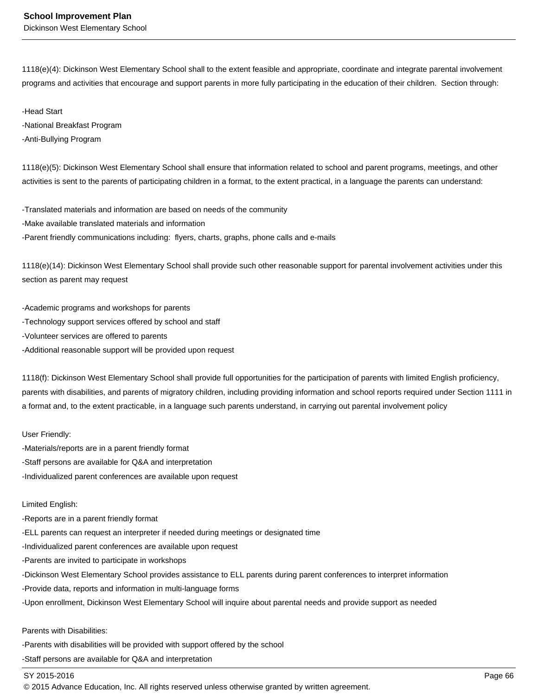1118(e)(4): Dickinson West Elementary School shall to the extent feasible and appropriate, coordinate and integrate parental involvement programs and activities that encourage and support parents in more fully participating in the education of their children. Section through:

- Head Start
- National Breakfast Program
- Anti-Bullying Program

1118(e)(5): Dickinson West Elementary School shall ensure that information related to school and parent programs, meetings, and other activities is sent to the parents of participating children in a format, to the extent practical, in a language the parents can understand:

- Translated materials and information are based on needs of the community
- Make available translated materials and information
- Parent friendly communications including: flyers, charts, graphs, phone calls and e-mails

1118(e)(14): Dickinson West Elementary School shall provide such other reasonable support for parental involvement activities under this section as parent may request

- Academic programs and workshops for parents
- Technology support services offered by school and staff
- Volunteer services are offered to parents
- Additional reasonable support will be provided upon request

1118(f): Dickinson West Elementary School shall provide full opportunities for the participation of parents with limited English proficiency, parents with disabilities, and parents of migratory children, including providing information and school reports required under Section 1111 in a format and, to the extent practicable, in a language such parents understand, in carrying out parental involvement policy

User Friendly:

- Materials/reports are in a parent friendly format
- Staff persons are available for Q&A and interpretation
- Individualized parent conferences are available upon request

#### Limited English:

- Reports are in a parent friendly format
- ELL parents can request an interpreter if needed during meetings or designated time
- Individualized parent conferences are available upon request
- Parents are invited to participate in workshops
- Dickinson West Elementary School provides assistance to ELL parents during parent conferences to interpret information
- Provide data, reports and information in multi-language forms
- Upon enrollment, Dickinson West Elementary School will inquire about parental needs and provide support as needed

#### Parents with Disabilities:

- Parents with disabilities will be provided with support offered by the school
- Staff persons are available for Q&A and interpretation

#### SY 2015-2016 Page 66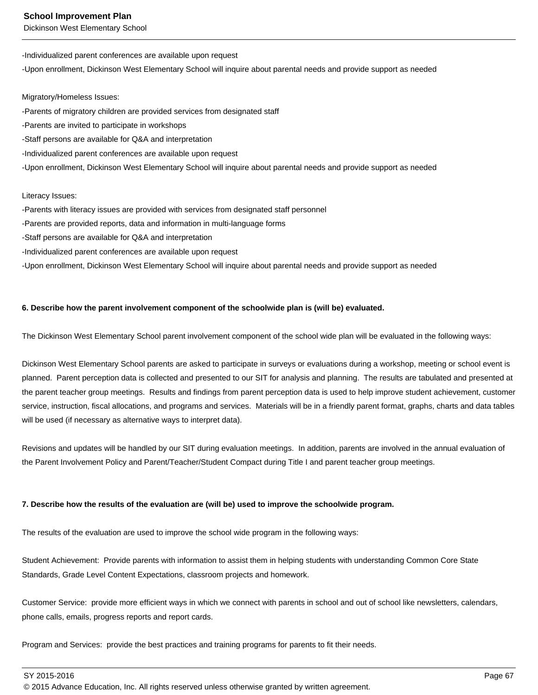Dickinson West Elementary School

- Individualized parent conferences are available upon request
- Upon enrollment, Dickinson West Elementary School will inquire about parental needs and provide support as needed

Migratory/Homeless Issues:

- Parents of migratory children are provided services from designated staff
- Parents are invited to participate in workshops
- Staff persons are available for Q&A and interpretation
- Individualized parent conferences are available upon request
- Upon enrollment, Dickinson West Elementary School will inquire about parental needs and provide support as needed

#### Literacy Issues:

- Parents with literacy issues are provided with services from designated staff personnel
- Parents are provided reports, data and information in multi-language forms
- Staff persons are available for Q&A and interpretation
- Individualized parent conferences are available upon request

- Upon enrollment, Dickinson West Elementary School will inquire about parental needs and provide support as needed

#### **6. Describe how the parent involvement component of the schoolwide plan is (will be) evaluated.**

The Dickinson West Elementary School parent involvement component of the school wide plan will be evaluated in the following ways:

Dickinson West Elementary School parents are asked to participate in surveys or evaluations during a workshop, meeting or school event is planned. Parent perception data is collected and presented to our SIT for analysis and planning. The results are tabulated and presented at the parent teacher group meetings. Results and findings from parent perception data is used to help improve student achievement, customer service, instruction, fiscal allocations, and programs and services. Materials will be in a friendly parent format, graphs, charts and data tables will be used (if necessary as alternative ways to interpret data).

Revisions and updates will be handled by our SIT during evaluation meetings. In addition, parents are involved in the annual evaluation of the Parent Involvement Policy and Parent/Teacher/Student Compact during Title I and parent teacher group meetings.

# **7. Describe how the results of the evaluation are (will be) used to improve the schoolwide program.**

The results of the evaluation are used to improve the school wide program in the following ways:

Student Achievement: Provide parents with information to assist them in helping students with understanding Common Core State Standards, Grade Level Content Expectations, classroom projects and homework.

Customer Service: provide more efficient ways in which we connect with parents in school and out of school like newsletters, calendars, phone calls, emails, progress reports and report cards.

Program and Services: provide the best practices and training programs for parents to fit their needs.

SY 2015-2016 Page 67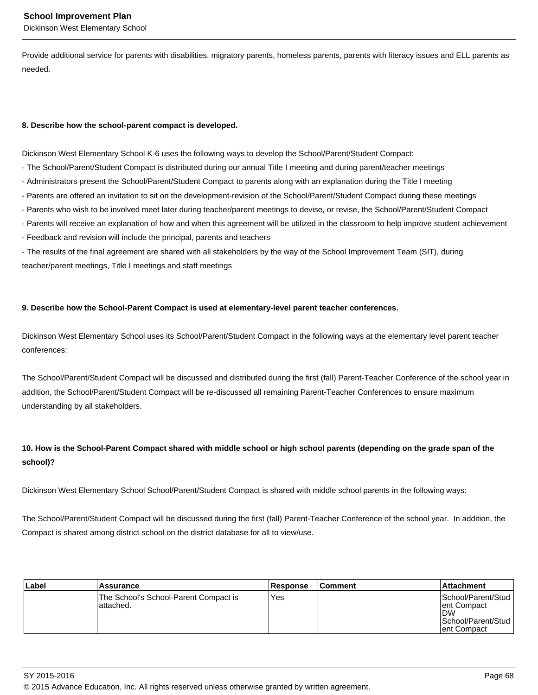Provide additional service for parents with disabilities, migratory parents, homeless parents, parents with literacy issues and ELL parents as needed.

# **8. Describe how the school-parent compact is developed.**

Dickinson West Elementary School K-6 uses the following ways to develop the School/Parent/Student Compact:

- The School/Parent/Student Compact is distributed during our annual Title I meeting and during parent/teacher meetings
- Administrators present the School/Parent/Student Compact to parents along with an explanation during the Title I meeting
- Parents are offered an invitation to sit on the development-revision of the School/Parent/Student Compact during these meetings
- Parents who wish to be involved meet later during teacher/parent meetings to devise, or revise, the School/Parent/Student Compact
- Parents will receive an explanation of how and when this agreement will be utilized in the classroom to help improve student achievement
- Feedback and revision will include the principal, parents and teachers

- The results of the final agreement are shared with all stakeholders by the way of the School Improvement Team (SIT), during teacher/parent meetings, Title I meetings and staff meetings

# **9. Describe how the School-Parent Compact is used at elementary-level parent teacher conferences.**

Dickinson West Elementary School uses its School/Parent/Student Compact in the following ways at the elementary level parent teacher conferences:

The School/Parent/Student Compact will be discussed and distributed during the first (fall) Parent-Teacher Conference of the school year in addition, the School/Parent/Student Compact will be re-discussed all remaining Parent-Teacher Conferences to ensure maximum understanding by all stakeholders.

# **10. How is the School-Parent Compact shared with middle school or high school parents (depending on the grade span of the school)?**

Dickinson West Elementary School School/Parent/Student Compact is shared with middle school parents in the following ways:

The School/Parent/Student Compact will be discussed during the first (fall) Parent-Teacher Conference of the school year. In addition, the Compact is shared among district school on the district database for all to view/use.

| Label | Assurance                                           | <b>Response</b> | <b>Comment</b> | <b>Attachment</b>                                                                    |
|-------|-----------------------------------------------------|-----------------|----------------|--------------------------------------------------------------------------------------|
|       | The School's School-Parent Compact is<br>lattached. | Yes             |                | School/Parent/Stud<br>ent Compact<br><b>DW</b><br>School/Parent/Stud<br>lent Compact |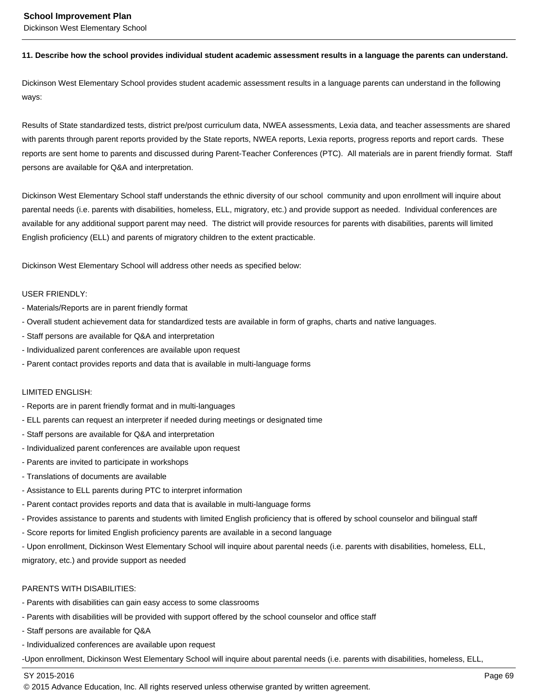Dickinson West Elementary School

#### **11. Describe how the school provides individual student academic assessment results in a language the parents can understand.**

Dickinson West Elementary School provides student academic assessment results in a language parents can understand in the following ways:

Results of State standardized tests, district pre/post curriculum data, NWEA assessments, Lexia data, and teacher assessments are shared with parents through parent reports provided by the State reports, NWEA reports, Lexia reports, progress reports and report cards. These reports are sent home to parents and discussed during Parent-Teacher Conferences (PTC). All materials are in parent friendly format. Staff persons are available for Q&A and interpretation.

Dickinson West Elementary School staff understands the ethnic diversity of our school community and upon enrollment will inquire about parental needs (i.e. parents with disabilities, homeless, ELL, migratory, etc.) and provide support as needed. Individual conferences are available for any additional support parent may need. The district will provide resources for parents with disabilities, parents will limited English proficiency (ELL) and parents of migratory children to the extent practicable.

Dickinson West Elementary School will address other needs as specified below:

#### USER FRIENDLY:

- Materials/Reports are in parent friendly format
- Overall student achievement data for standardized tests are available in form of graphs, charts and native languages.
- Staff persons are available for Q&A and interpretation
- Individualized parent conferences are available upon request
- Parent contact provides reports and data that is available in multi-language forms

#### LIMITED ENGLISH:

- Reports are in parent friendly format and in multi-languages
- ELL parents can request an interpreter if needed during meetings or designated time
- Staff persons are available for Q&A and interpretation
- Individualized parent conferences are available upon request
- Parents are invited to participate in workshops
- Translations of documents are available
- Assistance to ELL parents during PTC to interpret information
- Parent contact provides reports and data that is available in multi-language forms
- Provides assistance to parents and students with limited English proficiency that is offered by school counselor and bilingual staff
- Score reports for limited English proficiency parents are available in a second language

- Upon enrollment, Dickinson West Elementary School will inquire about parental needs (i.e. parents with disabilities, homeless, ELL, migratory, etc.) and provide support as needed

#### PARENTS WITH DISABILITIES:

- Parents with disabilities can gain easy access to some classrooms
- Parents with disabilities will be provided with support offered by the school counselor and office staff
- Staff persons are available for Q&A
- Individualized conferences are available upon request

-Upon enrollment, Dickinson West Elementary School will inquire about parental needs (i.e. parents with disabilities, homeless, ELL,

#### SY 2015-2016 Page 69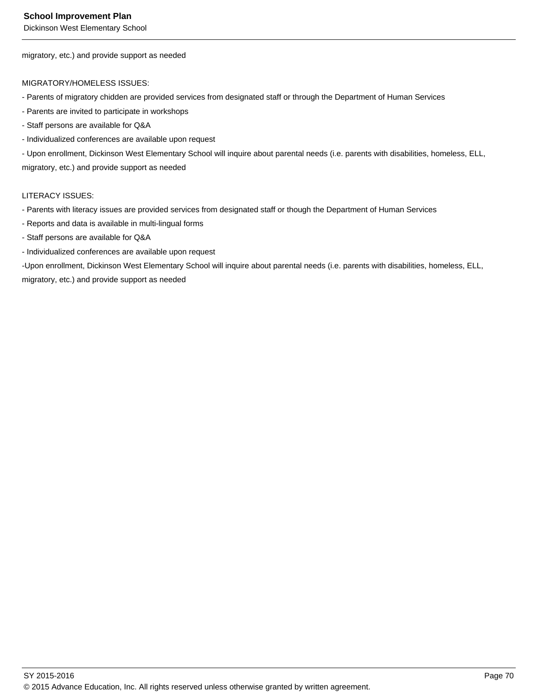Dickinson West Elementary School

migratory, etc.) and provide support as needed

#### MIGRATORY/HOMELESS ISSUES:

- Parents of migratory chidden are provided services from designated staff or through the Department of Human Services
- Parents are invited to participate in workshops
- Staff persons are available for Q&A
- Individualized conferences are available upon request

- Upon enrollment, Dickinson West Elementary School will inquire about parental needs (i.e. parents with disabilities, homeless, ELL, migratory, etc.) and provide support as needed

#### LITERACY ISSUES:

- Parents with literacy issues are provided services from designated staff or though the Department of Human Services
- Reports and data is available in multi-lingual forms
- Staff persons are available for Q&A
- Individualized conferences are available upon request

-Upon enrollment, Dickinson West Elementary School will inquire about parental needs (i.e. parents with disabilities, homeless, ELL, migratory, etc.) and provide support as needed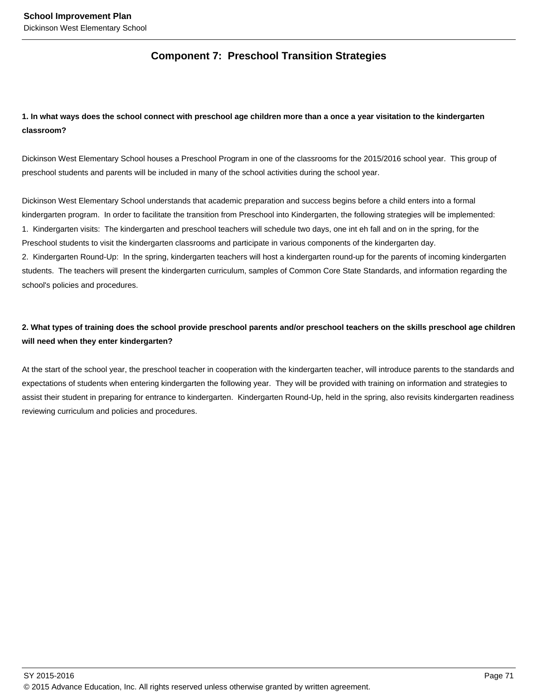# **Component 7: Preschool Transition Strategies**

# **1. In what ways does the school connect with preschool age children more than a once a year visitation to the kindergarten classroom?**

Dickinson West Elementary School houses a Preschool Program in one of the classrooms for the 2015/2016 school year. This group of preschool students and parents will be included in many of the school activities during the school year.

Dickinson West Elementary School understands that academic preparation and success begins before a child enters into a formal kindergarten program. In order to facilitate the transition from Preschool into Kindergarten, the following strategies will be implemented: 1. Kindergarten visits: The kindergarten and preschool teachers will schedule two days, one int eh fall and on in the spring, for the Preschool students to visit the kindergarten classrooms and participate in various components of the kindergarten day.

2. Kindergarten Round-Up: In the spring, kindergarten teachers will host a kindergarten round-up for the parents of incoming kindergarten students. The teachers will present the kindergarten curriculum, samples of Common Core State Standards, and information regarding the school's policies and procedures.

# **2. What types of training does the school provide preschool parents and/or preschool teachers on the skills preschool age children will need when they enter kindergarten?**

At the start of the school year, the preschool teacher in cooperation with the kindergarten teacher, will introduce parents to the standards and expectations of students when entering kindergarten the following year. They will be provided with training on information and strategies to assist their student in preparing for entrance to kindergarten. Kindergarten Round-Up, held in the spring, also revisits kindergarten readiness reviewing curriculum and policies and procedures.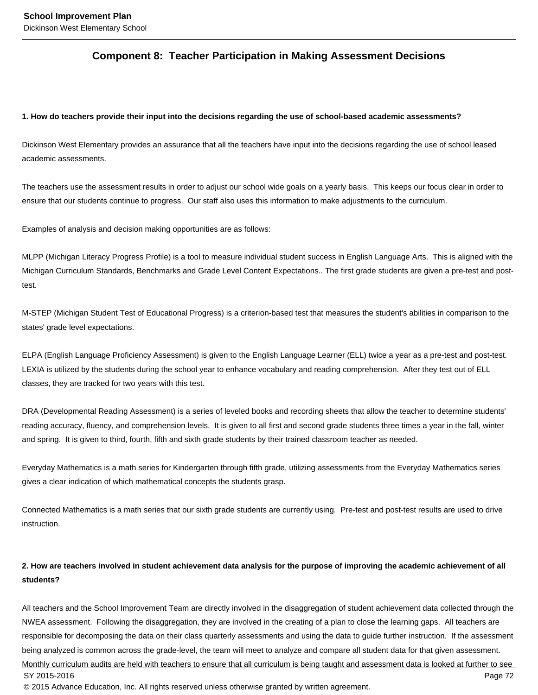# **Component 8: Teacher Participation in Making Assessment Decisions**

#### **1. How do teachers provide their input into the decisions regarding the use of school-based academic assessments?**

Dickinson West Elementary provides an assurance that all the teachers have input into the decisions regarding the use of school leased academic assessments.

The teachers use the assessment results in order to adjust our school wide goals on a yearly basis. This keeps our focus clear in order to ensure that our students continue to progress. Our staff also uses this information to make adjustments to the curriculum.

Examples of analysis and decision making opportunities are as follows:

MLPP (Michigan Literacy Progress Profile) is a tool to measure individual student success in English Language Arts. This is aligned with the Michigan Curriculum Standards, Benchmarks and Grade Level Content Expectations.. The first grade students are given a pre-test and posttest.

M-STEP (Michigan Student Test of Educational Progress) is a criterion-based test that measures the student's abilities in comparison to the states' grade level expectations.

ELPA (English Language Proficiency Assessment) is given to the English Language Learner (ELL) twice a year as a pre-test and post-test. LEXIA is utilized by the students during the school year to enhance vocabulary and reading comprehension. After they test out of ELL classes, they are tracked for two years with this test.

DRA (Developmental Reading Assessment) is a series of leveled books and recording sheets that allow the teacher to determine students' reading accuracy, fluency, and comprehension levels. It is given to all first and second grade students three times a year in the fall, winter and spring. It is given to third, fourth, fifth and sixth grade students by their trained classroom teacher as needed.

Everyday Mathematics is a math series for Kindergarten through fifth grade, utilizing assessments from the Everyday Mathematics series gives a clear indication of which mathematical concepts the students grasp.

Connected Mathematics is a math series that our sixth grade students are currently using. Pre-test and post-test results are used to drive instruction.

# **2. How are teachers involved in student achievement data analysis for the purpose of improving the academic achievement of all students?**

All teachers and the School Improvement Team are directly involved in the disaggregation of student achievement data collected through the NWEA assessment. Following the disaggregation, they are involved in the creating of a plan to close the learning gaps. All teachers are responsible for decomposing the data on their class quarterly assessments and using the data to guide further instruction. If the assessment being analyzed is common across the grade-level, the team will meet to analyze and compare all student data for that given assessment. Monthly curriculum audits are held with teachers to ensure that all curriculum is being taught and assessment data is looked at further to see SY 2015-2016 Page 72 © 2015 Advance Education, Inc. All rights reserved unless otherwise granted by written agreement.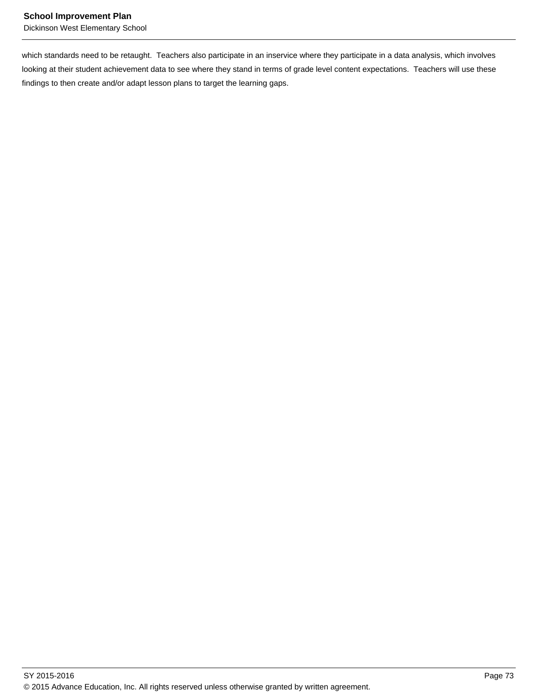which standards need to be retaught. Teachers also participate in an inservice where they participate in a data analysis, which involves looking at their student achievement data to see where they stand in terms of grade level content expectations. Teachers will use these findings to then create and/or adapt lesson plans to target the learning gaps.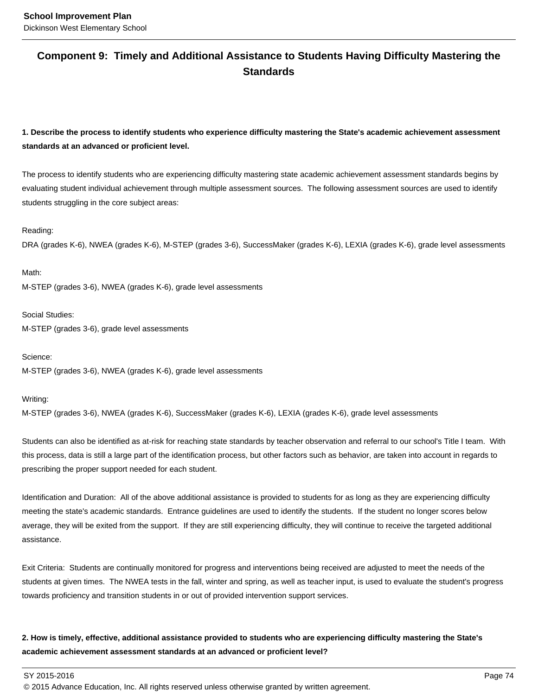# **Component 9: Timely and Additional Assistance to Students Having Difficulty Mastering the Standards**

**1. Describe the process to identify students who experience difficulty mastering the State's academic achievement assessment standards at an advanced or proficient level.**

The process to identify students who are experiencing difficulty mastering state academic achievement assessment standards begins by evaluating student individual achievement through multiple assessment sources. The following assessment sources are used to identify students struggling in the core subject areas:

#### Reading:

DRA (grades K-6), NWEA (grades K-6), M-STEP (grades 3-6), SuccessMaker (grades K-6), LEXIA (grades K-6), grade level assessments

Math: M-STEP (grades 3-6), NWEA (grades K-6), grade level assessments

Social Studies: M-STEP (grades 3-6), grade level assessments

Science: M-STEP (grades 3-6), NWEA (grades K-6), grade level assessments

Writing:

M-STEP (grades 3-6), NWEA (grades K-6), SuccessMaker (grades K-6), LEXIA (grades K-6), grade level assessments

Students can also be identified as at-risk for reaching state standards by teacher observation and referral to our school's Title I team. With this process, data is still a large part of the identification process, but other factors such as behavior, are taken into account in regards to prescribing the proper support needed for each student.

Identification and Duration: All of the above additional assistance is provided to students for as long as they are experiencing difficulty meeting the state's academic standards. Entrance guidelines are used to identify the students. If the student no longer scores below average, they will be exited from the support. If they are still experiencing difficulty, they will continue to receive the targeted additional assistance.

Exit Criteria: Students are continually monitored for progress and interventions being received are adjusted to meet the needs of the students at given times. The NWEA tests in the fall, winter and spring, as well as teacher input, is used to evaluate the student's progress towards proficiency and transition students in or out of provided intervention support services.

# **2. How is timely, effective, additional assistance provided to students who are experiencing difficulty mastering the State's academic achievement assessment standards at an advanced or proficient level?**

SY 2015-2016 Page 74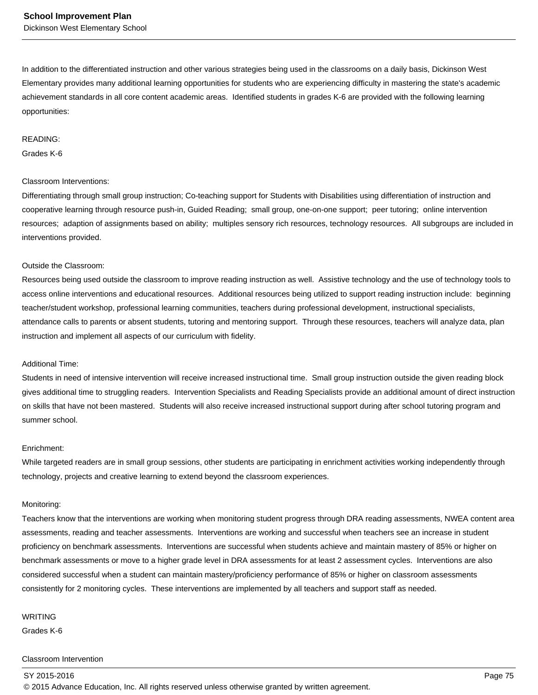In addition to the differentiated instruction and other various strategies being used in the classrooms on a daily basis, Dickinson West Elementary provides many additional learning opportunities for students who are experiencing difficulty in mastering the state's academic achievement standards in all core content academic areas. Identified students in grades K-6 are provided with the following learning opportunities:

#### READING:

#### Grades K-6

#### Classroom Interventions:

Differentiating through small group instruction; Co-teaching support for Students with Disabilities using differentiation of instruction and cooperative learning through resource push-in, Guided Reading; small group, one-on-one support; peer tutoring; online intervention resources; adaption of assignments based on ability; multiples sensory rich resources, technology resources. All subgroups are included in interventions provided.

#### Outside the Classroom:

Resources being used outside the classroom to improve reading instruction as well. Assistive technology and the use of technology tools to access online interventions and educational resources. Additional resources being utilized to support reading instruction include: beginning teacher/student workshop, professional learning communities, teachers during professional development, instructional specialists, attendance calls to parents or absent students, tutoring and mentoring support. Through these resources, teachers will analyze data, plan instruction and implement all aspects of our curriculum with fidelity.

#### Additional Time:

Students in need of intensive intervention will receive increased instructional time. Small group instruction outside the given reading block gives additional time to struggling readers. Intervention Specialists and Reading Specialists provide an additional amount of direct instruction on skills that have not been mastered. Students will also receive increased instructional support during after school tutoring program and summer school.

#### Enrichment:

While targeted readers are in small group sessions, other students are participating in enrichment activities working independently through technology, projects and creative learning to extend beyond the classroom experiences.

#### Monitoring:

Teachers know that the interventions are working when monitoring student progress through DRA reading assessments, NWEA content area assessments, reading and teacher assessments. Interventions are working and successful when teachers see an increase in student proficiency on benchmark assessments. Interventions are successful when students achieve and maintain mastery of 85% or higher on benchmark assessments or move to a higher grade level in DRA assessments for at least 2 assessment cycles. Interventions are also considered successful when a student can maintain mastery/proficiency performance of 85% or higher on classroom assessments consistently for 2 monitoring cycles. These interventions are implemented by all teachers and support staff as needed.

#### WRITING

Grades K-6

#### Classroom Intervention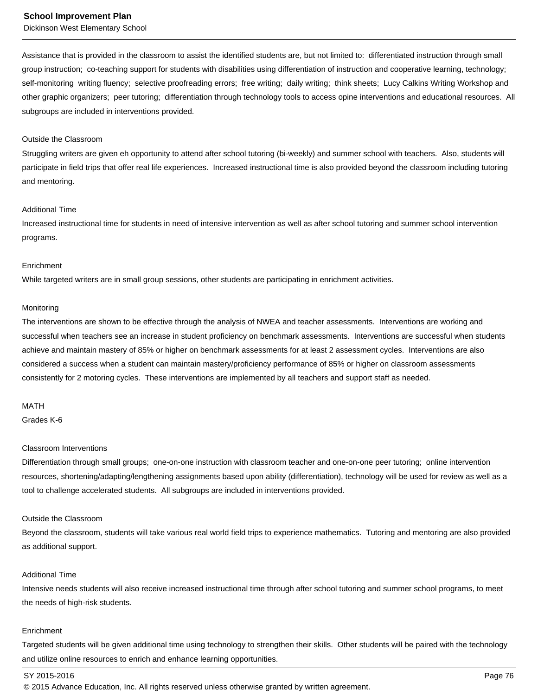Dickinson West Elementary School

Assistance that is provided in the classroom to assist the identified students are, but not limited to: differentiated instruction through small group instruction; co-teaching support for students with disabilities using differentiation of instruction and cooperative learning, technology; self-monitoring writing fluency; selective proofreading errors; free writing; daily writing; think sheets; Lucy Calkins Writing Workshop and other graphic organizers; peer tutoring; differentiation through technology tools to access opine interventions and educational resources. All subgroups are included in interventions provided.

#### Outside the Classroom

Struggling writers are given eh opportunity to attend after school tutoring (bi-weekly) and summer school with teachers. Also, students will participate in field trips that offer real life experiences. Increased instructional time is also provided beyond the classroom including tutoring and mentoring.

#### Additional Time

Increased instructional time for students in need of intensive intervention as well as after school tutoring and summer school intervention programs.

#### **Enrichment**

While targeted writers are in small group sessions, other students are participating in enrichment activities.

#### **Monitoring**

The interventions are shown to be effective through the analysis of NWEA and teacher assessments. Interventions are working and successful when teachers see an increase in student proficiency on benchmark assessments. Interventions are successful when students achieve and maintain mastery of 85% or higher on benchmark assessments for at least 2 assessment cycles. Interventions are also considered a success when a student can maintain mastery/proficiency performance of 85% or higher on classroom assessments consistently for 2 motoring cycles. These interventions are implemented by all teachers and support staff as needed.

#### MATH

Grades K-6

#### Classroom Interventions

Differentiation through small groups; one-on-one instruction with classroom teacher and one-on-one peer tutoring; online intervention resources, shortening/adapting/lengthening assignments based upon ability (differentiation), technology will be used for review as well as a tool to challenge accelerated students. All subgroups are included in interventions provided.

#### Outside the Classroom

Beyond the classroom, students will take various real world field trips to experience mathematics. Tutoring and mentoring are also provided as additional support.

#### Additional Time

Intensive needs students will also receive increased instructional time through after school tutoring and summer school programs, to meet the needs of high-risk students.

#### Enrichment

Targeted students will be given additional time using technology to strengthen their skills. Other students will be paired with the technology and utilize online resources to enrich and enhance learning opportunities.

#### SY 2015-2016 Page 76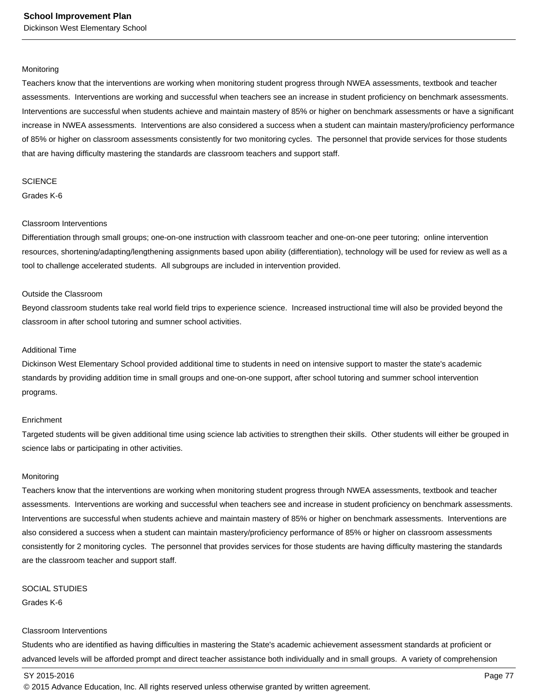#### **Monitoring**

Teachers know that the interventions are working when monitoring student progress through NWEA assessments, textbook and teacher assessments. Interventions are working and successful when teachers see an increase in student proficiency on benchmark assessments. Interventions are successful when students achieve and maintain mastery of 85% or higher on benchmark assessments or have a significant increase in NWEA assessments. Interventions are also considered a success when a student can maintain mastery/proficiency performance of 85% or higher on classroom assessments consistently for two monitoring cycles. The personnel that provide services for those students that are having difficulty mastering the standards are classroom teachers and support staff.

#### **SCIENCE**

Grades K-6

#### Classroom Interventions

Differentiation through small groups; one-on-one instruction with classroom teacher and one-on-one peer tutoring; online intervention resources, shortening/adapting/lengthening assignments based upon ability (differentiation), technology will be used for review as well as a tool to challenge accelerated students. All subgroups are included in intervention provided.

#### Outside the Classroom

Beyond classroom students take real world field trips to experience science. Increased instructional time will also be provided beyond the classroom in after school tutoring and sumner school activities.

#### Additional Time

Dickinson West Elementary School provided additional time to students in need on intensive support to master the state's academic standards by providing addition time in small groups and one-on-one support, after school tutoring and summer school intervention programs.

#### Enrichment

Targeted students will be given additional time using science lab activities to strengthen their skills. Other students will either be grouped in science labs or participating in other activities.

#### Monitoring

Teachers know that the interventions are working when monitoring student progress through NWEA assessments, textbook and teacher assessments. Interventions are working and successful when teachers see and increase in student proficiency on benchmark assessments. Interventions are successful when students achieve and maintain mastery of 85% or higher on benchmark assessments. Interventions are also considered a success when a student can maintain mastery/proficiency performance of 85% or higher on classroom assessments consistently for 2 monitoring cycles. The personnel that provides services for those students are having difficulty mastering the standards are the classroom teacher and support staff.

#### SOCIAL STUDIES

Grades K-6

#### Classroom Interventions

Students who are identified as having difficulties in mastering the State's academic achievement assessment standards at proficient or advanced levels will be afforded prompt and direct teacher assistance both individually and in small groups. A variety of comprehension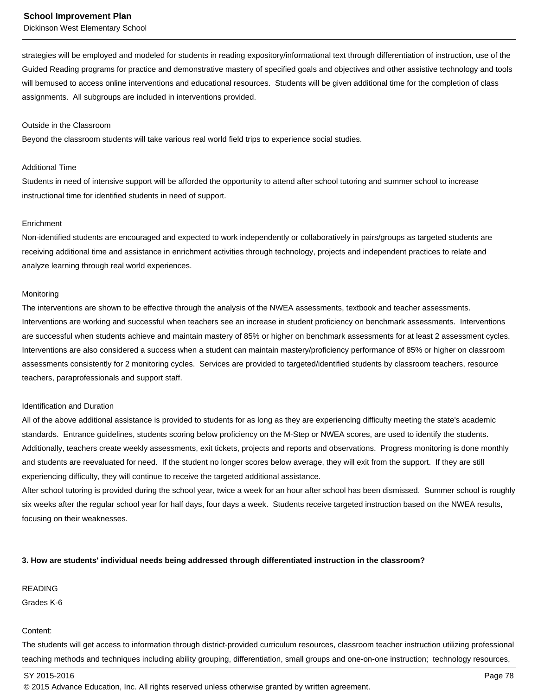Dickinson West Elementary School

strategies will be employed and modeled for students in reading expository/informational text through differentiation of instruction, use of the Guided Reading programs for practice and demonstrative mastery of specified goals and objectives and other assistive technology and tools will bemused to access online interventions and educational resources. Students will be given additional time for the completion of class assignments. All subgroups are included in interventions provided.

#### Outside in the Classroom

Beyond the classroom students will take various real world field trips to experience social studies.

#### Additional Time

Students in need of intensive support will be afforded the opportunity to attend after school tutoring and summer school to increase instructional time for identified students in need of support.

#### **Enrichment**

Non-identified students are encouraged and expected to work independently or collaboratively in pairs/groups as targeted students are receiving additional time and assistance in enrichment activities through technology, projects and independent practices to relate and analyze learning through real world experiences.

#### Monitoring

The interventions are shown to be effective through the analysis of the NWEA assessments, textbook and teacher assessments. Interventions are working and successful when teachers see an increase in student proficiency on benchmark assessments. Interventions are successful when students achieve and maintain mastery of 85% or higher on benchmark assessments for at least 2 assessment cycles. Interventions are also considered a success when a student can maintain mastery/proficiency performance of 85% or higher on classroom assessments consistently for 2 monitoring cycles. Services are provided to targeted/identified students by classroom teachers, resource teachers, paraprofessionals and support staff.

#### Identification and Duration

All of the above additional assistance is provided to students for as long as they are experiencing difficulty meeting the state's academic standards. Entrance guidelines, students scoring below proficiency on the M-Step or NWEA scores, are used to identify the students. Additionally, teachers create weekly assessments, exit tickets, projects and reports and observations. Progress monitoring is done monthly and students are reevaluated for need. If the student no longer scores below average, they will exit from the support. If they are still experiencing difficulty, they will continue to receive the targeted additional assistance.

After school tutoring is provided during the school year, twice a week for an hour after school has been dismissed. Summer school is roughly six weeks after the regular school year for half days, four days a week. Students receive targeted instruction based on the NWEA results, focusing on their weaknesses.

#### **3. How are students' individual needs being addressed through differentiated instruction in the classroom?**

READING

Grades K-6

#### Content:

The students will get access to information through district-provided curriculum resources, classroom teacher instruction utilizing professional teaching methods and techniques including ability grouping, differentiation, small groups and one-on-one instruction; technology resources,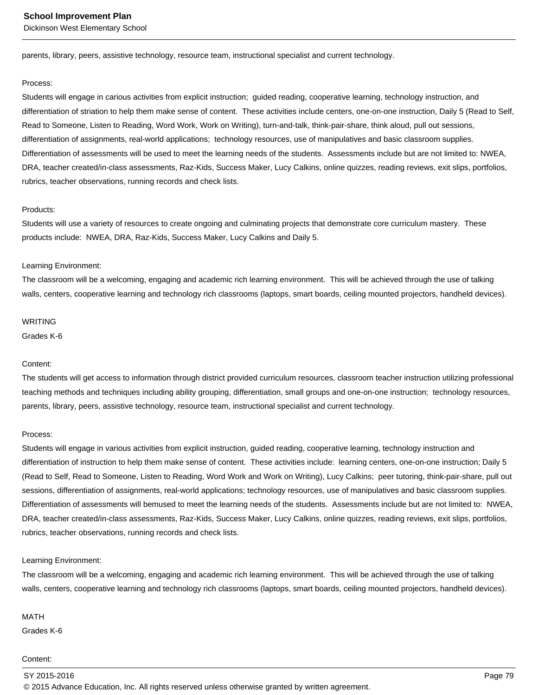parents, library, peers, assistive technology, resource team, instructional specialist and current technology.

#### Process:

Students will engage in carious activities from explicit instruction; guided reading, cooperative learning, technology instruction, and differentiation of striation to help them make sense of content. These activities include centers, one-on-one instruction, Daily 5 (Read to Self, Read to Someone, Listen to Reading, Word Work, Work on Writing), turn-and-talk, think-pair-share, think aloud, pull out sessions, differentiation of assignments, real-world applications; technology resources, use of manipulatives and basic classroom supplies. Differentiation of assessments will be used to meet the learning needs of the students. Assessments include but are not limited to: NWEA, DRA, teacher created/in-class assessments, Raz-Kids, Success Maker, Lucy Calkins, online quizzes, reading reviews, exit slips, portfolios, rubrics, teacher observations, running records and check lists.

#### Products:

Students will use a variety of resources to create ongoing and culminating projects that demonstrate core curriculum mastery. These products include: NWEA, DRA, Raz-Kids, Success Maker, Lucy Calkins and Daily 5.

#### Learning Environment:

The classroom will be a welcoming, engaging and academic rich learning environment. This will be achieved through the use of talking walls, centers, cooperative learning and technology rich classrooms (laptops, smart boards, ceiling mounted projectors, handheld devices).

#### WRITING

Grades K-6

#### Content:

The students will get access to information through district provided curriculum resources, classroom teacher instruction utilizing professional teaching methods and techniques including ability grouping, differentiation, small groups and one-on-one instruction; technology resources, parents, library, peers, assistive technology, resource team, instructional specialist and current technology.

#### Process:

Students will engage in various activities from explicit instruction, guided reading, cooperative learning, technology instruction and differentiation of instruction to help them make sense of content. These activities include: learning centers, one-on-one instruction; Daily 5 (Read to Self, Read to Someone, Listen to Reading, Word Work and Work on Writing), Lucy Calkins; peer tutoring, think-pair-share, pull out sessions, differentiation of assignments, real-world applications; technology resources, use of manipulatives and basic classroom supplies. Differentiation of assessments will bemused to meet the learning needs of the students. Assessments include but are not limited to: NWEA, DRA, teacher created/in-class assessments, Raz-Kids, Success Maker, Lucy Calkins, online quizzes, reading reviews, exit slips, portfolios, rubrics, teacher observations, running records and check lists.

#### Learning Environment:

The classroom will be a welcoming, engaging and academic rich learning environment. This will be achieved through the use of talking walls, centers, cooperative learning and technology rich classrooms (laptops, smart boards, ceiling mounted projectors, handheld devices).

#### MATH

Grades K-6

#### Content: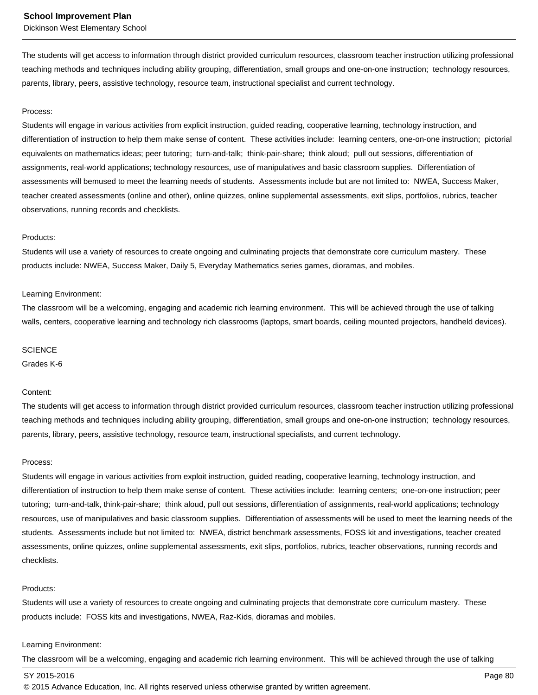Dickinson West Elementary School

The students will get access to information through district provided curriculum resources, classroom teacher instruction utilizing professional teaching methods and techniques including ability grouping, differentiation, small groups and one-on-one instruction; technology resources, parents, library, peers, assistive technology, resource team, instructional specialist and current technology.

#### Process:

Students will engage in various activities from explicit instruction, guided reading, cooperative learning, technology instruction, and differentiation of instruction to help them make sense of content. These activities include: learning centers, one-on-one instruction; pictorial equivalents on mathematics ideas; peer tutoring; turn-and-talk; think-pair-share; think aloud; pull out sessions, differentiation of assignments, real-world applications; technology resources, use of manipulatives and basic classroom supplies. Differentiation of assessments will bemused to meet the learning needs of students. Assessments include but are not limited to: NWEA, Success Maker, teacher created assessments (online and other), online quizzes, online supplemental assessments, exit slips, portfolios, rubrics, teacher observations, running records and checklists.

#### Products:

Students will use a variety of resources to create ongoing and culminating projects that demonstrate core curriculum mastery. These products include: NWEA, Success Maker, Daily 5, Everyday Mathematics series games, dioramas, and mobiles.

#### Learning Environment:

The classroom will be a welcoming, engaging and academic rich learning environment. This will be achieved through the use of talking walls, centers, cooperative learning and technology rich classrooms (laptops, smart boards, ceiling mounted projectors, handheld devices).

#### **SCIENCE**

Grades K-6

#### Content:

The students will get access to information through district provided curriculum resources, classroom teacher instruction utilizing professional teaching methods and techniques including ability grouping, differentiation, small groups and one-on-one instruction; technology resources, parents, library, peers, assistive technology, resource team, instructional specialists, and current technology.

#### Process:

Students will engage in various activities from exploit instruction, guided reading, cooperative learning, technology instruction, and differentiation of instruction to help them make sense of content. These activities include: learning centers; one-on-one instruction; peer tutoring; turn-and-talk, think-pair-share; think aloud, pull out sessions, differentiation of assignments, real-world applications; technology resources, use of manipulatives and basic classroom supplies. Differentiation of assessments will be used to meet the learning needs of the students. Assessments include but not limited to: NWEA, district benchmark assessments, FOSS kit and investigations, teacher created assessments, online quizzes, online supplemental assessments, exit slips, portfolios, rubrics, teacher observations, running records and checklists.

#### Products:

Students will use a variety of resources to create ongoing and culminating projects that demonstrate core curriculum mastery. These products include: FOSS kits and investigations, NWEA, Raz-Kids, dioramas and mobiles.

#### Learning Environment:

The classroom will be a welcoming, engaging and academic rich learning environment. This will be achieved through the use of talking

#### SY 2015-2016 Page 80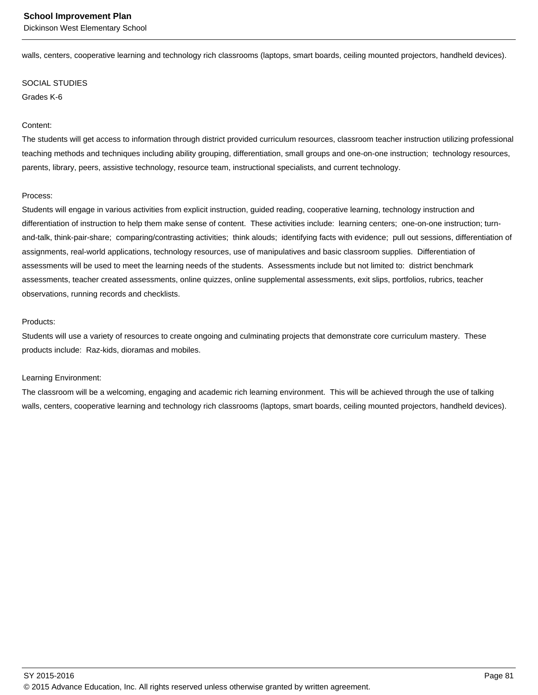walls, centers, cooperative learning and technology rich classrooms (laptops, smart boards, ceiling mounted projectors, handheld devices).

#### SOCIAL STUDIES

Grades K-6

#### Content:

The students will get access to information through district provided curriculum resources, classroom teacher instruction utilizing professional teaching methods and techniques including ability grouping, differentiation, small groups and one-on-one instruction; technology resources, parents, library, peers, assistive technology, resource team, instructional specialists, and current technology.

#### Process:

Students will engage in various activities from explicit instruction, guided reading, cooperative learning, technology instruction and differentiation of instruction to help them make sense of content. These activities include: learning centers; one-on-one instruction; turnand-talk, think-pair-share; comparing/contrasting activities; think alouds; identifying facts with evidence; pull out sessions, differentiation of assignments, real-world applications, technology resources, use of manipulatives and basic classroom supplies. Differentiation of assessments will be used to meet the learning needs of the students. Assessments include but not limited to: district benchmark assessments, teacher created assessments, online quizzes, online supplemental assessments, exit slips, portfolios, rubrics, teacher observations, running records and checklists.

#### Products:

Students will use a variety of resources to create ongoing and culminating projects that demonstrate core curriculum mastery. These products include: Raz-kids, dioramas and mobiles.

#### Learning Environment:

The classroom will be a welcoming, engaging and academic rich learning environment. This will be achieved through the use of talking walls, centers, cooperative learning and technology rich classrooms (laptops, smart boards, ceiling mounted projectors, handheld devices).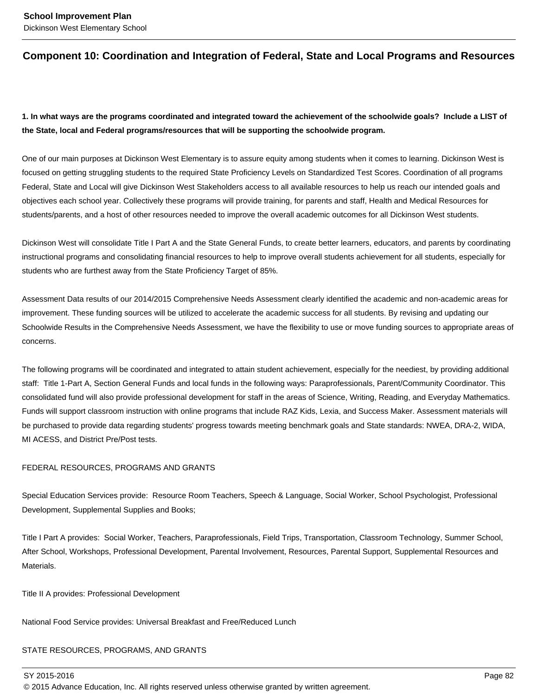# **Component 10: Coordination and Integration of Federal, State and Local Programs and Resources**

**1. In what ways are the programs coordinated and integrated toward the achievement of the schoolwide goals? Include a LIST of the State, local and Federal programs/resources that will be supporting the schoolwide program.**

One of our main purposes at Dickinson West Elementary is to assure equity among students when it comes to learning. Dickinson West is focused on getting struggling students to the required State Proficiency Levels on Standardized Test Scores. Coordination of all programs Federal, State and Local will give Dickinson West Stakeholders access to all available resources to help us reach our intended goals and objectives each school year. Collectively these programs will provide training, for parents and staff, Health and Medical Resources for students/parents, and a host of other resources needed to improve the overall academic outcomes for all Dickinson West students.

Dickinson West will consolidate Title I Part A and the State General Funds, to create better learners, educators, and parents by coordinating instructional programs and consolidating financial resources to help to improve overall students achievement for all students, especially for students who are furthest away from the State Proficiency Target of 85%.

Assessment Data results of our 2014/2015 Comprehensive Needs Assessment clearly identified the academic and non-academic areas for improvement. These funding sources will be utilized to accelerate the academic success for all students. By revising and updating our Schoolwide Results in the Comprehensive Needs Assessment, we have the flexibility to use or move funding sources to appropriate areas of concerns.

The following programs will be coordinated and integrated to attain student achievement, especially for the neediest, by providing additional staff: Title 1-Part A, Section General Funds and local funds in the following ways: Paraprofessionals, Parent/Community Coordinator. This consolidated fund will also provide professional development for staff in the areas of Science, Writing, Reading, and Everyday Mathematics. Funds will support classroom instruction with online programs that include RAZ Kids, Lexia, and Success Maker. Assessment materials will be purchased to provide data regarding students' progress towards meeting benchmark goals and State standards: NWEA, DRA-2, WIDA, MI ACESS, and District Pre/Post tests.

#### FEDERAL RESOURCES, PROGRAMS AND GRANTS

Special Education Services provide: Resource Room Teachers, Speech & Language, Social Worker, School Psychologist, Professional Development, Supplemental Supplies and Books;

Title I Part A provides: Social Worker, Teachers, Paraprofessionals, Field Trips, Transportation, Classroom Technology, Summer School, After School, Workshops, Professional Development, Parental Involvement, Resources, Parental Support, Supplemental Resources and Materials.

Title II A provides: Professional Development

National Food Service provides: Universal Breakfast and Free/Reduced Lunch

#### STATE RESOURCES, PROGRAMS, AND GRANTS

SY 2015-2016 Page 82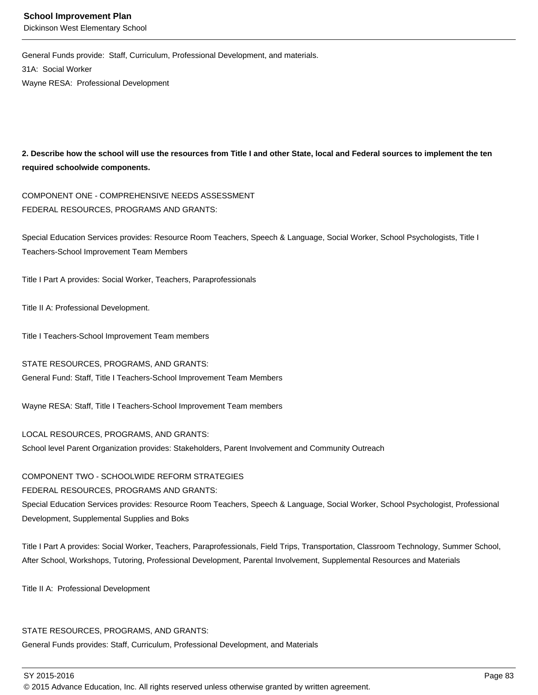General Funds provide: Staff, Curriculum, Professional Development, and materials. 31A: Social Worker Wayne RESA: Professional Development

**2. Describe how the school will use the resources from Title I and other State, local and Federal sources to implement the ten required schoolwide components.**

COMPONENT ONE - COMPREHENSIVE NEEDS ASSESSMENT FEDERAL RESOURCES, PROGRAMS AND GRANTS:

Special Education Services provides: Resource Room Teachers, Speech & Language, Social Worker, School Psychologists, Title I Teachers-School Improvement Team Members

Title I Part A provides: Social Worker, Teachers, Paraprofessionals

Title II A: Professional Development.

Title I Teachers-School Improvement Team members

STATE RESOURCES, PROGRAMS, AND GRANTS:

General Fund: Staff, Title I Teachers-School Improvement Team Members

Wayne RESA: Staff, Title I Teachers-School Improvement Team members

LOCAL RESOURCES, PROGRAMS, AND GRANTS:

School level Parent Organization provides: Stakeholders, Parent Involvement and Community Outreach

#### COMPONENT TWO - SCHOOLWIDE REFORM STRATEGIES

#### FEDERAL RESOURCES, PROGRAMS AND GRANTS:

Special Education Services provides: Resource Room Teachers, Speech & Language, Social Worker, School Psychologist, Professional Development, Supplemental Supplies and Boks

Title I Part A provides: Social Worker, Teachers, Paraprofessionals, Field Trips, Transportation, Classroom Technology, Summer School, After School, Workshops, Tutoring, Professional Development, Parental Involvement, Supplemental Resources and Materials

Title II A: Professional Development

#### STATE RESOURCES, PROGRAMS, AND GRANTS:

General Funds provides: Staff, Curriculum, Professional Development, and Materials

SY 2015-2016 Page 83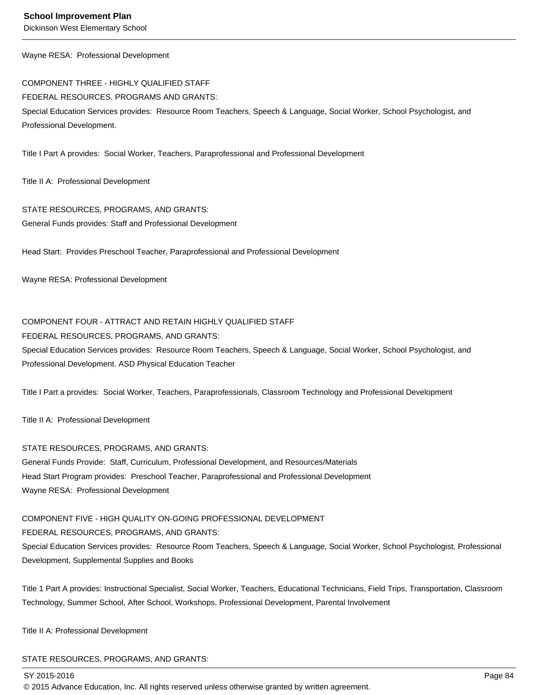Wayne RESA: Professional Development

COMPONENT THREE - HIGHLY QUALIFIED STAFF FEDERAL RESOURCES, PROGRAMS AND GRANTS: Special Education Services provides: Resource Room Teachers, Speech & Language, Social Worker, School Psychologist, and Professional Development.

Title I Part A provides: Social Worker, Teachers, Paraprofessional and Professional Development

Title II A: Professional Development

STATE RESOURCES, PROGRAMS, AND GRANTS: General Funds provides: Staff and Professional Development

Head Start: Provides Preschool Teacher, Paraprofessional and Professional Development

Wayne RESA: Professional Development

#### COMPONENT FOUR - ATTRACT AND RETAIN HIGHLY QUALIFIED STAFF

FEDERAL RESOURCES, PROGRAMS, AND GRANTS:

Special Education Services provides: Resource Room Teachers, Speech & Language, Social Worker, School Psychologist, and Professional Development. ASD Physical Education Teacher

Title I Part a provides: Social Worker, Teachers, Paraprofessionals, Classroom Technology and Professional Development

Title II A: Professional Development

#### STATE RESOURCES, PROGRAMS, AND GRANTS:

General Funds Provide: Staff, Curriculum, Professional Development, and Resources/Materials Head Start Program provides: Preschool Teacher, Paraprofessional and Professional Development Wayne RESA: Professional Development

COMPONENT FIVE - HIGH QUALITY ON-GOING PROFESSIONAL DEVELOPMENT FEDERAL RESOURCES, PROGRAMS, AND GRANTS:

Special Education Services provides: Resource Room Teachers, Speech & Language, Social Worker, School Psychologist, Professional Development, Supplemental Supplies and Books

Title 1 Part A provides: Instructional Specialist, Social Worker, Teachers, Educational Technicians, Field Trips, Transportation, Classroom Technology, Summer School, After School, Workshops, Professional Development, Parental Involvement

Title II A: Professional Development

#### STATE RESOURCES, PROGRAMS, AND GRANTS:

SY 2015-2016 Page 84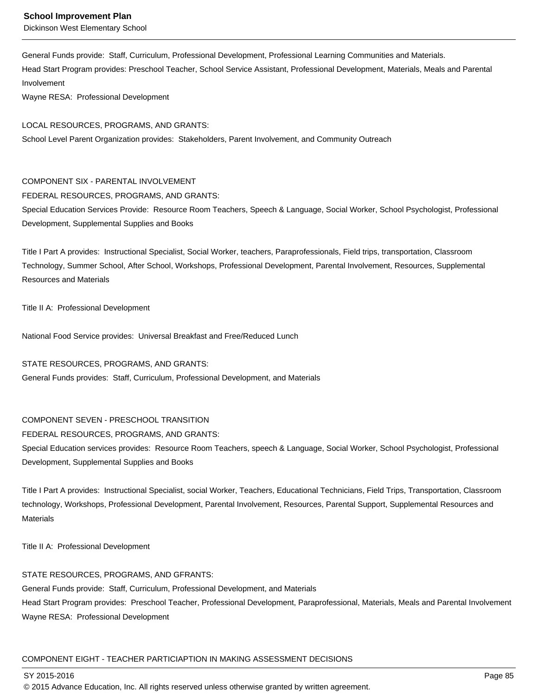General Funds provide: Staff, Curriculum, Professional Development, Professional Learning Communities and Materials. Head Start Program provides: Preschool Teacher, School Service Assistant, Professional Development, Materials, Meals and Parental Involvement

Wayne RESA: Professional Development

#### LOCAL RESOURCES, PROGRAMS, AND GRANTS:

School Level Parent Organization provides: Stakeholders, Parent Involvement, and Community Outreach

#### COMPONENT SIX - PARENTAL INVOLVEMENT

FEDERAL RESOURCES, PROGRAMS, AND GRANTS:

Special Education Services Provide: Resource Room Teachers, Speech & Language, Social Worker, School Psychologist, Professional Development, Supplemental Supplies and Books

Title I Part A provides: Instructional Specialist, Social Worker, teachers, Paraprofessionals, Field trips, transportation, Classroom Technology, Summer School, After School, Workshops, Professional Development, Parental Involvement, Resources, Supplemental Resources and Materials

Title II A: Professional Development

National Food Service provides: Universal Breakfast and Free/Reduced Lunch

#### STATE RESOURCES, PROGRAMS, AND GRANTS:

General Funds provides: Staff, Curriculum, Professional Development, and Materials

#### COMPONENT SEVEN - PRESCHOOL TRANSITION

#### FEDERAL RESOURCES, PROGRAMS, AND GRANTS:

Special Education services provides: Resource Room Teachers, speech & Language, Social Worker, School Psychologist, Professional Development, Supplemental Supplies and Books

Title I Part A provides: Instructional Specialist, social Worker, Teachers, Educational Technicians, Field Trips, Transportation, Classroom technology, Workshops, Professional Development, Parental Involvement, Resources, Parental Support, Supplemental Resources and **Materials** 

Title II A: Professional Development

#### STATE RESOURCES, PROGRAMS, AND GFRANTS:

General Funds provide: Staff, Curriculum, Professional Development, and Materials Head Start Program provides: Preschool Teacher, Professional Development, Paraprofessional, Materials, Meals and Parental Involvement Wayne RESA: Professional Development

#### COMPONENT EIGHT - TEACHER PARTICIAPTION IN MAKING ASSESSMENT DECISIONS

SY 2015-2016 Page 85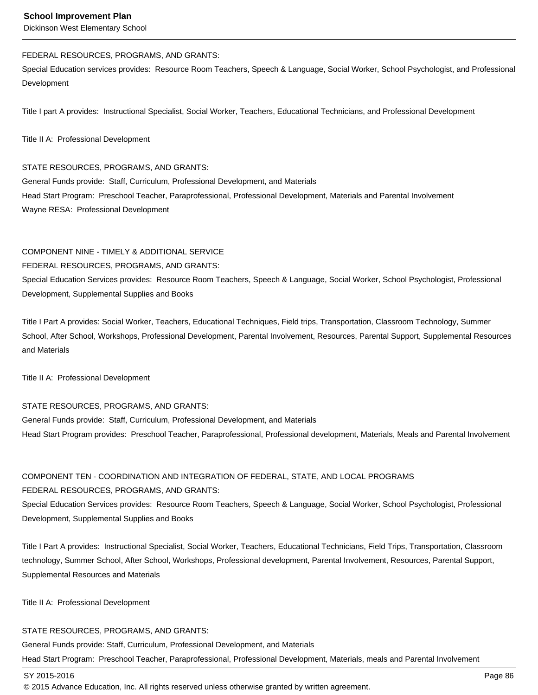Dickinson West Elementary School

#### FEDERAL RESOURCES, PROGRAMS, AND GRANTS:

Special Education services provides: Resource Room Teachers, Speech & Language, Social Worker, School Psychologist, and Professional Development

Title I part A provides: Instructional Specialist, Social Worker, Teachers, Educational Technicians, and Professional Development

Title II A: Professional Development

#### STATE RESOURCES, PROGRAMS, AND GRANTS:

General Funds provide: Staff, Curriculum, Professional Development, and Materials Head Start Program: Preschool Teacher, Paraprofessional, Professional Development, Materials and Parental Involvement Wayne RESA: Professional Development

#### COMPONENT NINE - TIMELY & ADDITIONAL SERVICE

#### FEDERAL RESOURCES, PROGRAMS, AND GRANTS:

Special Education Services provides: Resource Room Teachers, Speech & Language, Social Worker, School Psychologist, Professional Development, Supplemental Supplies and Books

Title I Part A provides: Social Worker, Teachers, Educational Techniques, Field trips, Transportation, Classroom Technology, Summer School, After School, Workshops, Professional Development, Parental Involvement, Resources, Parental Support, Supplemental Resources and Materials

Title II A: Professional Development

#### STATE RESOURCES, PROGRAMS, AND GRANTS:

General Funds provide: Staff, Curriculum, Professional Development, and Materials Head Start Program provides: Preschool Teacher, Paraprofessional, Professional development, Materials, Meals and Parental Involvement

### COMPONENT TEN - COORDINATION AND INTEGRATION OF FEDERAL, STATE, AND LOCAL PROGRAMS FEDERAL RESOURCES, PROGRAMS, AND GRANTS:

Special Education Services provides: Resource Room Teachers, Speech & Language, Social Worker, School Psychologist, Professional Development, Supplemental Supplies and Books

Title I Part A provides: Instructional Specialist, Social Worker, Teachers, Educational Technicians, Field Trips, Transportation, Classroom technology, Summer School, After School, Workshops, Professional development, Parental Involvement, Resources, Parental Support, Supplemental Resources and Materials

Title II A: Professional Development

#### STATE RESOURCES, PROGRAMS, AND GRANTS:

General Funds provide: Staff, Curriculum, Professional Development, and Materials Head Start Program: Preschool Teacher, Paraprofessional, Professional Development, Materials, meals and Parental Involvement

SY 2015-2016 Page 86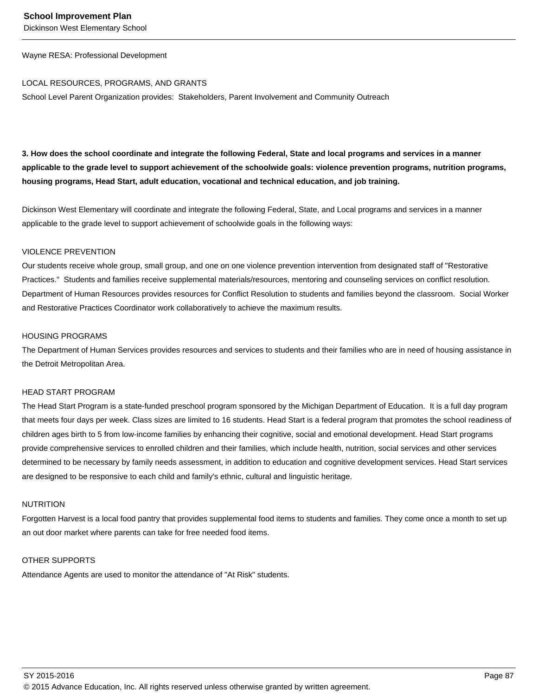Wayne RESA: Professional Development

#### LOCAL RESOURCES, PROGRAMS, AND GRANTS

School Level Parent Organization provides: Stakeholders, Parent Involvement and Community Outreach

**3. How does the school coordinate and integrate the following Federal, State and local programs and services in a manner applicable to the grade level to support achievement of the schoolwide goals: violence prevention programs, nutrition programs, housing programs, Head Start, adult education, vocational and technical education, and job training.** 

Dickinson West Elementary will coordinate and integrate the following Federal, State, and Local programs and services in a manner applicable to the grade level to support achievement of schoolwide goals in the following ways:

#### VIOLENCE PREVENTION

Our students receive whole group, small group, and one on one violence prevention intervention from designated staff of "Restorative Practices." Students and families receive supplemental materials/resources, mentoring and counseling services on conflict resolution. Department of Human Resources provides resources for Conflict Resolution to students and families beyond the classroom. Social Worker and Restorative Practices Coordinator work collaboratively to achieve the maximum results.

#### HOUSING PROGRAMS

The Department of Human Services provides resources and services to students and their families who are in need of housing assistance in the Detroit Metropolitan Area.

#### HEAD START PROGRAM

The Head Start Program is a state-funded preschool program sponsored by the Michigan Department of Education. It is a full day program that meets four days per week. Class sizes are limited to 16 students. Head Start is a federal program that promotes the school readiness of children ages birth to 5 from low-income families by enhancing their cognitive, social and emotional development. Head Start programs provide comprehensive services to enrolled children and their families, which include health, nutrition, social services and other services determined to be necessary by family needs assessment, in addition to education and cognitive development services. Head Start services are designed to be responsive to each child and family's ethnic, cultural and linguistic heritage.

#### NUTRITION

Forgotten Harvest is a local food pantry that provides supplemental food items to students and families. They come once a month to set up an out door market where parents can take for free needed food items.

#### OTHER SUPPORTS

Attendance Agents are used to monitor the attendance of "At Risk" students.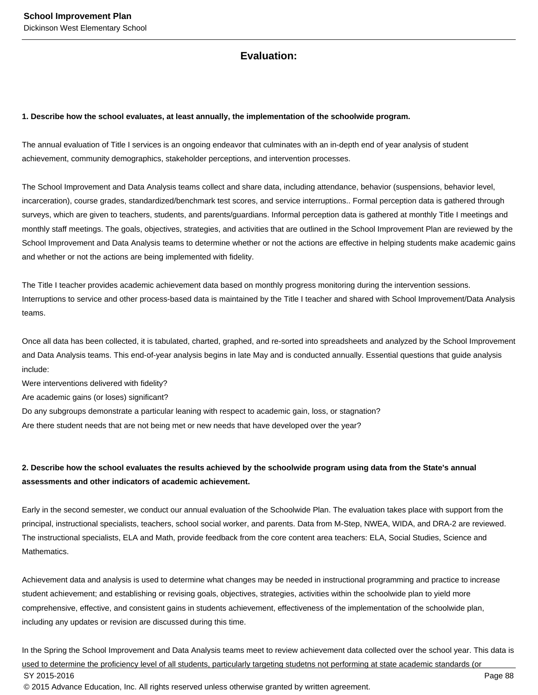# **Evaluation:**

#### **1. Describe how the school evaluates, at least annually, the implementation of the schoolwide program.**

The annual evaluation of Title I services is an ongoing endeavor that culminates with an in-depth end of year analysis of student achievement, community demographics, stakeholder perceptions, and intervention processes.

The School Improvement and Data Analysis teams collect and share data, including attendance, behavior (suspensions, behavior level, incarceration), course grades, standardized/benchmark test scores, and service interruptions.. Formal perception data is gathered through surveys, which are given to teachers, students, and parents/guardians. Informal perception data is gathered at monthly Title I meetings and monthly staff meetings. The goals, objectives, strategies, and activities that are outlined in the School Improvement Plan are reviewed by the School Improvement and Data Analysis teams to determine whether or not the actions are effective in helping students make academic gains and whether or not the actions are being implemented with fidelity.

The Title I teacher provides academic achievement data based on monthly progress monitoring during the intervention sessions. Interruptions to service and other process-based data is maintained by the Title I teacher and shared with School Improvement/Data Analysis teams.

Once all data has been collected, it is tabulated, charted, graphed, and re-sorted into spreadsheets and analyzed by the School Improvement and Data Analysis teams. This end-of-year analysis begins in late May and is conducted annually. Essential questions that guide analysis include:

Were interventions delivered with fidelity?

Are academic gains (or loses) significant?

Do any subgroups demonstrate a particular leaning with respect to academic gain, loss, or stagnation?

Are there student needs that are not being met or new needs that have developed over the year?

# **2. Describe how the school evaluates the results achieved by the schoolwide program using data from the State's annual assessments and other indicators of academic achievement.**

Early in the second semester, we conduct our annual evaluation of the Schoolwide Plan. The evaluation takes place with support from the principal, instructional specialists, teachers, school social worker, and parents. Data from M-Step, NWEA, WIDA, and DRA-2 are reviewed. The instructional specialists, ELA and Math, provide feedback from the core content area teachers: ELA, Social Studies, Science and Mathematics.

Achievement data and analysis is used to determine what changes may be needed in instructional programming and practice to increase student achievement; and establishing or revising goals, objectives, strategies, activities within the schoolwide plan to yield more comprehensive, effective, and consistent gains in students achievement, effectiveness of the implementation of the schoolwide plan, including any updates or revision are discussed during this time.

In the Spring the School Improvement and Data Analysis teams meet to review achievement data collected over the school year. This data is used to determine the proficiency level of all students, particularly targeting studetns not performing at state academic standards (or SY 2015-2016 Page 88 © 2015 Advance Education, Inc. All rights reserved unless otherwise granted by written agreement.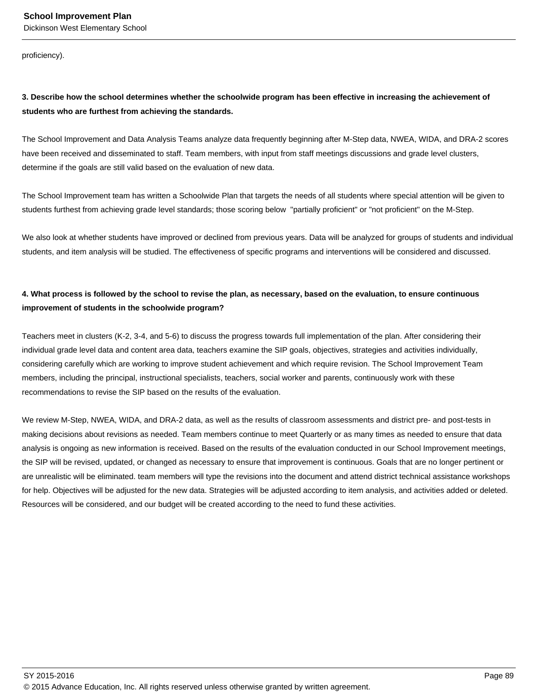proficiency).

# **3. Describe how the school determines whether the schoolwide program has been effective in increasing the achievement of students who are furthest from achieving the standards.**

The School Improvement and Data Analysis Teams analyze data frequently beginning after M-Step data, NWEA, WIDA, and DRA-2 scores have been received and disseminated to staff. Team members, with input from staff meetings discussions and grade level clusters, determine if the goals are still valid based on the evaluation of new data.

The School Improvement team has written a Schoolwide Plan that targets the needs of all students where special attention will be given to students furthest from achieving grade level standards; those scoring below "partially proficient" or "not proficient" on the M-Step.

We also look at whether students have improved or declined from previous years. Data will be analyzed for groups of students and individual students, and item analysis will be studied. The effectiveness of specific programs and interventions will be considered and discussed.

# **4. What process is followed by the school to revise the plan, as necessary, based on the evaluation, to ensure continuous improvement of students in the schoolwide program?**

Teachers meet in clusters (K-2, 3-4, and 5-6) to discuss the progress towards full implementation of the plan. After considering their individual grade level data and content area data, teachers examine the SIP goals, objectives, strategies and activities individually, considering carefully which are working to improve student achievement and which require revision. The School Improvement Team members, including the principal, instructional specialists, teachers, social worker and parents, continuously work with these recommendations to revise the SIP based on the results of the evaluation.

We review M-Step, NWEA, WIDA, and DRA-2 data, as well as the results of classroom assessments and district pre- and post-tests in making decisions about revisions as needed. Team members continue to meet Quarterly or as many times as needed to ensure that data analysis is ongoing as new information is received. Based on the results of the evaluation conducted in our School Improvement meetings, the SIP will be revised, updated, or changed as necessary to ensure that improvement is continuous. Goals that are no longer pertinent or are unrealistic will be eliminated. team members will type the revisions into the document and attend district technical assistance workshops for help. Objectives will be adjusted for the new data. Strategies will be adjusted according to item analysis, and activities added or deleted. Resources will be considered, and our budget will be created according to the need to fund these activities.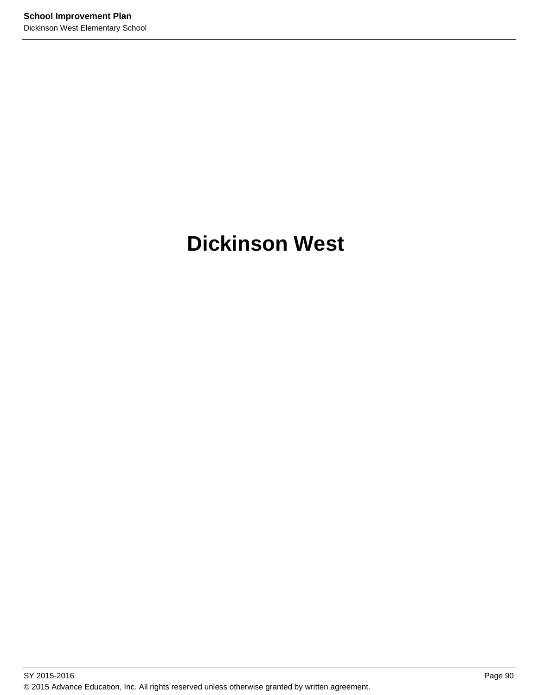# **Dickinson West**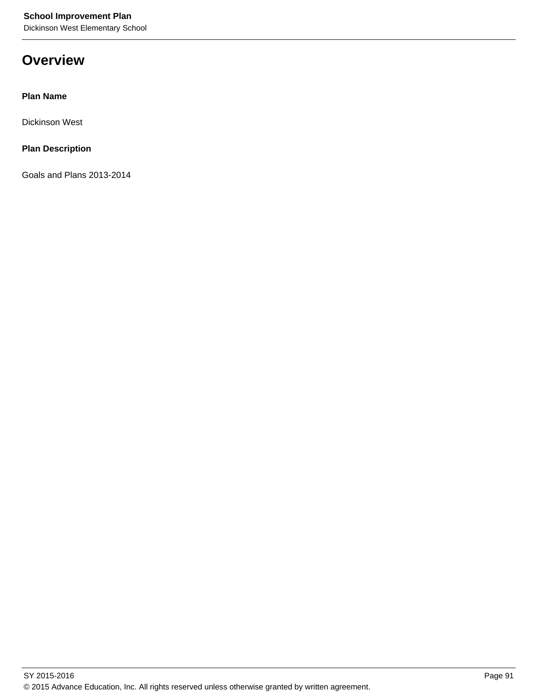# **Overview**

## **Plan Name**

Dickinson West

# **Plan Description**

Goals and Plans 2013-2014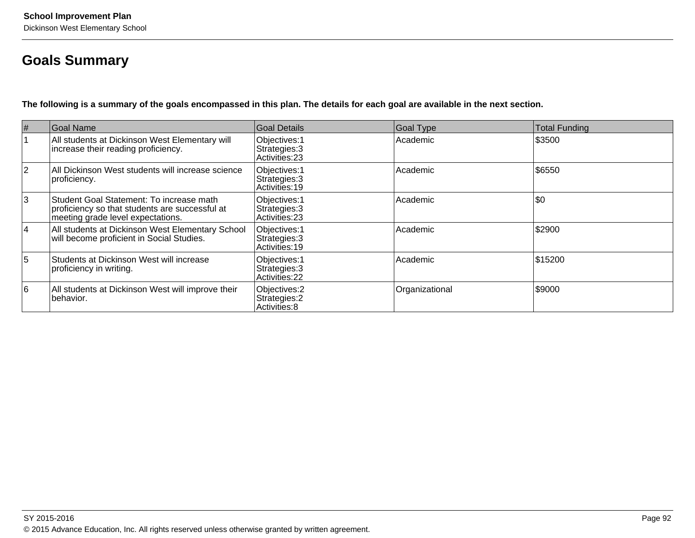# **Goals Summary**

**The following is a summary of the goals encompassed in this plan. The details for each goal are available in the next section.**

| #              | Goal Name                                                                                                                       | Goal Details                                     | <b>Goal Type</b> | Total Funding |
|----------------|---------------------------------------------------------------------------------------------------------------------------------|--------------------------------------------------|------------------|---------------|
|                | All students at Dickinson West Elementary will<br>increase their reading proficiency.                                           | Objectives: 1<br>Strategies: 3<br>Activities: 23 | Academic         | \$3500        |
| $\overline{2}$ | All Dickinson West students will increase science<br>proficiency.                                                               | Objectives: 1<br>Strategies: 3<br>Activities: 19 | Academic         | \$6550        |
| Ι3             | Student Goal Statement: To increase math<br>proficiency so that students are successful at<br>meeting grade level expectations. | Objectives: 1<br>Strategies: 3<br>Activities: 23 | Academic         | \$0           |
| 14             | All students at Dickinson West Elementary School<br>will become proficient in Social Studies.                                   | Objectives: 1<br>Strategies: 3<br>Activities: 19 | Academic         | \$2900        |
| 5              | Students at Dickinson West will increase<br>proficiency in writing.                                                             | Objectives: 1<br>Strategies: 3<br>Activities: 22 | Academic         | \$15200       |
| 6              | All students at Dickinson West will improve their<br>behavior.                                                                  | Objectives: 2<br>Strategies: 2<br>Activities: 8  | Organizational   | \$9000        |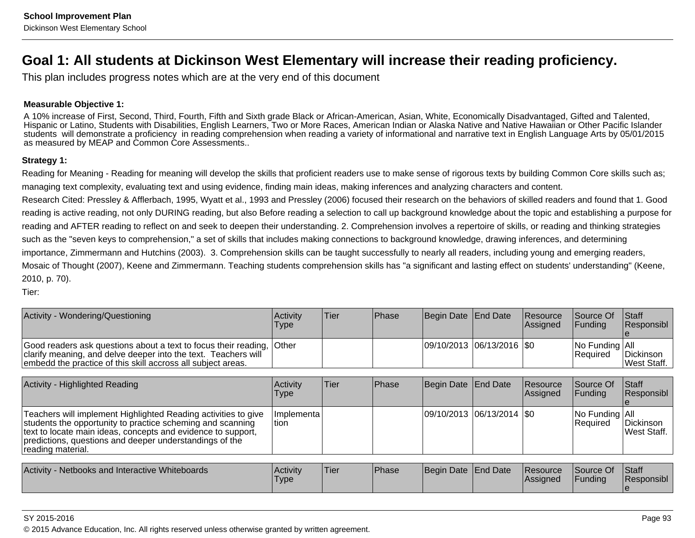# **Goal 1: All students at Dickinson West Elementary will increase their reading proficiency.**

This plan includes progress notes which are at the very end of this document

### **Measurable Objective 1:**

A 10% increase of First, Second, Third, Fourth, Fifth and Sixth grade Black or African-American, Asian, White, Economically Disadvantaged, Gifted and Talented, Hispanic or Latino, Students with Disabilities, English Learners, Two or More Races, American Indian or Alaska Native and Native Hawaiian or Other Pacific Islander students will demonstrate a proficiency in reading comprehension when reading a variety of informational and narrative text in English Language Arts by 05/01/2015as measured by MEAP and Common Core Assessments..

#### **Strategy 1:**

Reading for Meaning - Reading for meaning will develop the skills that proficient readers use to make sense of rigorous texts by building Common Core skills such as;managing text complexity, evaluating text and using evidence, finding main ideas, making inferences and analyzing characters and content.

Research Cited: Pressley & Afflerbach, 1995, Wyatt et al., 1993 and Pressley (2006) focused their research on the behaviors of skilled readers and found that 1. Goodreading is active reading, not only DURING reading, but also Before reading a selection to call up background knowledge about the topic and establishing a purpose forreading and AFTER reading to reflect on and seek to deepen their understanding. 2. Comprehension involves a repertoire of skills, or reading and thinking strategiessuch as the "seven keys to comprehension," a set of skills that includes making connections to background knowledge, drawing inferences, and determiningimportance, Zimmermann and Hutchins (2003). 3. Comprehension skills can be taught successfully to nearly all readers, including young and emerging readers,Mosaic of Thought (2007), Keene and Zimmermann. Teaching students comprehension skills has "a significant and lasting effect on students' understanding" (Keene,2010, p. 70).

Tier:

| Activity - Wondering/Questioning                                                                                                                                                                                                                                             | Activity<br>Type        | Tier | Phase | Begin Date End Date         |                 | <b>Resource</b><br>Assigned | Source Of<br>Funding       | Staff<br>Responsibl        |
|------------------------------------------------------------------------------------------------------------------------------------------------------------------------------------------------------------------------------------------------------------------------------|-------------------------|------|-------|-----------------------------|-----------------|-----------------------------|----------------------------|----------------------------|
| Good readers ask questions about a text to focus their reading,<br>clarify meaning, and delve deeper into the text. Teachers will<br>embedd the practice of this skill accross all subject areas.                                                                            | <b>Other</b>            |      |       | 09/10/2013  06/13/2016  \$0 |                 |                             | No Funding All<br>Required | Dickinson<br>West Staff.   |
| Activity - Highlighted Reading                                                                                                                                                                                                                                               | Activity<br><b>Type</b> | Tier | Phase | Begin Date End Date         |                 | <b>Resource</b><br>Assigned | Source Of<br>Funding       | Staff<br>Responsibl        |
| Teachers will implement Highlighted Reading activities to give<br>students the opportunity to practice scheming and scanning<br>text to locate main ideas, concepts and evidence to support,<br>predictions, questions and deeper understandings of the<br>reading material. | Implementa<br>tion      |      |       | 09/10/2013  06/13/2014  \$0 |                 |                             | No Funding All<br>Required | Dickinson<br>West Staff.   |
| Activity - Netbooks and Interactive Whiteboards                                                                                                                                                                                                                              | Activity<br><b>Type</b> | Tier | Phase | Begin Date                  | <b>End Date</b> | Resource<br> Assigned       | Source Of<br>Funding       | Staff<br>Responsibl<br>Ie. |

#### SY 2015-2016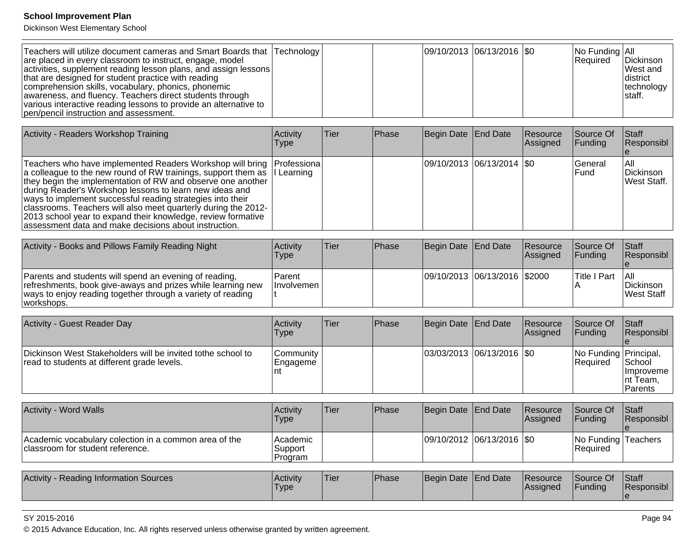Dickinson West Elementary School

| Teachers will utilize document cameras and Smart Boards that Technology<br>are placed in every classroom to instruct, engage, model<br> activities, supplement reading lesson plans, and assign lessons  <br>that are designed for student practice with reading<br>comprehension skills, vocabulary, phonics, phonemic<br>awareness, and fluency. Teachers direct students through<br>various interactive reading lessons to provide an alternative to<br>pen/pencil instruction and assessment. |  |  |  |  | $ 09/10/2013 06/13/2016 $ \$0 |  | $ No$ Funding $ All$<br>Required | Dickinson<br><b>IWest and</b><br>Idistrict<br> technology<br>Istaff. |
|---------------------------------------------------------------------------------------------------------------------------------------------------------------------------------------------------------------------------------------------------------------------------------------------------------------------------------------------------------------------------------------------------------------------------------------------------------------------------------------------------|--|--|--|--|-------------------------------|--|----------------------------------|----------------------------------------------------------------------|
|---------------------------------------------------------------------------------------------------------------------------------------------------------------------------------------------------------------------------------------------------------------------------------------------------------------------------------------------------------------------------------------------------------------------------------------------------------------------------------------------------|--|--|--|--|-------------------------------|--|----------------------------------|----------------------------------------------------------------------|

| Activity - Readers Workshop Training                                                                                                                                                                                                                                                                                                                                                                                                                                                                                                  | Activity<br><b>Type</b> | <b>Tier</b> | <b>Phase</b> | Begin Date End Date |                             | Resource<br>Assigned | Source Of<br><b>Funding</b> | <b>Staff</b><br>Responsibl       |
|---------------------------------------------------------------------------------------------------------------------------------------------------------------------------------------------------------------------------------------------------------------------------------------------------------------------------------------------------------------------------------------------------------------------------------------------------------------------------------------------------------------------------------------|-------------------------|-------------|--------------|---------------------|-----------------------------|----------------------|-----------------------------|----------------------------------|
| Teachers who have implemented Readers Workshop will bring Professiona<br>a colleague to the new round of RW trainings, support them as II Learning<br>they begin the implementation of RW and observe one another<br>during Reader's Workshop lessons to learn new ideas and<br>ways to implement successful reading strategies into their<br>classrooms. Teachers will also meet quarterly during the 2012-<br>2013 school year to expand their knowledge, review formative<br>assessment data and make decisions about instruction. |                         |             |              |                     | 09/10/2013 06/13/2014   \$0 |                      | <b>IGeneral</b><br>IFund    | IAII<br>Dickinson<br>West Staff. |

| Activity - Books and Pillows Family Reading Night                                                                                                                                                  | <b>Activity</b><br>Type         | Tier | <b>Phase</b> | Begin Date End Date            | <b>Resource</b><br><b>Assianed</b> | <b>Source Of</b><br><b>IFunding</b> | <b>Staff</b><br><b>Responsibl</b> |
|----------------------------------------------------------------------------------------------------------------------------------------------------------------------------------------------------|---------------------------------|------|--------------|--------------------------------|------------------------------------|-------------------------------------|-----------------------------------|
| Parents and students will spend an evening of reading,<br>refreshments, book give-aways and prizes while learning new<br>ways to enjoy reading together through a variety of reading<br>workshops. | l Parent<br><b>Involvemen I</b> |      |              | 09/10/2013  06/13/2016  \$2000 |                                    | <b>Title I Part</b>                 | TAII<br>l Dickinson<br>West Staff |

| Activity - Guest Reader Day                                                                                | Activity<br>Type               | ∣Tier | <b>Phase</b> | Begin Date End Date           | <b>Resource</b><br>Assigned | <b>Source Of</b><br>IFundina        | <b>Staff</b><br>Responsibl                            |
|------------------------------------------------------------------------------------------------------------|--------------------------------|-------|--------------|-------------------------------|-----------------------------|-------------------------------------|-------------------------------------------------------|
| Dickinson West Stakeholders will be invited tothe school to<br>read to students at different grade levels. | lCommunitv<br> Engageme<br>Int |       |              | $ 03/03/2013 06/13/2016 $ \$0 |                             | No Funding Principal,<br>l Reauired | <b>School</b><br>Ilmproveme I<br>Int Team,<br>Parents |

| <b>Activity - Word Walls</b>                                                              | <b>Activity</b><br><b>Type</b>  | 'Tier | <b>Phase</b> | Begin Date End Date |                               | Resource<br><b>Assigned</b> | <b>Source Of</b><br><b>IFundina</b> | <b>Staff</b><br><b>Responsibl</b> |
|-------------------------------------------------------------------------------------------|---------------------------------|-------|--------------|---------------------|-------------------------------|-----------------------------|-------------------------------------|-----------------------------------|
| Academic vocabulary colection in a common area of the<br>classroom for student reference. | Academic <br>Support<br>Program |       |              |                     | $ 09/10/2012 06/13/2016 $ \$0 |                             | No Funding Teachers<br>Required     |                                   |

| <b>Activity</b><br>/ - Reading Information Sources | <b>Activity</b><br>'Type | <b>Tier</b> | Phase | Begin Date End Date |  | <b>Resource</b><br><b>Assigned</b> | Source Of<br>Funding | Staff<br>Responsibl |
|----------------------------------------------------|--------------------------|-------------|-------|---------------------|--|------------------------------------|----------------------|---------------------|
|----------------------------------------------------|--------------------------|-------------|-------|---------------------|--|------------------------------------|----------------------|---------------------|

#### SY 2015-2016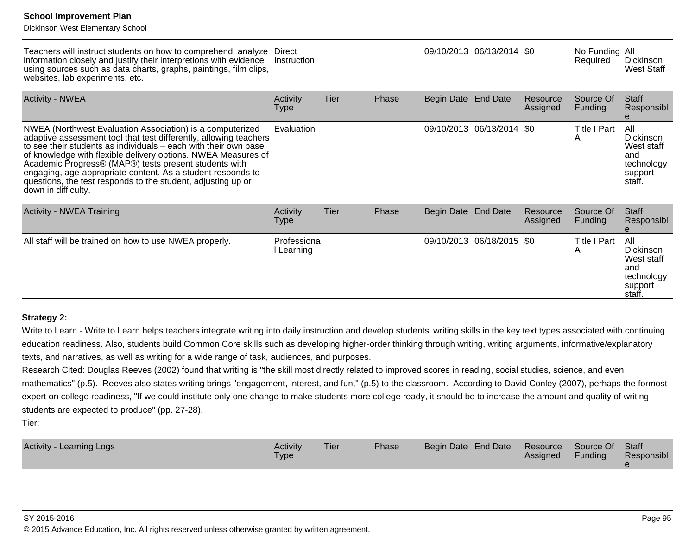Dickinson West Elementary School

| Teachers will instruct students on how to comprehend, analyze<br>information closely and justify their interpretions with evidence<br>using sources such as data charts, graphs, paintings, film clips,<br>websites, lab experiments, etc.                                                                                                                                                                                                                                        | Direct<br><i>Instruction</i> |             |               | 09/10/2013 06/13/2014  \$0  |          |                        | No Funding All<br>Required   | Dickinson<br><b>West Staff</b>                                                |
|-----------------------------------------------------------------------------------------------------------------------------------------------------------------------------------------------------------------------------------------------------------------------------------------------------------------------------------------------------------------------------------------------------------------------------------------------------------------------------------|------------------------------|-------------|---------------|-----------------------------|----------|------------------------|------------------------------|-------------------------------------------------------------------------------|
| <b>Activity - NWEA</b>                                                                                                                                                                                                                                                                                                                                                                                                                                                            | Activity<br>Type             | Tier        | Phase         | Begin Date End Date         |          | Resource<br>Assigned   | Source Of<br>Funding         | Staff<br>Responsibl                                                           |
| NWEA (Northwest Evaluation Association) is a computerized<br>adaptive assessment tool that test differently, allowing teachers<br>to see their students as individuals – each with their own base<br>of knowledge with flexible delivery options. NWEA Measures of<br>Academic Progress® (MAP®) tests present students with<br>engaging, age-appropriate content. As a student responds to<br>questions, the test responds to the student, adjusting up or<br>down in difficulty. | Evaluation                   |             |               | 09/10/2013 06/13/2014   \$0 |          |                        | <b>Title I Part</b>          | l All<br>Dickinson<br>lWest staff<br>land<br>technology<br>support<br>Istaff. |
|                                                                                                                                                                                                                                                                                                                                                                                                                                                                                   |                              |             |               |                             |          |                        |                              |                                                                               |
| <b>Activity - NWEA Training</b>                                                                                                                                                                                                                                                                                                                                                                                                                                                   | Activity<br><b>Type</b>      | <b>Tier</b> | <b>IPhase</b> | Begin Date                  | End Date | Resource<br>l Assianed | Source Of<br><b>IFunding</b> | Staff<br>IResponsibl_                                                         |

| M                                                      | MUUUUV<br>Type          | ו ווסו | гназе | <b>IDCUIII DAIG TEHU DAIG</b> |                             | 115000100<br>Assigned | ושטעוני <del>ם</del> טו<br><b>Funding</b> | $I\cup I$ all<br>Responsibl                                                        |
|--------------------------------------------------------|-------------------------|--------|-------|-------------------------------|-----------------------------|-----------------------|-------------------------------------------|------------------------------------------------------------------------------------|
| All staff will be trained on how to use NWEA properly. | Professiona<br>Learning |        |       |                               | 09/10/2013  06/18/2015  \$0 |                       | Title I Part                              | All<br>Dickinson<br><b>Nest staff</b><br>land<br> technology<br>support<br>Istaff. |

#### **Strategy 2:**

Write to Learn - Write to Learn helps teachers integrate writing into daily instruction and develop students' writing skills in the key text types associated with continuingeducation readiness. Also, students build Common Core skills such as developing higher-order thinking through writing, writing arguments, informative/explanatorytexts, and narratives, as well as writing for a wide range of task, audiences, and purposes.

Research Cited: Douglas Reeves (2002) found that writing is "the skill most directly related to improved scores in reading, social studies, science, and evenmathematics" (p.5). Reeves also states writing brings "engagement, interest, and fun," (p.5) to the classroom. According to David Conley (2007), perhaps the formost expert on college readiness, "If we could institute only one change to make students more college ready, it should be to increase the amount and quality of writingstudents are expected to produce" (pp. 27-28).

Tier:

| <b>Activity</b><br>Learning Logs | l Acti∨it∨<br>'Type | <sup>I</sup> Tier | Phase | Begin Date End Date | Resource<br><b>Assigned</b> | Source Of<br>Funding | Staff<br>Responsibl |
|----------------------------------|---------------------|-------------------|-------|---------------------|-----------------------------|----------------------|---------------------|
|                                  |                     |                   |       |                     |                             |                      |                     |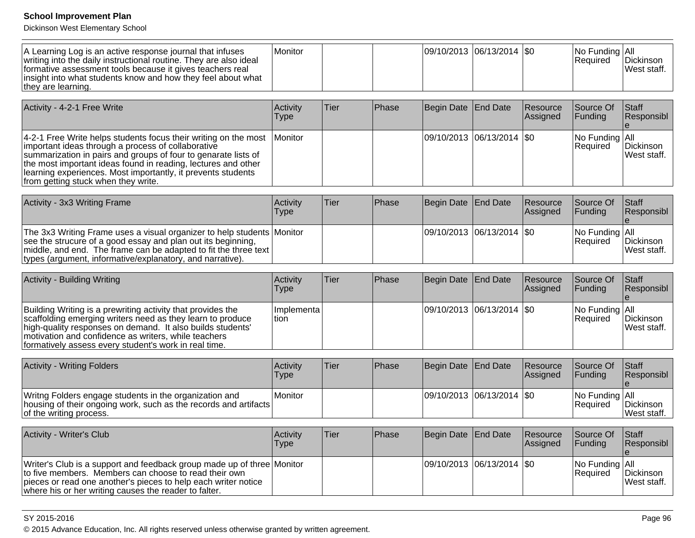Dickinson West Elementary School

| A Learning Log is an active response journal that infuses<br>writing into the daily instructional routine. They are also ideal<br>formative assessment tools because it gives teachers real<br>insight into what students know and how they feel about what<br>they are learning.                                                                               | Monitor                 |             |       |                       | 09/10/2013 06/13/2014 \$0 |                      | No Funding All<br>Required | Dickinson<br>West staff. |
|-----------------------------------------------------------------------------------------------------------------------------------------------------------------------------------------------------------------------------------------------------------------------------------------------------------------------------------------------------------------|-------------------------|-------------|-------|-----------------------|---------------------------|----------------------|----------------------------|--------------------------|
| Activity - 4-2-1 Free Write                                                                                                                                                                                                                                                                                                                                     | Activity<br><b>Type</b> | <b>Tier</b> | Phase | <b>Begin Date</b>     | <b>End Date</b>           | Resource<br>Assigned | Source Of<br>Funding       | Staff<br>Responsibl      |
| 4-2-1 Free Write helps students focus their writing on the most<br>important ideas through a process of collaborative<br>summarization in pairs and groups of four to genarate lists of<br>the most important ideas found in reading, lectures and other<br>learning experiences. Most importantly, it prevents students<br>from getting stuck when they write. | Monitor                 |             |       |                       | 09/10/2013 06/13/2014 \$0 |                      | No Funding All<br>Required | Dickinson<br>West staff. |
| Activity - 3x3 Writing Frame                                                                                                                                                                                                                                                                                                                                    | Activity<br><b>Type</b> | <b>Tier</b> | Phase | <b>Begin Date</b>     | <b>End Date</b>           | Resource<br>Assigned | Source Of<br>Funding       | Staff<br>Responsibl      |
| The 3x3 Writing Frame uses a visual organizer to help students Monitor<br>see the strucure of a good essay and plan out its beginning,<br>middle, and end. The frame can be adapted to fit the three text<br>types (argument, informative/explanatory, and narrative).                                                                                          |                         |             |       | 09/10/2013 06/13/2014 |                           | \$0                  | No Funding All<br>Required | Dickinson<br>West staff. |
| Activity - Building Writing                                                                                                                                                                                                                                                                                                                                     | Activity<br><b>Type</b> | Tier        | Phase | <b>Begin Date</b>     | <b>End Date</b>           | Resource<br>Assigned | Source Of<br>Funding       | Staff<br>Responsibl      |
| Building Writing is a prewriting activity that provides the<br>scaffolding emerging writers need as they learn to produce<br>high-quality responses on demand. It also builds students'<br>motivation and confidence as writers, while teachers<br>formatively assess every student's work in real time.                                                        | Implementa<br>tion      |             |       |                       | 09/10/2013 06/13/2014 \$0 |                      | No Funding All<br>Required | Dickinson<br>West staff. |
| <b>Activity - Writing Folders</b>                                                                                                                                                                                                                                                                                                                               | Activity<br><b>Type</b> | <b>Tier</b> | Phase | <b>Begin Date</b>     | End Date                  | Resource<br>Assigned | Source Of<br>Funding       | Staff<br>Responsibl<br>e |
| Writng Folders engage students in the organization and<br>housing of their ongoing work, such as the records and artifacts<br>of the writing process.                                                                                                                                                                                                           | Monitor                 |             |       | 09/10/2013            | 06/13/2014                | SO                   | No Funding All<br>Required | Dickinson<br>West staff. |
| Activity - Writer's Club                                                                                                                                                                                                                                                                                                                                        | Activity<br><b>Type</b> | <b>Tier</b> | Phase | <b>Begin Date</b>     | End Date                  | Resource<br>Assigned | Source Of<br>Funding       | Staff<br>Responsibl      |
| Writer's Club is a support and feedback group made up of three Monitor<br>to five members. Members can choose to read their own<br>pieces or read one another's pieces to help each writer notice<br>where his or her writing causes the reader to falter.                                                                                                      |                         |             |       | 09/10/2013            | 06/13/2014                | <b>SO</b>            | No Funding All<br>Required | Dickinson<br>West staff. |

### SY 2015-2016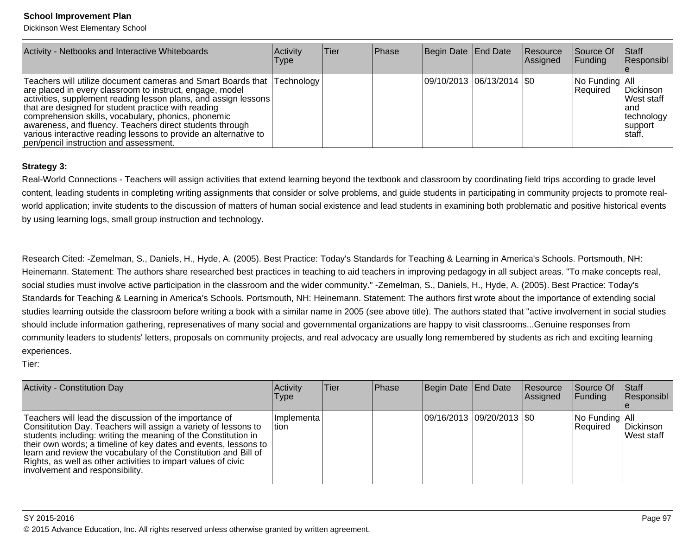Dickinson West Elementary School

| Activity - Netbooks and Interactive Whiteboards                                                                                                                                                                                                                                                                                                                                                                                                                                                | Activity<br><b>Type</b> | lTier. | Phase | Begin Date End Date         | Resource<br>Assigned | Source Of<br><b>Funding</b>  | Start<br>Responsibl                                                         |
|------------------------------------------------------------------------------------------------------------------------------------------------------------------------------------------------------------------------------------------------------------------------------------------------------------------------------------------------------------------------------------------------------------------------------------------------------------------------------------------------|-------------------------|--------|-------|-----------------------------|----------------------|------------------------------|-----------------------------------------------------------------------------|
| Teachers will utilize document cameras and Smart Boards that Technology<br>are placed in every classroom to instruct, engage, model<br>activities, supplement reading lesson plans, and assign lessons<br>that are designed for student practice with reading<br>comprehension skills, vocabulary, phonics, phonemic<br>awareness, and fluency. Teachers direct students through<br>various interactive reading lessons to provide an alternative to<br>pen/pencil instruction and assessment. |                         |        |       | 09/10/2013 06/13/2014   \$0 |                      | No Funding   All<br>Required | Dickinson<br><b>West staff</b><br>land<br> technology<br>support<br>Istaff. |

### **Strategy 3:**

Real-World Connections - Teachers will assign activities that extend learning beyond the textbook and classroom by coordinating field trips according to grade levelcontent, leading students in completing writing assignments that consider or solve problems, and guide students in participating in community projects to promote realworld application; invite students to the discussion of matters of human social existence and lead students in examining both problematic and positive historical events by using learning logs, small group instruction and technology.

Research Cited: -Zemelman, S., Daniels, H., Hyde, A. (2005). Best Practice: Today's Standards for Teaching & Learning in America's Schools. Portsmouth, NH:Heinemann. Statement: The authors share researched best practices in teaching to aid teachers in improving pedagogy in all subject areas. "To make concepts real,social studies must involve active participation in the classroom and the wider community." -Zemelman, S., Daniels, H., Hyde, A. (2005). Best Practice: Today'sStandards for Teaching & Learning in America's Schools. Portsmouth, NH: Heinemann. Statement: The authors first wrote about the importance of extending social studies learning outside the classroom before writing a book with a similar name in 2005 (see above title). The authors stated that "active involvement in social studiesshould include information gathering, represenatives of many social and governmental organizations are happy to visit classrooms...Genuine responses from community leaders to students' letters, proposals on community projects, and real advocacy are usually long remembered by students as rich and exciting learningexperiences.

Tier:

| Activity - Constitution Day                                                                                                                                                                                                                                                                                                                                                                                                           | Activity<br>Type        | lTier. | Phase | Begin Date End Date |                            | Resource<br><b>Assigned</b> | Source Of<br><b>IFunding</b> | Staff<br>Responsibl     |
|---------------------------------------------------------------------------------------------------------------------------------------------------------------------------------------------------------------------------------------------------------------------------------------------------------------------------------------------------------------------------------------------------------------------------------------|-------------------------|--------|-------|---------------------|----------------------------|-----------------------------|------------------------------|-------------------------|
| Teachers will lead the discussion of the importance of<br>Consititution Day. Teachers will assign a variety of lessons to<br>students including: writing the meaning of the Constitution in<br>their own words; a timeline of key dates and events, lessons to<br>learn and review the vocabulary of the Constitution and Bill of<br>Rights, as well as other activities to impart values of civic<br>involvement and responsibility. | Ilmplementa l<br>ltion. |        |       |                     | 09/16/2013 09/20/2013 \\$0 |                             | No Funding All<br>Required   | Dickinson<br>West staff |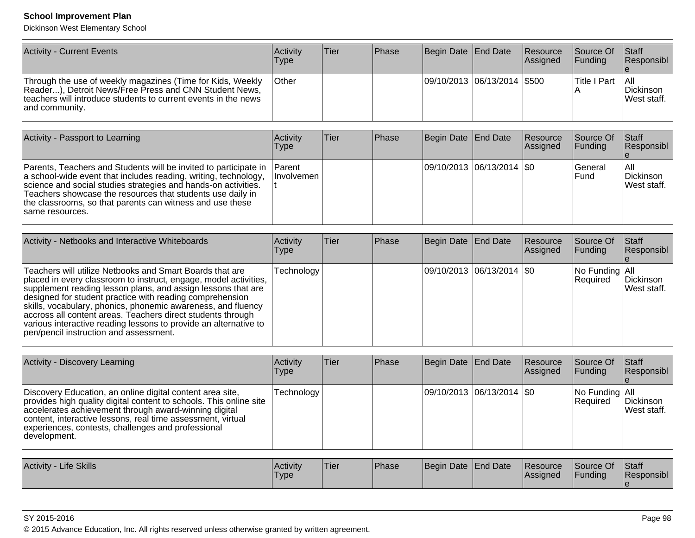Dickinson West Elementary School

| <b>Activity - Current Events</b>                                                                                                                                                                         | Activitv<br>Type | lTier | <b>IPhase</b> | Begin Date End Date         | Resource<br>Assigned | <b>Source Of</b><br>IFundina | <b>Staff</b><br><b>Responsibl</b> |
|----------------------------------------------------------------------------------------------------------------------------------------------------------------------------------------------------------|------------------|-------|---------------|-----------------------------|----------------------|------------------------------|-----------------------------------|
| Through the use of weekly magazines (Time for Kids, Weekly<br>Reader), Detroit News/Free Press and CNN Student News,<br>teachers will introduce students to current events in the news<br>and community. | <b>Other</b>     |       |               | 09/10/2013 06/13/2014 \$500 |                      | lTitle I Part                | I All<br>Dickinson<br>West staff. |

| Activity - Passport to Learning                                                                                                                                                                                                                                                                                                                             | <b>Activity</b><br>Type | lTier∶ | <b>Phase</b> | Begin Date End Date           | Resource<br><b>Assigned</b> | Source Of<br><b>IFunding</b>    | Staff<br>Responsibl              |
|-------------------------------------------------------------------------------------------------------------------------------------------------------------------------------------------------------------------------------------------------------------------------------------------------------------------------------------------------------------|-------------------------|--------|--------------|-------------------------------|-----------------------------|---------------------------------|----------------------------------|
| Parents, Teachers and Students will be invited to participate in Parent<br>a school-wide event that includes reading, writing, technology,<br>science and social studies strategies and hands-on activities.<br>Teachers showcase the resources that students use daily in<br>the classrooms, so that parents can witness and use these<br>Isame resources. | <b>Involvemen</b>       |        |              | $ 09/10/2013 06/13/2014 $ \$0 |                             | <b>IGeneral</b><br><b>IFund</b> | IAII<br>Dickinson<br>West staff. |

| Activity - Netbooks and Interactive Whiteboards                                                                                                                                                                                                                                                                                                                                                                                                                                                       | Activity<br><b>Type</b> | ∣Tier | Phase | Begin Date End Date |                               | Resource<br>Assigned | Source Of<br><b>Funding</b>                | <b>Staff</b><br>Responsibl |
|-------------------------------------------------------------------------------------------------------------------------------------------------------------------------------------------------------------------------------------------------------------------------------------------------------------------------------------------------------------------------------------------------------------------------------------------------------------------------------------------------------|-------------------------|-------|-------|---------------------|-------------------------------|----------------------|--------------------------------------------|----------------------------|
| Teachers will utilize Netbooks and Smart Boards that are<br>placed in every classroom to instruct, engage, model activities,<br>supplement reading lesson plans, and assign lessons that are<br>designed for student practice with reading comprehension<br>skills, vocabulary, phonics, phonemic awareness, and fluency<br>accross all content areas. Teachers direct students through<br>various interactive reading lessons to provide an alternative to<br>pen/pencil instruction and assessment. | Technology              |       |       |                     | $ 09/10/2013 06/13/2014 $ \$0 |                      | $\vert$ No Funding $\vert$ All<br>Required | Dickinson<br>West staff.   |

| <b>Activity - Discovery Learning</b>                                                                                                                                                                                                                                                                                           | <b>Activity</b><br><b>Type</b> | <b>Tier</b> | <b>Phase</b> | Begin Date   End Date      | Resource<br>Assigned | <b>Source Of</b><br>IFundina                                                                                                            | Staff<br><b>Responsibl</b> |
|--------------------------------------------------------------------------------------------------------------------------------------------------------------------------------------------------------------------------------------------------------------------------------------------------------------------------------|--------------------------------|-------------|--------------|----------------------------|----------------------|-----------------------------------------------------------------------------------------------------------------------------------------|----------------------------|
| Discovery Education, an online digital content area site,<br>provides high quality digital content to schools. This online site<br>accelerates achievement through award-winning digital<br>content, interactive lessons, real time assessment, virtual<br>experiences, contests, challenges and professional<br> development. | Technology                     |             |              | 09/10/2013 06/13/2014  \$0 |                      | $\vert$ No Funding $\vert$ All<br>Required                                                                                              | Dickinson<br>lWest staff.  |
| $\Lambda$ ctivity - Life Skille                                                                                                                                                                                                                                                                                                | $\Lambda$ ctivity              | Tior        | Dh           | Regin Date End Date        |                      | $P_{\text{Q}\text{C}_1 \text{R}_2 \text{R}_3}$ $P_{\text{Q} \text{R}_1 \text{R}_2}$ $P_{\text{Q} \text{R}_3}$ $P_{\text{Q} \text{R}_2}$ |                            |

| Activity - Life Skills | <b>Activity</b><br>Type | 'Tier | Phase | Begin Date End Date |  | <b>Resource</b><br><b>Assigned</b> | Source Of<br>Funding | <b>Staff</b><br>Responsibl |
|------------------------|-------------------------|-------|-------|---------------------|--|------------------------------------|----------------------|----------------------------|
|------------------------|-------------------------|-------|-------|---------------------|--|------------------------------------|----------------------|----------------------------|

#### SY 2015-2016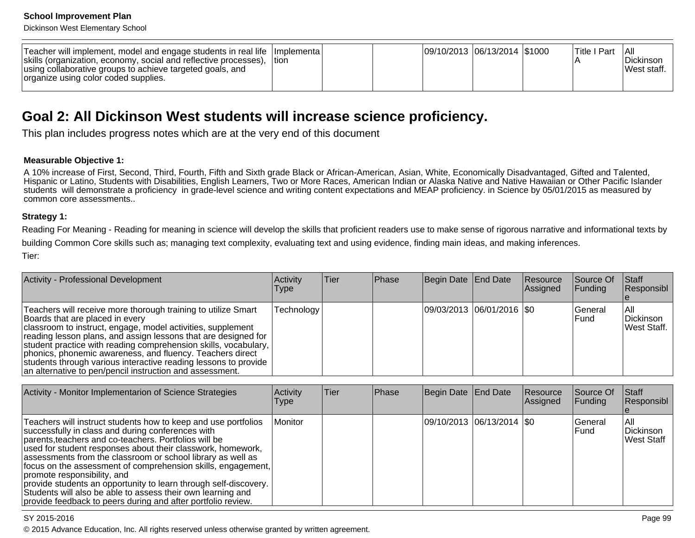Dickinson West Elementary School

| Teacher will implement, model and engage students in real life   Implementa  <br>skills (organization, economy, social and reflective processes),  tion<br>using collaborative groups to achieve targeted goals, and<br>organize using color coded supplies. |  |  |  | 09/10/2013  06/13/2014  \$1000 |  |  | lTitle I Part | - I All<br>l Dickinson<br>lWest staff. |
|--------------------------------------------------------------------------------------------------------------------------------------------------------------------------------------------------------------------------------------------------------------|--|--|--|--------------------------------|--|--|---------------|----------------------------------------|
|--------------------------------------------------------------------------------------------------------------------------------------------------------------------------------------------------------------------------------------------------------------|--|--|--|--------------------------------|--|--|---------------|----------------------------------------|

# **Goal 2: All Dickinson West students will increase science proficiency.**

This plan includes progress notes which are at the very end of this document

#### **Measurable Objective 1:**

A 10% increase of First, Second, Third, Fourth, Fifth and Sixth grade Black or African-American, Asian, White, Economically Disadvantaged, Gifted and Talented, Hispanic or Latino, Students with Disabilities, English Learners, Two or More Races, American Indian or Alaska Native and Native Hawaiian or Other Pacific Islanderstudents will demonstrate a proficiency in grade-level science and writing content expectations and MEAP proficiency. in Science by 05/01/2015 as measured bycommon core assessments..

#### **Strategy 1:**

Reading For Meaning - Reading for meaning in science will develop the skills that proficient readers use to make sense of rigorous narrative and informational texts bybuilding Common Core skills such as; managing text complexity, evaluating text and using evidence, finding main ideas, and making inferences.Tier:

| Activity - Professional Development                                                                                                                                                                                                                                                                                                                                                                                                                                                              | Activity<br>Type | Tier | <b>IPhase</b> | Begin Date End Date |                             | Resource<br>Assigned | <b>Source Of</b><br>$\vert$ Funding | <b>Staff</b><br>Responsibl       |
|--------------------------------------------------------------------------------------------------------------------------------------------------------------------------------------------------------------------------------------------------------------------------------------------------------------------------------------------------------------------------------------------------------------------------------------------------------------------------------------------------|------------------|------|---------------|---------------------|-----------------------------|----------------------|-------------------------------------|----------------------------------|
| Teachers will receive more thorough training to utilize Smart<br>Boards that are placed in every<br>classroom to instruct, engage, model activities, supplement<br>reading lesson plans, and assign lessons that are designed for<br>student practice with reading comprehension skills, vocabulary,<br>phonics, phonemic awareness, and fluency. Teachers direct<br>students through various interactive reading lessons to provide<br>an alternative to pen/pencil instruction and assessment. | Technology       |      |               |                     | 09/03/2013 06/01/2016   \$0 |                      | <b>IGeneral</b><br>l Fund           | IAII<br>Dickinson<br>West Staff. |

| Activity - Monitor Implementarion of Science Strategies                                                                                                                                                                                                                                                                                                                                                                                                                                                                                                                                                      | Activity<br><b>Type</b> | <b>Tier</b> | Phase | Begin Date End Date |                             | Resource<br>Assigned | Source Of<br><b>Funding</b> | Staff<br>Responsibl             |
|--------------------------------------------------------------------------------------------------------------------------------------------------------------------------------------------------------------------------------------------------------------------------------------------------------------------------------------------------------------------------------------------------------------------------------------------------------------------------------------------------------------------------------------------------------------------------------------------------------------|-------------------------|-------------|-------|---------------------|-----------------------------|----------------------|-----------------------------|---------------------------------|
| Teachers will instruct students how to keep and use portfolios<br>successfully in class and during conferences with<br>parents, teachers and co-teachers. Portfolios will be<br>used for student responses about their classwork, homework,<br>assessments from the classroom or school library as well as<br>focus on the assessment of comprehension skills, engagement,<br>promote responsibility, and<br>provide students an opportunity to learn through self-discovery.<br>Students will also be able to assess their own learning and<br>provide feedback to peers during and after portfolio review. | Monitor                 |             |       |                     | 09/10/2013  06/13/2014  \$0 |                      | <b>IGeneral</b><br>lFund.   | IAII<br>Dickinson<br>West Staff |

#### SY 2015-2016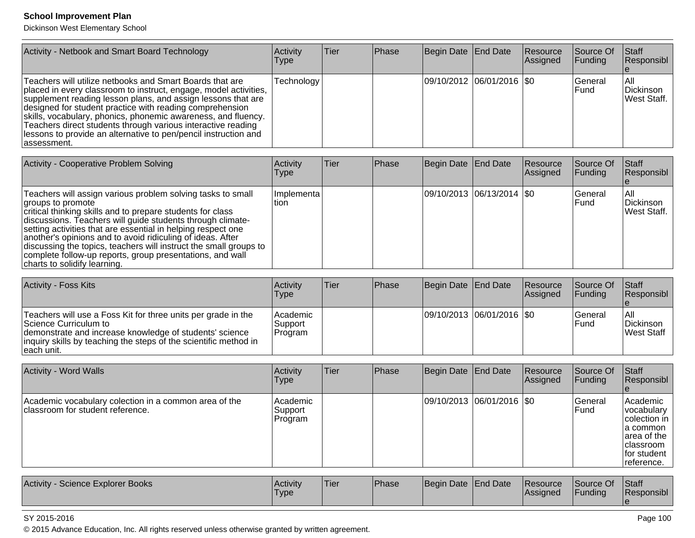Dickinson West Elementary School

| Activity - Netbook and Smart Board Technology                                                                                                                                                                                                                                                                                                                                                                                                                                | Activity<br>Type | lTier. | <b>Phase</b> | Begin Date End Date |                           | Resource<br><b>Assigned</b> | Source Of<br><b>Funding</b>     | Staff<br>Responsibl              |
|------------------------------------------------------------------------------------------------------------------------------------------------------------------------------------------------------------------------------------------------------------------------------------------------------------------------------------------------------------------------------------------------------------------------------------------------------------------------------|------------------|--------|--------------|---------------------|---------------------------|-----------------------------|---------------------------------|----------------------------------|
| Teachers will utilize netbooks and Smart Boards that are<br>placed in every classroom to instruct, engage, model activities,<br>supplement reading lesson plans, and assign lessons that are<br>designed for student practice with reading comprehension<br>skills, vocabulary, phonics, phonemic awareness, and fluency.<br>Teachers direct students through various interactive reading<br>lessons to provide an alternative to pen/pencil instruction and<br>lassessment. | Technology       |        |              |                     | 09/10/2012 06/01/2016 \$0 |                             | <b>IGeneral</b><br><b>IFund</b> | IAII<br>Dickinson<br>West Staff. |

| Activity - Cooperative Problem Solving                                                                                                                                                                                                                                                                                                                                                                                                                                                                       | <b>Activity</b><br><b>Type</b> | <b>Tier</b> | Phase | Begin Date End Date |                             | <b>Resource</b><br><b>Assigned</b> | <b>Source Of</b><br><b>Funding</b> | Staff<br>Responsibl              |
|--------------------------------------------------------------------------------------------------------------------------------------------------------------------------------------------------------------------------------------------------------------------------------------------------------------------------------------------------------------------------------------------------------------------------------------------------------------------------------------------------------------|--------------------------------|-------------|-------|---------------------|-----------------------------|------------------------------------|------------------------------------|----------------------------------|
| Teachers will assign various problem solving tasks to small<br>groups to promote<br>critical thinking skills and to prepare students for class<br>discussions. Teachers will guide students through climate-<br>setting activities that are essential in helping respect one<br>another's opinions and to avoid ridiculing of ideas. After<br>discussing the topics, teachers will instruct the small groups to<br>complete follow-up reports, group presentations, and wall<br>charts to solidify learning. | Implementa<br>tion             |             |       |                     | 09/10/2013 06/13/2014   \$0 |                                    | <b>IGeneral</b><br>lFund.          | IAII<br>Dickinson<br>West Staff. |

| <b>Activity - Foss Kits</b>                                                                                                                                                                                                          | Activitv<br>Type               | Tier | <b>IPhase</b> | Begin Date   End Date         | <b>Resource</b><br><b>Assigned</b> | <b>Source Of</b><br><b>IFunding</b> | Staff<br>Responsibl             |
|--------------------------------------------------------------------------------------------------------------------------------------------------------------------------------------------------------------------------------------|--------------------------------|------|---------------|-------------------------------|------------------------------------|-------------------------------------|---------------------------------|
| Teachers will use a Foss Kit for three units per grade in the<br>Science Curriculum to<br>demonstrate and increase knowledge of students' science<br>inquiry skills by teaching the steps of the scientific method in<br>Teach unit. | Academic<br>Support<br>Program |      |               | $ 09/10/2013 06/01/2016 $ \$0 |                                    | lGeneral<br>l Fund                  | IAII<br>Dickinson<br>West Staff |

| <b>Activity - Word Walls</b>                                                               | Activity<br><b>Type</b>         | <b>Tier</b> | Phase | Begin Date End Date |                               | Resource<br>Assigned | Source Of<br><b>Funding</b>    | <b>Staff</b><br>Responsibl                                                                                      |
|--------------------------------------------------------------------------------------------|---------------------------------|-------------|-------|---------------------|-------------------------------|----------------------|--------------------------------|-----------------------------------------------------------------------------------------------------------------|
| Academic vocabulary colection in a common area of the<br>Iclassroom for student reference. | Academic<br> Support<br>Program |             |       |                     | $ 09/10/2013 06/01/2016 $ \$0 |                      | <b>General</b><br><b>IFund</b> | Academic<br> vocabulary<br>Icolection in<br>la common<br>area of the<br> classroom<br>for student<br>reference. |

| Activity<br>Science Explorer Books | Activity<br>Type | 'Tier | Phase | Begin Date End Date |  | <b>Resource</b><br><b>Assigned</b> | Source Of<br>Funding | <b>Staff</b><br><b>Responsibl</b> |
|------------------------------------|------------------|-------|-------|---------------------|--|------------------------------------|----------------------|-----------------------------------|
|------------------------------------|------------------|-------|-------|---------------------|--|------------------------------------|----------------------|-----------------------------------|

#### SY 2015-2016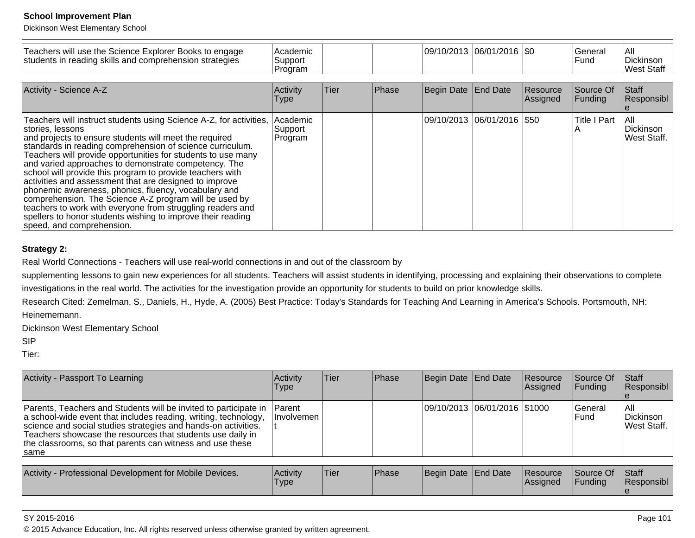Dickinson West Elementary School

| Teachers will use the Science Explorer Books to engage<br>students in reading skills and comprehension strategies                                                                                                                                                                                                                                                                                                                                                                                                                                                                                                                                                                                                                        | Academic<br>Support<br>Program |        |              |                              | 09/10/2013  06/01/2016  \$0 |                       | General<br>lFund.    | lail<br>Dickinson<br>West Staff  |
|------------------------------------------------------------------------------------------------------------------------------------------------------------------------------------------------------------------------------------------------------------------------------------------------------------------------------------------------------------------------------------------------------------------------------------------------------------------------------------------------------------------------------------------------------------------------------------------------------------------------------------------------------------------------------------------------------------------------------------------|--------------------------------|--------|--------------|------------------------------|-----------------------------|-----------------------|----------------------|----------------------------------|
| Activity - Science A-Z                                                                                                                                                                                                                                                                                                                                                                                                                                                                                                                                                                                                                                                                                                                   | Activity<br>Type               | lTier. | <b>Phase</b> | Begin Date End Date          |                             | Resource<br> Assigned | Source Of<br>Funding | <b>Staff</b><br>Responsibl       |
| Teachers will instruct students using Science A-Z, for activities,<br>stories, lessons<br>and projects to ensure students will meet the required<br>standards in reading comprehension of science curriculum.<br>Teachers will provide opportunities for students to use many<br>and varied approaches to demonstrate competency. The<br>school will provide this program to provide teachers with<br>activities and assessment that are designed to improve<br>phonemic awareness, phonics, fluency, vocabulary and<br>comprehension. The Science A-Z program will be used by<br>teachers to work with everyone from struggling readers and<br>spellers to honor students wishing to improve their reading<br>speed, and comprehension. | Academic<br>Support<br>Program |        |              | 09/10/2013  06/01/2016  \$50 |                             |                       | <b>Title I Part</b>  | lail<br>Dickinson<br>West Staff. |

## **Strategy 2:**

Real World Connections - Teachers will use real-world connections in and out of the classroom by

supplementing lessons to gain new experiences for all students. Teachers will assist students in identifying, processing and explaining their observations to complete investigations in the real world. The activities for the investigation provide an opportunity for students to build on prior knowledge skills.

Research Cited: Zemelman, S., Daniels, H., Hyde, A. (2005) Best Practice: Today's Standards for Teaching And Learning in America's Schools. Portsmouth, NH:Heinememann.

Dickinson West Elementary School

SIP

Tier:

| Activity - Passport To Learning                                                                                                                                                                                                                                                                                                           | Activity<br><b>Type</b>      | Tier | Phase | Begin Date End Date |                              | <b>Resource</b><br>Assigned | Source Of<br><b>Funding</b> | Staff<br>Responsibl               |
|-------------------------------------------------------------------------------------------------------------------------------------------------------------------------------------------------------------------------------------------------------------------------------------------------------------------------------------------|------------------------------|------|-------|---------------------|------------------------------|-----------------------------|-----------------------------|-----------------------------------|
| Parents, Teachers and Students will be invited to participate in<br>a school-wide event that includes reading, writing, technology,<br>science and social studies strategies and hands-on activities.<br>Teachers showcase the resources that students use daily in<br>the classrooms, so that parents can witness and use these<br>⊺same | <b>IParent</b><br>Involvemen |      |       |                     | 09/10/2013 06/01/2016 \$1000 |                             | lGeneral<br>lFund           | IAII<br>Dickinson<br>lWest Staff. |
|                                                                                                                                                                                                                                                                                                                                           |                              |      |       |                     |                              |                             |                             |                                   |
| Activity - Professional Development for Mobile Devices.                                                                                                                                                                                                                                                                                   | Activity<br><b>Type</b>      | Tier | Phase | Begin Date End Date |                              | Resource<br>Assigned        | Source Of<br> Fundina       | Staff<br><b>Responsibl</b>        |

#### SY 2015-2016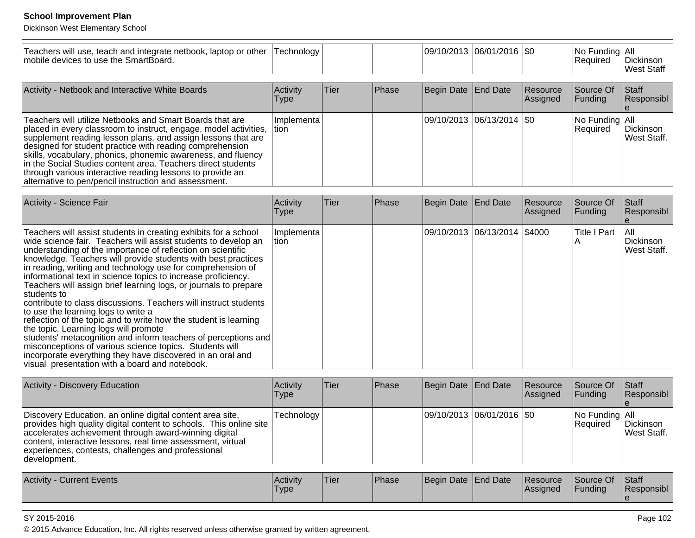Dickinson West Elementary School

| Teachers will use, teach and integrate netbook, laptop or other<br>mobile devices to use the SmartBoard.                                                                                                                                                                                                                                                                                                                                                                                                                                                                                                                                                                                                                                                                                                                                                                                                                                                  | Technology              |             |              |                     | 09/10/2013 06/01/2016 \$0  |                      | No Funding All<br>Required | Dickinson<br><b>West Staff</b>  |
|-----------------------------------------------------------------------------------------------------------------------------------------------------------------------------------------------------------------------------------------------------------------------------------------------------------------------------------------------------------------------------------------------------------------------------------------------------------------------------------------------------------------------------------------------------------------------------------------------------------------------------------------------------------------------------------------------------------------------------------------------------------------------------------------------------------------------------------------------------------------------------------------------------------------------------------------------------------|-------------------------|-------------|--------------|---------------------|----------------------------|----------------------|----------------------------|---------------------------------|
| Activity - Netbook and Interactive White Boards                                                                                                                                                                                                                                                                                                                                                                                                                                                                                                                                                                                                                                                                                                                                                                                                                                                                                                           | Activity<br><b>Type</b> | <b>Tier</b> | <b>Phase</b> | Begin Date End Date |                            | Resource<br>Assigned | Source Of<br>Funding       | Staff<br>Responsibl             |
| Teachers will utilize Netbooks and Smart Boards that are<br>placed in every classroom to instruct, engage, model activities,<br>supplement reading lesson plans, and assign lessons that are<br>designed for student practice with reading comprehension<br>skills, vocabulary, phonics, phonemic awareness, and fluency<br>in the Social Studies content area. Teachers direct students<br>through various interactive reading lessons to provide an<br>alternative to pen/pencil instruction and assessment.                                                                                                                                                                                                                                                                                                                                                                                                                                            | Implementa<br>ltion     |             |              |                     | 09/10/2013 06/13/2014  \$0 |                      | No Funding All<br>Required | Dickinson<br>West Staff.        |
| Activity - Science Fair                                                                                                                                                                                                                                                                                                                                                                                                                                                                                                                                                                                                                                                                                                                                                                                                                                                                                                                                   | Activity<br><b>Type</b> | Tier        | Phase        | Begin Date End Date |                            | Resource<br>Assigned | Source Of<br>Funding       | Staff<br>Responsibl             |
| Teachers will assist students in creating exhibits for a school<br>wide science fair. Teachers will assist students to develop an<br>understanding of the importance of reflection on scientific<br>knowledge. Teachers will provide students with best practices<br>in reading, writing and technology use for comprehension of<br>informational text in science topics to increase proficiency.<br>Teachers will assign brief learning logs, or journals to prepare<br>students to<br>contribute to class discussions. Teachers will instruct students<br>to use the learning logs to write a<br>reflection of the topic and to write how the student is learning<br>the topic. Learning logs will promote<br>students' metacognition and inform teachers of perceptions and<br>misconceptions of various science topics. Students will<br>incorporate everything they have discovered in an oral and<br>visual presentation with a board and notebook. | Implementa<br>tion      |             |              | 09/10/2013          | 06/13/2014                 | \$4000               | <b>Title I Part</b><br>A   | All<br>Dickinson<br>West Staff. |

| Activity - Discovery Education                                                                                                                                                                                                                                                                                                 | Activitv<br>Type | ∣Tier∶ | <b>IPhase</b> | Begin Date End Date           | Resource<br><b>Assigned</b> | <b>Source Of</b><br>IFundina            | <b>Staff</b><br><b>Responsibl</b> |
|--------------------------------------------------------------------------------------------------------------------------------------------------------------------------------------------------------------------------------------------------------------------------------------------------------------------------------|------------------|--------|---------------|-------------------------------|-----------------------------|-----------------------------------------|-----------------------------------|
| Discovery Education, an online digital content area site,<br>provides high quality digital content to schools. This online site<br>accelerates achievement through award-winning digital<br>content, interactive lessons, real time assessment, virtual<br>experiences, contests, challenges and professional<br> development. | Technology       |        |               | $ 09/10/2013 06/01/2016 $ \$0 |                             | $ No$ Funding $ All$<br><b>Required</b> | Dickinson<br><b>West Staff.</b>   |

| Activity<br><b>Current Events</b> | <b>Activity</b><br>Type | <sup>1</sup> Tier | Phase | Begin Date End Date |  | <b>Resource</b><br><b>IAssigned</b> | Source Of<br>'Funding | <b>Staff</b><br>Responsibl |
|-----------------------------------|-------------------------|-------------------|-------|---------------------|--|-------------------------------------|-----------------------|----------------------------|
|-----------------------------------|-------------------------|-------------------|-------|---------------------|--|-------------------------------------|-----------------------|----------------------------|

### SY 2015-2016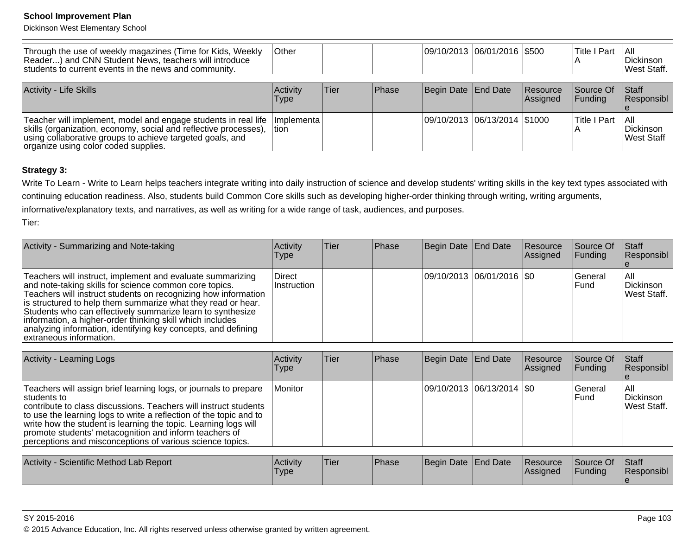Dickinson West Elementary School

| Through the use of weekly magazines (Time for Kids, Weekly<br>Reader) and CNN Student News, teachers will introduce<br>students to current events in the news and community.                                                            | <b>Other</b>         |      |       | 09/10/2013 06/01/2016 \$500  |                      | <b>Title I Part</b>    | I All<br><b>IDickinson</b><br><b>West Staff.</b> |
|-----------------------------------------------------------------------------------------------------------------------------------------------------------------------------------------------------------------------------------------|----------------------|------|-------|------------------------------|----------------------|------------------------|--------------------------------------------------|
| <b>Activity - Life Skills</b>                                                                                                                                                                                                           | Activity<br>Type     | Tier | Phase | Begin Date End Date          | Resource<br>Assigned | lSource Of<br>IFundina | Staff<br><b>Responsibl</b>                       |
| Teacher will implement, model and engage students in real life<br>skills (organization, economy, social and reflective processes),<br>using collaborative groups to achieve targeted goals, and<br>organize using color coded supplies. | Ilmplementa<br>Ition |      |       | 09/10/2013 06/13/2014 \$1000 |                      | Title I Part           | TAII<br><b>IDickinson</b><br>lWest Staff         |

# **Strategy 3:**

Write To Learn - Write to Learn helps teachers integrate writing into daily instruction of science and develop students' writing skills in the key text types associated withcontinuing education readiness. Also, students build Common Core skills such as developing higher-order thinking through writing, writing arguments,

informative/explanatory texts, and narratives, as well as writing for a wide range of task, audiences, and purposes.

Tier:

| Activity - Summarizing and Note-taking                                                                                                                                                                                                                                                                                                                                                                                                                                        | Activity<br>Type      | lTier: | <b>Phase</b> | Begin Date End Date |                             | Resource<br><b>Assigned</b> | <b>Source Of</b><br><b>Funding</b> | <b>Staff</b><br>Responsibl       |
|-------------------------------------------------------------------------------------------------------------------------------------------------------------------------------------------------------------------------------------------------------------------------------------------------------------------------------------------------------------------------------------------------------------------------------------------------------------------------------|-----------------------|--------|--------------|---------------------|-----------------------------|-----------------------------|------------------------------------|----------------------------------|
| Teachers will instruct, implement and evaluate summarizing<br>and note-taking skills for science common core topics.<br>Teachers will instruct students on recognizing how information<br>is structured to help them summarize what they read or hear.<br>Students who can effectively summarize learn to synthesize<br>information, a higher-order thinking skill which includes<br>analyzing information, identifying key concepts, and defining<br>extraneous information. | Direct<br>Instruction |        |              |                     | 09/10/2013 06/01/2016   \$0 |                             | <b>IGeneral</b><br><b>IFund</b>    | IAII<br>Dickinson<br>West Staff. |

| Activity - Learning Logs                                                                                                                                                                                                                                                                                                                                                                                             | Activity<br><b>Type</b> | ∣Tier | Phase         | Begin Date End Date          |                             | Resource<br>Assigned | lSource Of<br> Funding   | <b>Staff</b><br>Responsibl       |
|----------------------------------------------------------------------------------------------------------------------------------------------------------------------------------------------------------------------------------------------------------------------------------------------------------------------------------------------------------------------------------------------------------------------|-------------------------|-------|---------------|------------------------------|-----------------------------|----------------------|--------------------------|----------------------------------|
| Teachers will assign brief learning logs, or journals to prepare<br>Istudents to<br>contribute to class discussions. Teachers will instruct students<br>to use the learning logs to write a reflection of the topic and to<br>write how the student is learning the topic. Learning logs will<br>promote students' metacognition and inform teachers of<br>perceptions and misconceptions of various science topics. | Monitor                 |       |               |                              | 09/10/2013  06/13/2014  \$0 |                      | lGeneral<br><b>IFund</b> | IAII<br>Dickinson<br>West Staff. |
| Activity - Scientific Method Lah Report                                                                                                                                                                                                                                                                                                                                                                              | l A <i>r</i> tivity     | lTier | <b>IPhase</b> | <b>IRegin Date IFnd Date</b> |                             | Resource             | ISource Of               | $\mathsf{IStaff}$                |

| Activity -<br>Scientific Method Lab Report | <b>Activity</b> | 'Tier | <sup>1</sup> Phase | Begin Date End Date | <b>Resource</b> | Source Of | <b>Staff</b>      |
|--------------------------------------------|-----------------|-------|--------------------|---------------------|-----------------|-----------|-------------------|
|                                            | I ype           |       |                    |                     | <b>Assigned</b> | Funding   | <b>Responsibl</b> |
|                                            |                 |       |                    |                     |                 |           |                   |

estimate the contract of the contract of the contract of the contract of the contract of the contract of the contract of the contract of the contract of the contract of the contract of the contract of the contract of the c © 2015 Advance Education, Inc. All rights reserved unless otherwise granted by written agreement.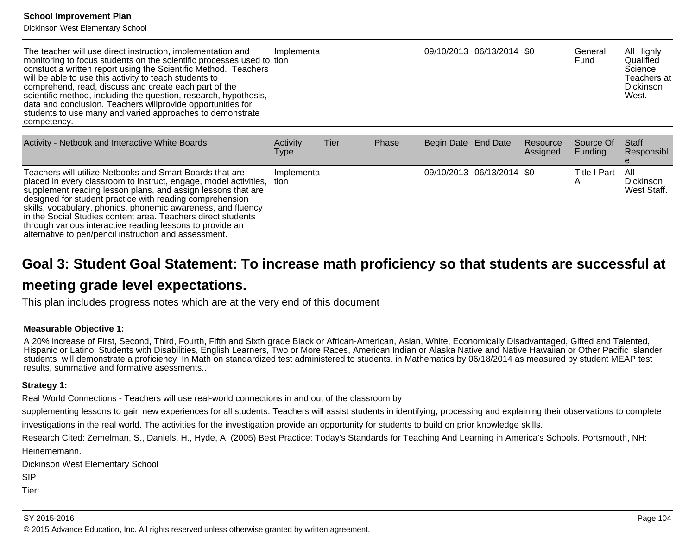Dickinson West Elementary School

| The teacher will use direct instruction, implementation and<br>monitoring to focus students on the scientific processes used to tion<br>constuct a written report using the Scientific Method. Teachers<br>will be able to use this activity to teach students to<br>comprehend, read, discuss and create each part of the<br>scientific method, including the question, research, hypothesis,<br>data and conclusion. Teachers willprovide opportunities for<br>students to use many and varied approaches to demonstrate<br>competency. | Ilmplementa | $ 09/10/2013 06/13/2014 $ \$0 |  | <b>IGeneral</b><br><b>IFund</b> | <b>All Highly</b><br><b>Qualified</b><br>Science<br>∣Teachers at l<br>Dickinson<br>West. |
|-------------------------------------------------------------------------------------------------------------------------------------------------------------------------------------------------------------------------------------------------------------------------------------------------------------------------------------------------------------------------------------------------------------------------------------------------------------------------------------------------------------------------------------------|-------------|-------------------------------|--|---------------------------------|------------------------------------------------------------------------------------------|
|-------------------------------------------------------------------------------------------------------------------------------------------------------------------------------------------------------------------------------------------------------------------------------------------------------------------------------------------------------------------------------------------------------------------------------------------------------------------------------------------------------------------------------------------|-------------|-------------------------------|--|---------------------------------|------------------------------------------------------------------------------------------|

| Activity - Netbook and Interactive White Boards                                                                                                                                                                                                                                                                                                                                                                                                                                                                      | Activity<br>Type | lTier. | <b>Phase</b> | Begin Date End Date |                               | Resource<br>Assigned | Source Of<br> Funding | Staff<br>Responsibl              |
|----------------------------------------------------------------------------------------------------------------------------------------------------------------------------------------------------------------------------------------------------------------------------------------------------------------------------------------------------------------------------------------------------------------------------------------------------------------------------------------------------------------------|------------------|--------|--------------|---------------------|-------------------------------|----------------------|-----------------------|----------------------------------|
| Teachers will utilize Netbooks and Smart Boards that are<br>placed in every classroom to instruct, engage, model activities,  tion<br>supplement reading lesson plans, and assign lessons that are<br>designed for student practice with reading comprehension<br>skills, vocabulary, phonics, phonemic awareness, and fluency<br>in the Social Studies content area. Teachers direct students<br>through various interactive reading lessons to provide an<br>alternative to pen/pencil instruction and assessment. | Ilmplementa l    |        |              |                     | $ 09/10/2013 06/13/2014 $ \$0 |                      | <b>Title I Part</b>   | TAIL<br>Dickinson<br>West Staff. |

# **Goal 3: Student Goal Statement: To increase math proficiency so that students are successful at**

# **meeting grade level expectations.**

This plan includes progress notes which are at the very end of this document

#### **Measurable Objective 1:**

A 20% increase of First, Second, Third, Fourth, Fifth and Sixth grade Black or African-American, Asian, White, Economically Disadvantaged, Gifted and Talented, Hispanic or Latino, Students with Disabilities, English Learners, Two or More Races, American Indian or Alaska Native and Native Hawaiian or Other Pacific Islanderstudents will demonstrate a proficiency In Math on standardized test administered to students. in Mathematics by 06/18/2014 as measured by student MEAP testresults, summative and formative asessments..

#### **Strategy 1:**

Real World Connections - Teachers will use real-world connections in and out of the classroom by

supplementing lessons to gain new experiences for all students. Teachers will assist students in identifying, processing and explaining their observations to complete

investigations in the real world. The activities for the investigation provide an opportunity for students to build on prior knowledge skills.

Research Cited: Zemelman, S., Daniels, H., Hyde, A. (2005) Best Practice: Today's Standards for Teaching And Learning in America's Schools. Portsmouth, NH:Heinememann.

Dickinson West Elementary School

SIP

Tier: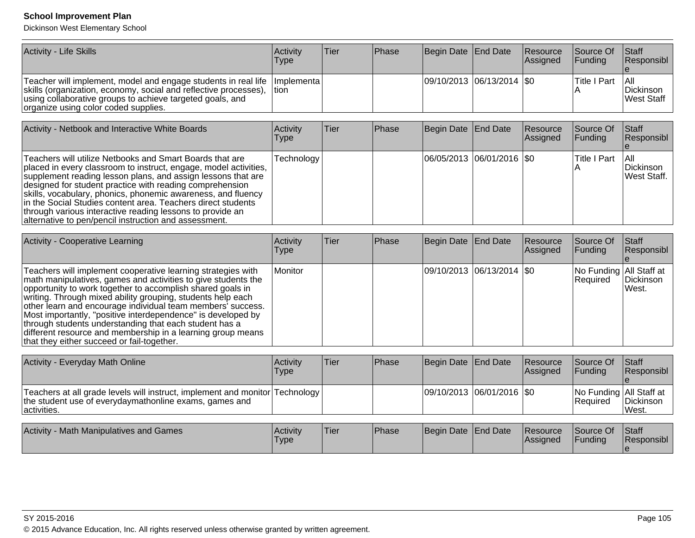| Activity - Life Skills                                                                                                                                                                                                                                       | Activity<br>Type | ∣Tier∶ | Phase | Begin Date End Date         | Resource<br><b>Assigned</b> | Source Of<br>IFundina | <b>Staff</b><br><b>IResponsibl</b> |
|--------------------------------------------------------------------------------------------------------------------------------------------------------------------------------------------------------------------------------------------------------------|------------------|--------|-------|-----------------------------|-----------------------------|-----------------------|------------------------------------|
| Teacher will implement, model and engage students in real life   Implementa  <br>skills (organization, economy, social and reflective processes),  tion<br>using collaborative groups to achieve targeted goals, and<br>organize using color coded supplies. |                  |        |       | 09/10/2013  06/13/2014  \$0 |                             | <b>Title I Part</b>   | I All<br>Dickinson<br>West Staff   |

| Activity - Netbook and Interactive White Boards                                                                                                                                                                                                                                                                                                                                                                                                                                                                | Activity<br><b>Type</b> | Tier | <b>Phase</b> | Begin Date End Date |                             | Resource<br>Assigned | Source Of<br><b>Funding</b> | <b>Staff</b><br>Responsibl               |
|----------------------------------------------------------------------------------------------------------------------------------------------------------------------------------------------------------------------------------------------------------------------------------------------------------------------------------------------------------------------------------------------------------------------------------------------------------------------------------------------------------------|-------------------------|------|--------------|---------------------|-----------------------------|----------------------|-----------------------------|------------------------------------------|
| Teachers will utilize Netbooks and Smart Boards that are<br>placed in every classroom to instruct, engage, model activities,<br>supplement reading lesson plans, and assign lessons that are<br>designed for student practice with reading comprehension<br>skills, vocabulary, phonics, phonemic awareness, and fluency<br>in the Social Studies content area. Teachers direct students<br>through various interactive reading lessons to provide an<br>alternative to pen/pencil instruction and assessment. | Technology              |      |              |                     | 06/05/2013 06/01/2016   \$0 |                      | Title I Part                | TAII<br><b>IDickinson</b><br>West Staff. |

| <b>Activity - Cooperative Learning</b>                                                                                                                                                                                                                                                                                                                                                                                                                                                                                                                             | Activity<br><b>Type</b> | ∣Tier | <b>IPhase</b> | Begin Date End Date |                             | Resource<br><b>Assigned</b> | Source Of<br><b>Funding</b>         | Staff<br>Responsibl               |
|--------------------------------------------------------------------------------------------------------------------------------------------------------------------------------------------------------------------------------------------------------------------------------------------------------------------------------------------------------------------------------------------------------------------------------------------------------------------------------------------------------------------------------------------------------------------|-------------------------|-------|---------------|---------------------|-----------------------------|-----------------------------|-------------------------------------|-----------------------------------|
| Teachers will implement cooperative learning strategies with<br>I math manipulatives, games and activities to give students the<br>opportunity to work together to accomplish shared goals in<br>writing. Through mixed ability grouping, students help each<br>other learn and encourage individual team members' success.<br>Most importantly, "positive interdependence" is developed by<br>through students understanding that each student has a<br>different resource and membership in a learning group means<br>that they either succeed or fail-together. | Monitor                 |       |               |                     | 09/10/2013 06/13/2014   \$0 |                             | No Funding All Staff at<br>Required | Dickinson<br><i><b>IWest.</b></i> |

| Activity - Everyday Math Online                                                                                                                        | Activity<br><b>Type</b> | 'Tier | <b>IPhase</b> | Begin Date End Date         | Resource<br>Assigned | Source Of<br><b>IFunding</b>               | <b>Staff</b><br><b>Responsibl</b> |
|--------------------------------------------------------------------------------------------------------------------------------------------------------|-------------------------|-------|---------------|-----------------------------|----------------------|--------------------------------------------|-----------------------------------|
| Teachers at all grade levels will instruct, implement and monitor Technology<br>the student use of everydaymathonline exams, games and<br>lactivities. |                         |       |               | 09/10/2013  06/01/2016  \$0 |                      | No Funding All Staff at<br><b>Required</b> | Dickinson<br>West.                |

| Activity<br>J. Math Manipulatives and Games | <b>Activity</b><br>Type | <b>Tier</b> | <b>Phase</b> | Begin Date End Date |  | <b>Resource</b><br><b>IAssianed</b> | Source Of<br>Funding | Staff<br>Responsibl |
|---------------------------------------------|-------------------------|-------------|--------------|---------------------|--|-------------------------------------|----------------------|---------------------|
|---------------------------------------------|-------------------------|-------------|--------------|---------------------|--|-------------------------------------|----------------------|---------------------|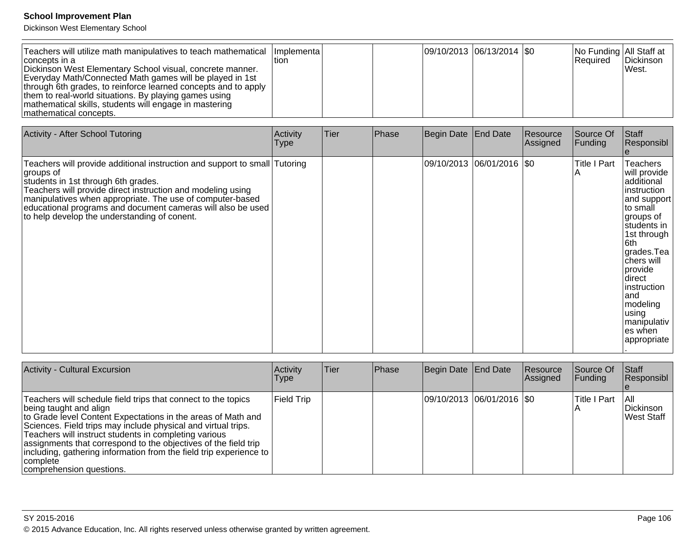| Teachers will utilize math manipulatives to teach mathematical   Implementa  <br>concepts in a<br>Dickinson West Elementary School visual, concrete manner.<br>Everyday Math/Connected Math games will be played in 1st<br>through 6th grades, to reinforce learned concepts and to apply<br>them to real-world situations. By playing games using<br>mathematical skills, students will engage in mastering<br>mathematical concepts. | tion |  |  | $ 09/10/2013 06/13/2014 $ \$0 |  | No Funding All Staff at<br><b>Required</b> | Dickinson<br>West. |
|----------------------------------------------------------------------------------------------------------------------------------------------------------------------------------------------------------------------------------------------------------------------------------------------------------------------------------------------------------------------------------------------------------------------------------------|------|--|--|-------------------------------|--|--------------------------------------------|--------------------|
|----------------------------------------------------------------------------------------------------------------------------------------------------------------------------------------------------------------------------------------------------------------------------------------------------------------------------------------------------------------------------------------------------------------------------------------|------|--|--|-------------------------------|--|--------------------------------------------|--------------------|

| Activity - After School Tutoring                                                                                                                                                                                                                                                                                                                                           | Activity<br><b>Type</b> | Tier | Phase | Begin Date End Date        | Resource<br>Assigned | Source Of<br>Funding     | Staff<br>Responsibl                                                                                                                                                                                                                                                       |
|----------------------------------------------------------------------------------------------------------------------------------------------------------------------------------------------------------------------------------------------------------------------------------------------------------------------------------------------------------------------------|-------------------------|------|-------|----------------------------|----------------------|--------------------------|---------------------------------------------------------------------------------------------------------------------------------------------------------------------------------------------------------------------------------------------------------------------------|
| Teachers will provide additional instruction and support to small Tutoring<br>∣groups of<br>students in 1st through 6th grades.<br>Teachers will provide direct instruction and modeling using<br>manipulatives when appropriate. The use of computer-based<br>educational programs and document cameras will also be used<br>to help develop the understanding of conent. |                         |      |       | 09/10/2013 06/01/2016  \$0 |                      | <b>Title I Part</b><br>Α | Teachers<br>will provide<br>additional<br>instruction<br>and support<br>to small<br>∣groups of<br>students in<br>1st through<br>6th<br>grades.Tea<br>Ichers will<br>provide<br>direct<br>instruction<br>and<br>modeling<br>using<br>manipulativ<br>es when<br>appropriate |

| <b>Activity - Cultural Excursion</b>                                                                                                                                                                                                                                                                                                                                                                                                                                | <b>Activity</b><br><b>Type</b> | <b>Tier</b> | <b>Phase</b> | Begin Date End Date         | Resource<br><b>Assigned</b> | Source Of<br> Funding | <b>Staff</b><br>Responsibl      |
|---------------------------------------------------------------------------------------------------------------------------------------------------------------------------------------------------------------------------------------------------------------------------------------------------------------------------------------------------------------------------------------------------------------------------------------------------------------------|--------------------------------|-------------|--------------|-----------------------------|-----------------------------|-----------------------|---------------------------------|
| Teachers will schedule field trips that connect to the topics<br>being taught and align<br>to Grade level Content Expectations in the areas of Math and<br>Sciences. Field trips may include physical and virtual trips.<br>Teachers will instruct students in completing various<br>assignments that correspond to the objectives of the field trip<br>including, gathering information from the field trip experience to<br> complete<br>comprehension questions. | <b>Field Trip</b>              |             |              | 09/10/2013 06/01/2016   \$0 |                             | Title I Part          | IAII<br>Dickinson<br>West Staff |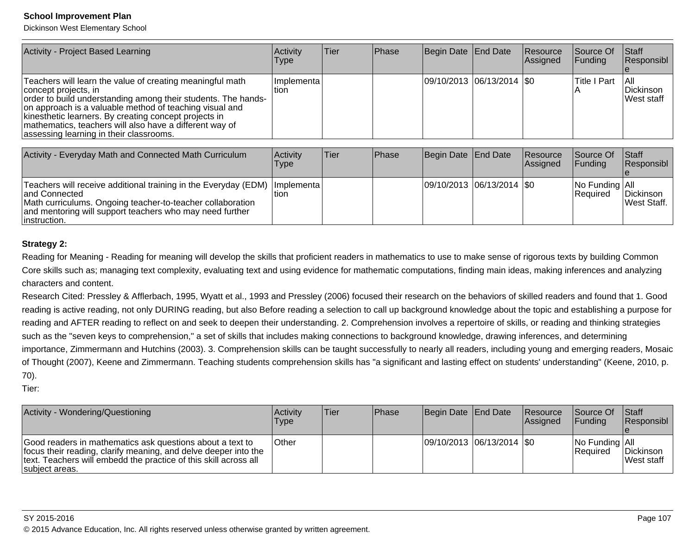Dickinson West Elementary School

| Activity - Project Based Learning                                                                                                                                                                                                                                                                                                                                            | Activity<br><b>Type</b> | Tier | Phase | Begin Date End Date |                               | Resource<br>Assigned | Source Of<br><b>Funding</b> | $\vert$ Staff<br>Responsibl      |
|------------------------------------------------------------------------------------------------------------------------------------------------------------------------------------------------------------------------------------------------------------------------------------------------------------------------------------------------------------------------------|-------------------------|------|-------|---------------------|-------------------------------|----------------------|-----------------------------|----------------------------------|
| Teachers will learn the value of creating meaningful math<br>concept projects, in<br>order to build understanding among their students. The hands-<br>on approach is a valuable method of teaching visual and<br>kinesthetic learners. By creating concept projects in<br>mathematics, teachers will also have a different way of<br>assessing learning in their classrooms. | l Implementa l<br>ltion |      |       |                     | $ 09/10/2013 06/13/2014 $ \$0 |                      | Title I Part                | IAII.<br>Dickinson<br>West staff |

| Activity - Everyday Math and Connected Math Curriculum                                                                                                                                                                                     | Activity<br>Type | lTier. | <b>IPhase</b> | Begin Date End Date         | <b>Resource</b><br>Assigned | Source Of<br><b>IFunding</b>      | <b>Staff</b><br>Responsibl |
|--------------------------------------------------------------------------------------------------------------------------------------------------------------------------------------------------------------------------------------------|------------------|--------|---------------|-----------------------------|-----------------------------|-----------------------------------|----------------------------|
| Teachers will receive additional training in the Everyday (EDM)   Implementa  <br>land Connected<br>Math curriculums. Ongoing teacher-to-teacher collaboration<br>and mentoring will support teachers who may need further<br>instruction. | tion             |        |               | 09/10/2013 06/13/2014   \$0 |                             | No Funding All<br><b>Required</b> | Dickinson<br>West Staff.   |

### **Strategy 2:**

Reading for Meaning - Reading for meaning will develop the skills that proficient readers in mathematics to use to make sense of rigorous texts by building Common Core skills such as; managing text complexity, evaluating text and using evidence for mathematic computations, finding main ideas, making inferences and analyzingcharacters and content.

Research Cited: Pressley & Afflerbach, 1995, Wyatt et al., 1993 and Pressley (2006) focused their research on the behaviors of skilled readers and found that 1. Goodreading is active reading, not only DURING reading, but also Before reading a selection to call up background knowledge about the topic and establishing a purpose for reading and AFTER reading to reflect on and seek to deepen their understanding. 2. Comprehension involves a repertoire of skills, or reading and thinking strategiessuch as the "seven keys to comprehension," a set of skills that includes making connections to background knowledge, drawing inferences, and determining importance, Zimmermann and Hutchins (2003). 3. Comprehension skills can be taught successfully to nearly all readers, including young and emerging readers, Mosaicof Thought (2007), Keene and Zimmermann. Teaching students comprehension skills has "a significant and lasting effect on students' understanding" (Keene, 2010, p.70).

Tier:

| Activity - Wondering/Questioning                                                                                                                                                                                   | Activity<br>Type | <b>Tier</b> | <b>Phase</b> | Begin Date End Date         | Resource<br><b>Assigned</b> | <b>Source Of</b><br><b>IFunding</b> | <b>Staff</b><br>Responsibl      |
|--------------------------------------------------------------------------------------------------------------------------------------------------------------------------------------------------------------------|------------------|-------------|--------------|-----------------------------|-----------------------------|-------------------------------------|---------------------------------|
| Good readers in mathematics ask questions about a text to<br>focus their reading, clarify meaning, and delve deeper into the<br>text. Teachers will embedd the practice of this skill across all<br>subject areas. | <b>Other</b>     |             |              | 09/10/2013 06/13/2014   \$0 |                             | No Funding   All<br><b>Required</b> | Dickinson<br><b>IWest staff</b> |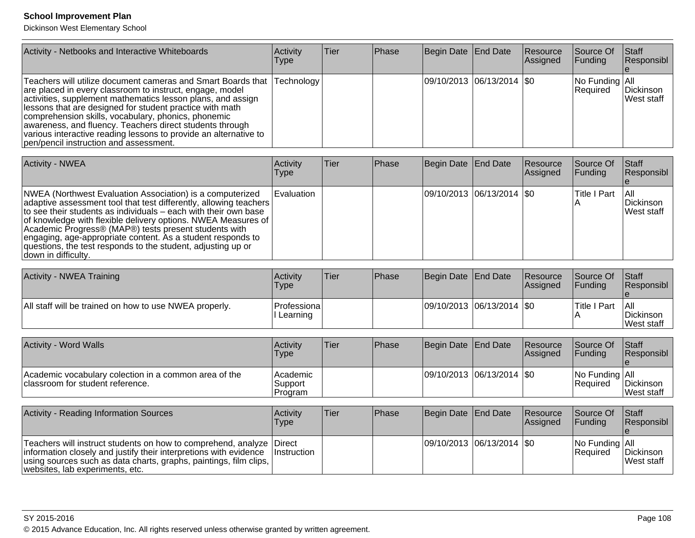| Activity - Netbooks and Interactive Whiteboards                                                                                                                                                                                                                                                                                                                                                                                                                                                    | Activity<br><b>Type</b> | <b>Tier</b> | Phase | Begin Date End Date |                             | Resource<br>Assigned | Source Of<br><b>Funding</b> | <b>Staff</b><br>Responsibl     |
|----------------------------------------------------------------------------------------------------------------------------------------------------------------------------------------------------------------------------------------------------------------------------------------------------------------------------------------------------------------------------------------------------------------------------------------------------------------------------------------------------|-------------------------|-------------|-------|---------------------|-----------------------------|----------------------|-----------------------------|--------------------------------|
| Teachers will utilize document cameras and Smart Boards that  Technology  <br>are placed in every classroom to instruct, engage, model<br>activities, supplement mathematics lesson plans, and assign<br>lessons that are designed for student practice with math<br>comprehension skills, vocabulary, phonics, phonemic<br>awareness, and fluency. Teachers direct students through<br>various interactive reading lessons to provide an alternative to<br>pen/pencil instruction and assessment. |                         |             |       |                     | 09/10/2013 06/13/2014   \$0 |                      | No Funding All<br>Required  | Dickinson<br><b>West staff</b> |

| <b>Activity - NWEA</b>                                                                                                                                                                                                                                                                                                                                                                                                                                                               | Activity<br>Type | lTier. | Phase | Begin Date   End Date |                               | Resource<br>Assigned | Source Of<br> Funding | <b>Staff</b><br>Responsibl       |
|--------------------------------------------------------------------------------------------------------------------------------------------------------------------------------------------------------------------------------------------------------------------------------------------------------------------------------------------------------------------------------------------------------------------------------------------------------------------------------------|------------------|--------|-------|-----------------------|-------------------------------|----------------------|-----------------------|----------------------------------|
| NWEA (Northwest Evaluation Association) is a computerized<br>adaptive assessment tool that test differently, allowing teachers<br>to see their students as individuals – each with their own base<br>of knowledge with flexible delivery options. NWEA Measures of  <br>Academic Progress® (MAP®) tests present students with<br>engaging, age-appropriate content. As a student responds to<br>questions, the test responds to the student, adjusting up or<br>∣down in difficulty. | Evaluation       |        |       |                       | $ 09/10/2013 06/13/2014 $ \$0 |                      | <b>Title I Part</b>   | TAIL<br>Dickinson<br>lWest staff |

| Activity - NWEA Training                               | <b>Activity</b><br>Type           | <b>Tier</b> | Phase | Begin Date End Date |                             | <b>Resource</b><br><b>Assigned</b> | Source Of<br><b>IFunding</b> | Staff<br><b>Responsibl</b>            |
|--------------------------------------------------------|-----------------------------------|-------------|-------|---------------------|-----------------------------|------------------------------------|------------------------------|---------------------------------------|
| All staff will be trained on how to use NWEA properly. | <b>Professional</b><br>I Learning |             |       |                     | 09/10/2013 06/13/2014   \$0 |                                    | <b>Title I Part</b>          | <b>All</b><br>Dickinson<br>West staff |

| <b>Activity - Word Walls</b>                                                               | <b>Activity</b><br>Type        | Tier | Phase         | Begin Date End Date           | Resource<br><b>Assigned</b> | Source Of<br><b>Funding</b>   | <b>Staff</b><br><b>Responsibl</b> |
|--------------------------------------------------------------------------------------------|--------------------------------|------|---------------|-------------------------------|-----------------------------|-------------------------------|-----------------------------------|
| Academic vocabulary colection in a common area of the<br>Iclassroom for student reference. | Academic<br>Support<br>Program |      |               | $ 09/10/2013 06/13/2014 $ \$0 |                             | No Funding   All<br>IReauired | Dickinson<br><b>IWest staff</b>   |
| <b>Activity - Reading Information Sources</b>                                              | Activity<br>Type               | Tier | <b>IPhase</b> | Begin Date   End Date         | Resource<br>Assigned        | Source Of<br><b>Funding</b>   | Staff<br>Responsibl               |

|                                                                                                                                                                                                                                                                   | <u>i ype</u> |  |                             | <b>INSSILIEU</b> | <u>II ununiy</u>                     | <b>INGODUIDINI</b>               |
|-------------------------------------------------------------------------------------------------------------------------------------------------------------------------------------------------------------------------------------------------------------------|--------------|--|-----------------------------|------------------|--------------------------------------|----------------------------------|
|                                                                                                                                                                                                                                                                   |              |  |                             |                  |                                      |                                  |
| Teachers will instruct students on how to comprehend, analyze Direct<br>information closely and justify their interpretions with evidence   Instruction<br>using sources such as data charts, graphs, paintings, film clips,  <br>websites, lab experiments, etc. |              |  | 09/10/2013  06/13/2014  \$0 |                  | No Funding   All<br><b>IRequired</b> | <b>IDickinson</b><br>lWest staff |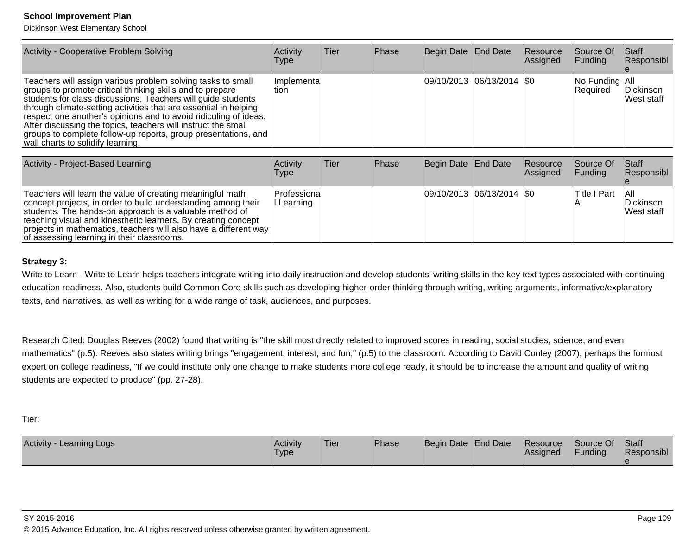Dickinson West Elementary School

projects in mathematics, teachers will also have a different way

of assessing learning in their classrooms.

| Activity - Cooperative Problem Solving                                                                                                                                                                                                                                                                                                                                                                                                                                                                   | Activity<br><b>Type</b> | Tier | Phase | Begin Date   End Date |                             | Resource<br>Assigned | Source Of<br> Funding      | Staff<br>Responsibl               |
|----------------------------------------------------------------------------------------------------------------------------------------------------------------------------------------------------------------------------------------------------------------------------------------------------------------------------------------------------------------------------------------------------------------------------------------------------------------------------------------------------------|-------------------------|------|-------|-----------------------|-----------------------------|----------------------|----------------------------|-----------------------------------|
| Teachers will assign various problem solving tasks to small<br>groups to promote critical thinking skills and to prepare<br>students for class discussions. Teachers will guide students<br>through climate-setting activities that are essential in helping<br>respect one another's opinions and to avoid ridiculing of ideas.<br>After discussing the topics, teachers will instruct the small<br>groups to complete follow-up reports, group presentations, and<br>wall charts to solidify learning. | Implementa<br>ltion.    |      |       |                       | 09/10/2013  06/13/2014  \$0 |                      | No Funding All<br>Required | Dickinson<br>West staff           |
| Activity - Project-Based Learning                                                                                                                                                                                                                                                                                                                                                                                                                                                                        | Activity<br><b>Type</b> | Tier | Phase | Begin Date End Date   |                             | Resource<br>Assigned | Source Of<br>Funding       | Staff<br>Responsibl               |
| Teachers will learn the value of creating meaningful math<br>concept projects, in order to build understanding among their<br>students. The hands-on approach is a valuable method of<br>teaching visual and kinesthetic learners. By creating concept                                                                                                                                                                                                                                                   | Professiona<br>Learning |      |       |                       | 09/10/2013 06/13/2014   \$0 |                      | <b>Title I Part</b>        | l All<br>Dickinson<br>lWest staff |

#### **Strategy 3:**

Write to Learn - Write to Learn helps teachers integrate writing into daily instruction and develop students' writing skills in the key text types associated with continuing education readiness. Also, students build Common Core skills such as developing higher-order thinking through writing, writing arguments, informative/explanatorytexts, and narratives, as well as writing for a wide range of task, audiences, and purposes.

Research Cited: Douglas Reeves (2002) found that writing is "the skill most directly related to improved scores in reading, social studies, science, and evenmathematics" (p.5). Reeves also states writing brings "engagement, interest, and fun," (p.5) to the classroom. According to David Conley (2007), perhaps the formost expert on college readiness, "If we could institute only one change to make students more college ready, it should be to increase the amount and quality of writing students are expected to produce" (pp. 27-28).

Tier:

| Activity - Learning Logs | <b>Activity</b><br>'Type | <b>Tier</b> | <b>Phase</b> | Begin Date End Date | <b>Resource</b><br><b>Assigned</b> | Source Of<br><b>IFunding</b> | <b>Staff</b><br>Responsibl |
|--------------------------|--------------------------|-------------|--------------|---------------------|------------------------------------|------------------------------|----------------------------|
|                          |                          |             |              |                     |                                    |                              |                            |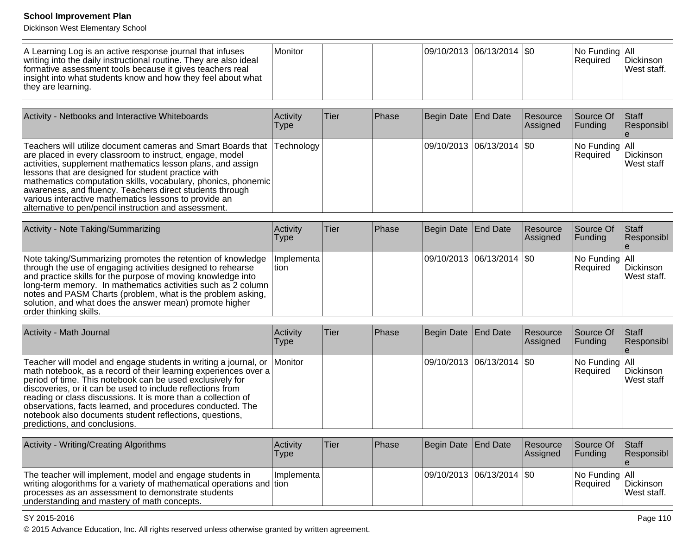Dickinson West Elementary School

| A Learning Log is an active response journal that infuses<br>writing into the daily instructional routine. They are also ideal<br>formative assessment tools because it gives teachers real<br>insight into what students know and how they feel about what<br>they are learning. | l Monitor |  |  | 09/10/2013  06/13/2014  \$0 |  |  | INo Funding IAII<br><b>Required</b> | <b>IDickinson</b><br>lWest staff. |
|-----------------------------------------------------------------------------------------------------------------------------------------------------------------------------------------------------------------------------------------------------------------------------------|-----------|--|--|-----------------------------|--|--|-------------------------------------|-----------------------------------|
|-----------------------------------------------------------------------------------------------------------------------------------------------------------------------------------------------------------------------------------------------------------------------------------|-----------|--|--|-----------------------------|--|--|-------------------------------------|-----------------------------------|

| Activity - Netbooks and Interactive Whiteboards                                                                                                                                                                                                                                                                                                                                                                                                                                                          | Activity<br><b>Type</b> | Tier | Phase | Begin Date End Date |                             | Resource<br>Assigned | Source Of<br><b>Funding</b>                | <b>Staff</b><br>Responsibl      |
|----------------------------------------------------------------------------------------------------------------------------------------------------------------------------------------------------------------------------------------------------------------------------------------------------------------------------------------------------------------------------------------------------------------------------------------------------------------------------------------------------------|-------------------------|------|-------|---------------------|-----------------------------|----------------------|--------------------------------------------|---------------------------------|
| Teachers will utilize document cameras and Smart Boards that Technology<br>are placed in every classroom to instruct, engage, model<br>activities, supplement mathematics lesson plans, and assign<br>lessons that are designed for student practice with<br>mathematics computation skills, vocabulary, phonics, phonemic<br>awareness, and fluency. Teachers direct students through<br>various interactive mathematics lessons to provide an<br>alternative to pen/pencil instruction and assessment. |                         |      |       |                     | 09/10/2013 06/13/2014   \$0 |                      | $\vert$ No Funding $\vert$ All<br>Required | Dickinson<br><b>IWest staff</b> |

| Activity - Note Taking/Summarizing                                                                                                                                                                                                                                                                                                                                                                                | Activity<br><b>Type</b> | lTier | <b>Phase</b> | Begin Date End Date         | Resource<br>Assigned | Source Of<br><b>Funding</b>             | Staff<br>Responsibl              |
|-------------------------------------------------------------------------------------------------------------------------------------------------------------------------------------------------------------------------------------------------------------------------------------------------------------------------------------------------------------------------------------------------------------------|-------------------------|-------|--------------|-----------------------------|----------------------|-----------------------------------------|----------------------------------|
| Note taking/Summarizing promotes the retention of knowledge<br>through the use of engaging activities designed to rehearse<br>and practice skills for the purpose of moving knowledge into<br> long-term memory. In mathematics activities such as 2 column  <br>notes and PASM Charts (problem, what is the problem asking,<br>solution, and what does the answer mean) promote higher<br>order thinking skills. | Implementa <br>ltion.   |       |              | 09/10/2013 06/13/2014   \$0 |                      | $ No$ Funding $ All$<br><b>Required</b> | Dickinson<br><b>IWest staff.</b> |

| Activity - Math Journal                                                                                                                                                                                                                                                                                                                                                                                                                                                                          | Activity<br><b>Type</b> | ∣Tier | Phase | Begin Date End Date |                               | Resource<br><b>Assigned</b> | Source Of<br><b>Funding</b>                | <b>Staff</b><br>Responsibl      |
|--------------------------------------------------------------------------------------------------------------------------------------------------------------------------------------------------------------------------------------------------------------------------------------------------------------------------------------------------------------------------------------------------------------------------------------------------------------------------------------------------|-------------------------|-------|-------|---------------------|-------------------------------|-----------------------------|--------------------------------------------|---------------------------------|
| Teacher will model and engage students in writing a journal, or Monitor<br>math notebook, as a record of their learning experiences over a<br>period of time. This notebook can be used exclusively for<br>discoveries, or it can be used to include reflections from<br>reading or class discussions. It is more than a collection of<br>observations, facts learned, and procedures conducted. The<br>notebook also documents student reflections, questions,<br>predictions, and conclusions. |                         |       |       |                     | $ 09/10/2013 06/13/2014 $ \$0 |                             | $\vert$ No Funding $\vert$ All<br>Required | Dickinson<br><b>IWest staff</b> |

| Activity - Writing/Creating Algorithms                                                                                                                                                                                                    | Activity<br>Type | <b>Tier</b> | <b>IPhase</b> | Begin Date End Date         | Resource<br>Assigned | <b>Source Of</b><br><b>IFunding</b>     | <b>Staff</b><br>Responsibl      |
|-------------------------------------------------------------------------------------------------------------------------------------------------------------------------------------------------------------------------------------------|------------------|-------------|---------------|-----------------------------|----------------------|-----------------------------------------|---------------------------------|
| The teacher will implement, model and engage students in<br> writing alogorithms for a variety of mathematical operations and   tion<br>processes as an assessment to demonstrate students<br>understanding and mastery of math concepts. | Ilmplementa l    |             |               | 09/10/2013 06/13/2014   \$0 |                      | $ No$ Funding $ All$<br><b>Required</b> | Dickinson<br><b>Nest staff.</b> |

#### SY 2015-2016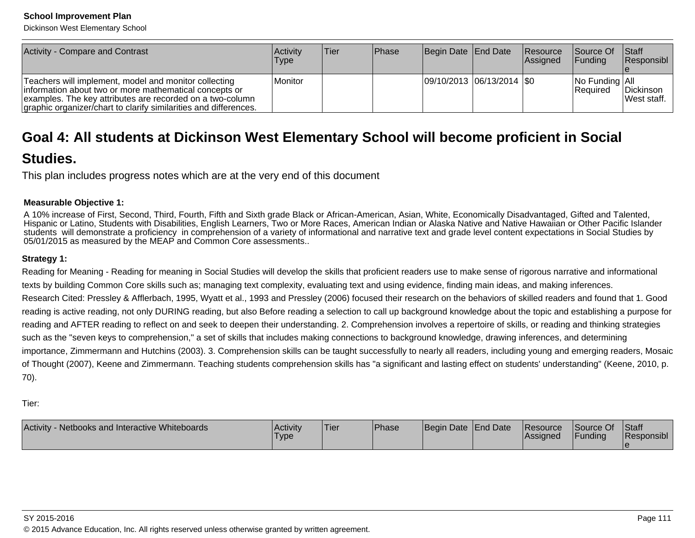Dickinson West Elementary School

| Activity - Compare and Contrast                                                                                                                                                                                                                  | <b>Activity</b><br><b>Type</b> | lTier. | <b>IPhase</b> | Begin Date End Date         | <b>Resource</b><br><b>Assigned</b> | <b>Source Of</b><br><b>IFunding</b> | <b>Staff</b><br>Responsibl |
|--------------------------------------------------------------------------------------------------------------------------------------------------------------------------------------------------------------------------------------------------|--------------------------------|--------|---------------|-----------------------------|------------------------------------|-------------------------------------|----------------------------|
| Teachers will implement, model and monitor collecting<br>information about two or more mathematical concepts or<br>examples. The key attributes are recorded on a two-column<br>graphic organizer/chart to clarify similarities and differences. | <b>Monitor</b>                 |        |               | 09/10/2013 06/13/2014   \$0 |                                    | No Funding All<br><b>Required</b>   | Dickinson<br>West staff.   |

# **Goal 4: All students at Dickinson West Elementary School will become proficient in Social**

## **Studies.**

This plan includes progress notes which are at the very end of this document

## **Measurable Objective 1:**

A 10% increase of First, Second, Third, Fourth, Fifth and Sixth grade Black or African-American, Asian, White, Economically Disadvantaged, Gifted and Talented, Hispanic or Latino, Students with Disabilities, English Learners, Two or More Races, American Indian or Alaska Native and Native Hawaiian or Other Pacific Islanderstudents will demonstrate a proficiency in comprehension of a variety of informational and narrative text and grade level content expectations in Social Studies by05/01/2015 as measured by the MEAP and Common Core assessments..

## **Strategy 1:**

Reading for Meaning - Reading for meaning in Social Studies will develop the skills that proficient readers use to make sense of rigorous narrative and informationaltexts by building Common Core skills such as; managing text complexity, evaluating text and using evidence, finding main ideas, and making inferences.Research Cited: Pressley & Afflerbach, 1995, Wyatt et al., 1993 and Pressley (2006) focused their research on the behaviors of skilled readers and found that 1. Goodreading is active reading, not only DURING reading, but also Before reading a selection to call up background knowledge about the topic and establishing a purpose forreading and AFTER reading to reflect on and seek to deepen their understanding. 2. Comprehension involves a repertoire of skills, or reading and thinking strategiessuch as the "seven keys to comprehension," a set of skills that includes making connections to background knowledge, drawing inferences, and determining importance, Zimmermann and Hutchins (2003). 3. Comprehension skills can be taught successfully to nearly all readers, including young and emerging readers, Mosaicof Thought (2007), Keene and Zimmermann. Teaching students comprehension skills has "a significant and lasting effect on students' understanding" (Keene, 2010, p.70).

Tier:

| Activity - Netbooks and Interactive Whiteboards | Activity<br><b>Type</b> | 'Tier | <sup>I</sup> Phase | Begin Date End Date |  | <b>Resource</b><br><b>IAssigned</b> | Source Of<br>Funding | <b>Staff</b><br>Responsibl |
|-------------------------------------------------|-------------------------|-------|--------------------|---------------------|--|-------------------------------------|----------------------|----------------------------|
|-------------------------------------------------|-------------------------|-------|--------------------|---------------------|--|-------------------------------------|----------------------|----------------------------|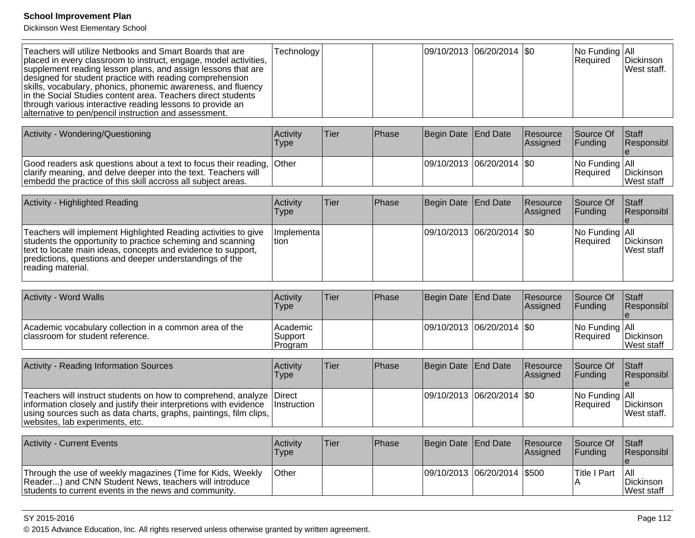Dickinson West Elementary School

| Teachers will utilize Netbooks and Smart Boards that are<br>placed in every classroom to instruct, engage, model activities,<br>supplement reading lesson plans, and assign lessons that are<br>designed for student practice with reading comprehension<br>skills, vocabulary, phonics, phonemic awareness, and fluency<br>in the Social Studies content area. Teachers direct students<br>through various interactive reading lessons to provide an<br>alternative to pen/pencil instruction and assessment. | Technology                     |             |       | 09/10/2013 06/20/2014     |                 | l\$0                 | No Funding   All<br>Required | Dickinson<br>West staff.                                |
|----------------------------------------------------------------------------------------------------------------------------------------------------------------------------------------------------------------------------------------------------------------------------------------------------------------------------------------------------------------------------------------------------------------------------------------------------------------------------------------------------------------|--------------------------------|-------------|-------|---------------------------|-----------------|----------------------|------------------------------|---------------------------------------------------------|
| Activity - Wondering/Questioning                                                                                                                                                                                                                                                                                                                                                                                                                                                                               | Activity<br><b>Type</b>        | <b>Tier</b> | Phase | Begin Date                | <b>End Date</b> | Resource<br>Assigned | Source Of<br>Funding         | <b>Staff</b><br>Responsibl                              |
| Good readers ask questions about a text to focus their reading,<br>clarify meaning, and delve deeper into the text. Teachers will<br>embedd the practice of this skill accross all subject areas.                                                                                                                                                                                                                                                                                                              | Other                          |             |       | 09/10/2013 06/20/2014     |                 | \$0                  | No Funding<br>Required       | All<br>Dickinson<br>West staff                          |
| Activity - Highlighted Reading                                                                                                                                                                                                                                                                                                                                                                                                                                                                                 | Activity<br><b>Type</b>        | Tier        | Phase | <b>Begin Date</b>         | End Date        | Resource<br>Assigned | Source Of<br>Funding         | <b>Staff</b><br>Responsibl<br>$\boldsymbol{\mathsf{e}}$ |
| Teachers will implement Highlighted Reading activities to give<br>students the opportunity to practice scheming and scanning<br>text to locate main ideas, concepts and evidence to support,<br>predictions, questions and deeper understandings of the<br>reading material.                                                                                                                                                                                                                                   | Implementa<br>tion             |             |       | 09/10/2013 06/20/2014 \$0 |                 |                      | No Funding<br>Required       | All<br>Dickinson<br>West staff                          |
| Activity - Word Walls                                                                                                                                                                                                                                                                                                                                                                                                                                                                                          | Activity<br><b>Type</b>        | <b>Tier</b> | Phase | <b>Begin Date</b>         | <b>End Date</b> | Resource<br>Assigned | Source Of<br>Funding         | <b>Staff</b><br>Responsibl                              |
| Academic vocabulary collection in a common area of the<br>classroom for student reference.                                                                                                                                                                                                                                                                                                                                                                                                                     | Academic<br>Support<br>Program |             |       | 09/10/2013 06/20/2014     |                 | <b>SO</b>            | No Funding<br>Required       | All<br>Dickinson<br>West staff                          |
| <b>Activity - Reading Information Sources</b>                                                                                                                                                                                                                                                                                                                                                                                                                                                                  | Activity<br><b>Type</b>        | Tier        | Phase | Begin Date                | <b>End Date</b> | Resource<br>Assigned | Source Of<br>Funding         | <b>Staff</b><br>Responsibl<br>$\mathbf{e}$              |
| Teachers will instruct students on how to comprehend, analyze<br>information closely and justify their interpretions with evidence<br>using sources such as data charts, graphs, paintings, film clips,<br>websites, lab experiments, etc.                                                                                                                                                                                                                                                                     | Direct<br>Instruction          |             |       | 09/10/2013                | 06/20/2014      | <b>SO</b>            | No Funding<br>Required       | All<br>Dickinson<br>West staff.                         |
| <b>Activity - Current Events</b>                                                                                                                                                                                                                                                                                                                                                                                                                                                                               | Activity<br><b>Type</b>        | Tier        | Phase | <b>Begin Date</b>         | End Date        | Resource<br>Assigned | Source Of<br>Funding         | <b>Staff</b><br>Responsibl                              |
| Through the use of weekly magazines (Time for Kids, Weekly<br>Reader) and CNN Student News, teachers will introduce<br>students to current events in the news and community.                                                                                                                                                                                                                                                                                                                                   | Other                          |             |       | 09/10/2013                | 06/20/2014      | \$500                | <b>Title I Part</b><br>A     | All<br>Dickinson<br>West staff                          |

SY 2015-2016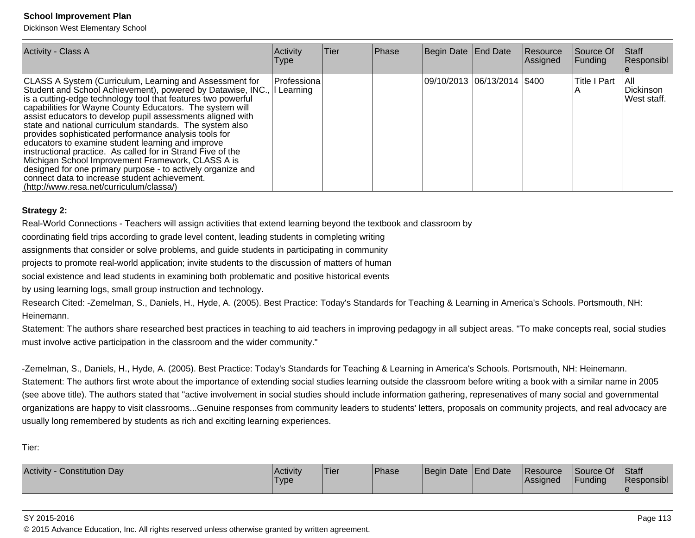Dickinson West Elementary School

| Activity - Class A                                                                                                                                                                                                                                                                                                                                                                                                                                                                                                                                                                                                                                                                                                                                                         | Activity<br><b>Type</b> | lTier | Phase | Begin Date End Date           | Resource<br>Assigned | Source Of<br><b>Funding</b> | <b>IStaff</b><br>Responsibl       |
|----------------------------------------------------------------------------------------------------------------------------------------------------------------------------------------------------------------------------------------------------------------------------------------------------------------------------------------------------------------------------------------------------------------------------------------------------------------------------------------------------------------------------------------------------------------------------------------------------------------------------------------------------------------------------------------------------------------------------------------------------------------------------|-------------------------|-------|-------|-------------------------------|----------------------|-----------------------------|-----------------------------------|
| CLASS A System (Curriculum, Learning and Assessment for<br>Student and School Achievement), powered by Datawise, INC.,<br>is a cutting-edge technology tool that features two powerful<br>capabilities for Wayne County Educators. The system will<br>assist educators to develop pupil assessments aligned with<br>state and national curriculum standards. The system also<br>provides sophisticated performance analysis tools for<br>educators to examine student learning and improve<br>instructional practice. As called for in Strand Five of the<br>Michigan School Improvement Framework, CLASS A is<br>designed for one primary purpose - to actively organize and<br>connect data to increase student achievement.<br>(http://www.resa.net/curriculum/classa/) | Professiona<br>Learning |       |       | 09/10/2013  06/13/2014  \$400 |                      | Title I Part                | l All<br>Dickinson<br>West staff. |

#### **Strategy 2:**

Real-World Connections - Teachers will assign activities that extend learning beyond the textbook and classroom by

coordinating field trips according to grade level content, leading students in completing writing

assignments that consider or solve problems, and guide students in participating in community

projects to promote real-world application; invite students to the discussion of matters of human

social existence and lead students in examining both problematic and positive historical events

by using learning logs, small group instruction and technology.

Research Cited: -Zemelman, S., Daniels, H., Hyde, A. (2005). Best Practice: Today's Standards for Teaching & Learning in America's Schools. Portsmouth, NH:Heinemann.

Statement: The authors share researched best practices in teaching to aid teachers in improving pedagogy in all subject areas. "To make concepts real, social studiesmust involve active participation in the classroom and the wider community."

-Zemelman, S., Daniels, H., Hyde, A. (2005). Best Practice: Today's Standards for Teaching & Learning in America's Schools. Portsmouth, NH: Heinemann.Statement: The authors first wrote about the importance of extending social studies learning outside the classroom before writing a book with a similar name in 2005(see above title). The authors stated that "active involvement in social studies should include information gathering, represenatives of many social and governmentalorganizations are happy to visit classrooms...Genuine responses from community leaders to students' letters, proposals on community projects, and real advocacy areusually long remembered by students as rich and exciting learning experiences.

Tier:

| Activity<br>Constitution Dav | <b>Activity</b><br>I ype | 'Tier | Phase | Begin Date End Date | Resource<br>Assigned | Source Of<br><sup>1</sup> Funding | <b>Staff</b><br>Responsibl |
|------------------------------|--------------------------|-------|-------|---------------------|----------------------|-----------------------------------|----------------------------|
|                              |                          |       |       |                     |                      |                                   |                            |

#### SY 2015-2016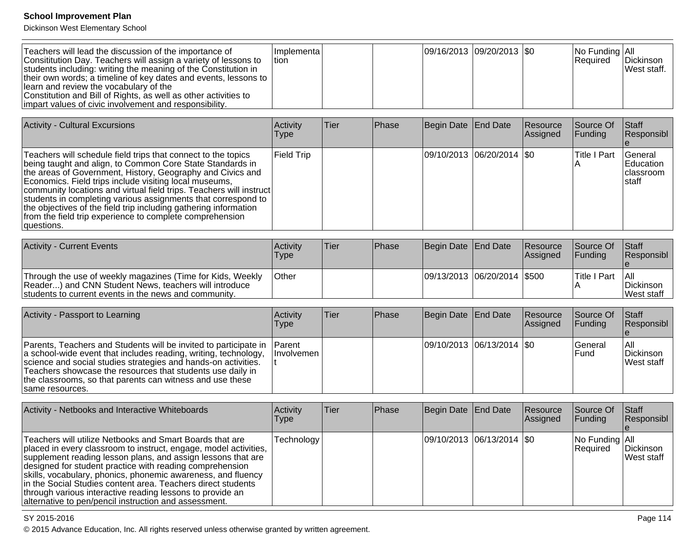Dickinson West Elementary School

| Teachers will lead the discussion of the importance of<br>Consititution Day. Teachers will assign a variety of lessons to<br>students including: writing the meaning of the Constitution in<br>their own words; a timeline of key dates and events, lessons to<br>llearn and review the vocabulary of the<br>Constitution and Bill of Rights, as well as other activities to<br>limpart values of civic involvement and responsibility. | Ilmplementa l<br>ltion. |  | 09/16/2013 09/20/2013   \$0 |  |  | INo Funding IAII<br><b>Required</b> | <b>IDickinson</b><br>West staff. |
|-----------------------------------------------------------------------------------------------------------------------------------------------------------------------------------------------------------------------------------------------------------------------------------------------------------------------------------------------------------------------------------------------------------------------------------------|-------------------------|--|-----------------------------|--|--|-------------------------------------|----------------------------------|
|-----------------------------------------------------------------------------------------------------------------------------------------------------------------------------------------------------------------------------------------------------------------------------------------------------------------------------------------------------------------------------------------------------------------------------------------|-------------------------|--|-----------------------------|--|--|-------------------------------------|----------------------------------|

| <b>Activity - Cultural Excursions</b>                                                                                                                                                                                                                                                                                                                                                                                                                                                                                                     | Activity<br>Type  | <b>Tier</b> | <b>Phase</b> | Begin Date End Date |                             | Resource<br>Assigned | Source Of<br><b>Funding</b> | Staff<br>Responsibl                                          |
|-------------------------------------------------------------------------------------------------------------------------------------------------------------------------------------------------------------------------------------------------------------------------------------------------------------------------------------------------------------------------------------------------------------------------------------------------------------------------------------------------------------------------------------------|-------------------|-------------|--------------|---------------------|-----------------------------|----------------------|-----------------------------|--------------------------------------------------------------|
| Teachers will schedule field trips that connect to the topics<br>being taught and align, to Common Core State Standards in<br>the areas of Government, History, Geography and Civics and<br>Economics. Field trips include visiting local museums,<br>community locations and virtual field trips. Teachers will instruct<br>students in completing various assignments that correspond to<br>the objectives of the field trip including gathering information<br>from the field trip experience to complete comprehension<br> questions. | <b>Field Trip</b> |             |              |                     | 09/10/2013 06/20/2014   \$0 |                      | lTitle I Part               | <b>IGeneral</b><br><b>IEducation</b><br>Iclassroom<br>Istaff |

| <b>Activity - Current Events</b>                                                                                                                                             | <b>Activity</b><br>'Type' | <b>Tier</b> | Phase | Begin Date End Date            | <b>Resource</b><br>Assigned | <b>Source Of</b><br><b>IFundina</b> | <b>Staff</b><br><b>Responsibl</b> |
|------------------------------------------------------------------------------------------------------------------------------------------------------------------------------|---------------------------|-------------|-------|--------------------------------|-----------------------------|-------------------------------------|-----------------------------------|
| Through the use of weekly magazines (Time for Kids, Weekly<br>Reader) and CNN Student News, teachers will introduce<br>students to current events in the news and community. | <b>Other</b>              |             |       | 09/13/2013  06/20/2014   \$500 |                             | lTitle I Part                       | IAII.<br>Dickinson<br>lWest staff |

| Activity - Passport to Learning                                                                                                                                                                                                                                                                                                                            | Activity<br>Type  | Tier | <b>IPhase</b> | Begin Date End Date         | Resource<br>Assigned | Source Of<br><b>Funding</b> | <b>Staff</b><br><b>Responsibl</b>       |
|------------------------------------------------------------------------------------------------------------------------------------------------------------------------------------------------------------------------------------------------------------------------------------------------------------------------------------------------------------|-------------------|------|---------------|-----------------------------|----------------------|-----------------------------|-----------------------------------------|
| Parents, Teachers and Students will be invited to participate in Parent<br>a school-wide event that includes reading, writing, technology,<br>science and social studies strategies and hands-on activities.<br>Teachers showcase the resources that students use daily in<br>the classrooms, so that parents can witness and use these<br>same resources. | <b>Involvemen</b> |      |               | 09/10/2013 06/13/2014   \$0 |                      | l General<br>lFund          | I All<br>Dickinson<br><b>West staff</b> |

| Activity - Netbooks and Interactive Whiteboards                                                                                                                                                                                                                                                                                                                                                                                                                                                                | <b>Activity</b><br><b>Type</b> | lTier: | <b>Phase</b> | Begin Date End Date |                             | Resource<br>Assigned | Source Of<br><b>Funding</b>      | <b>Staff</b><br>Responsibl |
|----------------------------------------------------------------------------------------------------------------------------------------------------------------------------------------------------------------------------------------------------------------------------------------------------------------------------------------------------------------------------------------------------------------------------------------------------------------------------------------------------------------|--------------------------------|--------|--------------|---------------------|-----------------------------|----------------------|----------------------------------|----------------------------|
| Teachers will utilize Netbooks and Smart Boards that are<br>placed in every classroom to instruct, engage, model activities,<br>supplement reading lesson plans, and assign lessons that are<br>designed for student practice with reading comprehension<br>skills, vocabulary, phonics, phonemic awareness, and fluency<br>in the Social Studies content area. Teachers direct students<br>through various interactive reading lessons to provide an<br>alternative to pen/pencil instruction and assessment. | Technology                     |        |              |                     | 09/10/2013 06/13/2014   \$0 |                      | $ No$ Funding $ All$<br>Required | Dickinson<br>West staff    |

#### SY 2015-2016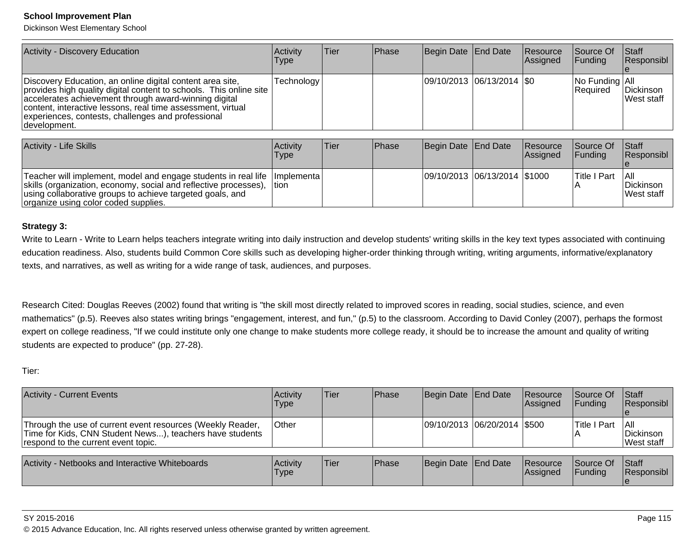Dickinson West Elementary School

| Activity - Discovery Education                                                                                                                                                                                                                                                                                                  | Activitv<br><b>Type</b> | ∣Tier | <b>IPhase</b> | Begin Date End Date           | Resource<br>Assigned | Source Of<br><b>Funding</b>             | Staff<br>Responsibl             |
|---------------------------------------------------------------------------------------------------------------------------------------------------------------------------------------------------------------------------------------------------------------------------------------------------------------------------------|-------------------------|-------|---------------|-------------------------------|----------------------|-----------------------------------------|---------------------------------|
| Discovery Education, an online digital content area site,<br>provides high quality digital content to schools. This online site  <br>accelerates achievement through award-winning digital<br>content, interactive lessons, real time assessment, virtual<br>experiences, contests, challenges and professional<br>development. | Technology              |       |               | $ 09/10/2013 06/13/2014 $ \$0 |                      | $ No$ Funding $ All$<br><b>Required</b> | Dickinson<br><b>IWest staff</b> |

| Activity - Life Skills                                                                                                                                                                                                                                 | <b>Activity</b><br>Type | Tier | <b>IPhase</b> | Begin Date End Date          | <b>Resource</b><br><b>Assigned</b> | <b>Source Of</b><br><b>IFunding</b> | <b>Staff</b><br>Responsibl               |
|--------------------------------------------------------------------------------------------------------------------------------------------------------------------------------------------------------------------------------------------------------|-------------------------|------|---------------|------------------------------|------------------------------------|-------------------------------------|------------------------------------------|
| Teacher will implement, model and engage students in real life   Implementa  <br>skills (organization, economy, social and reflective processes),<br>using collaborative groups to achieve targeted goals, and<br>organize using color coded supplies. | ⊺tion                   |      |               | 09/10/2013 06/13/2014 \$1000 |                                    | <b>Title I Part</b>                 | -l All<br>Dickinson<br><b>Nest staff</b> |

#### **Strategy 3:**

Write to Learn - Write to Learn helps teachers integrate writing into daily instruction and develop students' writing skills in the key text types associated with continuing education readiness. Also, students build Common Core skills such as developing higher-order thinking through writing, writing arguments, informative/explanatorytexts, and narratives, as well as writing for a wide range of task, audiences, and purposes.

Research Cited: Douglas Reeves (2002) found that writing is "the skill most directly related to improved scores in reading, social studies, science, and even mathematics" (p.5). Reeves also states writing brings "engagement, interest, and fun," (p.5) to the classroom. According to David Conley (2007), perhaps the formost expert on college readiness, "If we could institute only one change to make students more college ready, it should be to increase the amount and quality of writing students are expected to produce" (pp. 27-28).

Tier:

| <b>Activity - Current Events</b>                                                                                                                              | Activity<br>Type | <b>Tier</b> | <b>Phase</b> | Begin Date End Date         | Resource<br>Assigned | Source Of<br>IFundina        | <b>Staff</b><br>Responsibl             |
|---------------------------------------------------------------------------------------------------------------------------------------------------------------|------------------|-------------|--------------|-----------------------------|----------------------|------------------------------|----------------------------------------|
| Through the use of current event resources (Weekly Reader,<br>Time for Kids, CNN Student News), teachers have students<br>respond to the current event topic. | <b>Other</b>     |             |              | 09/10/2013 06/20/2014 \$500 |                      | <b>Title I Part</b>          | IAII<br>Dickinson<br><b>West staff</b> |
| Activity - Netbooks and Interactive Whiteboards                                                                                                               | Activity<br>Type | lTier       | Phase        | Begin Date End Date         | Resource<br>Assigned | Source Of<br><b>IFundina</b> | <b>Staff</b><br>Responsibl             |

#### SY 2015-2016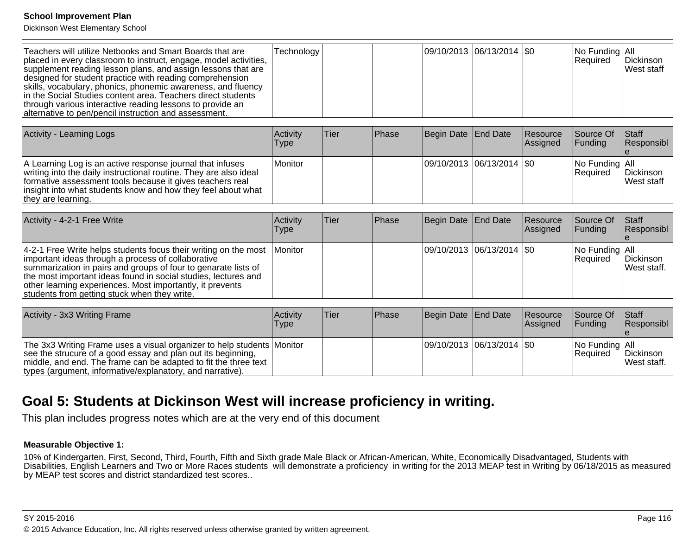Dickinson West Elementary School

| Teachers will utilize Netbooks and Smart Boards that are<br>placed in every classroom to instruct, engage, model activities,<br>supplement reading lesson plans, and assign lessons that are<br>designed for student practice with reading comprehension<br>skills, vocabulary, phonics, phonemic awareness, and fluency<br>in the Social Studies content area. Teachers direct students<br>through various interactive reading lessons to provide an<br>alternative to pen/pencil instruction and assessment. | Technology |  |  | $ 09/10/2013 06/13/2014 $ \$0 |  | $ No$ Funding $ All$<br><b>Required</b> | <b>IDickinson</b><br><b>West staff</b> |
|----------------------------------------------------------------------------------------------------------------------------------------------------------------------------------------------------------------------------------------------------------------------------------------------------------------------------------------------------------------------------------------------------------------------------------------------------------------------------------------------------------------|------------|--|--|-------------------------------|--|-----------------------------------------|----------------------------------------|
|----------------------------------------------------------------------------------------------------------------------------------------------------------------------------------------------------------------------------------------------------------------------------------------------------------------------------------------------------------------------------------------------------------------------------------------------------------------------------------------------------------------|------------|--|--|-------------------------------|--|-----------------------------------------|----------------------------------------|

| Activity - Learning Logs                                                                                                                                                                                                                                                          | <b>Activity</b><br>Type | ∣Tier | <b>IPhase</b> | Begin Date End Date |                             | <b>Resource</b><br>Assigned | <b>Source Of</b><br><b>IFunding</b>      | <b>Staff</b><br>Responsibl              |
|-----------------------------------------------------------------------------------------------------------------------------------------------------------------------------------------------------------------------------------------------------------------------------------|-------------------------|-------|---------------|---------------------|-----------------------------|-----------------------------|------------------------------------------|-----------------------------------------|
| A Learning Log is an active response journal that infuses<br>writing into the daily instructional routine. They are also ideal<br>formative assessment tools because it gives teachers real<br>insight into what students know and how they feel about what<br>they are learning. | l Monitor               |       |               |                     | 09/10/2013 06/13/2014   \$0 |                             | $ No$ Funding $ All$<br><b>IRequired</b> | <b>IDickinson</b><br><b>IWest staff</b> |

| Activity - 4-2-1 Free Write                                                                                                                                                                                                                                                                                                                                                        | Activitv<br><b>Type</b> | Tier | <b>IPhase</b> | Begin Date End Date |                               | Resource<br>Assigned | Source Of<br><b>IFundina</b>                      | <b>Staff</b><br>Responsibl       |
|------------------------------------------------------------------------------------------------------------------------------------------------------------------------------------------------------------------------------------------------------------------------------------------------------------------------------------------------------------------------------------|-------------------------|------|---------------|---------------------|-------------------------------|----------------------|---------------------------------------------------|----------------------------------|
| $ 4-2-1 $ Free Write helps students focus their writing on the most Monitor<br>important ideas through a process of collaborative<br>summarization in pairs and groups of four to genarate lists of<br>the most important ideas found in social studies, lectures and<br>other learning experiences. Most importantly, it prevents<br>students from getting stuck when they write. |                         |      |               |                     | $ 09/10/2013 06/13/2014 $ \$0 |                      | $\vert$ No Funding $\vert$ All<br><b>Required</b> | Dickinson<br><b>IWest staff.</b> |

| Activity - 3x3 Writing Frame                                                                                                                                                                                                                                             | Activity<br>Type | lTier: | <b>IPhase</b> | Begin Date   End Date |                             | <b>Resource</b><br><b>Assigned</b> | <b>Source Of</b><br><b>IFunding</b>     | <b>Staff</b><br>Responsibl       |
|--------------------------------------------------------------------------------------------------------------------------------------------------------------------------------------------------------------------------------------------------------------------------|------------------|--------|---------------|-----------------------|-----------------------------|------------------------------------|-----------------------------------------|----------------------------------|
| The 3x3 Writing Frame uses a visual organizer to help students Monitor<br>see the strucure of a good essay and plan out its beginning,<br>  middle, and end. The frame can be adapted to fit the three text<br>types (argument, informative/explanatory, and narrative). |                  |        |               |                       | 09/10/2013  06/13/2014  \$0 |                                    | $ No$ Funding $ Al $<br><b>Required</b> | Dickinson<br><b>IWest staff.</b> |

## **Goal 5: Students at Dickinson West will increase proficiency in writing.**

This plan includes progress notes which are at the very end of this document

#### **Measurable Objective 1:**

10% of Kindergarten, First, Second, Third, Fourth, Fifth and Sixth grade Male Black or African-American, White, Economically Disadvantaged, Students with<br>Disabilities, English Learners and Two or More Races students will by MEAP test scores and district standardized test scores..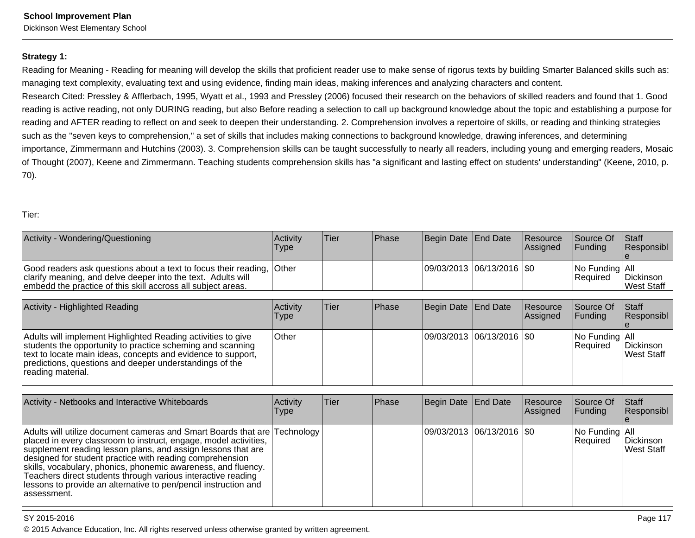Dickinson West Elementary School

## **Strategy 1:**

Reading for Meaning - Reading for meaning will develop the skills that proficient reader use to make sense of rigorus texts by building Smarter Balanced skills such as:managing text complexity, evaluating text and using evidence, finding main ideas, making inferences and analyzing characters and content.

Research Cited: Pressley & Afflerbach, 1995, Wyatt et al., 1993 and Pressley (2006) focused their research on the behaviors of skilled readers and found that 1. Goodreading is active reading, not only DURING reading, but also Before reading a selection to call up background knowledge about the topic and establishing a purpose for reading and AFTER reading to reflect on and seek to deepen their understanding. 2. Comprehension involves a repertoire of skills, or reading and thinking strategiessuch as the "seven keys to comprehension," a set of skills that includes making connections to background knowledge, drawing inferences, and determining importance, Zimmermann and Hutchins (2003). 3. Comprehension skills can be taught successfully to nearly all readers, including young and emerging readers, Mosaicof Thought (2007), Keene and Zimmermann. Teaching students comprehension skills has "a significant and lasting effect on students' understanding" (Keene, 2010, p.70).

#### Tier:

| Activity - Wondering/Questioning                                                                                                                                                                      | <b>Activity</b><br><b>Type</b> | 'Tier | <b>Phase</b> | Begin Date End Date         | Resource<br><b>Assigned</b> | Source Of<br><b>IFunding</b>             | <b>Staff</b><br><b>Responsibl</b> |
|-------------------------------------------------------------------------------------------------------------------------------------------------------------------------------------------------------|--------------------------------|-------|--------------|-----------------------------|-----------------------------|------------------------------------------|-----------------------------------|
| Good readers ask questions about a text to focus their reading, Other<br>clarify meaning, and delve deeper into the text. Adults will<br>embedd the practice of this skill accross all subject areas. |                                |       |              | 09/03/2013  06/13/2016  \$0 |                             | $ No$ Funding $ All$<br><b>IRequired</b> | Dickinson<br>West Staff           |

| <b>Activity - Highlighted Reading</b>                                                                                                                                                                                                                                      | Activity<br>Type | lTier. | <b>IPhase</b> | Begin Date End Date         | Resource<br>Assigned | Source Of<br><b>IFunding</b>            | $\vert$ Staff<br><b>Responsibl</b> |
|----------------------------------------------------------------------------------------------------------------------------------------------------------------------------------------------------------------------------------------------------------------------------|------------------|--------|---------------|-----------------------------|----------------------|-----------------------------------------|------------------------------------|
| Adults will implement Highlighted Reading activities to give<br>students the opportunity to practice scheming and scanning<br>text to locate main ideas, concepts and evidence to support,<br>predictions, questions and deeper understandings of the<br>reading material. | ∣Other           |        |               | 09/03/2013 06/13/2016   \$0 |                      | $ No$ Funding $ All$<br><b>Required</b> | Dickinson<br><b>West Staff</b>     |

| Activity - Netbooks and Interactive Whiteboards                                                                                                                                                                                                                                                                                                                                                                                                                                               | Activity<br><b>Type</b> | lTier. | Phase | Begin Date End Date        | Resource<br><b>Assigned</b> | Source Of<br><b>Funding</b> | Staff<br>Responsibl             |
|-----------------------------------------------------------------------------------------------------------------------------------------------------------------------------------------------------------------------------------------------------------------------------------------------------------------------------------------------------------------------------------------------------------------------------------------------------------------------------------------------|-------------------------|--------|-------|----------------------------|-----------------------------|-----------------------------|---------------------------------|
| Adults will utilize document cameras and Smart Boards that are Technology<br>placed in every classroom to instruct, engage, model activities,<br>supplement reading lesson plans, and assign lessons that are<br>designed for student practice with reading comprehension<br>skills, vocabulary, phonics, phonemic awareness, and fluency.<br>Teachers direct students through various interactive reading<br>lessons to provide an alternative to pen/pencil instruction and<br>lassessment. |                         |        |       | 09/03/2013 06/13/2016  \$0 |                             | No Funding All<br>Required  | Dickinson<br><b>IWest Staff</b> |

#### SY 2015-2016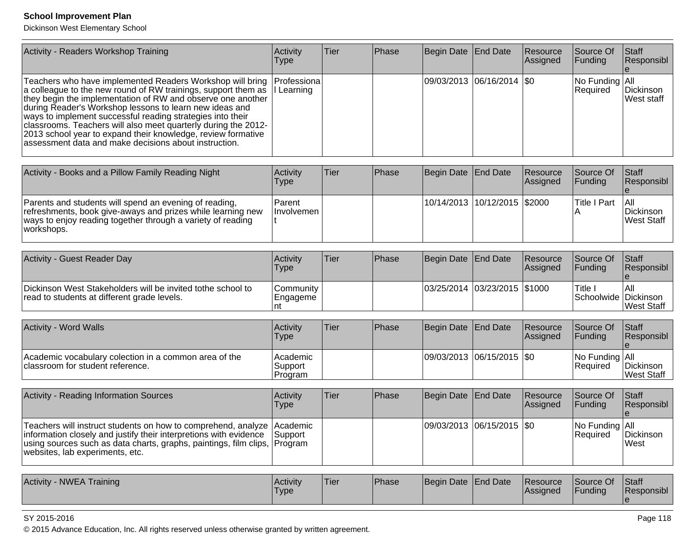Dickinson West Elementary School

| Activity - Readers Workshop Training                                                                                                                                                                                                                                                                                                                                                                                                                                                                          | Activity<br><b>Type</b>        | Tier | Phase | <b>Begin Date</b>     | <b>End Date</b>           | Resource<br>Assigned | Source Of<br>Funding            | Staff<br>Responsibl                   |
|---------------------------------------------------------------------------------------------------------------------------------------------------------------------------------------------------------------------------------------------------------------------------------------------------------------------------------------------------------------------------------------------------------------------------------------------------------------------------------------------------------------|--------------------------------|------|-------|-----------------------|---------------------------|----------------------|---------------------------------|---------------------------------------|
| Teachers who have implemented Readers Workshop will bring<br>a colleague to the new round of RW trainings, support them as<br>they begin the implementation of RW and observe one another<br>during Reader's Workshop lessons to learn new ideas and<br>ways to implement successful reading strategies into their<br>classrooms. Teachers will also meet quarterly during the 2012-<br>2013 school year to expand their knowledge, review formative<br>assessment data and make decisions about instruction. | Professiona<br>I Learning      |      |       | 09/03/2013            | 06/16/2014                | \$0                  | No Funding<br>Required          | All<br>Dickinson<br>West staff        |
| Activity - Books and a Pillow Family Reading Night                                                                                                                                                                                                                                                                                                                                                                                                                                                            | Activity<br>Type               | Tier | Phase | <b>Begin Date</b>     | <b>End Date</b>           | Resource<br>Assigned | Source Of<br>Funding            | Staff<br>Responsibl<br>e              |
| Parents and students will spend an evening of reading,<br>refreshments, book give-aways and prizes while learning new<br>ways to enjoy reading together through a variety of reading<br>workshops.                                                                                                                                                                                                                                                                                                            | Parent<br>Involvemen           |      |       | 10/14/2013            | 10/12/2015                | \$2000               | <b>Title I Part</b><br>Α        | All<br>Dickinson<br><b>West Staff</b> |
| <b>Activity - Guest Reader Day</b>                                                                                                                                                                                                                                                                                                                                                                                                                                                                            | Activity<br>Type               | Tier | Phase | <b>Begin Date</b>     | <b>End Date</b>           | Resource<br>Assigned | Source Of<br>Funding            | Staff<br>Responsibl                   |
| Dickinson West Stakeholders will be invited tothe school to<br>read to students at different grade levels.                                                                                                                                                                                                                                                                                                                                                                                                    | Community<br>Engageme<br>nt    |      |       | 03/25/2014 03/23/2015 |                           | \$1000               | Title I<br>Schoolwide Dickinson | All<br><b>West Staff</b>              |
| Activity - Word Walls                                                                                                                                                                                                                                                                                                                                                                                                                                                                                         | Activity<br>Type               | Tier | Phase | <b>Begin Date</b>     | <b>End Date</b>           | Resource<br>Assigned | Source Of<br>Funding            | Staff<br>Responsibl                   |
| Academic vocabulary colection in a common area of the<br>classroom for student reference.                                                                                                                                                                                                                                                                                                                                                                                                                     | Academic<br>Support<br>Program |      |       | 09/03/2013            | 06/15/2015                | \$0                  | No Funding All<br>Required      | Dickinson<br>West Staff               |
| <b>Activity - Reading Information Sources</b>                                                                                                                                                                                                                                                                                                                                                                                                                                                                 | Activity<br>Type               | Tier | Phase | <b>Begin Date</b>     | <b>End Date</b>           | Resource<br>Assigned | Source Of<br>Funding            | Staff<br>Responsibl                   |
| Teachers will instruct students on how to comprehend, analyze<br>information closely and justify their interpretions with evidence Support using sources such as data charts, graphs, paintings, film clips, Program<br>websites, lab experiments, etc.                                                                                                                                                                                                                                                       | Academic                       |      |       |                       | 09/03/2013 06/15/2015 \$0 |                      | No Funding   All<br>Required    | Dickinson<br>West                     |
| Activity - NWEA Training                                                                                                                                                                                                                                                                                                                                                                                                                                                                                      | Activity<br><b>Type</b>        | Tier | Phase | Begin Date            | <b>End Date</b>           | Resource<br>Assigned | Source Of<br>Funding            | Staff<br>Responsibl<br>le             |

#### SY 2015-2016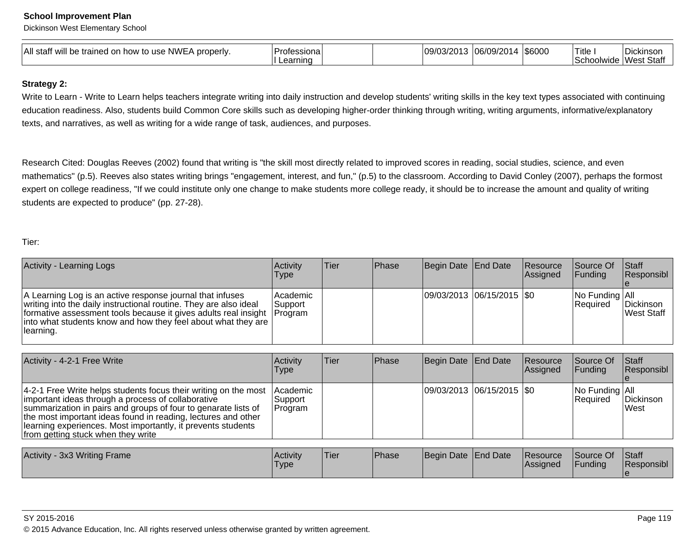Dickinson West Elementary School

| All staff<br><br>. NWE '<br>properly.<br>Ina <sub>0</sub><br>.) USE<br>how<br>.<br>$1\sigma$<br>vviil<br>w | Profession<br>arnınd |  | . IU// | ′∩വ<br>.<br>. <i>.</i> .<br>. | 1\$6000 | Title<br>1111777<br>`^h`<br>umuc | $\overline{\phantom{a}}$<br>UICKINSOL.<br>Wesi<br><br>ે ડાતા |
|------------------------------------------------------------------------------------------------------------|----------------------|--|--------|-------------------------------|---------|----------------------------------|--------------------------------------------------------------|
|------------------------------------------------------------------------------------------------------------|----------------------|--|--------|-------------------------------|---------|----------------------------------|--------------------------------------------------------------|

#### **Strategy 2:**

Write to Learn - Write to Learn helps teachers integrate writing into daily instruction and develop students' writing skills in the key text types associated with continuing education readiness. Also, students build Common Core skills such as developing higher-order thinking through writing, writing arguments, informative/explanatorytexts, and narratives, as well as writing for a wide range of task, audiences, and purposes.

Research Cited: Douglas Reeves (2002) found that writing is "the skill most directly related to improved scores in reading, social studies, science, and evenmathematics" (p.5). Reeves also states writing brings "engagement, interest, and fun," (p.5) to the classroom. According to David Conley (2007), perhaps the formost expert on college readiness, "If we could institute only one change to make students more college ready, it should be to increase the amount and quality of writing students are expected to produce" (pp. 27-28).

Tier:

| <b>Activity - Learning Logs</b>                                                                                                                                                                                                                                                                                                                                | Activity<br>Type               | Tier | Phase | Begin Date          | <b>End Date</b>             | Resource<br> Assigned | Source Of<br>Funding        | Staff<br>Responsibl     |
|----------------------------------------------------------------------------------------------------------------------------------------------------------------------------------------------------------------------------------------------------------------------------------------------------------------------------------------------------------------|--------------------------------|------|-------|---------------------|-----------------------------|-----------------------|-----------------------------|-------------------------|
| A Learning Log is an active response journal that infuses<br>writing into the daily instructional routine. They are also ideal<br>formative assessment tools because it gives adults real insight<br>into what students know and how they feel about what they are<br>learning.                                                                                | Academic<br>Support<br>Program |      |       |                     | 09/03/2013 06/15/2015   \$0 |                       | No Funding All<br> Required | Dickinson<br>West Staff |
| Activity - 4-2-1 Free Write                                                                                                                                                                                                                                                                                                                                    | Activity<br>Type               | Tier | Phase | Begin Date End Date |                             | Resource<br> Assigned | Source Of<br>Funding        | Staff<br>Responsibl     |
| 4-2-1 Free Write helps students focus their writing on the most<br>important ideas through a process of collaborative<br>summarization in pairs and groups of four to genarate lists of<br>the most important ideas found in reading, lectures and other<br>learning experiences. Most importantly, it prevents students<br>from getting stuck when they write | Academic<br>Support<br>Program |      |       |                     | 09/03/2013 06/15/2015   \$0 |                       | No Funding All<br>Required  | Dickinson<br>West       |
| Activity - 3x3 Writing Frame                                                                                                                                                                                                                                                                                                                                   | Activity                       | Tier | Phase | Begin Date End Date |                             | Resource              | Source Of                   | Staff                   |
|                                                                                                                                                                                                                                                                                                                                                                | <b>Type</b>                    |      |       |                     |                             | Assigned              | Funding                     | Responsibl              |

© 2015 Advance Education, Inc. All rights reserved unless otherwise granted by written agreement.

e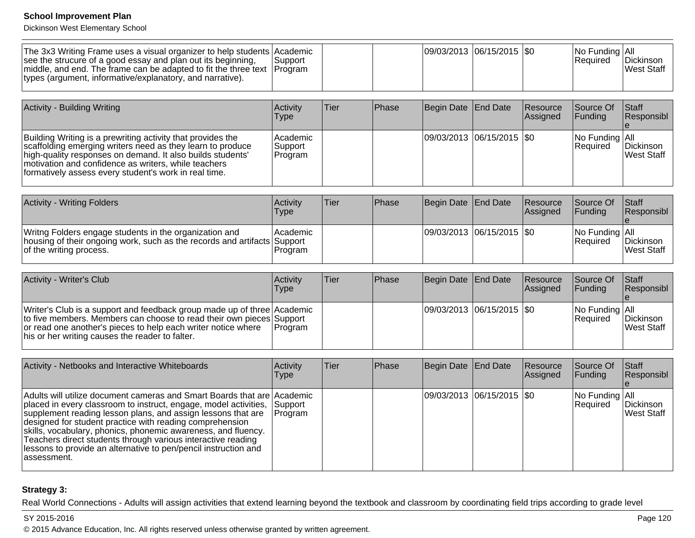Dickinson West Elementary School

| 09/03/2013  06/15/2015  \$0<br>$ No$ Funding $ All$<br>The 3x3 Writing Frame uses a visual organizer to help students Academic<br><b>Required</b><br><b>IDickinson</b><br>lSupport<br>West Staff<br>middle, and end. The frame can be adapted to fit the three text   Program | .<br>. <i>.</i>                                                                                                           |  | $\overline{\phantom{a}}$ |  |  | $\sim$ $\sim$ $\sim$ $\sim$ |
|-------------------------------------------------------------------------------------------------------------------------------------------------------------------------------------------------------------------------------------------------------------------------------|---------------------------------------------------------------------------------------------------------------------------|--|--------------------------|--|--|-----------------------------|
|                                                                                                                                                                                                                                                                               |                                                                                                                           |  |                          |  |  |                             |
|                                                                                                                                                                                                                                                                               | see the strucure of a good essay and plan out its beginning,<br>types (argument, informative/explanatory, and narrative). |  |                          |  |  |                             |

| Activity - Building Writing                                                                                                                                                                                                                                                                              | Activity<br>Type               | 'Tier | <b>Phase</b> | Begin Date End Date         | Resource<br><b>Assigned</b> | Source Of<br><b>IFunding</b>       | <b>Staff</b><br>Responsibl |
|----------------------------------------------------------------------------------------------------------------------------------------------------------------------------------------------------------------------------------------------------------------------------------------------------------|--------------------------------|-------|--------------|-----------------------------|-----------------------------|------------------------------------|----------------------------|
| Building Writing is a prewriting activity that provides the<br>scaffolding emerging writers need as they learn to produce<br>high-quality responses on demand. It also builds students'<br>motivation and confidence as writers, while teachers<br>formatively assess every student's work in real time. | Academic<br>Support<br>Program |       |              | 09/03/2013 06/15/2015   \$0 |                             | No Funding All<br><b>IRequired</b> | Dickinson<br>West Staff    |

| <b>Activity - Writing Folders</b>                                                                                                                             | Activitv<br>Type      | Tier | <b>IPhase</b> | Begin Date End Date |                             | Resource<br><b>Assigned</b> | Source Of<br><b>IFunding</b>            | <b>Staff</b><br>Responsibl |
|---------------------------------------------------------------------------------------------------------------------------------------------------------------|-----------------------|------|---------------|---------------------|-----------------------------|-----------------------------|-----------------------------------------|----------------------------|
| Writng Folders engage students in the organization and<br>housing of their ongoing work, such as the records and artifacts Support<br>of the writing process. | l Academic<br>Program |      |               |                     | 09/03/2013 06/15/2015   \$0 |                             | $ No$ Funding $ All$<br><b>Required</b> | Dickinson<br>West Staff    |

| Activity - Writer's Club                                                                                                                                                                                                                                            | Activity<br><b>Type</b> | Tier | <b>IPhase</b> | Begin Date End Date       | Resource<br><b>Assigned</b> | <b>Source Of</b><br><b>IFunding</b>               | <b>Staff</b><br>Responsibl      |
|---------------------------------------------------------------------------------------------------------------------------------------------------------------------------------------------------------------------------------------------------------------------|-------------------------|------|---------------|---------------------------|-----------------------------|---------------------------------------------------|---------------------------------|
| Writer's Club is a support and feedback group made up of three Academic<br>to five members. Members can choose to read their own pieces Support<br>or read one another's pieces to help each writer notice where<br>his or her writing causes the reader to falter. | <b>IProgram</b>         |      |               | 09/03/2013 06/15/2015 \$0 |                             | $\vert$ No Funding $\vert$ All<br><b>Required</b> | Dickinson<br><b>IWest Staff</b> |

| Activity - Netbooks and Interactive Whiteboards                                                                                                                                                                                                                                                                                                                                                                                                                                             | Activity<br>Type          | <b>Tier</b> | Phase | Begin Date End Date        | Resource<br>Assigned | Source Of<br> Funding            | <b>Staff</b><br>Responsibl |
|---------------------------------------------------------------------------------------------------------------------------------------------------------------------------------------------------------------------------------------------------------------------------------------------------------------------------------------------------------------------------------------------------------------------------------------------------------------------------------------------|---------------------------|-------------|-------|----------------------------|----------------------|----------------------------------|----------------------------|
| Adults will utilize document cameras and Smart Boards that are Academic<br>placed in every classroom to instruct, engage, model activities,<br>supplement reading lesson plans, and assign lessons that are<br>designed for student practice with reading comprehension<br>skills, vocabulary, phonics, phonemic awareness, and fluency.<br>Teachers direct students through various interactive reading<br>lessons to provide an alternative to pen/pencil instruction and<br>lassessment. | Support<br><b>Program</b> |             |       | 09/03/2013 06/15/2015 \\$0 |                      | $ No$ Funding $ All$<br>Required | Dickinson<br>West Staff    |

## **Strategy 3:**

Real World Connections - Adults will assign activities that extend learning beyond the textbook and classroom by coordinating field trips according to grade level

## SY 2015-2016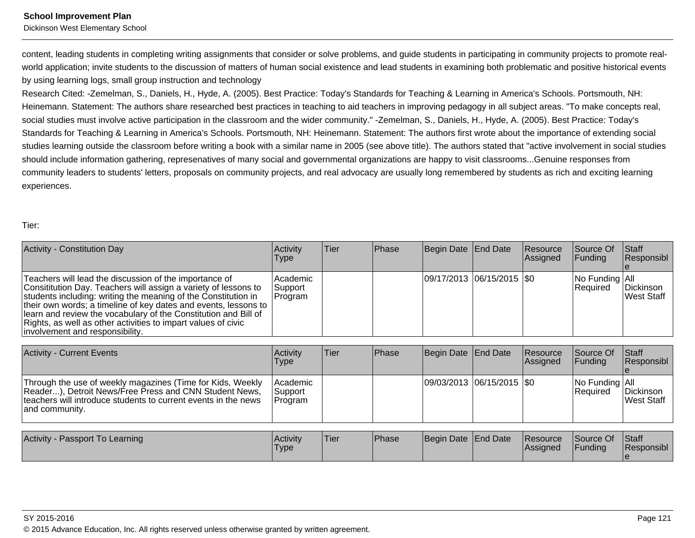Dickinson West Elementary School

content, leading students in completing writing assignments that consider or solve problems, and guide students in participating in community projects to promote realworld application; invite students to the discussion of matters of human social existence and lead students in examining both problematic and positive historical events by using learning logs, small group instruction and technology

Research Cited: -Zemelman, S., Daniels, H., Hyde, A. (2005). Best Practice: Today's Standards for Teaching & Learning in America's Schools. Portsmouth, NH:Heinemann. Statement: The authors share researched best practices in teaching to aid teachers in improving pedagogy in all subject areas. "To make concepts real,social studies must involve active participation in the classroom and the wider community." -Zemelman, S., Daniels, H., Hyde, A. (2005). Best Practice: Today'sStandards for Teaching & Learning in America's Schools. Portsmouth, NH: Heinemann. Statement: The authors first wrote about the importance of extending socialstudies learning outside the classroom before writing a book with a similar name in 2005 (see above title). The authors stated that "active involvement in social studiesshould include information gathering, represenatives of many social and governmental organizations are happy to visit classrooms...Genuine responses from community leaders to students' letters, proposals on community projects, and real advocacy are usually long remembered by students as rich and exciting learningexperiences.

#### Tier:

| Activity - Constitution Day                                                                                                                                                                                                                                                                                                                                                                                                           | Activity<br>Type               | Tier | Phase | Begin Date End Date |                             | Resource<br>Assigned  | Source Of<br>Funding        | <b>Staff</b><br>Responsibl     |
|---------------------------------------------------------------------------------------------------------------------------------------------------------------------------------------------------------------------------------------------------------------------------------------------------------------------------------------------------------------------------------------------------------------------------------------|--------------------------------|------|-------|---------------------|-----------------------------|-----------------------|-----------------------------|--------------------------------|
| Teachers will lead the discussion of the importance of<br>Consititution Day. Teachers will assign a variety of lessons to<br>students including: writing the meaning of the Constitution in<br>their own words; a timeline of key dates and events, lessons to<br>learn and review the vocabulary of the Constitution and Bill of<br>Rights, as well as other activities to impart values of civic<br>involvement and responsibility. | Academic<br>Support<br>Program |      |       |                     | 09/17/2013 06/15/2015   \$0 |                       | No Funding All<br> Required | Dickinson<br><b>West Staff</b> |
| <b>Activity - Current Events</b>                                                                                                                                                                                                                                                                                                                                                                                                      | Activity<br>Type               | Tier | Phase | Begin Date End Date |                             | Resource<br> Assigned | Source Of<br>Funding        | Staff<br>Responsibl            |
| Through the use of weekly magazines (Time for Kids, Weekly<br>Reader), Detroit News/Free Press and CNN Student News,<br>teachers will introduce students to current events in the news<br>and community.                                                                                                                                                                                                                              | Academic<br>Support<br>Program |      |       |                     | 09/03/2013 06/15/2015   \$0 |                       | No Funding All<br>Required  | Dickinson<br><b>West Staff</b> |
| Activity - Passport To Learning                                                                                                                                                                                                                                                                                                                                                                                                       | Activity                       | Tier | Phase | Begin Date End Date |                             | Resource<br>Assigned  | Source Of<br>Funding        | <b>Staff</b>                   |
|                                                                                                                                                                                                                                                                                                                                                                                                                                       | Type                           |      |       |                     |                             |                       |                             | Responsibl                     |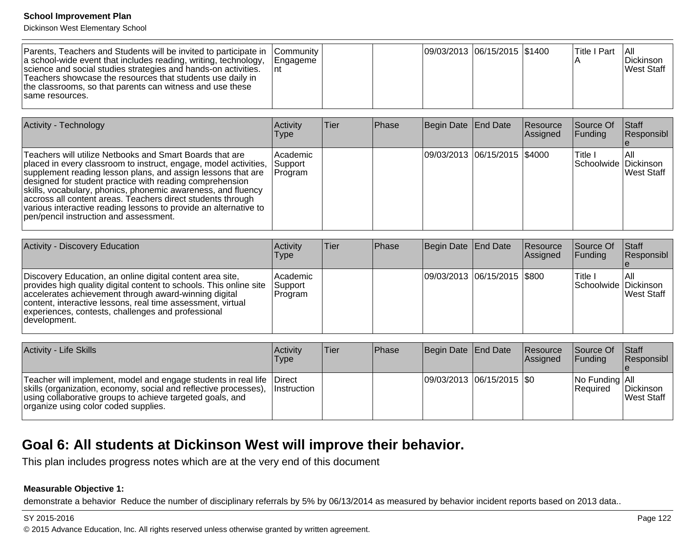Dickinson West Elementary School

| Parents, Teachers and Students will be invited to participate in Community<br>a school-wide event that includes reading, writing, technology,<br>science and social studies strategies and hands-on activities.<br>Teachers showcase the resources that students use daily in<br>the classrooms, so that parents can witness and use these<br>Isame resources. | <b>Engageme</b> |  |  |  | 09/03/2013 06/15/2015 \$1400 |  | <b>Title I Part</b> | -l All<br>Dickinson<br>West Staff |
|----------------------------------------------------------------------------------------------------------------------------------------------------------------------------------------------------------------------------------------------------------------------------------------------------------------------------------------------------------------|-----------------|--|--|--|------------------------------|--|---------------------|-----------------------------------|
|----------------------------------------------------------------------------------------------------------------------------------------------------------------------------------------------------------------------------------------------------------------------------------------------------------------------------------------------------------------|-----------------|--|--|--|------------------------------|--|---------------------|-----------------------------------|

| Activity - Technology                                                                                                                                                                                                                                                                                                                                                                                                                                                                                 | Activity<br><b>Type</b>         | <b>Tier</b> | <b>Phase</b> | Begin Date End Date          | Resource<br>Assigned | Source Of<br><b>Funding</b>      | <b>Staff</b><br>Responsibl |
|-------------------------------------------------------------------------------------------------------------------------------------------------------------------------------------------------------------------------------------------------------------------------------------------------------------------------------------------------------------------------------------------------------------------------------------------------------------------------------------------------------|---------------------------------|-------------|--------------|------------------------------|----------------------|----------------------------------|----------------------------|
| Teachers will utilize Netbooks and Smart Boards that are<br>placed in every classroom to instruct, engage, model activities,<br>supplement reading lesson plans, and assign lessons that are<br>designed for student practice with reading comprehension<br>skills, vocabulary, phonics, phonemic awareness, and fluency<br>accross all content areas. Teachers direct students through<br>various interactive reading lessons to provide an alternative to<br>pen/pencil instruction and assessment. | Academic<br>Support<br> Program |             |              | 09/03/2013 06/15/2015 \$4000 |                      | lTitle I<br>Schoolwide Dickinson | IAII<br><b>IWest Staff</b> |

| Activity - Discovery Education                                                                                                                                                                                                                                                                                                 | Activity<br><b>Type</b>          | Tier | Phase | Begin Date End Date         | Resource<br><b>Assigned</b> | Source Of<br><b>IFunding</b>     | <b>Staff</b><br>Responsibl |
|--------------------------------------------------------------------------------------------------------------------------------------------------------------------------------------------------------------------------------------------------------------------------------------------------------------------------------|----------------------------------|------|-------|-----------------------------|-----------------------------|----------------------------------|----------------------------|
| Discovery Education, an online digital content area site,<br>provides high quality digital content to schools. This online site<br>accelerates achievement through award-winning digital<br>content, interactive lessons, real time assessment, virtual<br>experiences, contests, challenges and professional<br>Idevelopment. | lAcademic<br>Support<br> Program |      |       | 09/03/2013 06/15/2015 \$800 |                             | 'Title ı<br>Schoolwide Dickinson | IAII<br>West Staff         |

| <b>Activity - Life Skills</b>                                                                                                                                                                                                                    | <b>Activity</b><br>Type | Tier | <b>IPhase</b> | Begin Date End Date       | Resource<br><b>Assigned</b> | Source Of<br><b>IFunding</b>      | <b>Staff</b><br>Responsibl |
|--------------------------------------------------------------------------------------------------------------------------------------------------------------------------------------------------------------------------------------------------|-------------------------|------|---------------|---------------------------|-----------------------------|-----------------------------------|----------------------------|
| Teacher will implement, model and engage students in real life   Direct<br>skills (organization, economy, social and reflective processes),<br>using collaborative groups to achieve targeted goals, and<br>organize using color coded supplies. | <b>Instruction</b>      |      |               | 09/03/2013 06/15/2015 \$0 |                             | No Funding All<br><b>Required</b> | Dickinson<br>West Staff    |

## **Goal 6: All students at Dickinson West will improve their behavior.**

This plan includes progress notes which are at the very end of this document

#### **Measurable Objective 1:**

demonstrate a behavior Reduce the number of disciplinary referrals by 5% by 06/13/2014 as measured by behavior incident reports based on 2013 data..

#### SY 2015-2016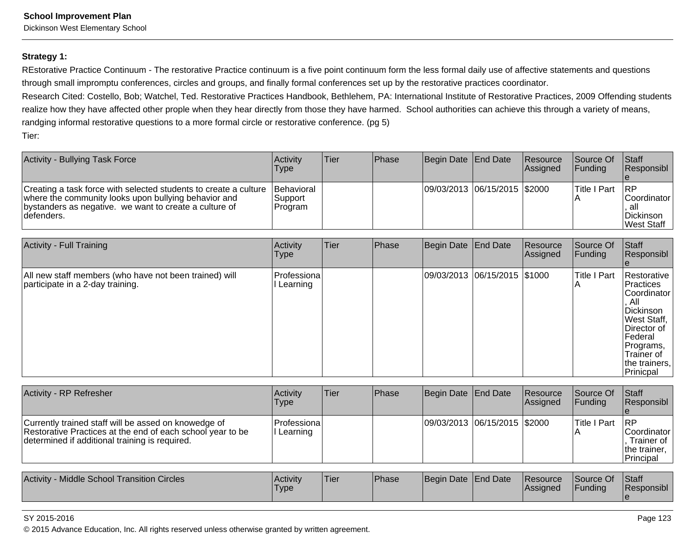Dickinson West Elementary School

#### **Strategy 1:**

REstorative Practice Continuum - The restorative Practice continuum is a five point continuum form the less formal daily use of affective statements and questionsthrough small impromptu conferences, circles and groups, and finally formal conferences set up by the restorative practices coordinator.

Research Cited: Costello, Bob; Watchel, Ted. Restorative Practices Handbook, Bethlehem, PA: International Institute of Restorative Practices, 2009 Offending studentsrealize how they have affected other prople when they hear directly from those they have harmed. School authorities can achieve this through a variety of means,randging informal restorative questions to a more formal circle or restorative conference. (pg 5)Tier:

| Activity - Bullying Task Force                                                                                                                                                                     | <b>Activity</b><br>Type                   | <b>Tier</b> | <b>IPhase</b> | Begin Date End Date          | <b>Resource</b><br>Assigned | Source Of<br><b>IFunding</b> | <b>Staff</b><br><b>Responsibl</b>                                           |
|----------------------------------------------------------------------------------------------------------------------------------------------------------------------------------------------------|-------------------------------------------|-------------|---------------|------------------------------|-----------------------------|------------------------------|-----------------------------------------------------------------------------|
| Creating a task force with selected students to create a culture<br>where the community looks upon bullying behavior and<br>(bystanders as negative. we want to create a culture of<br>Idefenders. | <b>Behavioral</b><br> Support <br>Program |             |               | 09/03/2013 06/15/2015 \$2000 |                             | <b>Title I Part</b>          | <b>IRP</b><br><b>Coordinator</b><br>. al<br>Dickinson<br><b>IWest Staff</b> |

| <b>Activity - Full Training</b>                                                            | Activity<br><b>Type</b> | Tier | Phase | Begin Date End Date          | Resource<br>Assigned | Source Of<br>Funding     | Staff<br>Responsibl                                                                                                                                                            |
|--------------------------------------------------------------------------------------------|-------------------------|------|-------|------------------------------|----------------------|--------------------------|--------------------------------------------------------------------------------------------------------------------------------------------------------------------------------|
| All new staff members (who have not been trained) will<br>participate in a 2-day training. | Professiona<br>Learning |      |       | 09/03/2013 06/15/2015 \$1000 |                      | <b>Title I Part</b><br>A | Restorative<br><b>Practices</b><br>Coordinator<br>. All<br>Dickinson<br><b>West Staff,</b><br>IDirector of<br>Federal<br>Programs,<br>Trainer of<br>the trainers,<br>Prinicpal |

| <b>Activity - RP Refresher</b>                                                                                                                                       | <b>Activity</b><br>Type     | <b>Tier</b> | <b>Phase</b> | Begin Date End Date |                              | Resource<br>Assigned | Source Of<br>IFundina | <b>Staff</b><br>Responsibl                                        |
|----------------------------------------------------------------------------------------------------------------------------------------------------------------------|-----------------------------|-------------|--------------|---------------------|------------------------------|----------------------|-----------------------|-------------------------------------------------------------------|
| Currently trained staff will be assed on knowedge of<br>Restorative Practices at the end of each school year to be<br>determined if additional training is required. | Professiona <br>II Learning |             |              |                     | 09/03/2013 06/15/2015 \$2000 |                      | lTitle I Part         | -IRP<br> Coordinator  <br>Trainer of<br>the trainer.<br>Principal |

| <b>Middle School Transition Circles</b><br><b>Activity</b> | <b>Activity</b><br>Туре | 'Tier | <b>Phase</b> | Begin Date End Date |  | <b>Resource</b><br><b>IAssigned</b> | Source Of<br>Funding | Staff<br>!Responsibl |
|------------------------------------------------------------|-------------------------|-------|--------------|---------------------|--|-------------------------------------|----------------------|----------------------|
|------------------------------------------------------------|-------------------------|-------|--------------|---------------------|--|-------------------------------------|----------------------|----------------------|

#### SY 2015-2016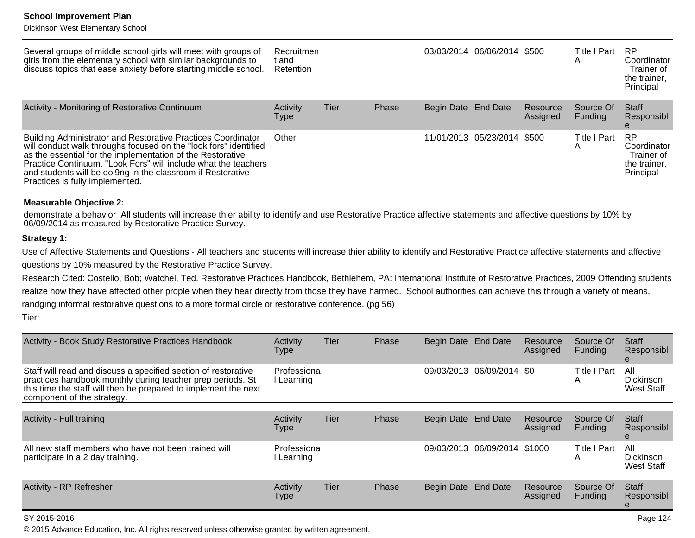Dickinson West Elementary School

| Several groups of middle school girls will meet with groups of<br>girls from the elementary school with similar backgrounds to<br>discuss topics that ease anxiety before starting middle school. | <b>Recruitmen</b><br>lt and<br>Retention |       |       | 03/03/2014 06/06/2014   \$500 |                             | Title I Part                 | <b>IRP</b><br><b>Coordinator</b><br>Trainer of<br>the trainer,<br>Principal |
|---------------------------------------------------------------------------------------------------------------------------------------------------------------------------------------------------|------------------------------------------|-------|-------|-------------------------------|-----------------------------|------------------------------|-----------------------------------------------------------------------------|
| Activity - Monitoring of Restorative Continuum                                                                                                                                                    | Activity<br>Type                         | lTier | Phase | Begin Date End Date           | <b>Resource</b><br>Assigned | Source Of<br><b>IFunding</b> | <b>Staff</b><br><b>Responsibl</b>                                           |
| Building Administrator and Restorative Practices Coordinator                                                                                                                                      | <b>Other</b>                             |       |       | 11/01/2013  05/23/2014  \$500 |                             | Title I Part RP              |                                                                             |

| Building Administrator and Restorative Practices Coordinator     | <b>Other</b> |  | 11/01/2013  05/23/2014  \$500 | <b>Title I Part</b> | <b>IRP</b>   |
|------------------------------------------------------------------|--------------|--|-------------------------------|---------------------|--------------|
| will conduct walk throughs focused on the "look fors" identified |              |  |                               |                     | Coordinator  |
| as the essential for the implementation of the Restorative       |              |  |                               |                     | Trainer of   |
| Practice Continuum. "Look Fors" will include what the teachers   |              |  |                               |                     | the trainer. |
| and students will be doi9ng in the classroom if Restorative      |              |  |                               |                     | Principal    |
| Practices is fully implemented.                                  |              |  |                               |                     |              |

#### **Measurable Objective 2:**

demonstrate a behavior All students will increase thier ability to identify and use Restorative Practice affective statements and affective questions by 10% by<br>06/09/2014 as measured by Restorative Practice Survey.

#### **Strategy 1:**

Use of Affective Statements and Questions - All teachers and students will increase thier ability to identify and Restorative Practice affective statements and affectivequestions by 10% measured by the Restorative Practice Survey.

Research Cited: Costello, Bob; Watchel, Ted. Restorative Practices Handbook, Bethlehem, PA: International Institute of Restorative Practices, 2009 Offending studentsrealize how they have affected other prople when they hear directly from those they have harmed. School authorities can achieve this through a variety of means,randging informal restorative questions to a more formal circle or restorative conference. (pg 56)Tier:

| Activity - Book Study Restorative Practices Handbook                                                                                                                                                                          | Activity<br>Type                   | Tier | <b>Phase</b> | Begin Date End Date |                             | Resource<br><b>Assigned</b> | Source Of<br><b>IFundina</b> | <b>Staff</b><br><b>Responsibl</b>       |
|-------------------------------------------------------------------------------------------------------------------------------------------------------------------------------------------------------------------------------|------------------------------------|------|--------------|---------------------|-----------------------------|-----------------------------|------------------------------|-----------------------------------------|
| Staff will read and discuss a specified section of restorative<br>practices handbook monthly during teacher prep periods. St<br>this time the staff will then be prepared to implement the next<br>component of the strategy. | <b> Professiona </b><br>l Learning |      |              |                     | 09/03/2013  06/09/2014  \$0 |                             | <b>Title I Part</b>          | 1 All<br>Dickinson<br><b>West Staff</b> |

| Activity - Full training                                                                 | Activity<br><b>Type</b>   | <b>Tier</b> | Phase | Begin Date End Date |                              | <b>Resource</b><br><b>Assigned</b> | Source Of<br><b>IFundina</b> | <b>Staff</b><br>Responsibl      |
|------------------------------------------------------------------------------------------|---------------------------|-------------|-------|---------------------|------------------------------|------------------------------------|------------------------------|---------------------------------|
| All new staff members who have not been trained will<br>participate in a 2 day training. | Professiona<br>I Learning |             |       |                     | 09/03/2013 06/09/2014 \$1000 |                                    | Title I Part                 | IAII<br>Dickinson<br>West Staff |

| Activity<br>/ - RP Refresher | <b>Activity</b><br>'Type | <sup>1</sup> Tier | Phase | Begin Date End Date |  | <b>Resource</b><br>Assigned | Source Of<br>Funding | <b>Staff</b><br>Responsibl |
|------------------------------|--------------------------|-------------------|-------|---------------------|--|-----------------------------|----------------------|----------------------------|
|------------------------------|--------------------------|-------------------|-------|---------------------|--|-----------------------------|----------------------|----------------------------|

#### SY 2015-2016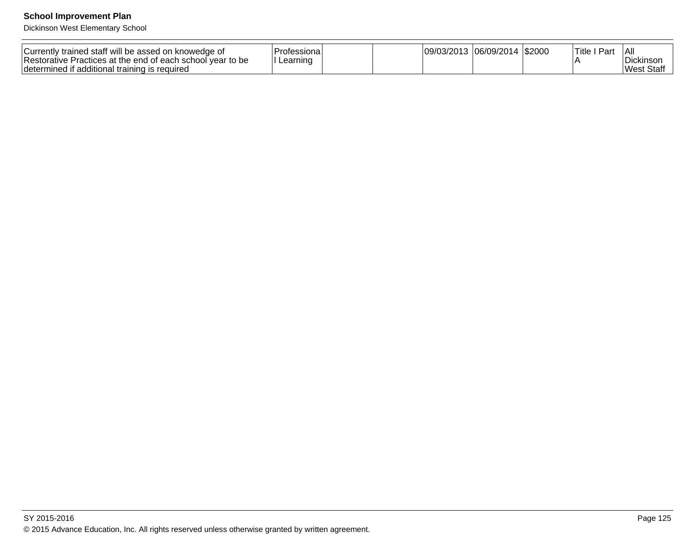| Currently trained staff will be assed on knowedge of<br><sup>1</sup> Restorative.<br>Practices at the end of each school year to be<br>∟earnınɑ<br>determined if additional training is required | <b>09</b><br>UJL. | ,ub/<br>72U<br><b>UJI</b> | \$2000 | Title<br>Par. | All<br>Dickinsoi<br><b>West</b><br>Staff |
|--------------------------------------------------------------------------------------------------------------------------------------------------------------------------------------------------|-------------------|---------------------------|--------|---------------|------------------------------------------|
|--------------------------------------------------------------------------------------------------------------------------------------------------------------------------------------------------|-------------------|---------------------------|--------|---------------|------------------------------------------|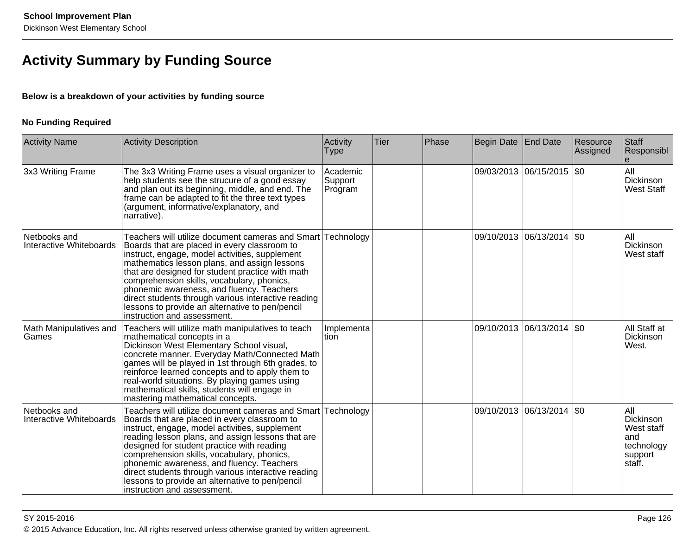## **Activity Summary by Funding Source**

## **Below is a breakdown of your activities by funding source**

## **No Funding Required**

| <b>Activity Name</b>                    | <b>Activity Description</b>                                                                                                                                                                                                                                                                                                                                                                                                                                                                           | Activity<br><b>Type</b>        | <b>Tier</b> | Phase | Begin Date End Date |                           | Resource<br>Assigned | Staff<br>Responsibl                                                       |
|-----------------------------------------|-------------------------------------------------------------------------------------------------------------------------------------------------------------------------------------------------------------------------------------------------------------------------------------------------------------------------------------------------------------------------------------------------------------------------------------------------------------------------------------------------------|--------------------------------|-------------|-------|---------------------|---------------------------|----------------------|---------------------------------------------------------------------------|
| 3x3 Writing Frame                       | The 3x3 Writing Frame uses a visual organizer to<br>help students see the strucure of a good essay<br>and plan out its beginning, middle, and end. The<br>frame can be adapted to fit the three text types<br>(argument, informative/explanatory, and<br>narrative).                                                                                                                                                                                                                                  | Academic<br>Support<br>Program |             |       |                     | 09/03/2013 06/15/2015 \$0 |                      | All<br>Dickinson<br><b>West Staff</b>                                     |
| Netbooks and<br>Interactive Whiteboards | Teachers will utilize document cameras and Smart Technology<br>Boards that are placed in every classroom to<br>instruct, engage, model activities, supplement<br>mathematics lesson plans, and assign lessons<br>that are designed for student practice with math<br>comprehension skills, vocabulary, phonics,<br>phonemic awareness, and fluency. Teachers<br>direct students through various interactive reading<br>lessons to provide an alternative to pen/pencil<br>instruction and assessment. |                                |             |       |                     | 09/10/2013 06/13/2014 \$0 |                      | All<br>Dickinson<br>West staff                                            |
| Math Manipulatives and<br>Games         | Teachers will utilize math manipulatives to teach<br>mathematical concepts in a<br>Dickinson West Elementary School visual,<br>concrete manner. Everyday Math/Connected Math<br>games will be played in 1st through 6th grades, to<br>reinforce learned concepts and to apply them to<br>real-world situations. By playing games using<br>mathematical skills, students will engage in<br>mastering mathematical concepts.                                                                            | Implementa<br>Ition            |             |       | 09/10/2013          | 06/13/2014   \$0          |                      | All Staff at<br>Dickinson<br>West.                                        |
| Netbooks and<br>Interactive Whiteboards | Teachers will utilize document cameras and Smart Technology<br>Boards that are placed in every classroom to<br>instruct, engage, model activities, supplement<br>reading lesson plans, and assign lessons that are<br>designed for student practice with reading<br>comprehension skills, vocabulary, phonics,<br>phonemic awareness, and fluency. Teachers<br>direct students through various interactive reading<br>lessons to provide an alternative to pen/pencil<br>instruction and assessment.  |                                |             |       |                     | 09/10/2013 06/13/2014 \$0 |                      | All<br>Dickinson<br>West staff<br>land<br>technology<br>support<br>staff. |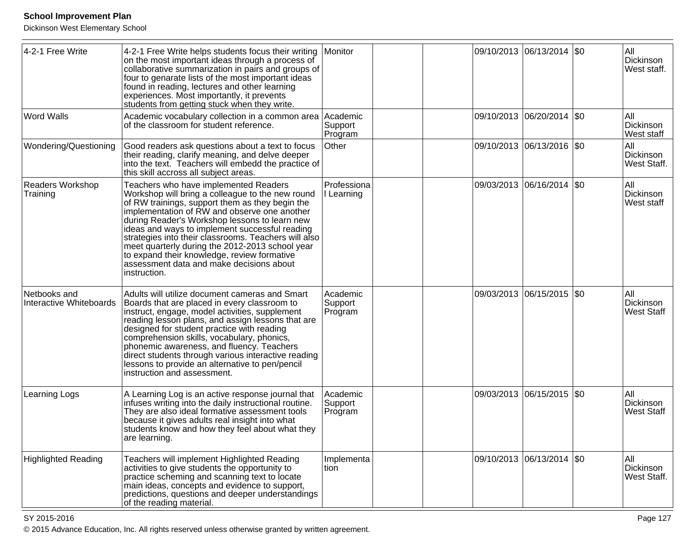Dickinson West Elementary School

| 4-2-1 Free Write                        | 4-2-1 Free Write helps students focus their writing<br>on the most important ideas through a process of<br>collaborative summarization in pairs and groups of<br>four to genarate lists of the most important ideas<br>found in reading, lectures and other learning<br>experiences. Most importantly, it prevents<br>students from getting stuck when they write.                                                                                                                                                    | Monitor                        |  | 09/10/2013 06/13/2014 \$0  | All<br>Dickinson<br>West staff.       |
|-----------------------------------------|-----------------------------------------------------------------------------------------------------------------------------------------------------------------------------------------------------------------------------------------------------------------------------------------------------------------------------------------------------------------------------------------------------------------------------------------------------------------------------------------------------------------------|--------------------------------|--|----------------------------|---------------------------------------|
| <b>Word Walls</b>                       | Academic vocabulary collection in a common area<br>of the classroom for student reference.                                                                                                                                                                                                                                                                                                                                                                                                                            | Academic<br>Support<br>Program |  | 09/10/2013 06/20/2014 \$0  | All<br>Dickinson<br>West staff        |
| Wondering/Questioning                   | Good readers ask questions about a text to focus<br>their reading, clarify meaning, and delve deeper<br>into the text. Teachers will embedd the practice of<br>this skill accross all subject areas.                                                                                                                                                                                                                                                                                                                  | Other                          |  | 09/10/2013 06/13/2016 \$0  | All<br>Dickinson<br>West Staff.       |
| Readers Workshop<br>Training            | Teachers who have implemented Readers<br>Workshop will bring a colleague to the new round<br>of RW trainings, support them as they begin the<br>implementation of RW and observe one another<br>during Reader's Workshop lessons to learn new<br>ideas and ways to implement successful reading<br>strategies into their classrooms. Teachers will also<br>meet quarterly during the 2012-2013 school year<br>to expand their knowledge, review formative<br>assessment data and make decisions about<br>instruction. | Professiona<br>Learning        |  | 09/03/2013 06/16/2014 \$0  | All<br>Dickinson<br>West staff        |
| Netbooks and<br>Interactive Whiteboards | Adults will utilize document cameras and Smart<br>Boards that are placed in every classroom to<br>instruct, engage, model activities, supplement<br>reading lesson plans, and assign lessons that are<br>designed for student practice with reading<br>comprehension skills, vocabulary, phonics,<br>phonemic awareness, and fluency. Teachers<br>direct students through various interactive reading<br>lessons to provide an alternative to pen/pencil<br>instruction and assessment.                               | Academic<br>Support<br>Program |  | 09/03/2013 06/15/2015 \$0  | All<br>Dickinson<br><b>West Staff</b> |
| Learning Logs                           | A Learning Log is an active response journal that<br>infuses writing into the daily instructional routine.<br>They are also ideal formative assessment tools<br>because it gives adults real insight into what<br>students know and how they feel about what they<br>are learning.                                                                                                                                                                                                                                    | Academic<br>Support<br>Program |  | 09/03/2013 06/15/2015 \$0  | All<br>Dickinson<br>West Staff        |
| <b>Highlighted Reading</b>              | Teachers will implement Highlighted Reading<br>activities to give students the opportunity to<br>practice scheming and scanning text to locate<br>main ideas, concepts and evidence to support,<br>predictions, questions and deeper understandings<br>of the reading material.                                                                                                                                                                                                                                       | Implementa<br>tion             |  | 09/10/2013 06/13/2014  \$0 | All<br>Dickinson<br>West Staff.       |

en and the set of the set of the set of the set of the set of the set of the set of the set of the set of the set of the set of the set of the set of the set of the set of the set of the set of the set of the set of the se © 2015 Advance Education, Inc. All rights reserved unless otherwise granted by written agreement.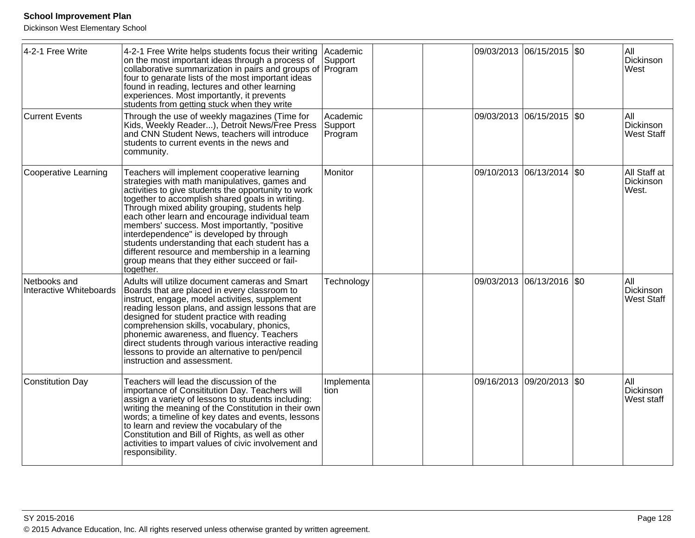| 4-2-1 Free Write                        | 4-2-1 Free Write helps students focus their writing<br>on the most important ideas through a process of<br>collaborative summarization in pairs and groups of Program<br>four to genarate lists of the most important ideas<br>found in reading, lectures and other learning<br>experiences. Most importantly, it prevents<br>students from getting stuck when they write                                                                                                                                                                                                  | Academic<br>Support            |  | 09/03/2013 06/15/2015 \$0 |         | All<br>Dickinson<br>West                     |
|-----------------------------------------|----------------------------------------------------------------------------------------------------------------------------------------------------------------------------------------------------------------------------------------------------------------------------------------------------------------------------------------------------------------------------------------------------------------------------------------------------------------------------------------------------------------------------------------------------------------------------|--------------------------------|--|---------------------------|---------|----------------------------------------------|
| Current Events                          | Through the use of weekly magazines (Time for<br>Kids, Weekly Reader), Detroit News/Free Press<br>and CNN Student News, teachers will introduce<br>students to current events in the news and<br>community.                                                                                                                                                                                                                                                                                                                                                                | Academic<br>Support<br>Program |  | 09/03/2013 06/15/2015 \$0 |         | All<br>Dickinson<br><b>West Staff</b>        |
| Cooperative Learning                    | Teachers will implement cooperative learning<br>strategies with math manipulatives, games and<br>activities to give students the opportunity to work<br>together to accomplish shared goals in writing.<br>Through mixed ability grouping, students help<br>each other learn and encourage individual team<br>members' success. Most importantly, "positive<br>interdependence" is developed by through<br>students understanding that each student has a<br>different resource and membership in a learning<br>group means that they either succeed or fail-<br>together. | Monitor                        |  | 09/10/2013 06/13/2014 \$0 |         | All Staff at<br>Dickinson<br>West.           |
| Netbooks and<br>Interactive Whiteboards | Adults will utilize document cameras and Smart<br>Boards that are placed in every classroom to<br>instruct, engage, model activities, supplement<br>reading lesson plans, and assign lessons that are<br>designed for student practice with reading<br>comprehension skills, vocabulary, phonics,<br>phonemic awareness, and fluency. Teachers<br>direct students through various interactive reading<br>lessons to provide an alternative to pen/pencil<br>instruction and assessment.                                                                                    | Technology                     |  | 09/03/2013 06/13/2016     | $ $ \$0 | All<br><b>Dickinson</b><br><b>West Staff</b> |
| Constitution Day                        | Teachers will lead the discussion of the<br>importance of Consititution Day. Teachers will<br>assign a variety of lessons to students including:<br>writing the meaning of the Constitution in their own<br>words; a timeline of key dates and events, lessons<br>to learn and review the vocabulary of the<br>Constitution and Bill of Rights, as well as other<br>activities to impart values of civic involvement and<br>responsibility.                                                                                                                                | Implementa<br>tion             |  | 09/16/2013 09/20/2013     | $ $ \$0 | All<br><b>Dickinson</b><br>West staff        |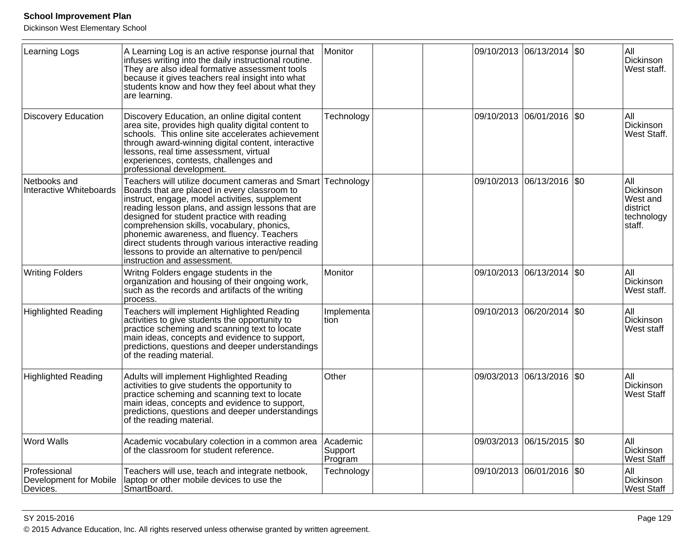| <b>Learning Logs</b>                               | A Learning Log is an active response journal that<br>infuses writing into the daily instructional routine.<br>They are also ideal formative assessment tools<br>because it gives teachers real insight into what<br>students know and how they feel about what they<br>are learning.                                                                                                                                                                                                      | Monitor                        |            | 09/10/2013 06/13/2014      | $\sqrt{50}$  | All<br>Dickinson<br>West staff.                                  |
|----------------------------------------------------|-------------------------------------------------------------------------------------------------------------------------------------------------------------------------------------------------------------------------------------------------------------------------------------------------------------------------------------------------------------------------------------------------------------------------------------------------------------------------------------------|--------------------------------|------------|----------------------------|--------------|------------------------------------------------------------------|
| <b>Discovery Education</b>                         | Discovery Education, an online digital content<br>area site, provides high quality digital content to<br>schools. This online site accelerates achievement<br>through award-winning digital content, interactive<br>lessons, real time assessment, virtual<br>experiences, contests, challenges and<br>professional development.                                                                                                                                                          | Technology                     | 09/10/2013 | 06/01/2016   \$0           |              | All<br>Dickinson<br>West Staff.                                  |
| Netbooks and<br>Interactive Whiteboards            | Teachers will utilize document cameras and Smart<br>Boards that are placed in every classroom to<br>instruct, engage, model activities, supplement<br>reading lesson plans, and assign lessons that are<br>designed for student practice with reading<br>comprehension skills, vocabulary, phonics,<br>phonemic awareness, and fluency. Teachers<br>direct students through various interactive reading<br>lessons to provide an alternative to pen/pencil<br>instruction and assessment. | Technology                     |            | 09/10/2013 06/13/2016 \$0  |              | All<br>Dickinson<br>West and<br>district<br>technology<br>staff. |
| <b>Writing Folders</b>                             | Writng Folders engage students in the<br>organization and housing of their ongoing work,<br>such as the records and artifacts of the writing<br>process.                                                                                                                                                                                                                                                                                                                                  | Monitor                        | 09/10/2013 | 06/13/2014                 | $ $ \$0      | All<br>Dickinson<br>West staff.                                  |
| <b>Highlighted Reading</b>                         | Teachers will implement Highlighted Reading<br>activities to give students the opportunity to<br>practice scheming and scanning text to locate<br>main ideas, concepts and evidence to support,<br>predictions, questions and deeper understandings<br>of the reading material.                                                                                                                                                                                                           | Implementa<br>tion             |            | 09/10/2013 06/20/2014      | $ 30\rangle$ | All<br>Dickinson<br>West staff                                   |
| <b>Highlighted Reading</b>                         | Adults will implement Highlighted Reading<br>activities to give students the opportunity to<br>practice scheming and scanning text to locate<br>main ideas, concepts and evidence to support,<br>predictions, questions and deeper understandings<br>of the reading material.                                                                                                                                                                                                             | Other                          |            | 09/03/2013 06/13/2016  \$0 |              | All<br>Dickinson<br><b>West Staff</b>                            |
| <b>Word Walls</b>                                  | Academic vocabulary colection in a common area<br>of the classroom for student reference.                                                                                                                                                                                                                                                                                                                                                                                                 | Academic<br>Support<br>Program |            | 09/03/2013 06/15/2015 \$0  |              | All<br>Dickinson<br><b>West Staff</b>                            |
| Professional<br>Development for Mobile<br>Devices. | Teachers will use, teach and integrate netbook,<br>laptop or other mobile devices to use the<br>SmartBoard.                                                                                                                                                                                                                                                                                                                                                                               | Technology                     |            | 09/10/2013 06/01/2016 \$0  |              | All<br>Dickinson<br>West Staff                                   |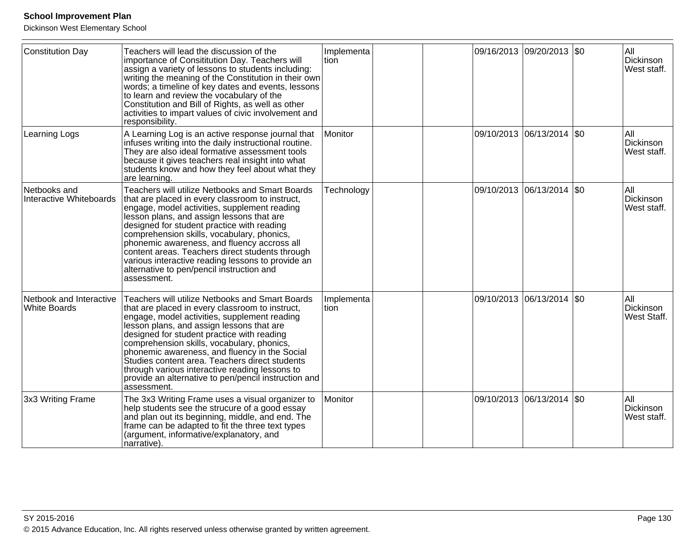| <b>Constitution Day</b>                        | Teachers will lead the discussion of the<br>importance of Consititution Day. Teachers will<br>assign a variety of lessons to students including:<br>writing the meaning of the Constitution in their own<br>words; a timeline of key dates and events, lessons<br>to learn and review the vocabulary of the<br>Constitution and Bill of Rights, as well as other<br>activities to impart values of civic involvement and<br>responsibility.                                                                             | Implementa<br>tion |  | 09/16/2013 09/20/2013 \$0   |         | All<br>Dickinson<br>West staff.        |
|------------------------------------------------|-------------------------------------------------------------------------------------------------------------------------------------------------------------------------------------------------------------------------------------------------------------------------------------------------------------------------------------------------------------------------------------------------------------------------------------------------------------------------------------------------------------------------|--------------------|--|-----------------------------|---------|----------------------------------------|
| Learning Logs                                  | A Learning Log is an active response journal that<br>infuses writing into the daily instructional routine.<br>They are also ideal formative assessment tools<br>because it gives teachers real insight into what<br>students know and how they feel about what they<br>are learning.                                                                                                                                                                                                                                    | Monitor            |  | 09/10/2013  06/13/2014  \$0 |         | All<br>Dickinson<br>West staff.        |
| Netbooks and<br>Interactive Whiteboards        | Teachers will utilize Netbooks and Smart Boards<br>that are placed in every classroom to instruct,<br>engage, model activities, supplement reading<br>lesson plans, and assign lessons that are<br>designed for student practice with reading<br>comprehension skills, vocabulary, phonics,<br>phonemic awareness, and fluency accross all<br>content areas. Teachers direct students through<br>various interactive reading lessons to provide an<br>alternative to pen/pencil instruction and<br>assessment.          | Technology         |  | 09/10/2013  06/13/2014  \$0 |         | <b>AII</b><br>Dickinson<br>West staff. |
| Netbook and Interactive<br><b>White Boards</b> | Teachers will utilize Netbooks and Smart Boards<br>that are placed in every classroom to instruct,<br>engage, model activities, supplement reading<br>lesson plans, and assign lessons that are<br>designed for student practice with reading<br>comprehension skills, vocabulary, phonics,<br>phonemic awareness, and fluency in the Social<br>Studies content area. Teachers direct students<br>through various interactive reading lessons to<br>provide an alternative to pen/pencil instruction and<br>assessment. | Implementa<br>tion |  | 09/10/2013 06/13/2014       | $ $ \$0 | <b>AII</b><br>Dickinson<br>West Staff. |
| 3x3 Writing Frame                              | The 3x3 Writing Frame uses a visual organizer to<br>help students see the strucure of a good essay<br>and plan out its beginning, middle, and end. The<br>frame can be adapted to fit the three text types<br>(argument, informative/explanatory, and<br>narrative).                                                                                                                                                                                                                                                    | <b>Monitor</b>     |  | 09/10/2013  06/13/2014  \$0 |         | All<br>Dickinson<br>West staff.        |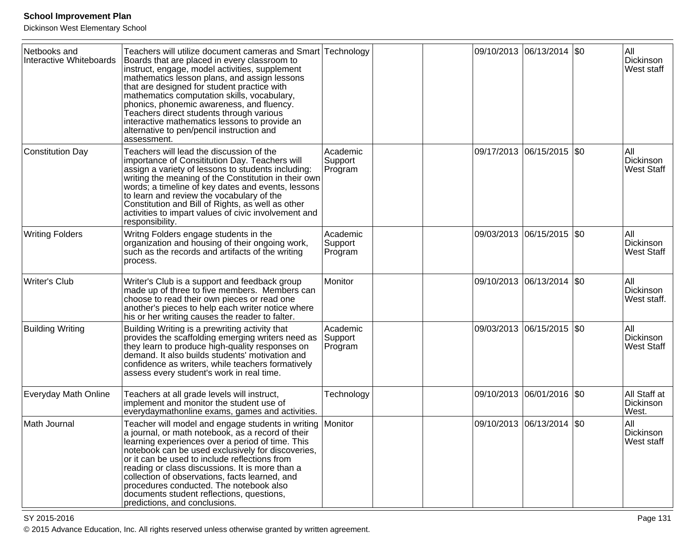Dickinson West Elementary School

| Netbooks and<br>Interactive Whiteboards | Teachers will utilize document cameras and Smart Technology<br>Boards that are placed in every classroom to<br>instruct, engage, model activities, supplement<br>mathematics lesson plans, and assign lessons<br>that are designed for student practice with<br>mathematics computation skills, vocabulary,<br>phonics, phonemic awareness, and fluency.<br>Teachers direct students through various<br>interactive mathematics lessons to provide an<br>alternative to pen/pencil instruction and<br>assessment. |                                |  | 09/10/2013 06/13/2014 \$0 |        | All<br>Dickinson<br>West staff        |
|-----------------------------------------|-------------------------------------------------------------------------------------------------------------------------------------------------------------------------------------------------------------------------------------------------------------------------------------------------------------------------------------------------------------------------------------------------------------------------------------------------------------------------------------------------------------------|--------------------------------|--|---------------------------|--------|---------------------------------------|
| Constitution Day                        | Teachers will lead the discussion of the<br>importance of Consititution Day. Teachers will<br>assign a variety of lessons to students including:<br>writing the meaning of the Constitution in their own<br>words; a timeline of key dates and events, lessons<br>to learn and review the vocabulary of the<br>Constitution and Bill of Rights, as well as other<br>activities to impart values of civic involvement and<br>responsibility.                                                                       | Academic<br>Support<br>Program |  | 09/17/2013 06/15/2015 \$0 |        | All<br>Dickinson<br><b>West Staff</b> |
| <b>Writing Folders</b>                  | Writng Folders engage students in the<br>organization and housing of their ongoing work,<br>such as the records and artifacts of the writing<br>process.                                                                                                                                                                                                                                                                                                                                                          | Academic<br>Support<br>Program |  | 09/03/2013 06/15/2015     | \$0    | All<br>Dickinson<br><b>West Staff</b> |
| Writer's Club                           | Writer's Club is a support and feedback group<br>made up of three to five members. Members can<br>choose to read their own pieces or read one<br>another's pieces to help each writer notice where<br>his or her writing causes the reader to falter.                                                                                                                                                                                                                                                             | Monitor                        |  | 09/10/2013 06/13/2014     | $ \$0$ | All<br>Dickinson<br>West staff.       |
| <b>Building Writing</b>                 | Building Writing is a prewriting activity that<br>provides the scaffolding emerging writers need as<br>they learn to produce high-quality responses on<br>demand. It also builds students' motivation and<br>confidence as writers, while teachers formatively<br>assess every student's work in real time.                                                                                                                                                                                                       | Academic<br>Support<br>Program |  | 09/03/2013 06/15/2015 \$0 |        | All<br>Dickinson<br><b>West Staff</b> |
| Everyday Math Online                    | Teachers at all grade levels will instruct,<br>implement and monitor the student use of<br>everydaymathonline exams, games and activities.                                                                                                                                                                                                                                                                                                                                                                        | Technology                     |  | 09/10/2013 06/01/2016 \$0 |        | All Staff at<br>Dickinson<br>West.    |
| Math Journal                            | Teacher will model and engage students in writing Monitor<br>a journal, or math notebook, as a record of their<br>learning experiences over a period of time. This<br>notebook can be used exclusively for discoveries,<br>or it can be used to include reflections from<br>reading or class discussions. It is more than a<br>collection of observations, facts learned, and<br>procedures conducted. The notebook also<br>documents student reflections, questions,<br>predictions, and conclusions.            |                                |  | 09/10/2013 06/13/2014     | \$0    | All<br>Dickinson<br><b>West staff</b> |

SY 2015-2016

en and the set of the set of the set of the set of the set of the set of the set of the set of the Page 131  $\,$ © 2015 Advance Education, Inc. All rights reserved unless otherwise granted by written agreement.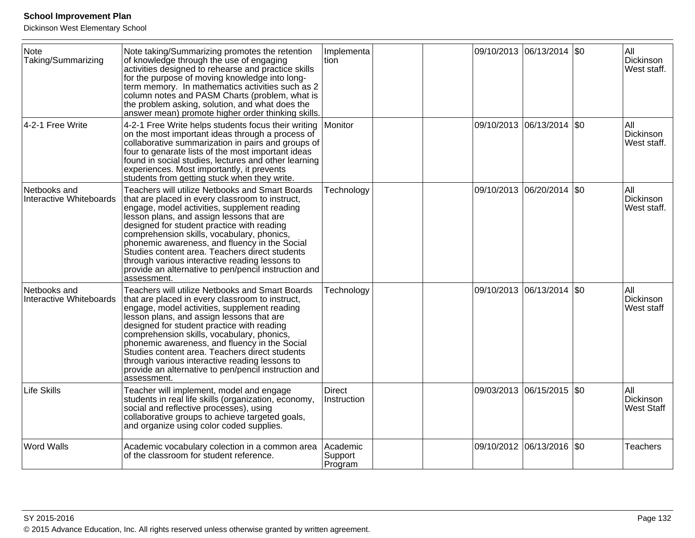| Note<br>Taking/Summarizing              | Note taking/Summarizing promotes the retention<br>of knowledge through the use of engaging<br>activities designed to rehearse and practice skills<br>for the purpose of moving knowledge into long-<br>term memory. In mathematics activities such as 2<br>column notes and PASM Charts (problem, what is<br>the problem asking, solution, and what does the<br>answer mean) promote higher order thinking skills.                                                                                                             | Implementa<br>tion             |  | 09/10/2013 06/13/2014 \$0   |         | All<br>Dickinson<br>West staff.       |
|-----------------------------------------|--------------------------------------------------------------------------------------------------------------------------------------------------------------------------------------------------------------------------------------------------------------------------------------------------------------------------------------------------------------------------------------------------------------------------------------------------------------------------------------------------------------------------------|--------------------------------|--|-----------------------------|---------|---------------------------------------|
| 4-2-1 Free Write                        | 4-2-1 Free Write helps students focus their writing<br>on the most important ideas through a process of<br>collaborative summarization in pairs and groups of<br>four to genarate lists of the most important ideas<br>found in social studies, lectures and other learning<br>experiences. Most importantly, it prevents<br>students from getting stuck when they write.                                                                                                                                                      | Monitor                        |  | 09/10/2013 06/13/2014       | $ $ \$0 | All<br>Dickinson<br>West staff.       |
| Netbooks and<br>Interactive Whiteboards | <b>Teachers will utilize Netbooks and Smart Boards</b><br>that are placed in every classroom to instruct,<br>engage, model activities, supplement reading<br>lesson plans, and assign lessons that are<br>designed for student practice with reading<br>comprehension skills, vocabulary, phonics,<br>phonemic awareness, and fluency in the Social<br>Studies content area. Teachers direct students<br>through various interactive reading lessons to<br>provide an alternative to pen/pencil instruction and<br>assessment. | Technology                     |  | 09/10/2013 06/20/2014  \$0  |         | All<br>Dickinson<br>West staff.       |
| Netbooks and<br>Interactive Whiteboards | Teachers will utilize Netbooks and Smart Boards<br>that are placed in every classroom to instruct,<br>engage, model activities, supplement reading<br>lesson plans, and assign lessons that are<br>designed for student practice with reading<br>comprehension skills, vocabulary, phonics,<br>phonemic awareness, and fluency in the Social<br>Studies content area. Teachers direct students<br>through various interactive reading lessons to<br>provide an alternative to pen/pencil instruction and<br>assessment.        | Technology                     |  | 09/10/2013 06/13/2014   \$0 |         | All<br>Dickinson<br>West staff        |
| Life Skills                             | Teacher will implement, model and engage<br>students in real life skills (organization, economy,<br>social and reflective processes), using<br>collaborative groups to achieve targeted goals,<br>and organize using color coded supplies.                                                                                                                                                                                                                                                                                     | <b>Direct</b><br>Instruction   |  | 09/03/2013 06/15/2015   \$0 |         | All<br>Dickinson<br><b>West Staff</b> |
| <b>Word Walls</b>                       | Academic vocabulary colection in a common area<br>of the classroom for student reference.                                                                                                                                                                                                                                                                                                                                                                                                                                      | Academic<br>Support<br>Program |  | 09/10/2012 06/13/2016 \$0   |         | <b>Teachers</b>                       |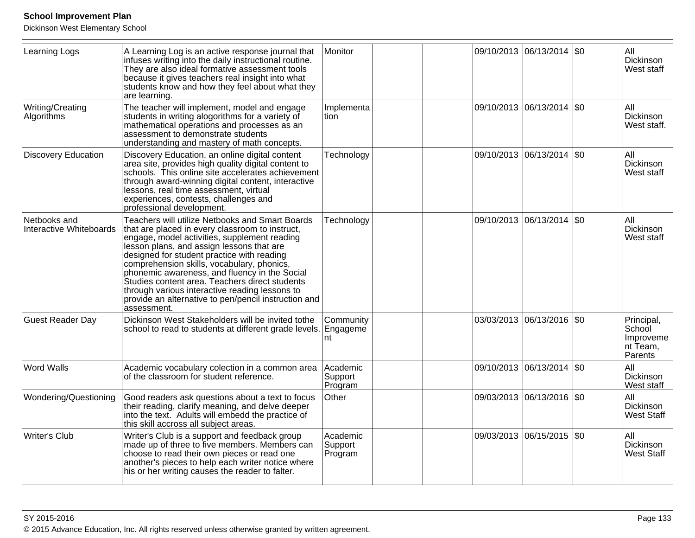| <b>Learning Logs</b>                    | A Learning Log is an active response journal that<br>infuses writing into the daily instructional routine.<br>They are also ideal formative assessment tools<br>because it gives teachers real insight into what<br>students know and how they feel about what they<br>are learning.                                                                                                                                                                                                                                    | Monitor                        |  | 09/10/2013 06/13/2014 \$0 |             | All<br>Dickinson<br>West staff                                         |
|-----------------------------------------|-------------------------------------------------------------------------------------------------------------------------------------------------------------------------------------------------------------------------------------------------------------------------------------------------------------------------------------------------------------------------------------------------------------------------------------------------------------------------------------------------------------------------|--------------------------------|--|---------------------------|-------------|------------------------------------------------------------------------|
| Writing/Creating<br>Algorithms          | The teacher will implement, model and engage<br>students in writing alogorithms for a variety of<br>mathematical operations and processes as an<br>assessment to demonstrate students<br>understanding and mastery of math concepts.                                                                                                                                                                                                                                                                                    | Implementa<br>ltion            |  | 09/10/2013 06/13/2014 \$0 |             | All<br>Dickinson<br>West staff.                                        |
| <b>Discovery Education</b>              | Discovery Education, an online digital content<br>area site, provides high quality digital content to<br>schools. This online site accelerates achievement<br>through award-winning digital content, interactive<br>lessons, real time assessment, virtual<br>experiences, contests, challenges and<br>professional development.                                                                                                                                                                                        | Technology                     |  | 09/10/2013 06/13/2014 \$0 |             | All<br>Dickinson<br><b>West staff</b>                                  |
| Netbooks and<br>Interactive Whiteboards | Teachers will utilize Netbooks and Smart Boards<br>that are placed in every classroom to instruct,<br>engage, model activities, supplement reading<br>lesson plans, and assign lessons that are<br>designed for student practice with reading<br>comprehension skills, vocabulary, phonics,<br>phonemic awareness, and fluency in the Social<br>Studies content area. Teachers direct students<br>through various interactive reading lessons to<br>provide an alternative to pen/pencil instruction and<br>assessment. | Technology                     |  | 09/10/2013 06/13/2014     | $\sqrt{50}$ | All<br>Dickinson<br><b>West staff</b>                                  |
| <b>Guest Reader Day</b>                 | Dickinson West Stakeholders will be invited tothe<br>school to read to students at different grade levels. Engageme                                                                                                                                                                                                                                                                                                                                                                                                     | Community<br>nt                |  | 03/03/2013 06/13/2016 \$0 |             | Principal,<br>School<br>Improveme<br>∣nt <sup>†</sup> ream,<br>Parents |
| <b>Word Walls</b>                       | Academic vocabulary colection in a common area<br>of the classroom for student reference.                                                                                                                                                                                                                                                                                                                                                                                                                               | Academic<br>Support<br>Program |  | 09/10/2013 06/13/2014 \$0 |             | All<br>Dickinson<br>West staff                                         |
| Wondering/Questioning                   | Good readers ask questions about a text to focus<br>their reading, clarify meaning, and delve deeper<br>into the text. Adults will embedd the practice of<br>this skill accross all subject areas.                                                                                                                                                                                                                                                                                                                      | Other                          |  | 09/03/2013 06/13/2016 \$0 |             | All<br>Dickinson<br><b>West Staff</b>                                  |
| <b>Writer's Club</b>                    | Writer's Club is a support and feedback group<br>made up of three to five members. Members can<br>choose to read their own pieces or read one<br>another's pieces to help each writer notice where<br>his or her writing causes the reader to falter.                                                                                                                                                                                                                                                                   | Academic<br>Support<br>Program |  | 09/03/2013 06/15/2015 \$0 |             | All<br>Dickinson<br><b>West Staff</b>                                  |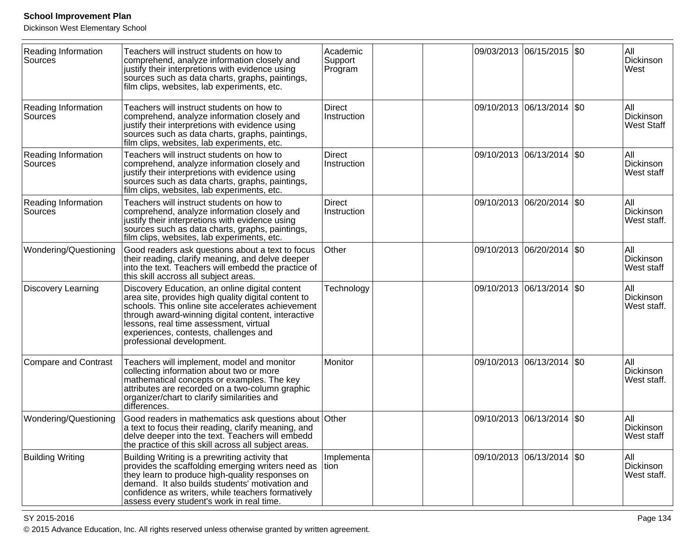Dickinson West Elementary School

| Reading Information<br>Sources        | Teachers will instruct students on how to<br>comprehend, analyze information closely and<br>justify their interpretions with evidence using<br>sources such as data charts, graphs, paintings,<br>film clips, websites, lab experiments, etc.                                                                                    | Academic<br>Support<br>Program |  | 09/03/2013 06/15/2015 \$0 |           | All<br>Dickinson<br>West              |
|---------------------------------------|----------------------------------------------------------------------------------------------------------------------------------------------------------------------------------------------------------------------------------------------------------------------------------------------------------------------------------|--------------------------------|--|---------------------------|-----------|---------------------------------------|
| <b>Reading Information</b><br>Sources | Teachers will instruct students on how to<br>comprehend, analyze information closely and<br>justify their interpretions with evidence using<br>sources such as data charts, graphs, paintings,<br>film clips, websites, lab experiments, etc.                                                                                    | Direct<br>Instruction          |  | 09/10/2013 06/13/2014     | l\$0      | All<br>Dickinson<br><b>West Staff</b> |
| <b>Reading Information</b><br>Sources | Teachers will instruct students on how to<br>comprehend, analyze information closely and<br>justify their interpretions with evidence using<br>sources such as data charts, graphs, paintings,<br>film clips, websites, lab experiments, etc.                                                                                    | <b>Direct</b><br>Instruction   |  | 09/10/2013 06/13/2014 \$0 |           | All<br>Dickinson<br>West staff        |
| <b>Reading Information</b><br>Sources | Teachers will instruct students on how to<br>comprehend, analyze information closely and<br>justify their interpretions with evidence using<br>sources such as data charts, graphs, paintings,<br>film clips, websites, lab experiments, etc.                                                                                    | Direct<br>Instruction          |  | 09/10/2013 06/20/2014     | l\$0      | All<br>Dickinson<br>West staff.       |
| Wondering/Questioning                 | Good readers ask questions about a text to focus<br>their reading, clarify meaning, and delve deeper<br>into the text. Teachers will embedd the practice of<br>this skill accross all subject areas.                                                                                                                             | Other                          |  | 09/10/2013 06/20/2014     | \$0       | All<br>Dickinson<br>West staff        |
| <b>Discovery Learning</b>             | Discovery Education, an online digital content<br>area site, provides high quality digital content to<br>schools. This online site accelerates achievement<br>through award-winning digital content, interactive<br>lessons, real time assessment, virtual<br>experiences, contests, challenges and<br>professional development. | Technology                     |  | 09/10/2013 06/13/2014     | <b>SO</b> | All<br>Dickinson<br>West staff.       |
| Compare and Contrast                  | Teachers will implement, model and monitor<br>collecting information about two or more<br>mathematical concepts or examples. The key<br>attributes are recorded on a two-column graphic<br>organizer/chart to clarify similarities and<br>differences.                                                                           | Monitor                        |  | 09/10/2013 06/13/2014     | <b>SO</b> | All<br>Dickinson<br>West staff.       |
| Wondering/Questioning                 | Good readers in mathematics ask questions about Other<br>a text to focus their reading, clarify meaning, and<br>delve deeper into the text. Teachers will embedd<br>the practice of this skill across all subject areas.                                                                                                         |                                |  | 09/10/2013 06/13/2014     | \$0       | All<br>Dickinson<br><b>West staff</b> |
| <b>Building Writing</b>               | Building Writing is a prewriting activity that<br>provides the scaffolding emerging writers need as<br>they learn to produce high-quality responses on<br>demand. It also builds students' motivation and<br>confidence as writers, while teachers formatively<br>assess every student's work in real time.                      | Implementa<br>ltion.           |  | 09/10/2013 06/13/2014 \$0 |           | All<br>Dickinson<br>West staff.       |

SY 2015-2016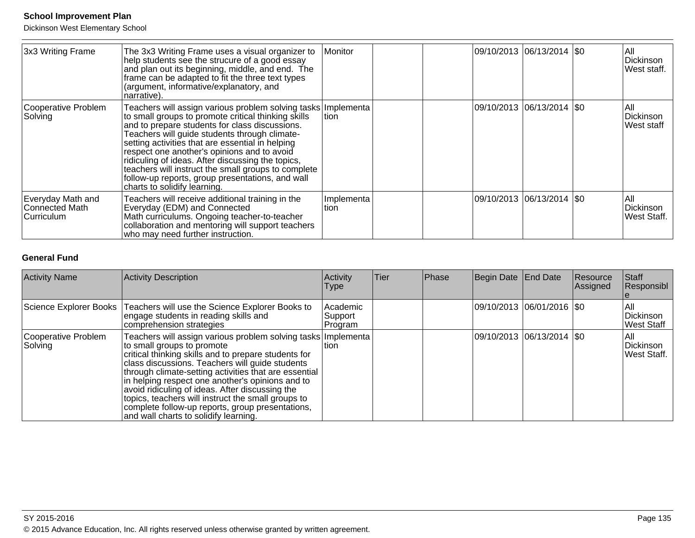Dickinson West Elementary School

| 3x3 Writing Frame                                 | The 3x3 Writing Frame uses a visual organizer to<br>help students see the strucure of a good essay<br>and plan out its beginning, middle, and end. The<br>frame can be adapted to fit the three text types<br>(argument, informative/explanatory, and<br>narrative).                                                                                                                                                                                                                                                       | Monitor            |  | 09/10/2013  06/13/2014  \$0 | All<br><b>Dickinson</b><br>West staff. |
|---------------------------------------------------|----------------------------------------------------------------------------------------------------------------------------------------------------------------------------------------------------------------------------------------------------------------------------------------------------------------------------------------------------------------------------------------------------------------------------------------------------------------------------------------------------------------------------|--------------------|--|-----------------------------|----------------------------------------|
| Cooperative Problem<br>Solving                    | Teachers will assign various problem solving tasks Implementa<br>to small groups to promote critical thinking skills<br>and to prepare students for class discussions.<br>Teachers will guide students through climate-<br>setting activities that are essential in helping<br>respect one another's opinions and to avoid<br>ridiculing of ideas. After discussing the topics,<br>teachers will instruct the small groups to complete<br>follow-up reports, group presentations, and wall<br>charts to solidify learning. | ltion              |  | 09/10/2013  06/13/2014  \$0 | All<br>Dickinson<br>West staff         |
| Everyday Math and<br>Connected Math<br>Curriculum | Teachers will receive additional training in the<br>Everyday (EDM) and Connected<br>Math curriculums. Ongoing teacher-to-teacher<br>collaboration and mentoring will support teachers<br>who may need further instruction.                                                                                                                                                                                                                                                                                                 | Implementa<br>tion |  | 09/10/2013  06/13/2014  \$0 | <b>AII</b><br>Dickinson<br>West Staff. |

## **General Fund**

| <b>Activity Name</b>           | Activity Description                                                                                                                                                                                                                                                                                                                                                                                                                                                                                                          | Activity<br><b>Type</b>        | <b>Tier</b> | Phase | Begin Date End Date         | Resource<br>Assigned | Staff<br>Responsibl                     |
|--------------------------------|-------------------------------------------------------------------------------------------------------------------------------------------------------------------------------------------------------------------------------------------------------------------------------------------------------------------------------------------------------------------------------------------------------------------------------------------------------------------------------------------------------------------------------|--------------------------------|-------------|-------|-----------------------------|----------------------|-----------------------------------------|
|                                | Science Explorer Books   Teachers will use the Science Explorer Books to<br>engage students in reading skills and<br>comprehension strategies                                                                                                                                                                                                                                                                                                                                                                                 | Academic<br>Support<br>Program |             |       | 09/10/2013  06/01/2016  \$0 |                      | IAII<br>Dickinson<br>West Staff         |
| Cooperative Problem<br>Solving | Teachers will assign various problem solving tasks   Implementa  <br>to small groups to promote<br>critical thinking skills and to prepare students for<br>class discussions. Teachers will guide students<br>through climate-setting activities that are essential<br>in helping respect one another's opinions and to<br>avoid ridiculing of ideas. After discussing the<br>topics, teachers will instruct the small groups to<br>complete follow-up reports, group presentations,<br>and wall charts to solidify learning. | ltion                          |             |       | 09/10/2013 06/13/2014  \$0  |                      | IAII<br>Dickinson<br><b>West Staff.</b> |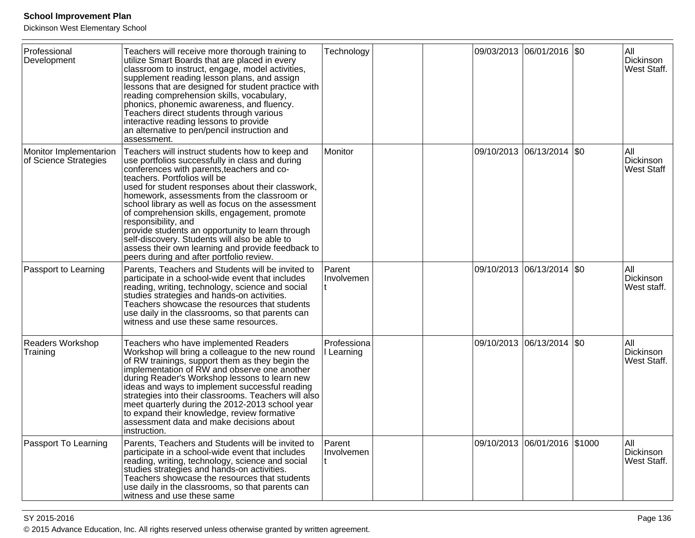| Professional<br>Development                     | Teachers will receive more thorough training to<br>utilize Smart Boards that are placed in every<br>classroom to instruct, engage, model activities,<br>supplement reading lesson plans, and assign<br>lessons that are designed for student practice with<br>reading comprehension skills, vocabulary,<br>phonics, phonemic awareness, and fluency.<br>Teachers direct students through various<br>interactive reading lessons to provide                                                                            | Technology                |  | 09/03/2013 06/01/2016 \$0    | All<br>Dickinson<br>West Staff.        |
|-------------------------------------------------|-----------------------------------------------------------------------------------------------------------------------------------------------------------------------------------------------------------------------------------------------------------------------------------------------------------------------------------------------------------------------------------------------------------------------------------------------------------------------------------------------------------------------|---------------------------|--|------------------------------|----------------------------------------|
| Monitor Implementarion<br>of Science Strategies | an alternative to pen/pencil instruction and<br>assessment.<br>Teachers will instruct students how to keep and<br>use portfolios successfully in class and during                                                                                                                                                                                                                                                                                                                                                     | Monitor                   |  | 09/10/2013 06/13/2014 \$0    | All<br>Dickinson                       |
|                                                 | conferences with parents, teachers and co-<br>teachers. Portfolios will be<br>used for student responses about their classwork,<br>homework, assessments from the classroom or<br>school library as well as focus on the assessment<br>of comprehension skills, engagement, promote<br>responsibility, and<br>provide students an opportunity to learn through<br>self-discovery. Students will also be able to<br>assess their own learning and provide feedback to<br>peers during and after portfolio review.      |                           |  |                              | <b>West Staff</b>                      |
| Passport to Learning                            | Parents, Teachers and Students will be invited to<br>participate in a school-wide event that includes<br>reading, writing, technology, science and social<br>studies strategies and hands-on activities.<br>Teachers showcase the resources that students<br>use daily in the classrooms, so that parents can<br>witness and use these same resources.                                                                                                                                                                | Parent<br>Involvemen      |  | 09/10/2013 06/13/2014 \$0    | All<br>Dickinson<br>West staff.        |
| Readers Workshop<br>Training                    | Teachers who have implemented Readers<br>Workshop will bring a colleague to the new round<br>of RW trainings, support them as they begin the<br>implementation of RW and observe one another<br>during Reader's Workshop lessons to learn new<br>ideas and ways to implement successful reading<br>strategies into their classrooms. Teachers will also<br>meet quarterly during the 2012-2013 school year<br>to expand their knowledge, review formative<br>assessment data and make decisions about<br>instruction. | Professiona<br>I Learning |  | 09/10/2013 06/13/2014 \$0    | All<br>Dickinson<br><b>West Staff.</b> |
| Passport To Learning                            | Parents, Teachers and Students will be invited to<br>participate in a school-wide event that includes<br>reading, writing, technology, science and social<br>studies strategies and hands-on activities.<br>Teachers showcase the resources that students<br>use daily in the classrooms, so that parents can<br>witness and use these same                                                                                                                                                                           | Parent<br>Involvemen      |  | 09/10/2013 06/01/2016 \$1000 | All<br>Dickinson<br><b>West Staff.</b> |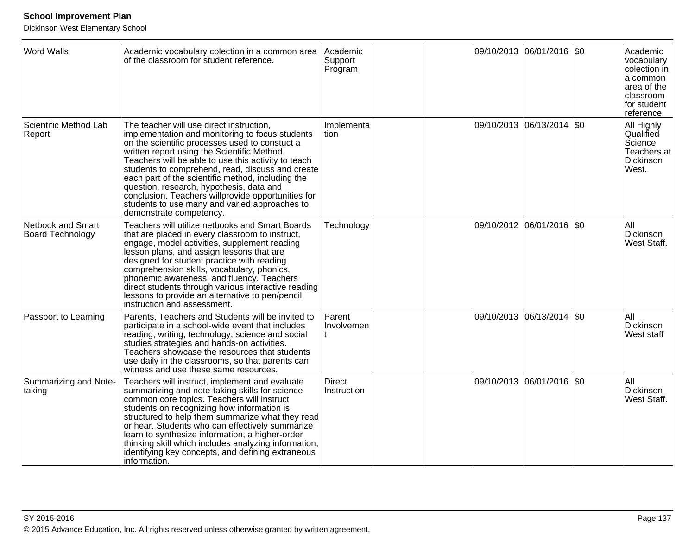| <b>Word Walls</b>                            | Academic vocabulary colection in a common area<br>of the classroom for student reference.                                                                                                                                                                                                                                                                                                                                                                                                                                                  | Academic<br>Support<br>Program |  | 09/10/2013 06/01/2016 \$0  |      | Academic<br>vocabulary<br>colection in<br>a common<br>area of the<br>classroom<br>for student<br>reference. |
|----------------------------------------------|--------------------------------------------------------------------------------------------------------------------------------------------------------------------------------------------------------------------------------------------------------------------------------------------------------------------------------------------------------------------------------------------------------------------------------------------------------------------------------------------------------------------------------------------|--------------------------------|--|----------------------------|------|-------------------------------------------------------------------------------------------------------------|
| Scientific Method Lab<br>Report              | The teacher will use direct instruction,<br>implementation and monitoring to focus students<br>on the scientific processes used to constuct a<br>written report using the Scientific Method.<br>Teachers will be able to use this activity to teach<br>students to comprehend, read, discuss and create<br>each part of the scientific method, including the<br>question, research, hypothesis, data and<br>conclusion. Teachers willprovide opportunities for<br>students to use many and varied approaches to<br>demonstrate competency. | Implementa<br>ltion            |  | 09/10/2013 06/13/2014      | \$0  | All Highly<br>Qualified<br>Science<br>Teachers at<br>Dickinson<br>West.                                     |
| Netbook and Smart<br><b>Board Technology</b> | Teachers will utilize netbooks and Smart Boards<br>that are placed in every classroom to instruct,<br>engage, model activities, supplement reading<br>lesson plans, and assign lessons that are<br>designed for student practice with reading<br>comprehension skills, vocabulary, phonics,<br>phonemic awareness, and fluency. Teachers<br>direct students through various interactive reading<br>lessons to provide an alternative to pen/pencil<br>instruction and assessment.                                                          | Technology                     |  | 09/10/2012 06/01/2016      | \$0  | All<br>Dickinson<br>West Staff.                                                                             |
| Passport to Learning                         | Parents, Teachers and Students will be invited to<br>participate in a school-wide event that includes<br>reading, writing, technology, science and social<br>studies strategies and hands-on activities.<br>Teachers showcase the resources that students<br>use daily in the classrooms, so that parents can<br>witness and use these same resources.                                                                                                                                                                                     | Parent<br>Involvemen           |  | 09/10/2013 06/13/2014      | l\$0 | All<br>Dickinson<br>West staff                                                                              |
| Summarizing and Note-<br>taking              | Teachers will instruct, implement and evaluate<br>summarizing and note-taking skills for science<br>common core topics. Teachers will instruct<br>students on recognizing how information is<br>structured to help them summarize what they read<br>or hear. Students who can effectively summarize<br>learn to synthesize information, a higher-order<br>thinking skill which includes analyzing information,<br>identifying key concepts, and defining extraneous<br>information.                                                        | <b>Direct</b><br>Instruction   |  | 09/10/2013 06/01/2016  \$0 |      | All<br>Dickinson<br>West Staff.                                                                             |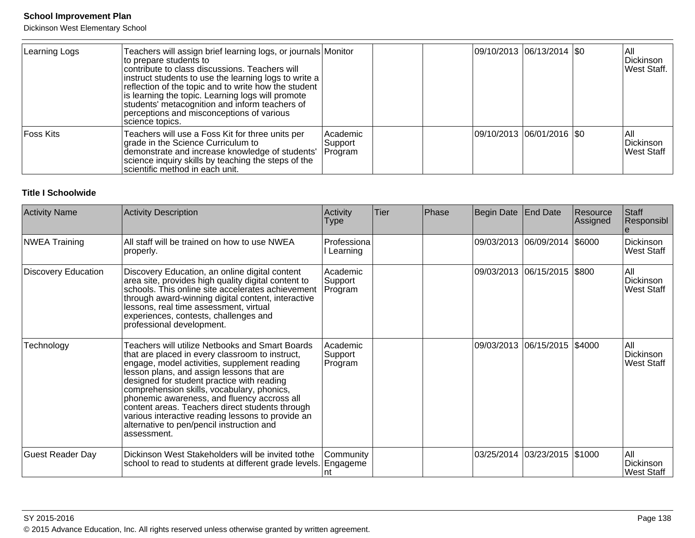Dickinson West Elementary School

| Learning Logs | Teachers will assign brief learning logs, or journals Monitor<br>to prepare students to<br>contribute to class discussions. Teachers will<br>instruct students to use the learning logs to write a<br>reflection of the topic and to write how the student<br>is learning the topic. Learning logs will promote<br>students' metacognition and inform teachers of<br>perceptions and misconceptions of various<br>science topics. |                                |  | 09/10/2013  06/13/2014  \$0 | IAII<br>Dickinson<br>West Staff. |
|---------------|-----------------------------------------------------------------------------------------------------------------------------------------------------------------------------------------------------------------------------------------------------------------------------------------------------------------------------------------------------------------------------------------------------------------------------------|--------------------------------|--|-----------------------------|----------------------------------|
| Foss Kits     | Teachers will use a Foss Kit for three units per<br>grade in the Science Curriculum to<br>demonstrate and increase knowledge of students'<br>science inquiry skills by teaching the steps of the<br>scientific method in each unit.                                                                                                                                                                                               | Academic<br>Support<br>Program |  | 09/10/2013 06/01/2016  \$0  | IAII<br>Dickinson<br>West Staff  |

#### **Title I Schoolwide**

| <b>Activity Name</b>       | <b>Activity Description</b>                                                                                                                                                                                                                                                                                                                                                                                                                                                                                    | Activity<br><b>Type</b>        | Tier | Phase | Begin Date | End Date                     | Resource<br>Assigned | Staff<br>Responsibl                    |
|----------------------------|----------------------------------------------------------------------------------------------------------------------------------------------------------------------------------------------------------------------------------------------------------------------------------------------------------------------------------------------------------------------------------------------------------------------------------------------------------------------------------------------------------------|--------------------------------|------|-------|------------|------------------------------|----------------------|----------------------------------------|
| <b>NWEA Training</b>       | All staff will be trained on how to use NWEA<br>properly.                                                                                                                                                                                                                                                                                                                                                                                                                                                      | Professiona<br>I Learning      |      |       |            | 09/03/2013 06/09/2014        | \$6000               | Dickinson<br><b>West Staff</b>         |
| <b>Discovery Education</b> | Discovery Education, an online digital content<br>area site, provides high quality digital content to<br>schools. This online site accelerates achievement<br>through award-winning digital content, interactive<br>lessons, real time assessment, virtual<br>experiences, contests, challenges and<br>professional development.                                                                                                                                                                               | Academic<br>Support<br>Program |      |       |            | 09/03/2013 06/15/2015 \$800  |                      | lail<br>Dickinson<br><b>West Staff</b> |
| Technology                 | Teachers will utilize Netbooks and Smart Boards<br>that are placed in every classroom to instruct,<br>engage, model activities, supplement reading<br>lesson plans, and assign lessons that are<br>designed for student practice with reading<br>comprehension skills, vocabulary, phonics,<br>phonemic awareness, and fluency accross all<br>content areas. Teachers direct students through<br>various interactive reading lessons to provide an<br>alternative to pen/pencil instruction and<br>assessment. | Academic<br>Support<br>Program |      |       |            | 09/03/2013 06/15/2015 \$4000 |                      | lAll<br>Dickinson<br>West Staff        |
| <b>Guest Reader Day</b>    | Dickinson West Stakeholders will be invited tothe<br>school to read to students at different grade levels. Engageme                                                                                                                                                                                                                                                                                                                                                                                            | Community                      |      |       |            | 03/25/2014 03/23/2015 \$1000 |                      | All<br>Dickinson<br>West Staff         |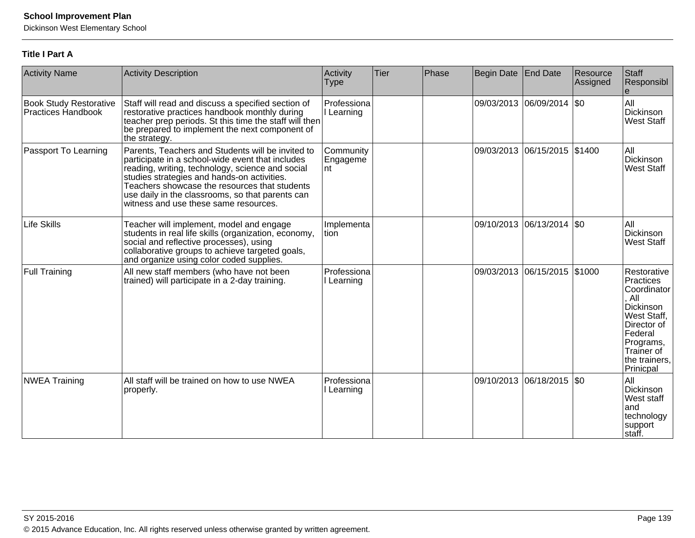Dickinson West Elementary School

## **Title I Part A**

| <b>Activity Name</b>                                | <b>Activity Description</b>                                                                                                                                                                                                                                                                                                                            | Activity<br><b>Type</b>      | Tier | Phase | Begin Date End Date |                              | Resource<br>Assigned | Staff<br>Responsibl                                                                                                                                                    |
|-----------------------------------------------------|--------------------------------------------------------------------------------------------------------------------------------------------------------------------------------------------------------------------------------------------------------------------------------------------------------------------------------------------------------|------------------------------|------|-------|---------------------|------------------------------|----------------------|------------------------------------------------------------------------------------------------------------------------------------------------------------------------|
| <b>Book Study Restorative</b><br>Practices Handbook | Staff will read and discuss a specified section of<br>restorative practices handbook monthly during<br>teacher prep periods. St this time the staff will then<br>be prepared to implement the next component of<br>the strategy.                                                                                                                       | Professiona<br>I Learning    |      |       |                     | 09/03/2013 06/09/2014 \$0    |                      | All<br>Dickinson<br><b>West Staff</b>                                                                                                                                  |
| Passport To Learning                                | Parents, Teachers and Students will be invited to<br>participate in a school-wide event that includes<br>reading, writing, technology, science and social<br>studies strategies and hands-on activities.<br>Teachers showcase the resources that students<br>use daily in the classrooms, so that parents can<br>witness and use these same resources. | Community<br>Engageme<br>Int |      |       |                     | 09/03/2013 06/15/2015 \$1400 |                      | All<br>Dickinson<br><b>West Staff</b>                                                                                                                                  |
| <b>Life Skills</b>                                  | Teacher will implement, model and engage<br>students in real life skills (organization, economy,<br>social and reflective processes), using<br>collaborative groups to achieve targeted goals,<br>and organize using color coded supplies.                                                                                                             | Implementa<br>Ition          |      |       |                     | 09/10/2013 06/13/2014   \$0  |                      | All<br>Dickinson<br><b>West Staff</b>                                                                                                                                  |
| <b>Full Training</b>                                | All new staff members (who have not been<br>trained) will participate in a 2-day training.                                                                                                                                                                                                                                                             | Professiona<br>Learning      |      |       |                     | 09/03/2013 06/15/2015 \$1000 |                      | Restorative<br>Practices<br>Coordinator<br>, All<br><b>Dickinson</b><br>West Staff,<br>Director of<br>Federal<br>Programs,<br>Trainer of<br>the trainers,<br>Prinicpal |
| <b>NWEA Training</b>                                | All staff will be trained on how to use NWEA<br>properly.                                                                                                                                                                                                                                                                                              | Professiona<br>Learning      |      |       |                     | 09/10/2013 06/18/2015        | \$0                  | All<br><b>Dickinson</b><br>West staff<br>and<br>technology<br>support<br>Istaff.                                                                                       |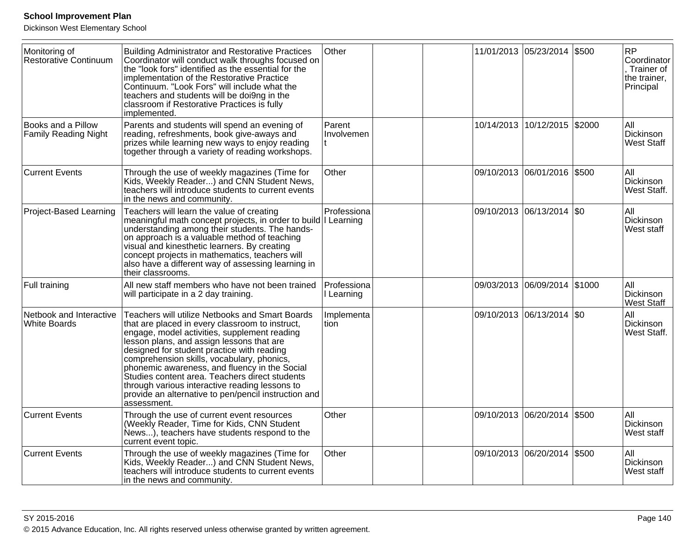| Monitoring of<br>Restorative Continuum            | <b>Building Administrator and Restorative Practices</b><br>Coordinator will conduct walk throughs focused on<br>the "look fors" identified as the essential for the<br>implementation of the Restorative Practice<br>Continuum. "Look Fors" will include what the<br>teachers and students will be doi9ng in the<br>classroom if Restorative Practices is fully<br>implemented.                                                                                                                                         | Other                     |  | 11/01/2013 05/23/2014 |                              | \$500 | <b>RP</b><br>Coordinator<br>Trainer of<br>the trainer,<br>Principal |
|---------------------------------------------------|-------------------------------------------------------------------------------------------------------------------------------------------------------------------------------------------------------------------------------------------------------------------------------------------------------------------------------------------------------------------------------------------------------------------------------------------------------------------------------------------------------------------------|---------------------------|--|-----------------------|------------------------------|-------|---------------------------------------------------------------------|
| Books and a Pillow<br><b>Family Reading Night</b> | Parents and students will spend an evening of<br>reading, refreshments, book give-aways and<br>prizes while learning new ways to enjoy reading<br>together through a variety of reading workshops.                                                                                                                                                                                                                                                                                                                      | Parent<br>Involvemen      |  |                       | 10/14/2013 10/12/2015 \$2000 |       | All<br>Dickinson<br><b>West Staff</b>                               |
| <b>Current Events</b>                             | Through the use of weekly magazines (Time for<br>Kids, Weekly Reader) and CNN Student News,<br>teachers will introduce students to current events<br>in the news and community.                                                                                                                                                                                                                                                                                                                                         | Other                     |  |                       | 09/10/2013 06/01/2016 \$500  |       | All<br>Dickinson<br>West Staff.                                     |
| <b>Project-Based Learning</b>                     | Teachers will learn the value of creating<br>meaningful math concept projects, in order to build   Learning<br>understanding among their students. The hands-<br>on approach is a valuable method of teaching<br>visual and kinesthetic learners. By creating<br>concept projects in mathematics, teachers will<br>also have a different way of assessing learning in<br>their classrooms.                                                                                                                              | Professiona               |  | 09/10/2013 06/13/2014 |                              | \$0   | All<br>Dickinson<br>West staff                                      |
| Full training                                     | All new staff members who have not been trained<br>will participate in a 2 day training.                                                                                                                                                                                                                                                                                                                                                                                                                                | Professiona<br>I Learning |  |                       | 09/03/2013 06/09/2014 \$1000 |       | All<br>Dickinson<br><b>West Staff</b>                               |
| Netbook and Interactive<br><b>White Boards</b>    | Teachers will utilize Netbooks and Smart Boards<br>that are placed in every classroom to instruct,<br>engage, model activities, supplement reading<br>lesson plans, and assign lessons that are<br>designed for student practice with reading<br>comprehension skills, vocabulary, phonics,<br>phonemic awareness, and fluency in the Social<br>Studies content area. Teachers direct students<br>through various interactive reading lessons to<br>provide an alternative to pen/pencil instruction and<br>assessment. | Implementa<br>tion        |  |                       | 09/10/2013 06/13/2014 \$0    |       | All<br>Dickinson<br>West Staff.                                     |
| <b>Current Events</b>                             | Through the use of current event resources<br>(Weekly Reader, Time for Kids, CNN Student<br>News), teachers have students respond to the<br>current event topic.                                                                                                                                                                                                                                                                                                                                                        | Other                     |  |                       | 09/10/2013 06/20/2014 \$500  |       | All<br>Dickinson<br>West staff                                      |
| <b>Current Events</b>                             | Through the use of weekly magazines (Time for<br>Kids, Weekly Reader) and CNN Student News,<br>teachers will introduce students to current events<br>in the news and community.                                                                                                                                                                                                                                                                                                                                         | Other                     |  | 09/10/2013 06/20/2014 |                              | \$500 | All<br>Dickinson<br>West staff                                      |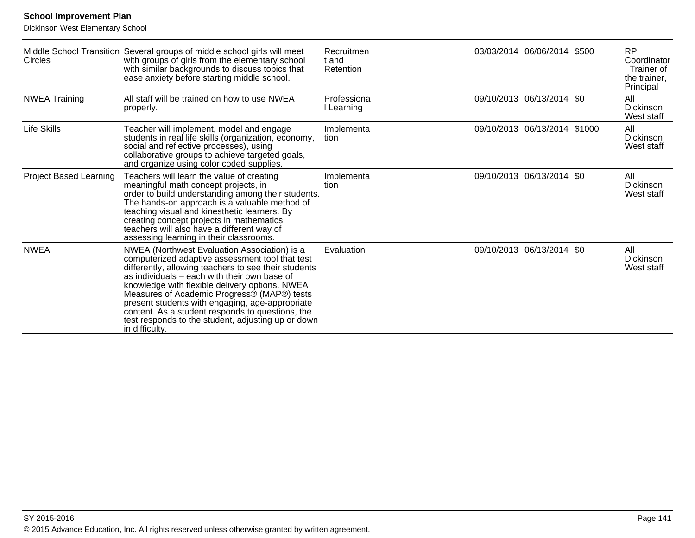| <b>Circles</b>                | Middle School Transition Several groups of middle school girls will meet<br>with groups of girls from the elementary school<br>with similar backgrounds to discuss topics that<br>ease anxiety before starting middle school.                                                                                                                                                                                                                                                           | Recruitmen<br>lt and<br>Retention |  | 03/03/2014 06/06/2014        | \$500 | <b>RP</b><br>Coordinator<br>Trainer of<br>the trainer,<br>Principal |
|-------------------------------|-----------------------------------------------------------------------------------------------------------------------------------------------------------------------------------------------------------------------------------------------------------------------------------------------------------------------------------------------------------------------------------------------------------------------------------------------------------------------------------------|-----------------------------------|--|------------------------------|-------|---------------------------------------------------------------------|
| <b>NWEA Training</b>          | All staff will be trained on how to use NWEA<br>properly.                                                                                                                                                                                                                                                                                                                                                                                                                               | Professiona<br>Learning           |  | 09/10/2013 06/13/2014   \$0  |       | All<br>Dickinson<br>West staff                                      |
| Life Skills                   | Teacher will implement, model and engage<br>students in real life skills (organization, economy,<br>social and reflective processes), using<br>collaborative groups to achieve targeted goals,<br>and organize using color coded supplies.                                                                                                                                                                                                                                              | Implementa<br>ltion               |  | 09/10/2013 06/13/2014 \$1000 |       | All<br>Dickinson<br>West staff                                      |
| <b>Project Based Learning</b> | Teachers will learn the value of creating<br>meaningful math concept projects, in<br>order to build understanding among their students.<br>The hands-on approach is a valuable method of<br>teaching visual and kinesthetic learners. By<br>creating concept projects in mathematics,<br>teachers will also have a different way of<br>assessing learning in their classrooms.                                                                                                          | Implementa<br>Ition               |  | 09/10/2013 06/13/2014   \$0  |       | All<br>Dickinson<br>West staff                                      |
| <b>NWEA</b>                   | NWEA (Northwest Evaluation Association) is a<br>computerized adaptive assessment tool that test<br>differently, allowing teachers to see their students<br>as individuals – each with their own base of<br>knowledge with flexible delivery options. NWEA<br>Measures of Academic Progress® (MAP®) tests<br>present students with engaging, age-appropriate<br>content. As a student responds to questions, the<br>test responds to the student, adjusting up or down<br>in difficulty. | Evaluation                        |  | 09/10/2013 06/13/2014   \$0  |       | All<br>Dickinson<br>West staff                                      |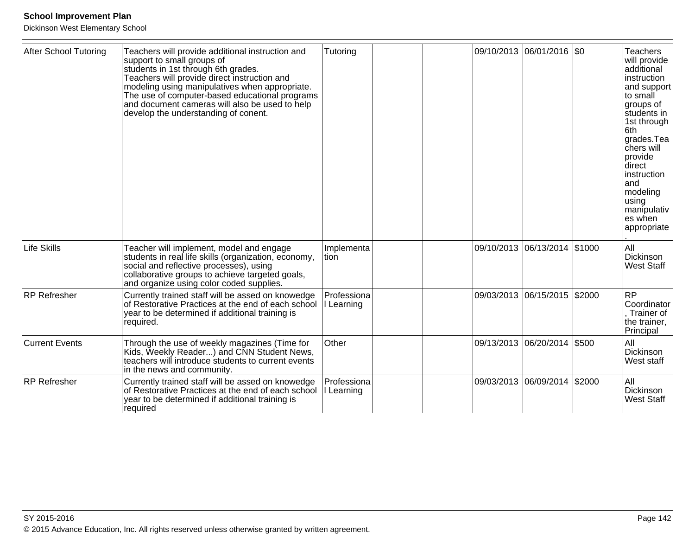| After School Tutoring | Teachers will provide additional instruction and<br>support to small groups of<br>students in 1st through 6th grades.<br>Teachers will provide direct instruction and<br>modeling using manipulatives when appropriate.<br>The use of computer-based educational programs<br>and document cameras will also be used to help<br>develop the understanding of conent. | Tutoring                  |                       | 09/10/2013 06/01/2016 \$0   |        | <b>Teachers</b><br>will provide<br>additional<br>Instruction<br>and support<br>to small<br>groups of<br>students in<br>1st through<br>6th<br>grades.Tea<br><b>chers</b> will<br>provide<br>ldirect<br> instruction<br>land<br>modeling<br>using<br>manipulativ<br>les when<br>appropriate |
|-----------------------|---------------------------------------------------------------------------------------------------------------------------------------------------------------------------------------------------------------------------------------------------------------------------------------------------------------------------------------------------------------------|---------------------------|-----------------------|-----------------------------|--------|-------------------------------------------------------------------------------------------------------------------------------------------------------------------------------------------------------------------------------------------------------------------------------------------|
| <b>Life Skills</b>    | Teacher will implement, model and engage<br>students in real life skills (organization, economy,<br>social and reflective processes), using<br>collaborative groups to achieve targeted goals,<br>and organize using color coded supplies.                                                                                                                          | Implementa<br>tion        | 09/10/2013 06/13/2014 |                             | \$1000 | All<br>Dickinson<br><b>West Staff</b>                                                                                                                                                                                                                                                     |
| RP Refresher          | Currently trained staff will be assed on knowedge<br>of Restorative Practices at the end of each school<br>year to be determined if additional training is<br>required.                                                                                                                                                                                             | Professiona<br>I Learning | 09/03/2013 06/15/2015 |                             | \$2000 | <b>RP</b><br>Coordinator<br>Trainer of<br>the trainer,<br>Principal                                                                                                                                                                                                                       |
| <b>Current Events</b> | Through the use of weekly magazines (Time for<br> Kids, Weekly Reader) and CNN Student News,<br>teachers will introduce students to current events<br>in the news and community.                                                                                                                                                                                    | Other                     |                       | 09/13/2013 06/20/2014 \$500 |        | All<br>Dickinson<br>West staff                                                                                                                                                                                                                                                            |
| <b>RP Refresher</b>   | Currently trained staff will be assed on knowedge<br>of Restorative Practices at the end of each school<br>year to be determined if additional training is<br>required                                                                                                                                                                                              | Professiona<br>I Learning | 09/03/2013 06/09/2014 |                             | \$2000 | All<br>Dickinson<br><b>West Staff</b>                                                                                                                                                                                                                                                     |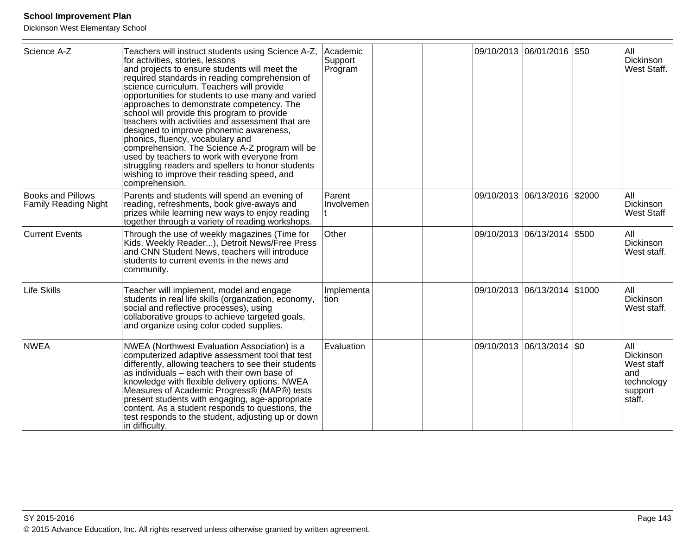| Science A-Z                                             | Teachers will instruct students using Science A-Z,<br>for activities, stories, lessons<br>and projects to ensure students will meet the<br>required standards in reading comprehension of<br>science curriculum. Teachers will provide<br>opportunities for students to use many and varied<br>approaches to demonstrate competency. The<br>school will provide this program to provide<br>teachers with activities and assessment that are<br>designed to improve phonemic awareness,<br>phonics, fluency, vocabulary and<br>comprehension. The Science A-Z program will be<br>used by teachers to work with everyone from<br>struggling readers and spellers to honor students<br>wishing to improve their reading speed, and<br>comprehension. | Academic<br>Support<br>Program |  |                       | 09/10/2013 06/01/2016 \$50     |         | All<br>Dickinson<br>West Staff.                                                 |
|---------------------------------------------------------|---------------------------------------------------------------------------------------------------------------------------------------------------------------------------------------------------------------------------------------------------------------------------------------------------------------------------------------------------------------------------------------------------------------------------------------------------------------------------------------------------------------------------------------------------------------------------------------------------------------------------------------------------------------------------------------------------------------------------------------------------|--------------------------------|--|-----------------------|--------------------------------|---------|---------------------------------------------------------------------------------|
| <b>Books and Pillows</b><br><b>Family Reading Night</b> | Parents and students will spend an evening of<br>reading, refreshments, book give-aways and<br>prizes while learning new ways to enjoy reading<br>together through a variety of reading workshops.                                                                                                                                                                                                                                                                                                                                                                                                                                                                                                                                                | Parent<br>Involvemen           |  |                       | 09/10/2013  06/13/2016  \$2000 |         | All<br>Dickinson<br><b>West Staff</b>                                           |
| <b>Current Events</b>                                   | Through the use of weekly magazines (Time for<br>Kids, Weekly Reader), Detroit News/Free Press<br>and CNN Student News, teachers will introduce<br>students to current events in the news and<br>community.                                                                                                                                                                                                                                                                                                                                                                                                                                                                                                                                       | Other                          |  |                       | 09/10/2013 06/13/2014 \$500    |         | All<br>Dickinson<br>West staff.                                                 |
| <b>Life Skills</b>                                      | Teacher will implement, model and engage<br>students in real life skills (organization, economy,<br>social and reflective processes), using<br>collaborative groups to achieve targeted goals,<br>and organize using color coded supplies.                                                                                                                                                                                                                                                                                                                                                                                                                                                                                                        | Implementa<br>Ition            |  |                       | 09/10/2013 06/13/2014 \$1000   |         | lail<br>Dickinson<br>West staff.                                                |
| <b>NWEA</b>                                             | NWEA (Northwest Evaluation Association) is a<br>computerized adaptive assessment tool that test<br>differently, allowing teachers to see their students<br>as individuals – each with their own base of<br>knowledge with flexible delivery options. NWEA<br>Measures of Academic Progress® (MAP®) tests<br>present students with engaging, age-appropriate<br>content. As a student responds to questions, the<br>test responds to the student, adjusting up or down<br>in difficulty.                                                                                                                                                                                                                                                           | Evaluation                     |  | 09/10/2013 06/13/2014 |                                | $ $ \$0 | All<br>Dickinson<br><b>West staff</b><br>and<br>technology<br>support<br>staff. |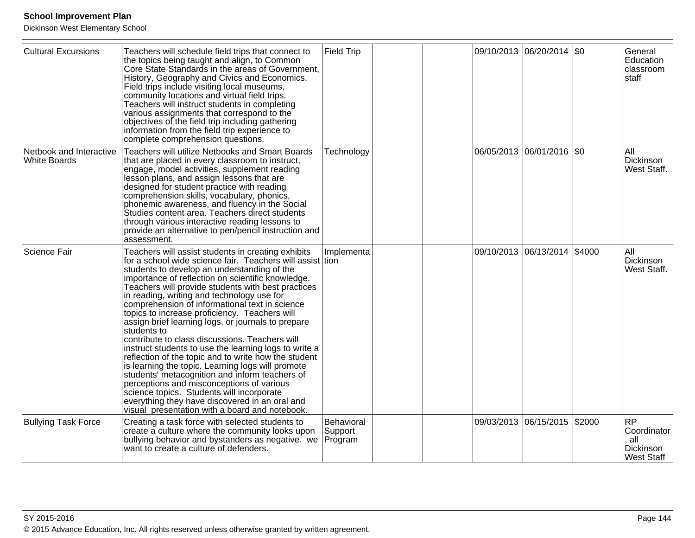| <b>Cultural Excursions</b>                     | Teachers will schedule field trips that connect to<br>the topics being taught and align, to Common<br>Core State Standards in the areas of Government,<br>History, Geography and Civics and Economics.<br>Field trips include visiting local museums,<br>community locations and virtual field trips.<br>Teachers will instruct students in completing<br>various assignments that correspond to the<br>objectives of the field trip including gathering<br>information from the field trip experience to<br>complete comprehension questions.                                                                                                                                                                                                                                                                                                                                                                                                                          | <b>Field Trip</b>                |                       | 09/10/2013 06/20/2014 \$0    |        | General<br>Education<br>classroom<br>staff                        |
|------------------------------------------------|-------------------------------------------------------------------------------------------------------------------------------------------------------------------------------------------------------------------------------------------------------------------------------------------------------------------------------------------------------------------------------------------------------------------------------------------------------------------------------------------------------------------------------------------------------------------------------------------------------------------------------------------------------------------------------------------------------------------------------------------------------------------------------------------------------------------------------------------------------------------------------------------------------------------------------------------------------------------------|----------------------------------|-----------------------|------------------------------|--------|-------------------------------------------------------------------|
| Netbook and Interactive<br><b>White Boards</b> | Teachers will utilize Netbooks and Smart Boards<br>that are placed in every classroom to instruct,<br>engage, model activities, supplement reading<br>lesson plans, and assign lessons that are<br>designed for student practice with reading<br>comprehension skills, vocabulary, phonics,<br>phonemic awareness, and fluency in the Social<br>Studies content area. Teachers direct students<br>through various interactive reading lessons to<br>provide an alternative to pen/pencil instruction and<br>assessment.                                                                                                                                                                                                                                                                                                                                                                                                                                                 | Technology                       |                       | 06/05/2013  06/01/2016  \$0  |        | All<br>Dickinson<br>West Staff.                                   |
| Science Fair                                   | Teachers will assist students in creating exhibits<br>for a school wide science fair. Teachers will assist tion<br>students to develop an understanding of the<br>importance of reflection on scientific knowledge.<br>Teachers will provide students with best practices<br>in reading, writing and technology use for<br>comprehension of informational text in science<br>topics to increase proficiency. Teachers will<br>assign brief learning logs, or journals to prepare<br>students to<br>contribute to class discussions. Teachers will<br>instruct students to use the learning logs to write a<br>reflection of the topic and to write how the student<br>is learning the topic. Learning logs will promote<br>students' metacognition and inform teachers of<br>perceptions and misconceptions of various<br>science topics. Students will incorporate<br>everything they have discovered in an oral and<br>visual presentation with a board and notebook. | Implementa                       | 09/10/2013 06/13/2014 |                              | \$4000 | All<br>Dickinson<br>West Staff.                                   |
| <b>Bullying Task Force</b>                     | Creating a task force with selected students to<br>create a culture where the community looks upon<br>bullying behavior and bystanders as negative. we<br>want to create a culture of defenders.                                                                                                                                                                                                                                                                                                                                                                                                                                                                                                                                                                                                                                                                                                                                                                        | Behavioral<br>Support<br>Program |                       | 09/03/2013 06/15/2015 \$2000 |        | <b>RP</b><br>Coordinator<br>all<br>Dickinson<br><b>West Staff</b> |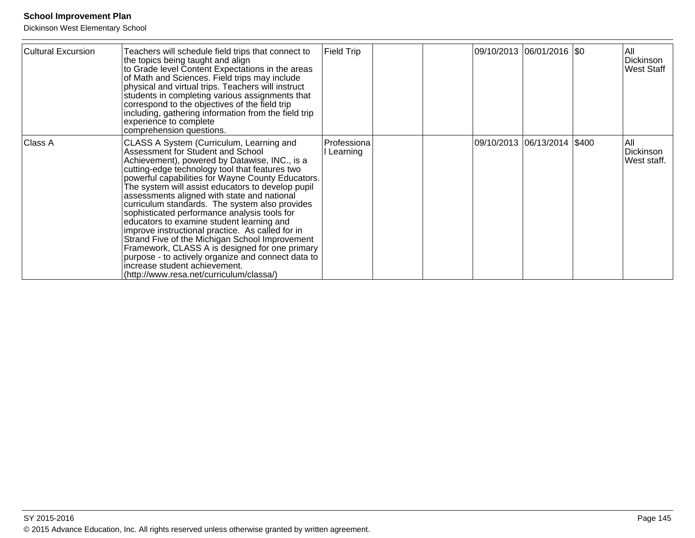| Cultural Excursion | Teachers will schedule field trips that connect to<br>the topics being taught and align<br>to Grade level Content Expectations in the areas<br>of Math and Sciences. Field trips may include<br>physical and virtual trips. Teachers will instruct<br>students in completing various assignments that<br>correspond to the objectives of the field trip<br>including, gathering information from the field trip<br>experience to complete<br>comprehension questions.                                                                                                                                                                                                                                                                                                               | <b>Field Trip</b>       |  | 09/10/2013 06/01/2016  \$0    | All<br>Dickinson<br><b>West Staff</b> |
|--------------------|-------------------------------------------------------------------------------------------------------------------------------------------------------------------------------------------------------------------------------------------------------------------------------------------------------------------------------------------------------------------------------------------------------------------------------------------------------------------------------------------------------------------------------------------------------------------------------------------------------------------------------------------------------------------------------------------------------------------------------------------------------------------------------------|-------------------------|--|-------------------------------|---------------------------------------|
| Class A            | CLASS A System (Curriculum, Learning and<br>Assessment for Student and School<br>Achievement), powered by Datawise, INC., is a<br>cutting-edge technology tool that features two<br>powerful capabilities for Wayne County Educators.<br>The system will assist educators to develop pupil<br>assessments aligned with state and national<br>curriculum standards. The system also provides<br>sophisticated performance analysis tools for<br>educators to examine student learning and<br>improve instructional practice. As called for in<br>Strand Five of the Michigan School Improvement<br>Framework, CLASS A is designed for one primary<br>purpose - to actively organize and connect data to<br>increase student achievement.<br>(http://www.resa.net/curriculum/classa/) | Professiona<br>Learning |  | 09/10/2013  06/13/2014  \$400 | IAII<br>Dickinson<br>West staff.      |